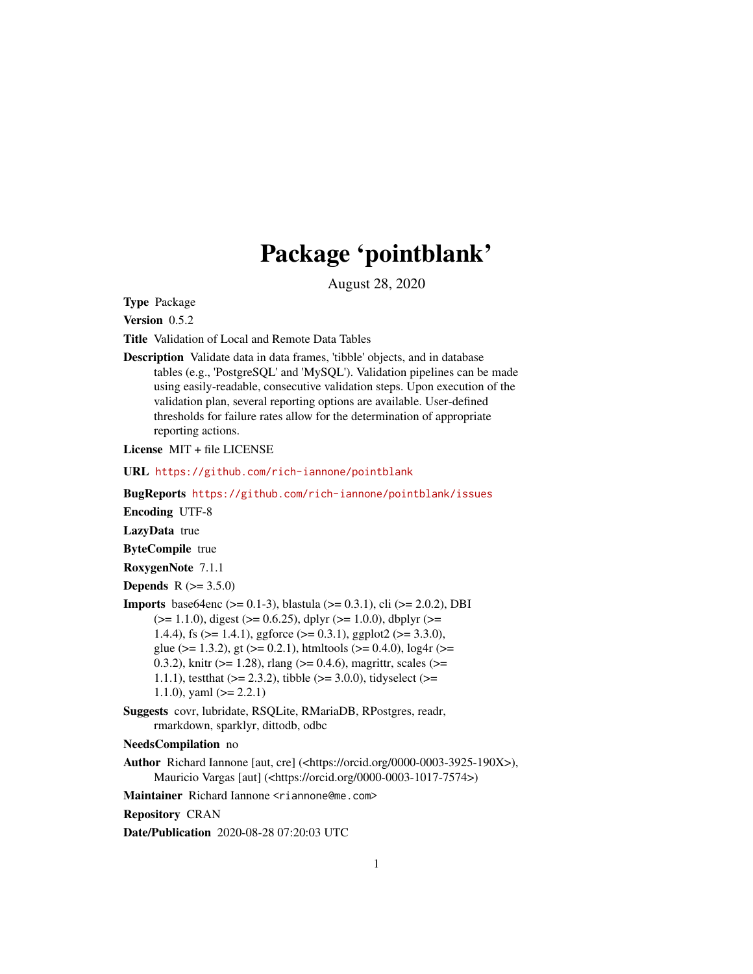# Package 'pointblank'

August 28, 2020

<span id="page-0-0"></span>Type Package

Version 0.5.2

Title Validation of Local and Remote Data Tables

Description Validate data in data frames, 'tibble' objects, and in database tables (e.g., 'PostgreSQL' and 'MySQL'). Validation pipelines can be made using easily-readable, consecutive validation steps. Upon execution of the validation plan, several reporting options are available. User-defined thresholds for failure rates allow for the determination of appropriate reporting actions.

License MIT + file LICENSE

URL <https://github.com/rich-iannone/pointblank>

BugReports <https://github.com/rich-iannone/pointblank/issues>

Encoding UTF-8

LazyData true

ByteCompile true

RoxygenNote 7.1.1

**Depends** R  $(>= 3.5.0)$ 

- **Imports** base64enc ( $> = 0.1-3$ ), blastula ( $> = 0.3.1$ ), cli ( $> = 2.0.2$ ), DBI  $(>= 1.1.0)$ , digest  $(>= 0.6.25)$ , dplyr  $(>= 1.0.0)$ , dbplyr  $(>= 1.1.0)$ 1.4.4), fs ( $>= 1.4.1$ ), ggforce ( $>= 0.3.1$ ), ggplot2 ( $>= 3.3.0$ ), glue ( $>= 1.3.2$ ), gt ( $>= 0.2.1$ ), htmltools ( $>= 0.4.0$ ), log4r ( $>=$ 0.3.2), knitr ( $>= 1.28$ ), rlang ( $>= 0.4.6$ ), magrittr, scales ( $>= 0.3.2$ ) 1.1.1), test that  $(>= 2.3.2)$ , tibble  $(>= 3.0.0)$ , tidyselect  $(>= 1.1.1)$ 1.1.0), yaml  $(>= 2.2.1)$
- Suggests covr, lubridate, RSQLite, RMariaDB, RPostgres, readr, rmarkdown, sparklyr, dittodb, odbc

NeedsCompilation no

Author Richard Iannone [aut, cre] (<https://orcid.org/0000-0003-3925-190X>), Mauricio Vargas [aut] (<https://orcid.org/0000-0003-1017-7574>)

Maintainer Richard Iannone <riannone@me.com>

Repository CRAN

Date/Publication 2020-08-28 07:20:03 UTC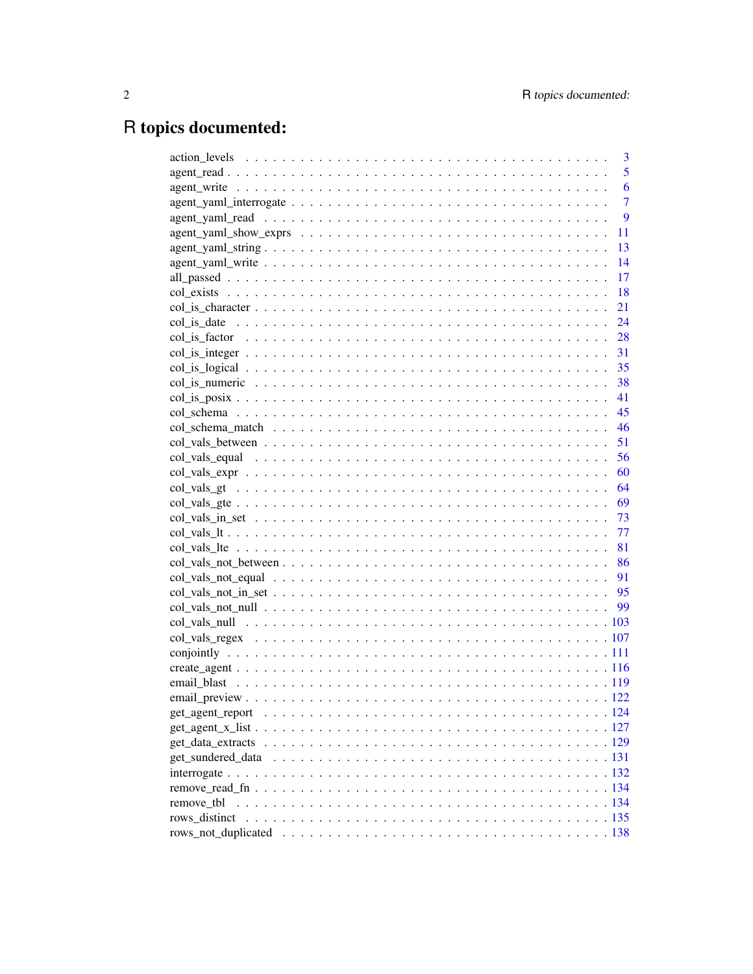# R topics documented:

|            | 3              |
|------------|----------------|
|            | 5              |
|            | 6              |
|            | $\overline{7}$ |
|            | 9              |
|            | 11             |
|            | 13             |
|            | 14             |
|            | 17             |
|            | 18             |
|            | 21             |
|            |                |
|            |                |
|            |                |
|            |                |
|            |                |
|            |                |
|            |                |
|            |                |
|            |                |
|            |                |
|            |                |
|            |                |
|            |                |
|            |                |
|            |                |
|            |                |
|            |                |
|            |                |
|            |                |
|            |                |
|            |                |
|            |                |
|            |                |
|            |                |
|            |                |
|            |                |
|            |                |
|            |                |
|            |                |
|            |                |
|            |                |
|            |                |
| remove tbl |                |
|            |                |
|            |                |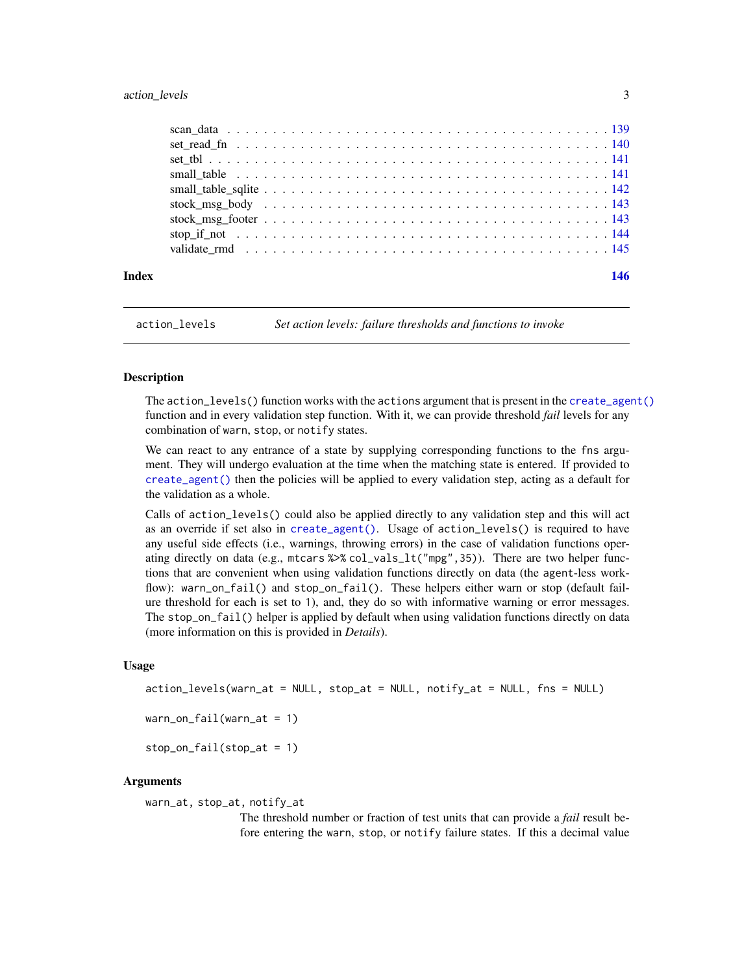# <span id="page-2-0"></span>action\_levels 3

| Index | 146 |
|-------|-----|
|       |     |
|       |     |
|       |     |
|       |     |
|       |     |
|       |     |
|       |     |
|       |     |
|       |     |

<span id="page-2-1"></span>action\_levels *Set action levels: failure thresholds and functions to invoke*

# **Description**

The action\_levels() function works with the actions argument that is present in the [create\\_agent\(\)](#page-115-1) function and in every validation step function. With it, we can provide threshold *fail* levels for any combination of warn, stop, or notify states.

We can react to any entrance of a state by supplying corresponding functions to the fns argument. They will undergo evaluation at the time when the matching state is entered. If provided to [create\\_agent\(\)](#page-115-1) then the policies will be applied to every validation step, acting as a default for the validation as a whole.

Calls of action\_levels() could also be applied directly to any validation step and this will act as an override if set also in [create\\_agent\(\)](#page-115-1). Usage of action\_levels() is required to have any useful side effects (i.e., warnings, throwing errors) in the case of validation functions operating directly on data (e.g., mtcars %>% col\_vals\_lt("mpg",35)). There are two helper functions that are convenient when using validation functions directly on data (the agent-less workflow): warn\_on\_fail() and stop\_on\_fail(). These helpers either warn or stop (default failure threshold for each is set to 1), and, they do so with informative warning or error messages. The stop\_on\_fail() helper is applied by default when using validation functions directly on data (more information on this is provided in *Details*).

# Usage

```
action_levels(warn_at = NULL, stop_at = NULL, notify_at = NULL, fns = NULL)
```

```
warn\_on\_fail(warn\_at = 1)
```
stop\_on\_fail(stop\_at = 1)

#### Arguments

warn\_at, stop\_at, notify\_at

The threshold number or fraction of test units that can provide a *fail* result before entering the warn, stop, or notify failure states. If this a decimal value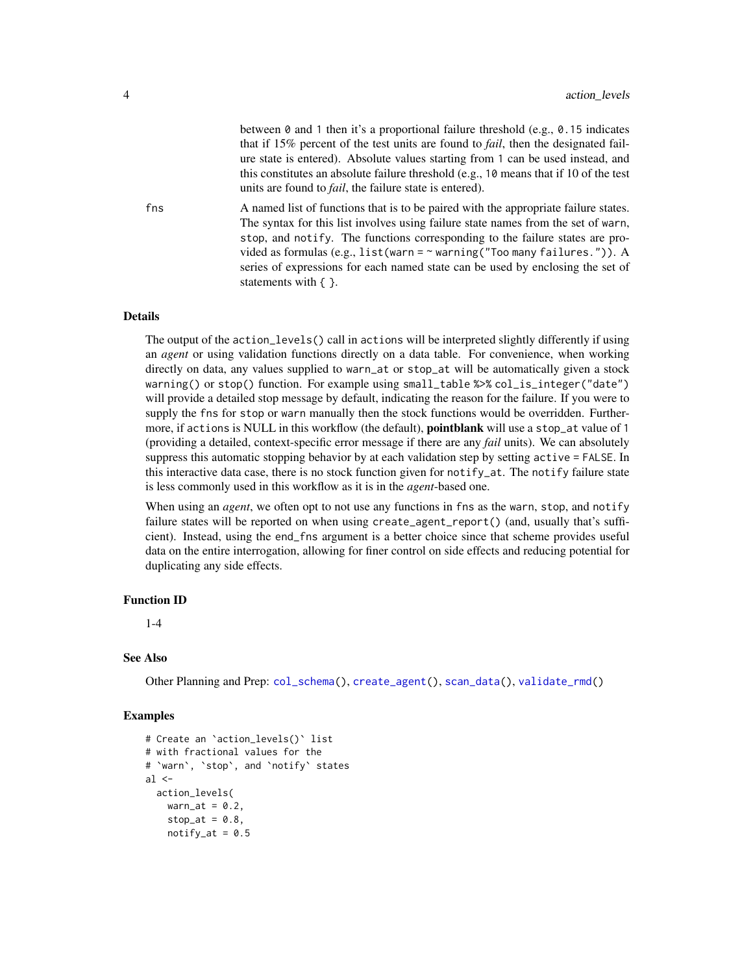between 0 and 1 then it's a proportional failure threshold (e.g., 0.15 indicates that if 15% percent of the test units are found to *fail*, then the designated failure state is entered). Absolute values starting from 1 can be used instead, and this constitutes an absolute failure threshold (e.g., 10 means that if 10 of the test units are found to *fail*, the failure state is entered).

fins A named list of functions that is to be paired with the appropriate failure states. The syntax for this list involves using failure state names from the set of warn, stop, and notify. The functions corresponding to the failure states are provided as formulas (e.g., list(warn =  $\sim$  warning("Too many failures.")). A series of expressions for each named state can be used by enclosing the set of statements with { }.

# Details

The output of the action\_levels() call in actions will be interpreted slightly differently if using an *agent* or using validation functions directly on a data table. For convenience, when working directly on data, any values supplied to warn\_at or stop\_at will be automatically given a stock warning() or stop() function. For example using small\_table %>% col\_is\_integer("date") will provide a detailed stop message by default, indicating the reason for the failure. If you were to supply the fns for stop or warn manually then the stock functions would be overridden. Furthermore, if actions is NULL in this workflow (the default), **pointblank** will use a stop\_at value of 1 (providing a detailed, context-specific error message if there are any *fail* units). We can absolutely suppress this automatic stopping behavior by at each validation step by setting active = FALSE. In this interactive data case, there is no stock function given for notify\_at. The notify failure state is less commonly used in this workflow as it is in the *agent*-based one.

When using an *agent*, we often opt to not use any functions in fns as the warn, stop, and notify failure states will be reported on when using create\_agent\_report() (and, usually that's sufficient). Instead, using the end\_fns argument is a better choice since that scheme provides useful data on the entire interrogation, allowing for finer control on side effects and reducing potential for duplicating any side effects.

#### Function ID

1-4

#### See Also

Other Planning and Prep: [col\\_schema\(](#page-44-1)), [create\\_agent\(](#page-115-1)), [scan\\_data\(](#page-138-1)), [validate\\_rmd\(](#page-144-1))

```
# Create an `action_levels()` list
# with fractional values for the
# `warn`, `stop`, and `notify` states
al \leftarrowaction_levels(
    warn_at = 0.2,
    stop_at = 0.8,
    notify_at = 0.5
```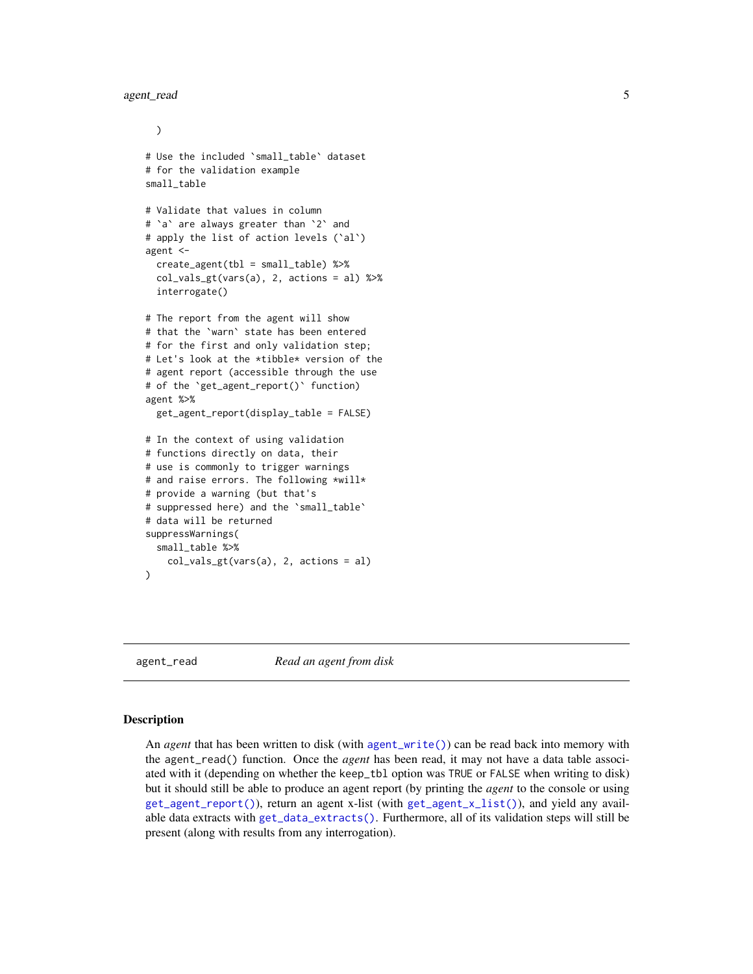```
)
# Use the included `small_table` dataset
# for the validation example
small_table
# Validate that values in column
# `a` are always greater than `2` and
# apply the list of action levels (`al`)
agent <-
 create_agent(tbl = small_table) %>%
 col_vals_gt(vars(a), 2, actions = al) %>%
 interrogate()
# The report from the agent will show
# that the `warn` state has been entered
# for the first and only validation step;
# Let's look at the *tibble* version of the
# agent report (accessible through the use
# of the `get_agent_report()` function)
agent %>%
 get_agent_report(display_table = FALSE)
# In the context of using validation
# functions directly on data, their
# use is commonly to trigger warnings
# and raise errors. The following *will*
# provide a warning (but that's
# suppressed here) and the `small_table`
# data will be returned
suppressWarnings(
 small_table %>%
    col_vals_gt(vars(a), 2, actions = al)
)
```
<span id="page-4-1"></span>agent\_read *Read an agent from disk*

# Description

An *agent* that has been written to disk (with [agent\\_write\(\)](#page-5-1)) can be read back into memory with the agent\_read() function. Once the *agent* has been read, it may not have a data table associated with it (depending on whether the keep\_tbl option was TRUE or FALSE when writing to disk) but it should still be able to produce an agent report (by printing the *agent* to the console or using [get\\_agent\\_report\(\)](#page-123-1)), return an agent x-list (with [get\\_agent\\_x\\_list\(\)](#page-126-1)), and yield any available data extracts with [get\\_data\\_extracts\(\)](#page-128-1). Furthermore, all of its validation steps will still be present (along with results from any interrogation).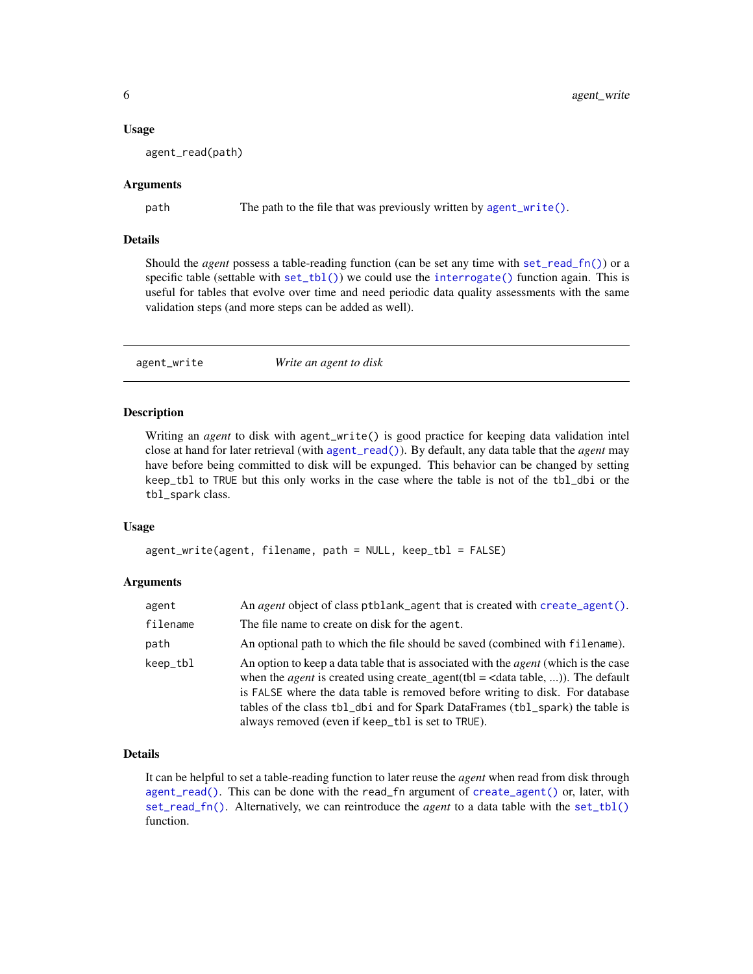#### <span id="page-5-0"></span>Usage

agent\_read(path)

# Arguments

path The path to the file that was previously written by [agent\\_write\(\)](#page-5-1).

# Details

Should the *agent* possess a table-reading function (can be set any time with [set\\_read\\_fn\(\)](#page-139-1)) or a specific table (settable with [set\\_tbl\(\)](#page-140-1)) we could use the [interrogate\(\)](#page-131-1) function again. This is useful for tables that evolve over time and need periodic data quality assessments with the same validation steps (and more steps can be added as well).

<span id="page-5-1"></span>agent\_write *Write an agent to disk*

# Description

Writing an *agent* to disk with agent\_write() is good practice for keeping data validation intel close at hand for later retrieval (with [agent\\_read\(\)](#page-4-1)). By default, any data table that the *agent* may have before being committed to disk will be expunged. This behavior can be changed by setting keep\_tbl to TRUE but this only works in the case where the table is not of the tbl\_dbi or the tbl\_spark class.

# Usage

```
agent_write(agent, filename, path = NULL, keep_tbl = FALSE)
```
#### Arguments

| agent    | An agent object of class ptblank_agent that is created with create_agent().                                                                                                                                                                                                                                                                                                                                          |
|----------|----------------------------------------------------------------------------------------------------------------------------------------------------------------------------------------------------------------------------------------------------------------------------------------------------------------------------------------------------------------------------------------------------------------------|
| filename | The file name to create on disk for the agent.                                                                                                                                                                                                                                                                                                                                                                       |
| path     | An optional path to which the file should be saved (combined with filename).                                                                                                                                                                                                                                                                                                                                         |
| keep_tbl | An option to keep a data table that is associated with the <i>agent</i> (which is the case<br>when the <i>agent</i> is created using create_agent(tbl = $\langle$ data table, )). The default<br>is FALSE where the data table is removed before writing to disk. For database<br>tables of the class tbl_dbi and for Spark DataFrames (tbl_spark) the table is<br>always removed (even if keep_tbl is set to TRUE). |

# Details

It can be helpful to set a table-reading function to later reuse the *agent* when read from disk through [agent\\_read\(\)](#page-4-1). This can be done with the read\_fn argument of [create\\_agent\(\)](#page-115-1) or, later, with [set\\_read\\_fn\(\)](#page-139-1). Alternatively, we can reintroduce the *agent* to a data table with the [set\\_tbl\(\)](#page-140-1) function.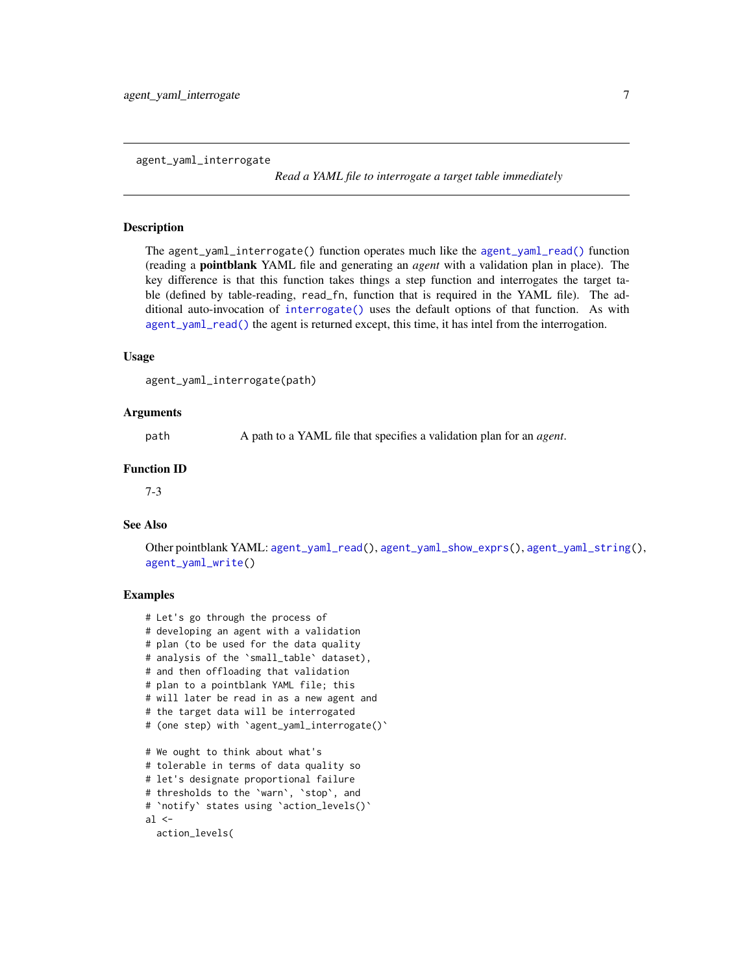<span id="page-6-1"></span><span id="page-6-0"></span>agent\_yaml\_interrogate

*Read a YAML file to interrogate a target table immediately*

# **Description**

The agent\_yaml\_interrogate() function operates much like the [agent\\_yaml\\_read\(\)](#page-8-1) function (reading a pointblank YAML file and generating an *agent* with a validation plan in place). The key difference is that this function takes things a step function and interrogates the target table (defined by table-reading, read\_fn, function that is required in the YAML file). The additional auto-invocation of [interrogate\(\)](#page-131-1) uses the default options of that function. As with [agent\\_yaml\\_read\(\)](#page-8-1) the agent is returned except, this time, it has intel from the interrogation.

# Usage

```
agent_yaml_interrogate(path)
```
# Arguments

path A path to a YAML file that specifies a validation plan for an *agent*.

# Function ID

7-3

# See Also

Other pointblank YAML: [agent\\_yaml\\_read\(](#page-8-1)), [agent\\_yaml\\_show\\_exprs\(](#page-10-1)), [agent\\_yaml\\_string\(](#page-12-1)), [agent\\_yaml\\_write\(](#page-13-1))

```
# Let's go through the process of
# developing an agent with a validation
# plan (to be used for the data quality
# analysis of the `small_table` dataset),
# and then offloading that validation
# plan to a pointblank YAML file; this
# will later be read in as a new agent and
# the target data will be interrogated
# (one step) with `agent_yaml_interrogate()`
# We ought to think about what's
# tolerable in terms of data quality so
# let's designate proportional failure
# thresholds to the `warn`, `stop`, and
# `notify` states using `action_levels()`
al < -action_levels(
```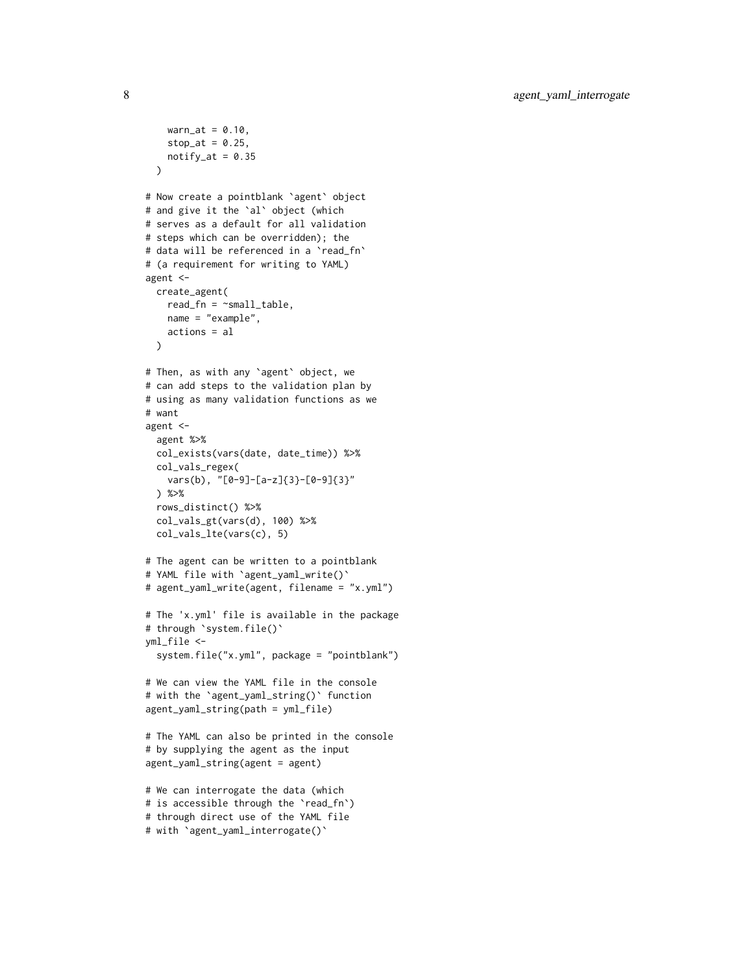```
warn_at = 0.10,stop_at = 0.25,
   notify_at = 0.35)
# Now create a pointblank `agent` object
# and give it the `al` object (which
# serves as a default for all validation
# steps which can be overridden); the
# data will be referenced in a `read_fn`
# (a requirement for writing to YAML)
agent <-
 create_agent(
    read_fn = \text{``small_table},name = "example",
   actions = al
  )
# Then, as with any `agent` object, we
# can add steps to the validation plan by
# using as many validation functions as we
# want
agent <-
  agent %>%
  col_exists(vars(date, date_time)) %>%
  col_vals_regex(
   vars(b), "[0-9]-[a-z]{3}-[0-9]{3}"
  ) %>%
  rows_distinct() %>%
  col_vals_gt(vars(d), 100) %>%
  col_vals_lte(vars(c), 5)
# The agent can be written to a pointblank
# YAML file with `agent_yaml_write()`
# agent_yaml_write(agent, filename = "x.yml")
# The 'x.yml' file is available in the package
# through `system.file()`
yml_file <-
  system.file("x.yml", package = "pointblank")
# We can view the YAML file in the console
# with the `agent_yaml_string()` function
agent_yaml_string(path = yml_file)
# The YAML can also be printed in the console
# by supplying the agent as the input
agent_yaml_string(agent = agent)
# We can interrogate the data (which
# is accessible through the `read_fn`)
```

```
# through direct use of the YAML file
```

```
# with `agent_yaml_interrogate()`
```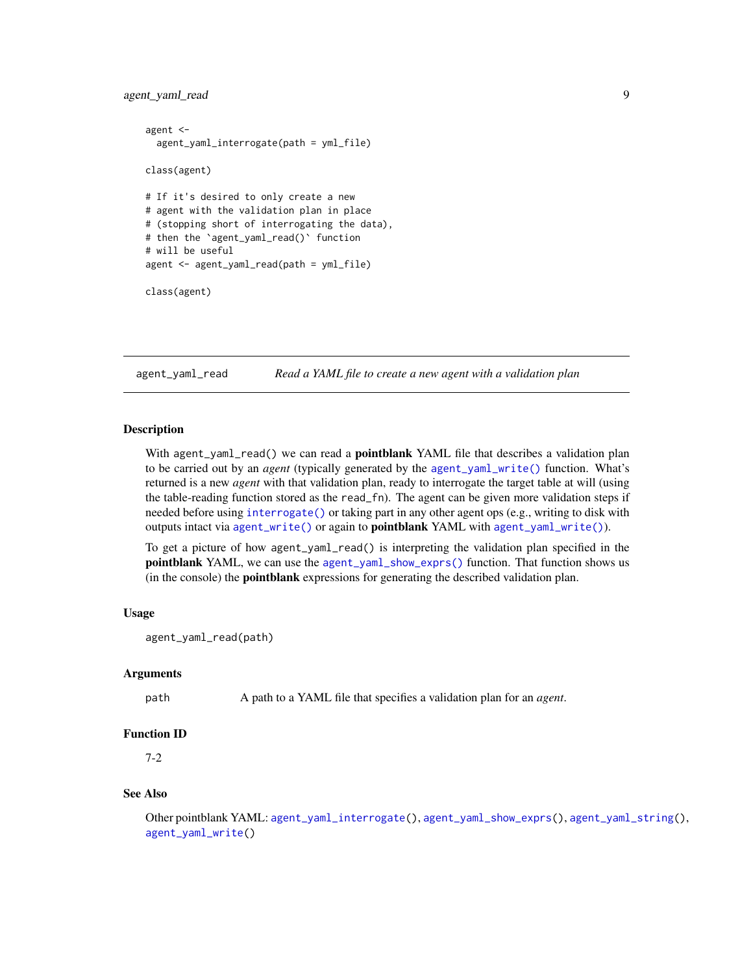# <span id="page-8-0"></span>agent\_yaml\_read 9

```
agent <-
 agent_yaml_interrogate(path = yml_file)
class(agent)
# If it's desired to only create a new
# agent with the validation plan in place
# (stopping short of interrogating the data),
# then the `agent_yaml_read()` function
# will be useful
agent <- agent_yaml_read(path = yml_file)
```

```
class(agent)
```
<span id="page-8-1"></span>agent\_yaml\_read *Read a YAML file to create a new agent with a validation plan*

# **Description**

With agent\_yaml\_read() we can read a **pointblank** YAML file that describes a validation plan to be carried out by an *agent* (typically generated by the [agent\\_yaml\\_write\(\)](#page-13-1) function. What's returned is a new *agent* with that validation plan, ready to interrogate the target table at will (using the table-reading function stored as the read\_fn). The agent can be given more validation steps if needed before using [interrogate\(\)](#page-131-1) or taking part in any other agent ops (e.g., writing to disk with outputs intact via [agent\\_write\(\)](#page-5-1) or again to **pointblank** YAML with [agent\\_yaml\\_write\(\)](#page-13-1)).

To get a picture of how agent\_yaml\_read() is interpreting the validation plan specified in the pointblank YAML, we can use the [agent\\_yaml\\_show\\_exprs\(\)](#page-10-1) function. That function shows us (in the console) the pointblank expressions for generating the described validation plan.

#### Usage

```
agent_yaml_read(path)
```
#### Arguments

path A path to a YAML file that specifies a validation plan for an *agent*.

#### Function ID

7-2

#### See Also

Other pointblank YAML: [agent\\_yaml\\_interrogate\(](#page-6-1)), [agent\\_yaml\\_show\\_exprs\(](#page-10-1)), [agent\\_yaml\\_string\(](#page-12-1)), [agent\\_yaml\\_write\(](#page-13-1))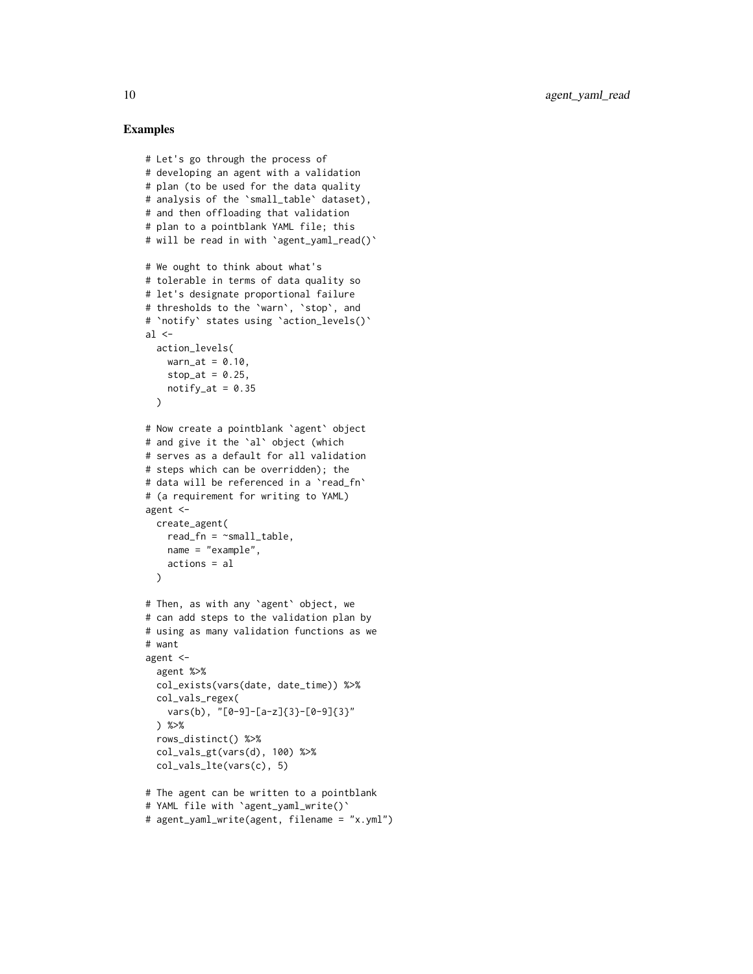```
# Let's go through the process of
# developing an agent with a validation
# plan (to be used for the data quality
# analysis of the `small_table` dataset),
# and then offloading that validation
# plan to a pointblank YAML file; this
# will be read in with `agent_yaml_read()`
# We ought to think about what's
# tolerable in terms of data quality so
# let's designate proportional failure
# thresholds to the `warn`, `stop`, and
# `notify` states using `action_levels()`
al \leq-
  action_levels(
   warn_at = 0.10,stop_at = 0.25,
   notify_at = 0.35)
# Now create a pointblank `agent` object
# and give it the `al` object (which
# serves as a default for all validation
# steps which can be overridden); the
# data will be referenced in a `read_fn`
# (a requirement for writing to YAML)
agent <-
 create_agent(
   read_fn = \text{``small_table},name = "example",
   actions = al
  \lambda# Then, as with any `agent` object, we
# can add steps to the validation plan by
# using as many validation functions as we
# want
agent <-
  agent %>%
  col_exists(vars(date, date_time)) %>%
  col_vals_regex(
   vars(b), "[0-9]-[a-z]{3}-[0-9]{3}"
  ) %>%
  rows_distinct() %>%
  col_vals_gt(vars(d), 100) %>%
  col_vals_lte(vars(c), 5)
# The agent can be written to a pointblank
# YAML file with `agent_yaml_write()`
# agent_yaml_write(agent, filename = "x.yml")
```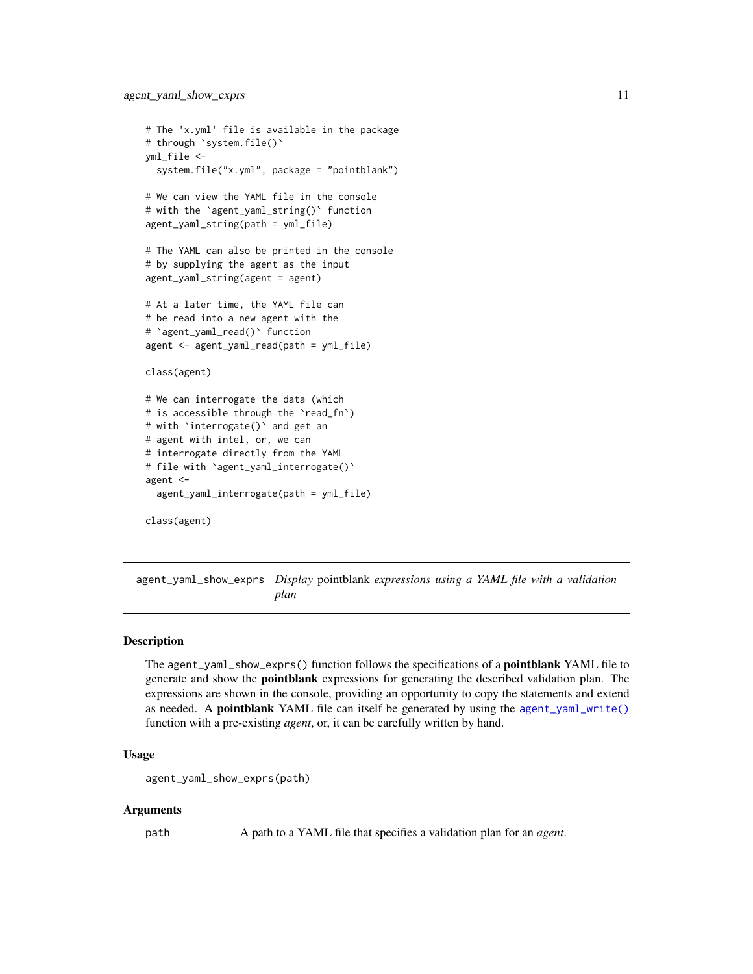```
# The 'x.yml' file is available in the package
# through `system.file()`
yml_file <-
 system.file("x.yml", package = "pointblank")
# We can view the YAML file in the console
# with the `agent_yaml_string()` function
agent_yaml_string(path = yml_file)
# The YAML can also be printed in the console
# by supplying the agent as the input
agent_yaml_string(agent = agent)
# At a later time, the YAML file can
# be read into a new agent with the
# `agent_yaml_read()` function
agent <- agent_yaml_read(path = yml_file)
class(agent)
# We can interrogate the data (which
# is accessible through the `read_fn`)
# with `interrogate()` and get an
# agent with intel, or, we can
# interrogate directly from the YAML
# file with `agent_yaml_interrogate()`
agent <-
 agent_yaml_interrogate(path = yml_file)
class(agent)
```
<span id="page-10-1"></span>agent\_yaml\_show\_exprs *Display* pointblank *expressions using a YAML file with a validation plan*

# Description

The agent\_yaml\_show\_exprs() function follows the specifications of a pointblank YAML file to generate and show the **pointblank** expressions for generating the described validation plan. The expressions are shown in the console, providing an opportunity to copy the statements and extend as needed. A **pointblank** YAML file can itself be generated by using the [agent\\_yaml\\_write\(\)](#page-13-1) function with a pre-existing *agent*, or, it can be carefully written by hand.

# Usage

```
agent_yaml_show_exprs(path)
```
#### Arguments

path A path to a YAML file that specifies a validation plan for an *agent*.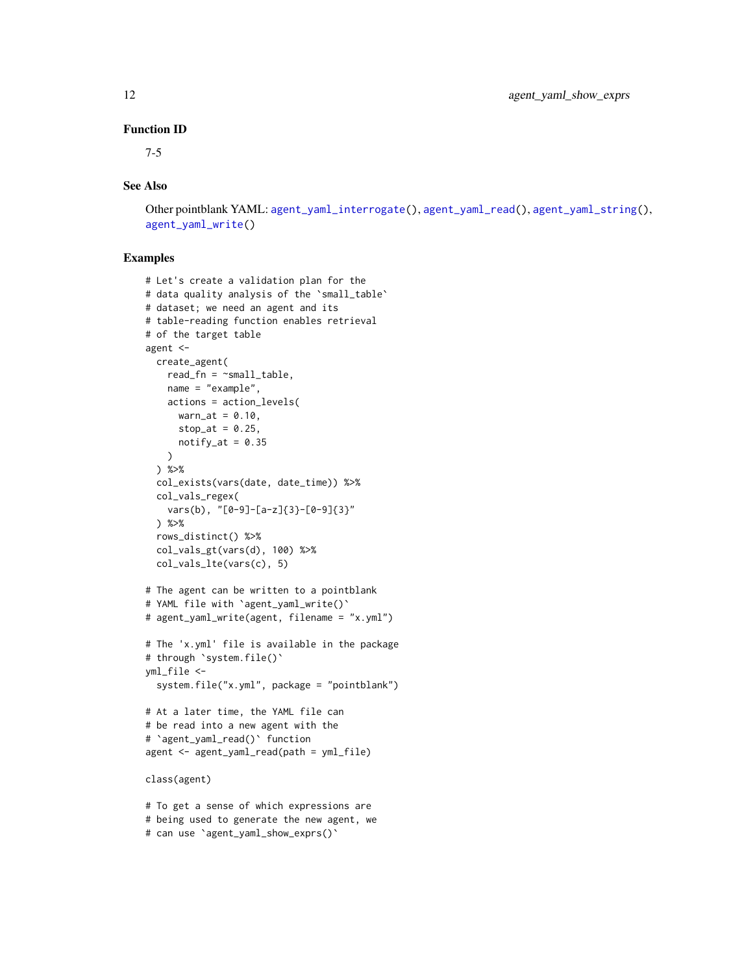# Function ID

7-5

# See Also

Other pointblank YAML: [agent\\_yaml\\_interrogate\(](#page-6-1)), [agent\\_yaml\\_read\(](#page-8-1)), [agent\\_yaml\\_string\(](#page-12-1)), [agent\\_yaml\\_write\(](#page-13-1))

```
# Let's create a validation plan for the
# data quality analysis of the `small_table`
# dataset; we need an agent and its
# table-reading function enables retrieval
# of the target table
agent <-
  create_agent(
   read_fn = \text{``small_table},name = "example",
   actions = action_levels(
     warn_at = 0.10,stop_at = 0.25,
     notify_at = 0.35)
  ) %>%
  col_exists(vars(date, date_time)) %>%
  col_vals_regex(
   vars(b), "[0-9]-[a-z]{3}-[0-9]{3}"
  ) %>%
  rows_distinct() %>%
  col_vals_gt(vars(d), 100) %>%
  col_vals_lte(vars(c), 5)
# The agent can be written to a pointblank
# YAML file with `agent_yaml_write()`
# agent_yaml_write(agent, filename = "x.yml")
# The 'x.yml' file is available in the package
# through `system.file()`
yml_file <-
  system.file("x.yml", package = "pointblank")
# At a later time, the YAML file can
# be read into a new agent with the
# `agent_yaml_read()` function
agent <- agent_yaml_read(path = yml_file)
class(agent)
# To get a sense of which expressions are
# being used to generate the new agent, we
```

```
# can use `agent_yaml_show_exprs()`
```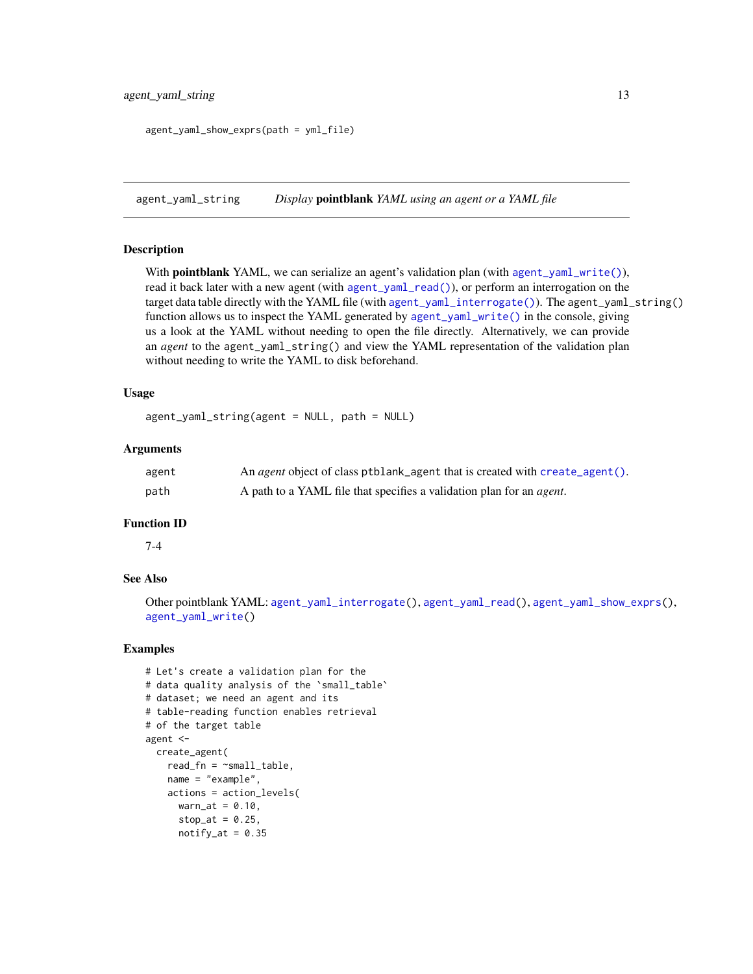```
agent_yaml_show_exprs(path = yml_file)
```
<span id="page-12-1"></span>agent\_yaml\_string *Display* pointblank *YAML using an agent or a YAML file*

# Description

With **pointblank** YAML, we can serialize an agent's validation plan (with [agent\\_yaml\\_write\(\)](#page-13-1)), read it back later with a new agent (with [agent\\_yaml\\_read\(\)](#page-8-1)), or perform an interrogation on the target data table directly with the YAML file (with [agent\\_yaml\\_interrogate\(\)](#page-6-1)). The agent\_yaml\_string() function allows us to inspect the YAML generated by [agent\\_yaml\\_write\(\)](#page-13-1) in the console, giving us a look at the YAML without needing to open the file directly. Alternatively, we can provide an *agent* to the agent\_yaml\_string() and view the YAML representation of the validation plan without needing to write the YAML to disk beforehand.

# Usage

agent\_yaml\_string(agent = NULL, path = NULL)

#### Arguments

| agent | An <i>agent</i> object of class ptblank_agent that is created with create_agent(). |
|-------|------------------------------------------------------------------------------------|
| path  | A path to a YAML file that specifies a validation plan for an <i>agent</i> .       |

# Function ID

7-4

# See Also

Other pointblank YAML: [agent\\_yaml\\_interrogate\(](#page-6-1)), [agent\\_yaml\\_read\(](#page-8-1)), [agent\\_yaml\\_show\\_exprs\(](#page-10-1)), [agent\\_yaml\\_write\(](#page-13-1))

```
# Let's create a validation plan for the
# data quality analysis of the `small_table`
# dataset; we need an agent and its
# table-reading function enables retrieval
# of the target table
agent <-
  create_agent(
   read_fn = \text{``small_table},name = "example",
   actions = action_levels(
     warn_at = 0.10,stop_at = 0.25,
      notify_at = 0.35
```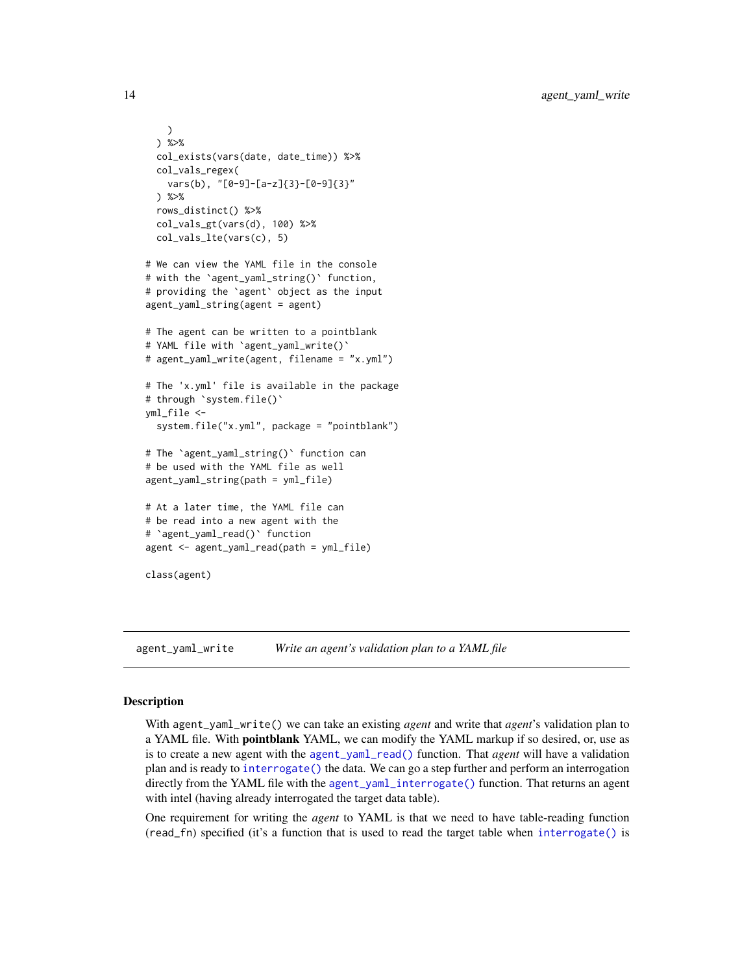```
)
 ) %>%
 col_exists(vars(date, date_time)) %>%
 col_vals_regex(
   vars(b), "[0-9]-[a-z]{3}-[0-9]{3}"
 ) %>%
 rows_distinct() %>%
 col_vals_gt(vars(d), 100) %>%
 col_vals_lte(vars(c), 5)
# We can view the YAML file in the console
# with the `agent_yaml_string()` function,
# providing the `agent` object as the input
agent_yaml_string(agent = agent)
# The agent can be written to a pointblank
# YAML file with `agent_yaml_write()`
# agent_yaml_write(agent, filename = "x.yml")
# The 'x.yml' file is available in the package
# through `system.file()`
yml_file <-
 system.file("x.yml", package = "pointblank")
# The `agent_yaml_string()` function can
# be used with the YAML file as well
agent_yaml_string(path = yml_file)
# At a later time, the YAML file can
# be read into a new agent with the
# `agent_yaml_read()` function
agent <- agent_yaml_read(path = yml_file)
class(agent)
```
<span id="page-13-1"></span>agent\_yaml\_write *Write an agent's validation plan to a YAML file*

# Description

With agent\_yaml\_write() we can take an existing *agent* and write that *agent*'s validation plan to a YAML file. With **pointblank** YAML, we can modify the YAML markup if so desired, or, use as is to create a new agent with the [agent\\_yaml\\_read\(\)](#page-8-1) function. That *agent* will have a validation plan and is ready to [interrogate\(\)](#page-131-1) the data. We can go a step further and perform an interrogation directly from the YAML file with the [agent\\_yaml\\_interrogate\(\)](#page-6-1) function. That returns an agent with intel (having already interrogated the target data table).

One requirement for writing the *agent* to YAML is that we need to have table-reading function (read\_fn) specified (it's a function that is used to read the target table when [interrogate\(\)](#page-131-1) is

<span id="page-13-0"></span>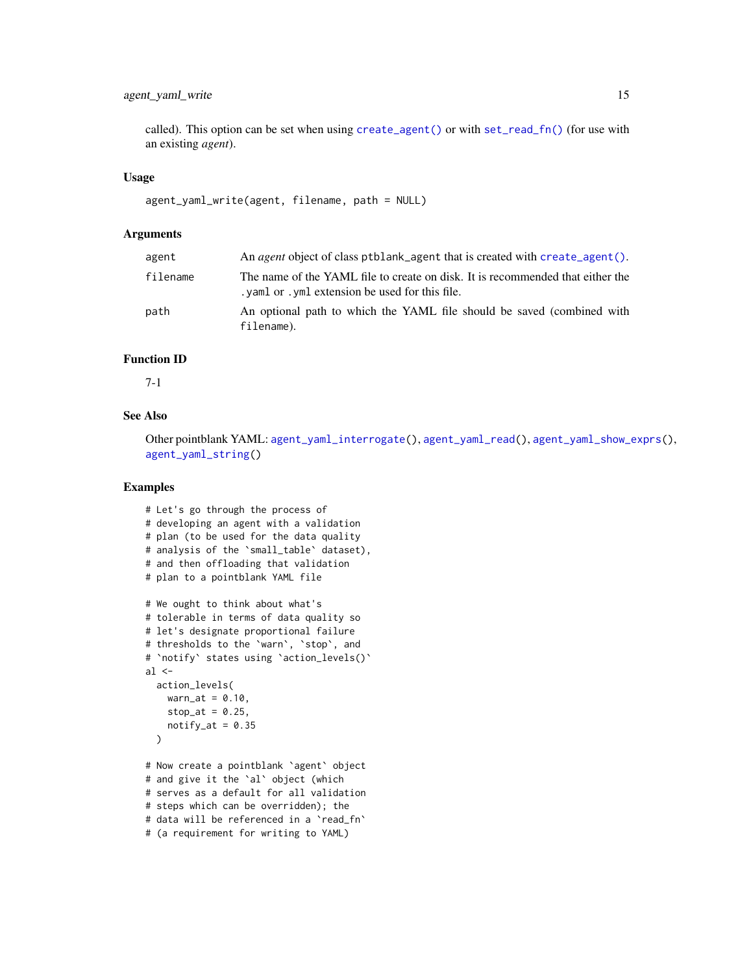# agent\_yaml\_write 15

called). This option can be set when using [create\\_agent\(\)](#page-115-1) or with [set\\_read\\_fn\(\)](#page-139-1) (for use with an existing *agent*).

#### Usage

```
agent_yaml_write(agent, filename, path = NULL)
```
# Arguments

| agent    | An <i>agent</i> object of class ptblank agent that is created with create agent ().                                                |
|----------|------------------------------------------------------------------------------------------------------------------------------------|
| filename | The name of the YAML file to create on disk. It is recommended that either the<br>. yaml or . yml extension be used for this file. |
| path     | An optional path to which the YAML file should be saved (combined with<br>filename).                                               |

# Function ID

7-1

# See Also

Other pointblank YAML: [agent\\_yaml\\_interrogate\(](#page-6-1)), [agent\\_yaml\\_read\(](#page-8-1)), [agent\\_yaml\\_show\\_exprs\(](#page-10-1)), [agent\\_yaml\\_string\(](#page-12-1))

```
# Let's go through the process of
# developing an agent with a validation
# plan (to be used for the data quality
# analysis of the `small_table` dataset),
# and then offloading that validation
# plan to a pointblank YAML file
# We ought to think about what's
# tolerable in terms of data quality so
# let's designate proportional failure
# thresholds to the `warn`, `stop`, and
# `notify` states using `action_levels()`
al \leftarrowaction_levels(
   warn_at = 0.10,stop_at = 0.25,
   notify_at = 0.35)
# Now create a pointblank `agent` object
# and give it the `al` object (which
# serves as a default for all validation
# steps which can be overridden); the
# data will be referenced in a `read_fn`
# (a requirement for writing to YAML)
```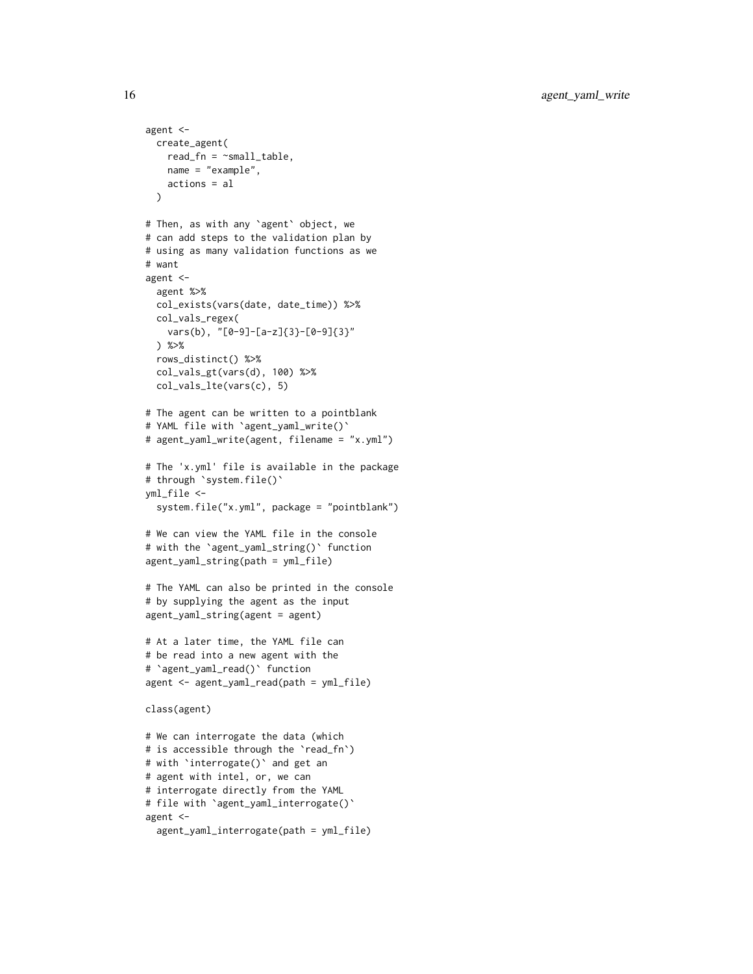```
agent <-
 create_agent(
   read_fn = \neg small_table,name = "example",
   actions = al
 \lambda# Then, as with any `agent` object, we
# can add steps to the validation plan by
# using as many validation functions as we
# want
agent <-
 agent %>%
 col_exists(vars(date, date_time)) %>%
 col_vals_regex(
   vars(b), "[0-9]-[a-z]{3}-[0-9]{3}"
 ) %>%
 rows_distinct() %>%
 col_vals_gt(vars(d), 100) %>%
 col_vals_lte(vars(c), 5)
# The agent can be written to a pointblank
# YAML file with `agent_yaml_write()`
# agent_yaml_write(agent, filename = "x.yml")
# The 'x.yml' file is available in the package
# through `system.file()`
yml_file <-
 system.file("x.yml", package = "pointblank")
# We can view the YAML file in the console
# with the `agent_yaml_string()` function
agent_yaml_string(path = yml_file)
# The YAML can also be printed in the console
# by supplying the agent as the input
agent_yaml_string(agent = agent)
# At a later time, the YAML file can
# be read into a new agent with the
# `agent_yaml_read()` function
agent <- agent_yaml_read(path = yml_file)
class(agent)
# We can interrogate the data (which
# is accessible through the 'read_fn')
# with `interrogate()` and get an
# agent with intel, or, we can
# interrogate directly from the YAML
# file with `agent_yaml_interrogate()`
agent <-
 agent_yaml_interrogate(path = yml_file)
```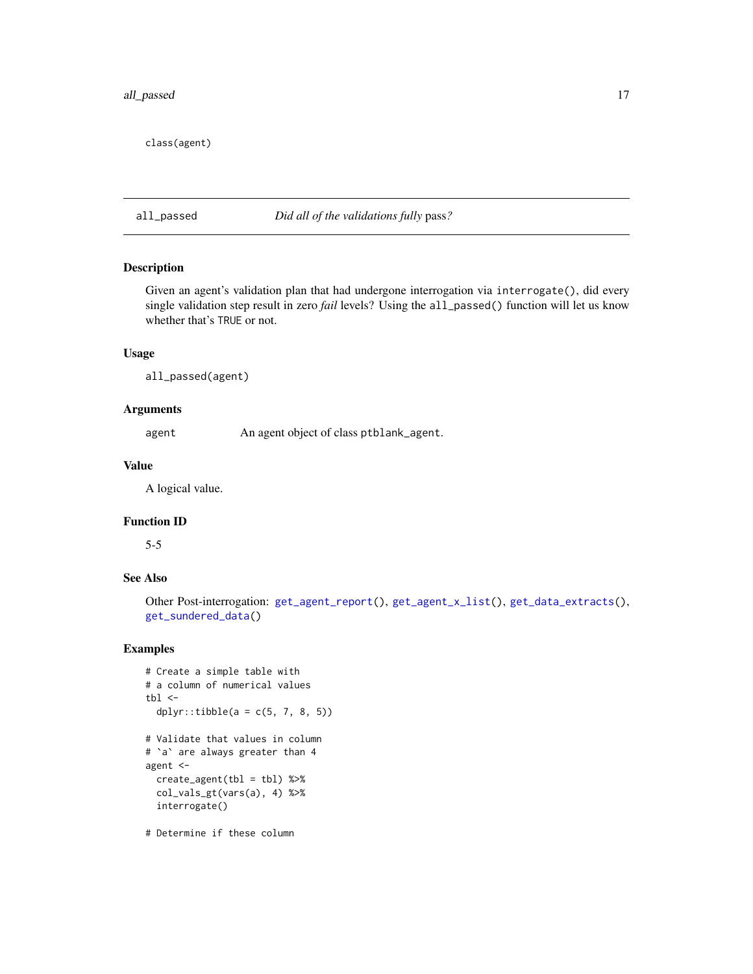# <span id="page-16-0"></span>all\_passed 17

class(agent)

# all\_passed *Did all of the validations fully* pass*?*

# Description

Given an agent's validation plan that had undergone interrogation via interrogate(), did every single validation step result in zero *fail* levels? Using the all\_passed() function will let us know whether that's TRUE or not.

# Usage

all\_passed(agent)

# Arguments

agent An agent object of class ptblank\_agent.

# Value

A logical value.

# Function ID

5-5

# See Also

Other Post-interrogation: [get\\_agent\\_report\(](#page-123-1)), [get\\_agent\\_x\\_list\(](#page-126-1)), [get\\_data\\_extracts\(](#page-128-1)), [get\\_sundered\\_data\(](#page-130-1))

```
# Create a simple table with
# a column of numerical values
tb1 < -dplyr::tibble(a = c(5, 7, 8, 5))
# Validate that values in column
# `a` are always greater than 4
agent <-
  create\_agent(tbl = tbl) %>%
  col_vals_gt(vars(a), 4) %>%
  interrogate()
# Determine if these column
```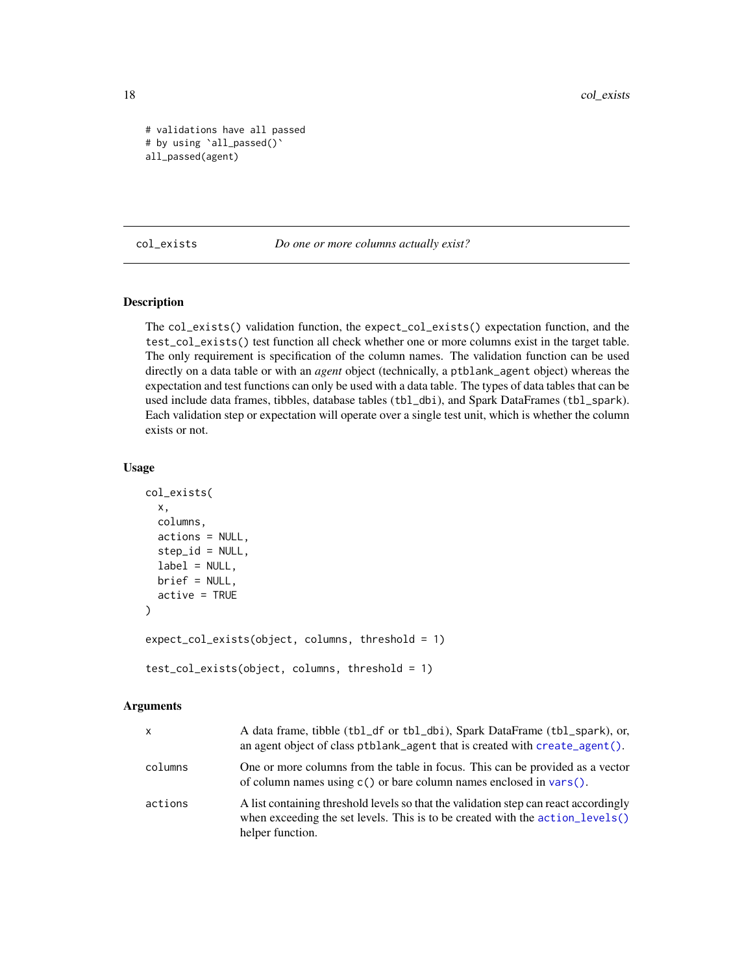```
# validations have all passed
# by using `all_passed()`
all_passed(agent)
```
<span id="page-17-1"></span>col\_exists *Do one or more columns actually exist?*

# Description

The col\_exists() validation function, the expect\_col\_exists() expectation function, and the test\_col\_exists() test function all check whether one or more columns exist in the target table. The only requirement is specification of the column names. The validation function can be used directly on a data table or with an *agent* object (technically, a ptblank\_agent object) whereas the expectation and test functions can only be used with a data table. The types of data tables that can be used include data frames, tibbles, database tables (tbl\_dbi), and Spark DataFrames (tbl\_spark). Each validation step or expectation will operate over a single test unit, which is whether the column exists or not.

# Usage

```
col_exists(
  x,
  columns,
  actions = NULL,
  step_id = NULL,label = NULL,brief = NULL,active = TRUE
)
expect_col_exists(object, columns, threshold = 1)
test_col_exists(object, columns, threshold = 1)
```
#### Arguments

| X       | A data frame, tibble (tbl_df or tbl_dbi), Spark DataFrame (tbl_spark), or,<br>an agent object of class ptblank_agent that is created with create_agent().                                 |
|---------|-------------------------------------------------------------------------------------------------------------------------------------------------------------------------------------------|
| columns | One or more columns from the table in focus. This can be provided as a vector<br>of column names using $c()$ or bare column names enclosed in vars $()$ .                                 |
| actions | A list containing threshold levels so that the validation step can react accordingly<br>when exceeding the set levels. This is to be created with the action_levels()<br>helper function. |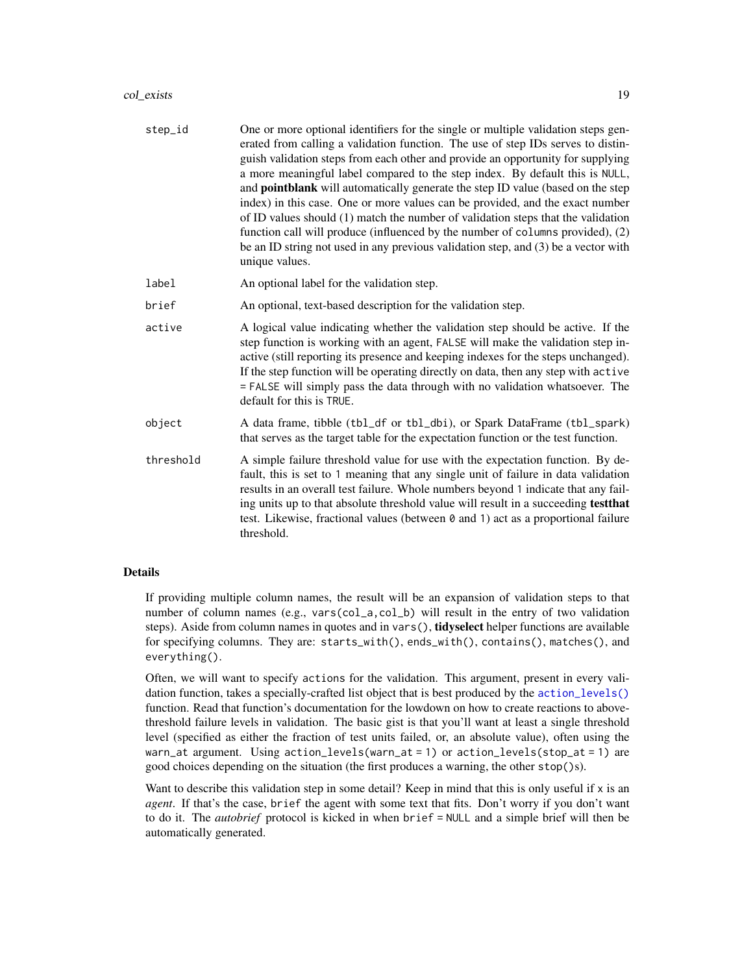# col\_exists 19

| step_id   | One or more optional identifiers for the single or multiple validation steps gen-<br>erated from calling a validation function. The use of step IDs serves to distin-<br>guish validation steps from each other and provide an opportunity for supplying<br>a more meaningful label compared to the step index. By default this is NULL,<br>and <b>pointblank</b> will automatically generate the step ID value (based on the step<br>index) in this case. One or more values can be provided, and the exact number<br>of ID values should (1) match the number of validation steps that the validation<br>function call will produce (influenced by the number of columns provided), (2)<br>be an ID string not used in any previous validation step, and (3) be a vector with<br>unique values. |
|-----------|---------------------------------------------------------------------------------------------------------------------------------------------------------------------------------------------------------------------------------------------------------------------------------------------------------------------------------------------------------------------------------------------------------------------------------------------------------------------------------------------------------------------------------------------------------------------------------------------------------------------------------------------------------------------------------------------------------------------------------------------------------------------------------------------------|
| label     | An optional label for the validation step.                                                                                                                                                                                                                                                                                                                                                                                                                                                                                                                                                                                                                                                                                                                                                        |
| brief     | An optional, text-based description for the validation step.                                                                                                                                                                                                                                                                                                                                                                                                                                                                                                                                                                                                                                                                                                                                      |
| active    | A logical value indicating whether the validation step should be active. If the<br>step function is working with an agent, FALSE will make the validation step in-<br>active (still reporting its presence and keeping indexes for the steps unchanged).<br>If the step function will be operating directly on data, then any step with active<br>= FALSE will simply pass the data through with no validation whatsoever. The<br>default for this is TRUE.                                                                                                                                                                                                                                                                                                                                       |
| object    | A data frame, tibble (tbl_df or tbl_dbi), or Spark DataFrame (tbl_spark)<br>that serves as the target table for the expectation function or the test function.                                                                                                                                                                                                                                                                                                                                                                                                                                                                                                                                                                                                                                    |
| threshold | A simple failure threshold value for use with the expectation function. By de-<br>fault, this is set to 1 meaning that any single unit of failure in data validation<br>results in an overall test failure. Whole numbers beyond 1 indicate that any fail-<br>ing units up to that absolute threshold value will result in a succeeding testthat<br>test. Likewise, fractional values (between 0 and 1) act as a proportional failure<br>threshold.                                                                                                                                                                                                                                                                                                                                               |
|           |                                                                                                                                                                                                                                                                                                                                                                                                                                                                                                                                                                                                                                                                                                                                                                                                   |

# Details

If providing multiple column names, the result will be an expansion of validation steps to that number of column names (e.g., vars(col\_a,col\_b) will result in the entry of two validation steps). Aside from column names in quotes and in vars(), **tidyselect** helper functions are available for specifying columns. They are: starts\_with(), ends\_with(), contains(), matches(), and everything().

Often, we will want to specify actions for the validation. This argument, present in every validation function, takes a specially-crafted list object that is best produced by the [action\\_levels\(\)](#page-2-1) function. Read that function's documentation for the lowdown on how to create reactions to abovethreshold failure levels in validation. The basic gist is that you'll want at least a single threshold level (specified as either the fraction of test units failed, or, an absolute value), often using the warn\_at argument. Using action\_levels(warn\_at = 1) or action\_levels(stop\_at = 1) are good choices depending on the situation (the first produces a warning, the other stop()s).

Want to describe this validation step in some detail? Keep in mind that this is only useful if  $x$  is an *agent*. If that's the case, brief the agent with some text that fits. Don't worry if you don't want to do it. The *autobrief* protocol is kicked in when brief = NULL and a simple brief will then be automatically generated.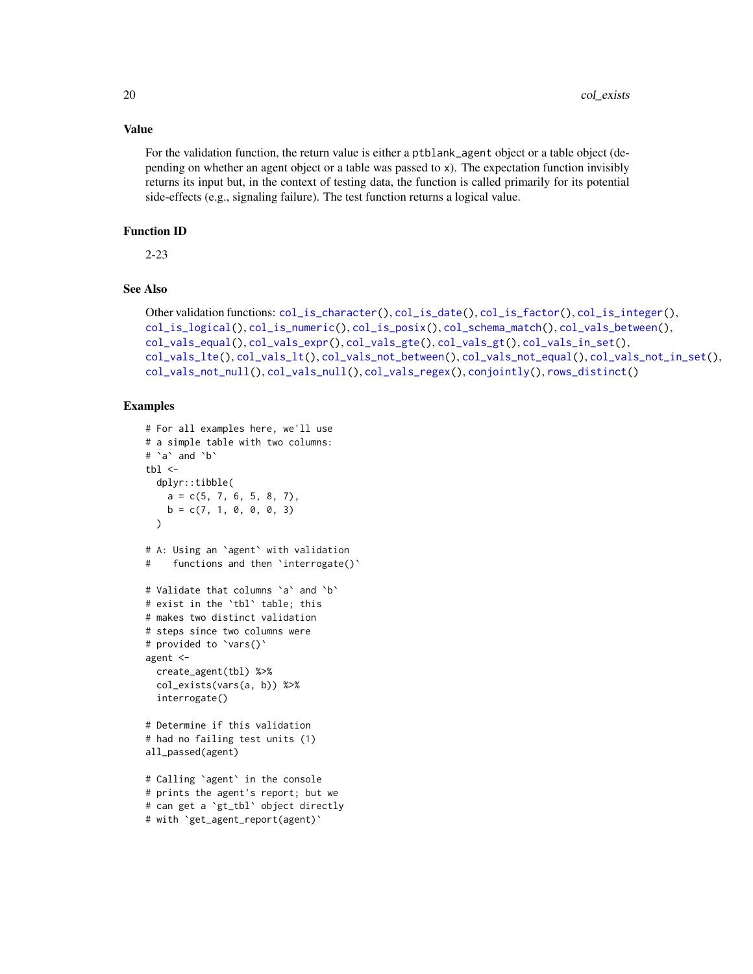# Value

For the validation function, the return value is either a ptblank\_agent object or a table object (depending on whether an agent object or a table was passed to x). The expectation function invisibly returns its input but, in the context of testing data, the function is called primarily for its potential side-effects (e.g., signaling failure). The test function returns a logical value.

#### Function ID

2-23

# See Also

```
Other validation functions: col_is_character(), col_is_date(), col_is_factor(), col_is_integer(),
col_is_logical(), col_is_numeric(), col_is_posix(), col_schema_match(), col_vals_between(),
col_vals_equal(), col_vals_expr(), col_vals_gte(), col_vals_gt(), col_vals_in_set(),
col_vals_lte(), col_vals_lt(), col_vals_not_between(), col_vals_not_equal(), col_vals_not_in_set(),
col_vals_not_null(), col_vals_null(), col_vals_regex(), conjointly(), rows_distinct()
```

```
# For all examples here, we'll use
# a simple table with two columns:
# `a` and `b`
tbl \leftarrowdplyr::tibble(
   a = c(5, 7, 6, 5, 8, 7),
   b = c(7, 1, 0, 0, 0, 3))
# A: Using an `agent` with validation
# functions and then `interrogate()`
# Validate that columns `a` and `b`
# exist in the `tbl` table; this
# makes two distinct validation
# steps since two columns were
# provided to `vars()`
agent <-
  create_agent(tbl) %>%
  col_exists(vars(a, b)) %>%
  interrogate()
# Determine if this validation
# had no failing test units (1)
all_passed(agent)
# Calling `agent` in the console
# prints the agent's report; but we
# can get a `gt_tbl` object directly
# with `get_agent_report(agent)`
```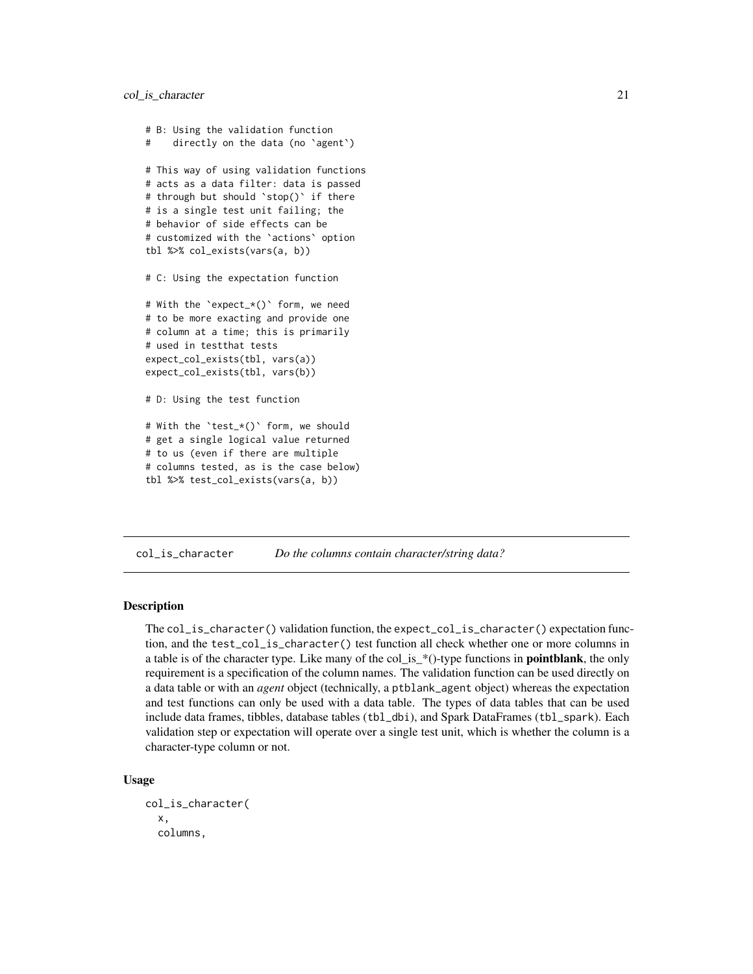```
# B: Using the validation function
# directly on the data (no `agent`)
# This way of using validation functions
# acts as a data filter: data is passed
# through but should `stop()` if there
# is a single test unit failing; the
# behavior of side effects can be
# customized with the `actions` option
tbl %>% col_exists(vars(a, b))
# C: Using the expectation function
# With the `expect_*()` form, we need
# to be more exacting and provide one
# column at a time; this is primarily
# used in testthat tests
expect_col_exists(tbl, vars(a))
expect_col_exists(tbl, vars(b))
# D: Using the test function
# With the `test_*()` form, we should
# get a single logical value returned
# to us (even if there are multiple
# columns tested, as is the case below)
```

```
tbl %>% test_col_exists(vars(a, b))
```
<span id="page-20-1"></span>col\_is\_character *Do the columns contain character/string data?*

# Description

The col\_is\_character() validation function, the expect\_col\_is\_character() expectation function, and the test\_col\_is\_character() test function all check whether one or more columns in a table is of the character type. Like many of the col is  $*()$ -type functions in **pointblank**, the only requirement is a specification of the column names. The validation function can be used directly on a data table or with an *agent* object (technically, a ptblank\_agent object) whereas the expectation and test functions can only be used with a data table. The types of data tables that can be used include data frames, tibbles, database tables (tbl\_dbi), and Spark DataFrames (tbl\_spark). Each validation step or expectation will operate over a single test unit, which is whether the column is a character-type column or not.

#### Usage

```
col_is_character(
  x,
  columns,
```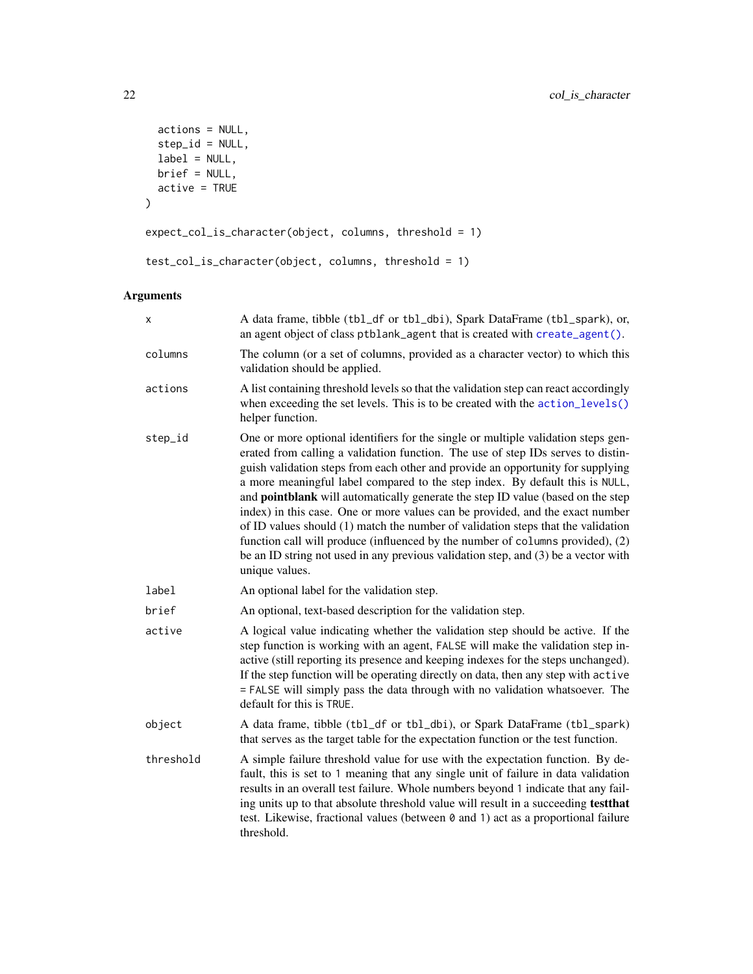```
actions = NULL,
  step_id = NULL,
 label = NULL,brief = NULL,
  active = TRUE
\mathcal{L}expect_col_is_character(object, columns, threshold = 1)
test_col_is_character(object, columns, threshold = 1)
```
# Arguments

| x         | A data frame, tibble (tbl_df or tbl_dbi), Spark DataFrame (tbl_spark), or,<br>an agent object of class ptblank_agent that is created with create_agent().                                                                                                                                                                                                                                                                                                                                                                                                                                                                                                                                                                                                                                         |
|-----------|---------------------------------------------------------------------------------------------------------------------------------------------------------------------------------------------------------------------------------------------------------------------------------------------------------------------------------------------------------------------------------------------------------------------------------------------------------------------------------------------------------------------------------------------------------------------------------------------------------------------------------------------------------------------------------------------------------------------------------------------------------------------------------------------------|
| columns   | The column (or a set of columns, provided as a character vector) to which this<br>validation should be applied.                                                                                                                                                                                                                                                                                                                                                                                                                                                                                                                                                                                                                                                                                   |
| actions   | A list containing threshold levels so that the validation step can react accordingly<br>when exceeding the set levels. This is to be created with the action_levels()<br>helper function.                                                                                                                                                                                                                                                                                                                                                                                                                                                                                                                                                                                                         |
| step_id   | One or more optional identifiers for the single or multiple validation steps gen-<br>erated from calling a validation function. The use of step IDs serves to distin-<br>guish validation steps from each other and provide an opportunity for supplying<br>a more meaningful label compared to the step index. By default this is NULL,<br>and <b>pointblank</b> will automatically generate the step ID value (based on the step<br>index) in this case. One or more values can be provided, and the exact number<br>of ID values should (1) match the number of validation steps that the validation<br>function call will produce (influenced by the number of columns provided), (2)<br>be an ID string not used in any previous validation step, and (3) be a vector with<br>unique values. |
| label     | An optional label for the validation step.                                                                                                                                                                                                                                                                                                                                                                                                                                                                                                                                                                                                                                                                                                                                                        |
| brief     | An optional, text-based description for the validation step.                                                                                                                                                                                                                                                                                                                                                                                                                                                                                                                                                                                                                                                                                                                                      |
| active    | A logical value indicating whether the validation step should be active. If the<br>step function is working with an agent, FALSE will make the validation step in-<br>active (still reporting its presence and keeping indexes for the steps unchanged).<br>If the step function will be operating directly on data, then any step with active<br>= FALSE will simply pass the data through with no validation whatsoever. The<br>default for this is TRUE.                                                                                                                                                                                                                                                                                                                                       |
| object    | A data frame, tibble (tbl_df or tbl_dbi), or Spark DataFrame (tbl_spark)<br>that serves as the target table for the expectation function or the test function.                                                                                                                                                                                                                                                                                                                                                                                                                                                                                                                                                                                                                                    |
| threshold | A simple failure threshold value for use with the expectation function. By de-<br>fault, this is set to 1 meaning that any single unit of failure in data validation<br>results in an overall test failure. Whole numbers beyond 1 indicate that any fail-<br>ing units up to that absolute threshold value will result in a succeeding testthat<br>test. Likewise, fractional values (between 0 and 1) act as a proportional failure<br>threshold.                                                                                                                                                                                                                                                                                                                                               |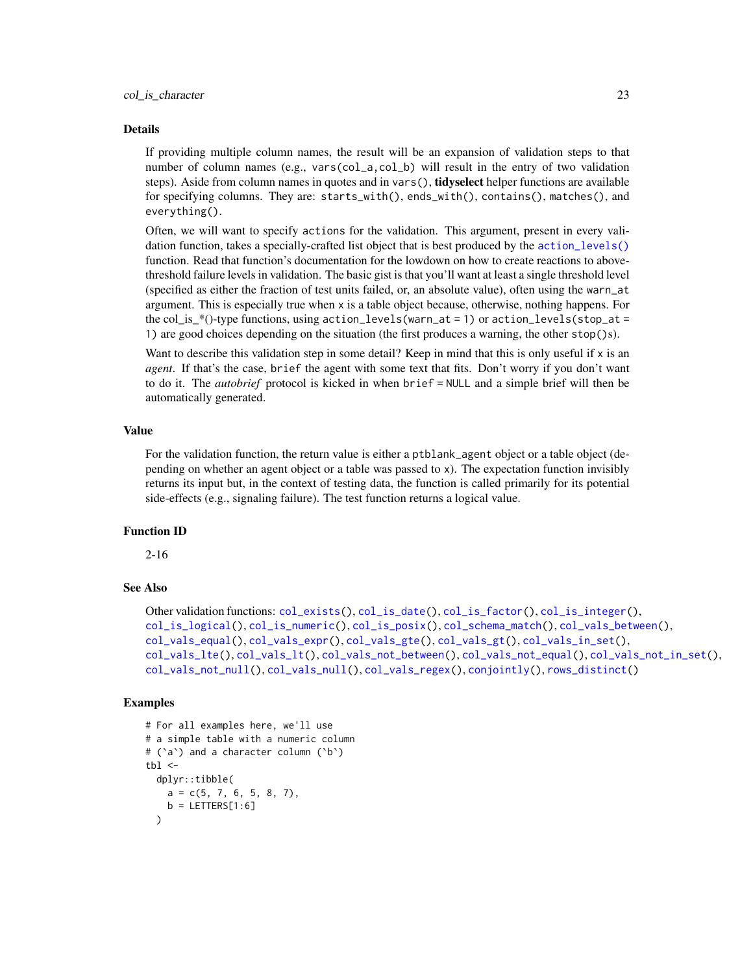#### Details

If providing multiple column names, the result will be an expansion of validation steps to that number of column names (e.g., vars(col\_a,col\_b) will result in the entry of two validation steps). Aside from column names in quotes and in vars(), **tidyselect** helper functions are available for specifying columns. They are: starts\_with(), ends\_with(), contains(), matches(), and everything().

Often, we will want to specify actions for the validation. This argument, present in every validation function, takes a specially-crafted list object that is best produced by the [action\\_levels\(\)](#page-2-1) function. Read that function's documentation for the lowdown on how to create reactions to abovethreshold failure levels in validation. The basic gist is that you'll want at least a single threshold level (specified as either the fraction of test units failed, or, an absolute value), often using the warn\_at argument. This is especially true when x is a table object because, otherwise, nothing happens. For the col\_is\_\*()-type functions, using  $action\_levels(warn_at = 1)$  or  $action\_levels(stop_at = 1)$ 1) are good choices depending on the situation (the first produces a warning, the other stop()s).

Want to describe this validation step in some detail? Keep in mind that this is only useful if x is an *agent*. If that's the case, brief the agent with some text that fits. Don't worry if you don't want to do it. The *autobrief* protocol is kicked in when brief = NULL and a simple brief will then be automatically generated.

# Value

For the validation function, the return value is either a ptblank\_agent object or a table object (depending on whether an agent object or a table was passed to x). The expectation function invisibly returns its input but, in the context of testing data, the function is called primarily for its potential side-effects (e.g., signaling failure). The test function returns a logical value.

# Function ID

2-16

# See Also

```
Other validation functions: col_exists(), col_is_date(), col_is_factor(), col_is_integer(),
col_is_logical(), col_is_numeric(), col_is_posix(), col_schema_match(), col_vals_between(),
col_vals_equal(), col_vals_expr(), col_vals_gte(), col_vals_gt(), col_vals_in_set(),
col_vals_lte(), col_vals_lt(), col_vals_not_between(), col_vals_not_equal(), col_vals_not_in_set(),
col_vals_not_null(), col_vals_null(), col_vals_regex(), conjointly(), rows_distinct()
```

```
# For all examples here, we'll use
# a simple table with a numeric column
# (`a`) and a character column (`b`)
tb1 < -dplyr::tibble(
   a = c(5, 7, 6, 5, 8, 7),b = LETTERS[1:6])
```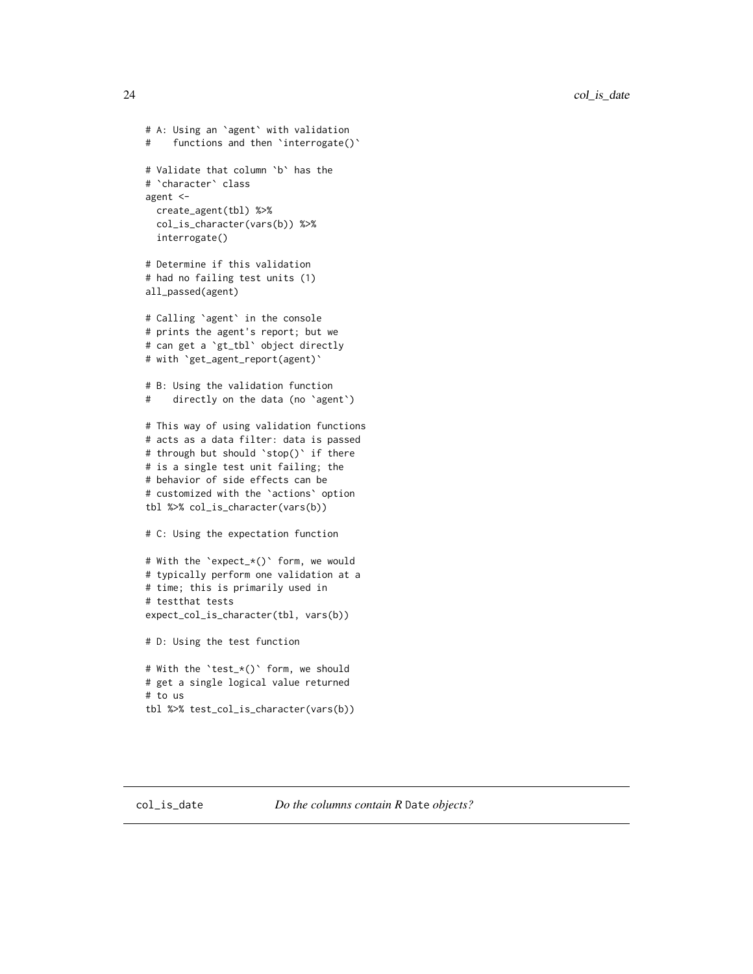<span id="page-23-0"></span>24 col\_is\_date

```
# A: Using an `agent` with validation
# functions and then `interrogate()`
# Validate that column `b` has the
# `character` class
agent <-
  create_agent(tbl) %>%
  col_is_character(vars(b)) %>%
  interrogate()
# Determine if this validation
# had no failing test units (1)
all_passed(agent)
# Calling `agent` in the console
# prints the agent's report; but we
# can get a `gt_tbl` object directly
# with `get_agent_report(agent)`
# B: Using the validation function
# directly on the data (no `agent`)
# This way of using validation functions
# acts as a data filter: data is passed
# through but should `stop()` if there
# is a single test unit failing; the
# behavior of side effects can be
# customized with the `actions` option
tbl %>% col_is_character(vars(b))
# C: Using the expectation function
# With the `expect_*()` form, we would
# typically perform one validation at a
# time; this is primarily used in
# testthat tests
expect_col_is_character(tbl, vars(b))
# D: Using the test function
# With the `test_*()` form, we should
# get a single logical value returned
# to us
tbl %>% test_col_is_character(vars(b))
```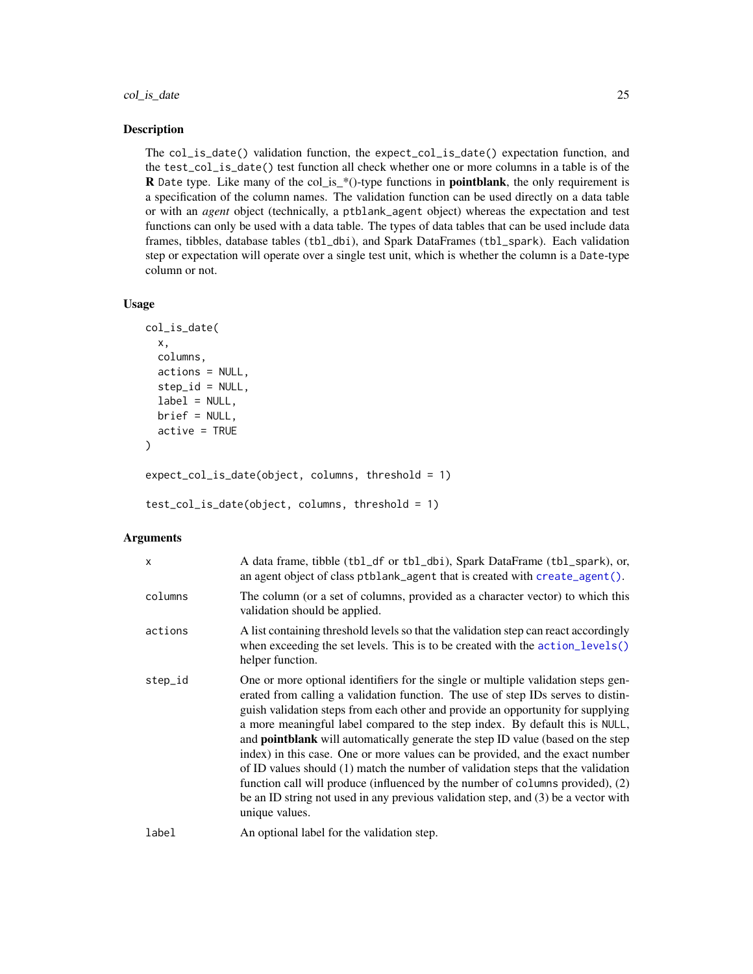# col\_is\_date 25

# Description

The col\_is\_date() validation function, the expect\_col\_is\_date() expectation function, and the test\_col\_is\_date() test function all check whether one or more columns in a table is of the R Date type. Like many of the col\_is\_\*()-type functions in **pointblank**, the only requirement is a specification of the column names. The validation function can be used directly on a data table or with an *agent* object (technically, a ptblank\_agent object) whereas the expectation and test functions can only be used with a data table. The types of data tables that can be used include data frames, tibbles, database tables (tbl\_dbi), and Spark DataFrames (tbl\_spark). Each validation step or expectation will operate over a single test unit, which is whether the column is a Date-type column or not.

# Usage

```
col_is_date(
  x,
  columns,
  actions = NULL,
  step_id = NULL,label = NULL,brief = NULL,
  active = TRUE\mathcal{L}expect_col_is_date(object, columns, threshold = 1)
```
test\_col\_is\_date(object, columns, threshold = 1)

# **Arguments**

| $\mathsf{x}$ | A data frame, tibble (tbl_df or tbl_dbi), Spark DataFrame (tbl_spark), or,<br>an agent object of class ptblank_agent that is created with create_agent().                                                                                                                                                                                                                                                                                                                                                                                                                                                                                                                                                                                                                                         |
|--------------|---------------------------------------------------------------------------------------------------------------------------------------------------------------------------------------------------------------------------------------------------------------------------------------------------------------------------------------------------------------------------------------------------------------------------------------------------------------------------------------------------------------------------------------------------------------------------------------------------------------------------------------------------------------------------------------------------------------------------------------------------------------------------------------------------|
| columns      | The column (or a set of columns, provided as a character vector) to which this<br>validation should be applied.                                                                                                                                                                                                                                                                                                                                                                                                                                                                                                                                                                                                                                                                                   |
| actions      | A list containing threshold levels so that the validation step can react accordingly<br>when exceeding the set levels. This is to be created with the action_levels()<br>helper function.                                                                                                                                                                                                                                                                                                                                                                                                                                                                                                                                                                                                         |
| step_id      | One or more optional identifiers for the single or multiple validation steps gen-<br>erated from calling a validation function. The use of step IDs serves to distin-<br>guish validation steps from each other and provide an opportunity for supplying<br>a more meaningful label compared to the step index. By default this is NULL,<br>and <b>pointblank</b> will automatically generate the step ID value (based on the step<br>index) in this case. One or more values can be provided, and the exact number<br>of ID values should (1) match the number of validation steps that the validation<br>function call will produce (influenced by the number of columns provided), (2)<br>be an ID string not used in any previous validation step, and (3) be a vector with<br>unique values. |
| label        | An optional label for the validation step.                                                                                                                                                                                                                                                                                                                                                                                                                                                                                                                                                                                                                                                                                                                                                        |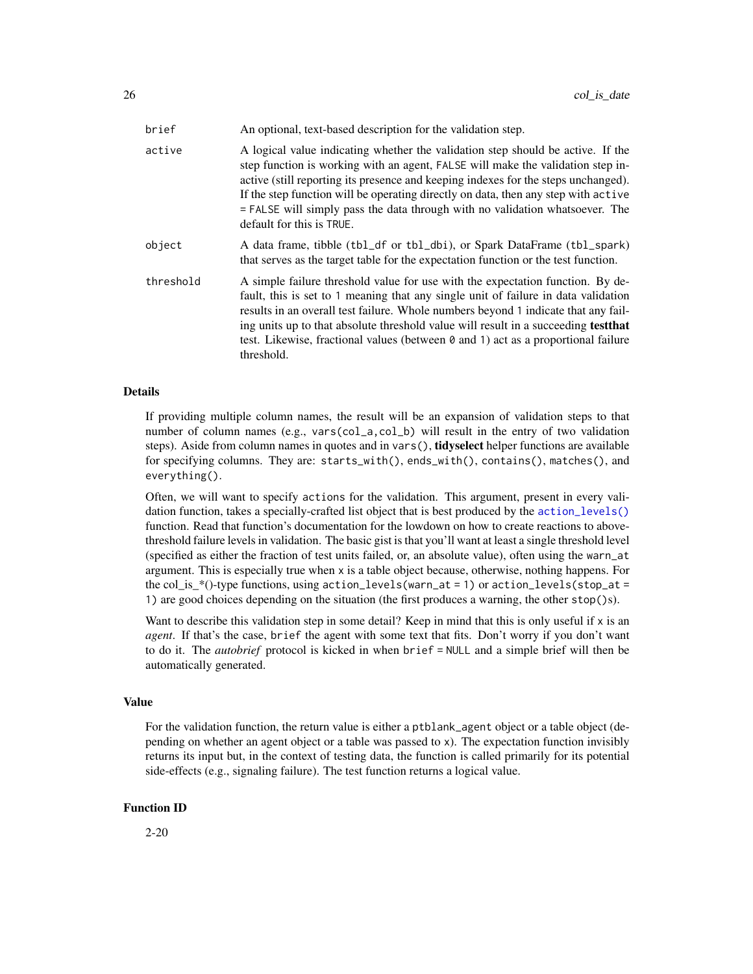| brief     | An optional, text-based description for the validation step.                                                                                                                                                                                                                                                                                                                                                                                                |
|-----------|-------------------------------------------------------------------------------------------------------------------------------------------------------------------------------------------------------------------------------------------------------------------------------------------------------------------------------------------------------------------------------------------------------------------------------------------------------------|
| active    | A logical value indicating whether the validation step should be active. If the<br>step function is working with an agent, FALSE will make the validation step in-<br>active (still reporting its presence and keeping indexes for the steps unchanged).<br>If the step function will be operating directly on data, then any step with active<br>= FALSE will simply pass the data through with no validation whatsoever. The<br>default for this is TRUE. |
| object    | A data frame, tibble (tbl_df or tbl_dbi), or Spark DataFrame (tbl_spark)<br>that serves as the target table for the expectation function or the test function.                                                                                                                                                                                                                                                                                              |
| threshold | A simple failure threshold value for use with the expectation function. By de-<br>fault, this is set to 1 meaning that any single unit of failure in data validation<br>results in an overall test failure. Whole numbers beyond 1 indicate that any fail-<br>ing units up to that absolute threshold value will result in a succeeding <b>test that</b><br>test. Likewise, fractional values (between 0 and 1) act as a proportional failure<br>threshold. |

# Details

If providing multiple column names, the result will be an expansion of validation steps to that number of column names (e.g., vars(col\_a,col\_b) will result in the entry of two validation steps). Aside from column names in quotes and in vars(), **tidyselect** helper functions are available for specifying columns. They are: starts\_with(), ends\_with(), contains(), matches(), and everything().

Often, we will want to specify actions for the validation. This argument, present in every validation function, takes a specially-crafted list object that is best produced by the [action\\_levels\(\)](#page-2-1) function. Read that function's documentation for the lowdown on how to create reactions to abovethreshold failure levels in validation. The basic gist is that you'll want at least a single threshold level (specified as either the fraction of test units failed, or, an absolute value), often using the warn\_at argument. This is especially true when x is a table object because, otherwise, nothing happens. For the col\_is\_\*()-type functions, using  $action\_levels(warn_at = 1)$  or  $action\_levels(stop_at = 1)$ 1) are good choices depending on the situation (the first produces a warning, the other stop()s).

Want to describe this validation step in some detail? Keep in mind that this is only useful if  $x$  is an *agent*. If that's the case, brief the agent with some text that fits. Don't worry if you don't want to do it. The *autobrief* protocol is kicked in when brief = NULL and a simple brief will then be automatically generated.

# Value

For the validation function, the return value is either a ptblank\_agent object or a table object (depending on whether an agent object or a table was passed to x). The expectation function invisibly returns its input but, in the context of testing data, the function is called primarily for its potential side-effects (e.g., signaling failure). The test function returns a logical value.

#### Function ID

2-20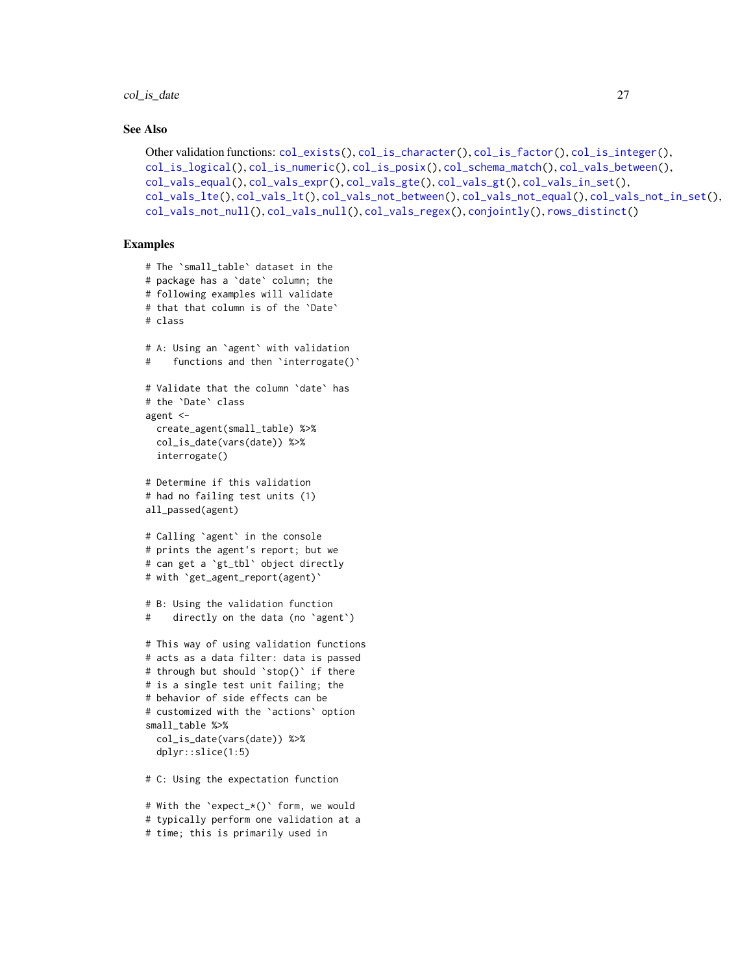# col\_is\_date 27

# See Also

```
Other validation functions: col_exists(), col_is_character(), col_is_factor(), col_is_integer(),
col_is_logical(), col_is_numeric(), col_is_posix(), col_schema_match(), col_vals_between(),
col_vals_equal(), col_vals_expr(), col_vals_gte(), col_vals_gt(), col_vals_in_set(),
col_vals_lte(), col_vals_lt(), col_vals_not_between(), col_vals_not_equal(), col_vals_not_in_set(),
col_vals_not_null(), col_vals_null(), col_vals_regex(), conjointly(), rows_distinct()
```

```
# The `small_table` dataset in the
# package has a `date` column; the
# following examples will validate
# that that column is of the `Date`
# class
# A: Using an `agent` with validation
# functions and then 'interrogate()'
# Validate that the column `date` has
# the `Date` class
agent <-
 create_agent(small_table) %>%
  col_is_date(vars(date)) %>%
  interrogate()
# Determine if this validation
# had no failing test units (1)
all_passed(agent)
# Calling `agent` in the console
# prints the agent's report; but we
# can get a `gt_tbl` object directly
# with `get_agent_report(agent)`
# B: Using the validation function
# directly on the data (no `agent`)
# This way of using validation functions
# acts as a data filter: data is passed
# through but should `stop()` if there
# is a single test unit failing; the
# behavior of side effects can be
# customized with the `actions` option
small_table %>%
  col_is_date(vars(date)) %>%
  dplyr::slice(1:5)
# C: Using the expectation function
```

```
# With the `expect_*()` form, we would
# typically perform one validation at a
# time; this is primarily used in
```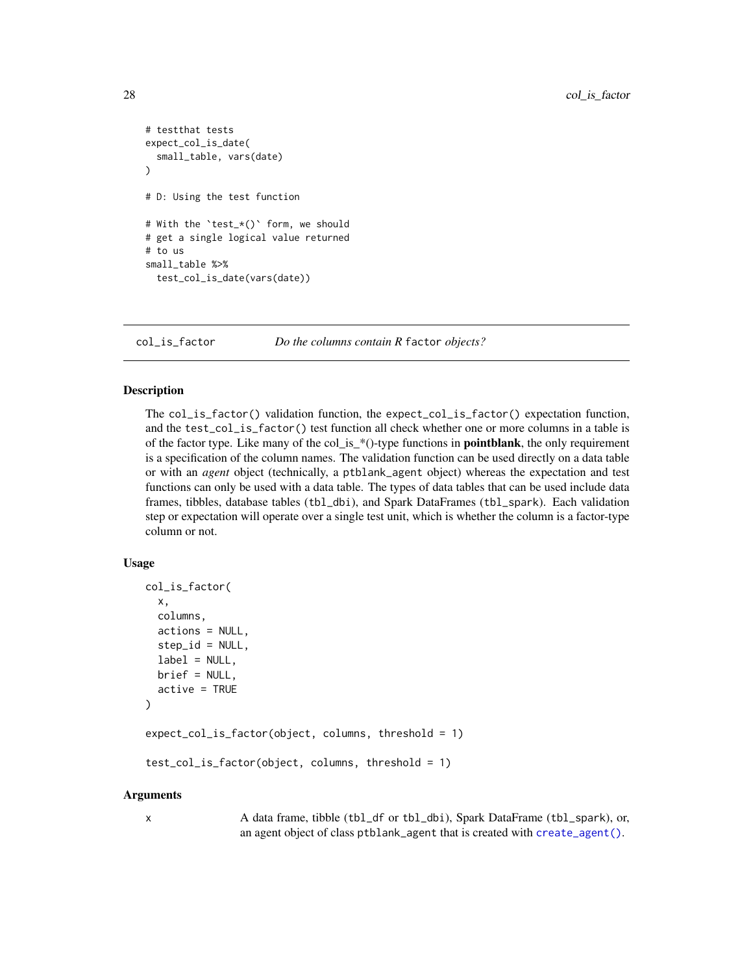```
# testthat tests
expect_col_is_date(
 small_table, vars(date)
\lambda# D: Using the test function
# With the `test_*()` form, we should
# get a single logical value returned
# to us
small_table %>%
 test_col_is_date(vars(date))
```
<span id="page-27-1"></span>

col\_is\_factor *Do the columns contain R* factor *objects?*

# Description

The col\_is\_factor() validation function, the expect\_col\_is\_factor() expectation function, and the test\_col\_is\_factor() test function all check whether one or more columns in a table is of the factor type. Like many of the col\_is\_\*()-type functions in **pointblank**, the only requirement is a specification of the column names. The validation function can be used directly on a data table or with an *agent* object (technically, a ptblank\_agent object) whereas the expectation and test functions can only be used with a data table. The types of data tables that can be used include data frames, tibbles, database tables (tbl\_dbi), and Spark DataFrames (tbl\_spark). Each validation step or expectation will operate over a single test unit, which is whether the column is a factor-type column or not.

# Usage

```
col_is_factor(
  x,
  columns,
  actions = NULL,
  step_id = NULL,label = NULL,brief = NULL,
  active = TRUE)
expect_col_is_factor(object, columns, threshold = 1)
test_col_is_factor(object, columns, threshold = 1)
```
#### Arguments

x A data frame, tibble (tbl\_df or tbl\_dbi), Spark DataFrame (tbl\_spark), or, an agent object of class ptblank\_agent that is created with [create\\_agent\(\)](#page-115-1).

<span id="page-27-0"></span>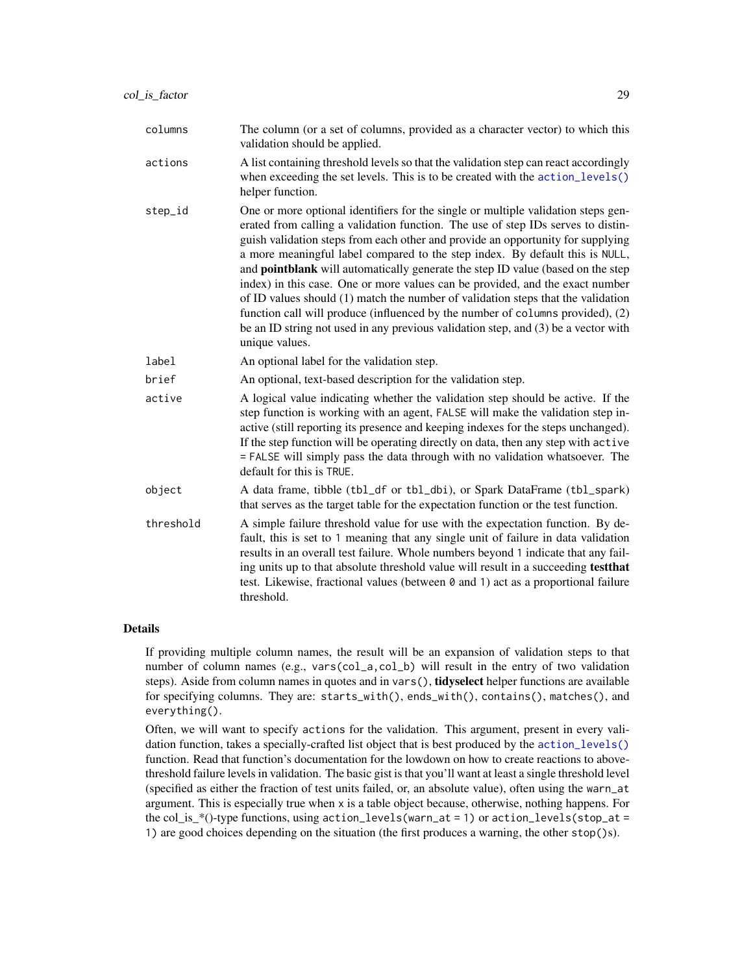| columns   | The column (or a set of columns, provided as a character vector) to which this<br>validation should be applied.                                                                                                                                                                                                                                                                                                                                                                                                                                                                                                                                                                                                                                                                                   |
|-----------|---------------------------------------------------------------------------------------------------------------------------------------------------------------------------------------------------------------------------------------------------------------------------------------------------------------------------------------------------------------------------------------------------------------------------------------------------------------------------------------------------------------------------------------------------------------------------------------------------------------------------------------------------------------------------------------------------------------------------------------------------------------------------------------------------|
| actions   | A list containing threshold levels so that the validation step can react accordingly<br>when exceeding the set levels. This is to be created with the action_levels()<br>helper function.                                                                                                                                                                                                                                                                                                                                                                                                                                                                                                                                                                                                         |
| step_id   | One or more optional identifiers for the single or multiple validation steps gen-<br>erated from calling a validation function. The use of step IDs serves to distin-<br>guish validation steps from each other and provide an opportunity for supplying<br>a more meaningful label compared to the step index. By default this is NULL,<br>and <b>pointblank</b> will automatically generate the step ID value (based on the step<br>index) in this case. One or more values can be provided, and the exact number<br>of ID values should (1) match the number of validation steps that the validation<br>function call will produce (influenced by the number of columns provided), (2)<br>be an ID string not used in any previous validation step, and (3) be a vector with<br>unique values. |
| label     | An optional label for the validation step.                                                                                                                                                                                                                                                                                                                                                                                                                                                                                                                                                                                                                                                                                                                                                        |
| brief     | An optional, text-based description for the validation step.                                                                                                                                                                                                                                                                                                                                                                                                                                                                                                                                                                                                                                                                                                                                      |
| active    | A logical value indicating whether the validation step should be active. If the<br>step function is working with an agent, FALSE will make the validation step in-<br>active (still reporting its presence and keeping indexes for the steps unchanged).<br>If the step function will be operating directly on data, then any step with active<br>= FALSE will simply pass the data through with no validation whatsoever. The<br>default for this is TRUE.                                                                                                                                                                                                                                                                                                                                       |
| object    | A data frame, tibble (tbl_df or tbl_dbi), or Spark DataFrame (tbl_spark)<br>that serves as the target table for the expectation function or the test function.                                                                                                                                                                                                                                                                                                                                                                                                                                                                                                                                                                                                                                    |
| threshold | A simple failure threshold value for use with the expectation function. By de-<br>fault, this is set to 1 meaning that any single unit of failure in data validation<br>results in an overall test failure. Whole numbers beyond 1 indicate that any fail-<br>ing units up to that absolute threshold value will result in a succeeding test that<br>test. Likewise, fractional values (between 0 and 1) act as a proportional failure<br>threshold.                                                                                                                                                                                                                                                                                                                                              |

# Details

If providing multiple column names, the result will be an expansion of validation steps to that number of column names (e.g., vars(col\_a,col\_b) will result in the entry of two validation steps). Aside from column names in quotes and in vars(), **tidyselect** helper functions are available for specifying columns. They are: starts\_with(), ends\_with(), contains(), matches(), and everything().

Often, we will want to specify actions for the validation. This argument, present in every validation function, takes a specially-crafted list object that is best produced by the [action\\_levels\(\)](#page-2-1) function. Read that function's documentation for the lowdown on how to create reactions to abovethreshold failure levels in validation. The basic gist is that you'll want at least a single threshold level (specified as either the fraction of test units failed, or, an absolute value), often using the warn\_at argument. This is especially true when x is a table object because, otherwise, nothing happens. For the col\_is\_\*()-type functions, using action\_levels(warn\_at = 1) or action\_levels(stop\_at = 1) are good choices depending on the situation (the first produces a warning, the other stop()s).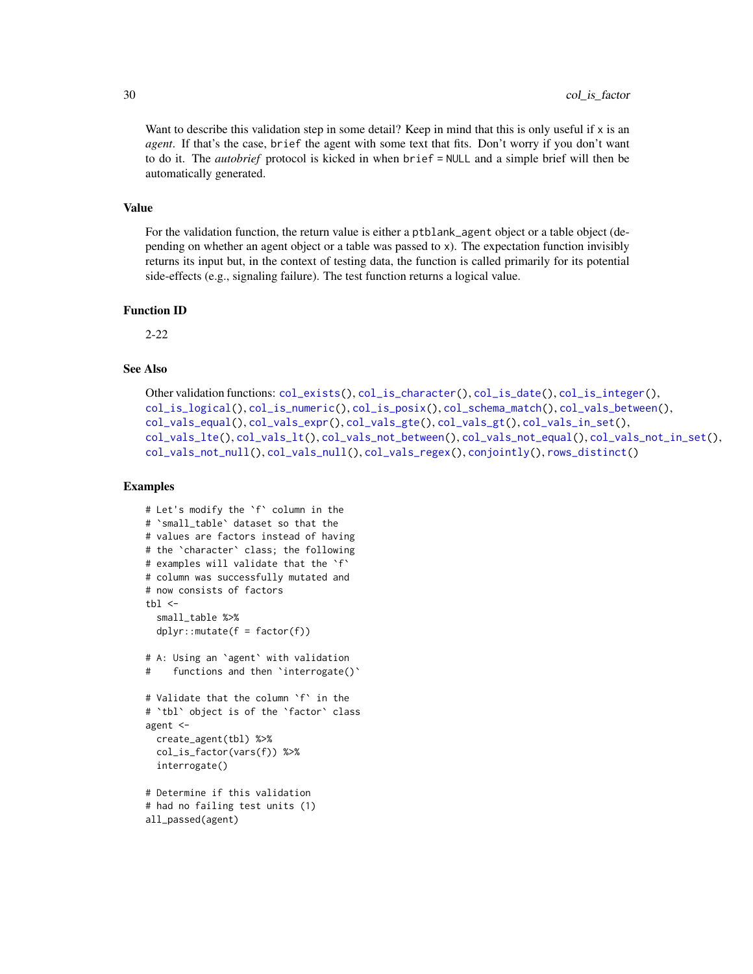Want to describe this validation step in some detail? Keep in mind that this is only useful if x is an *agent*. If that's the case, brief the agent with some text that fits. Don't worry if you don't want to do it. The *autobrief* protocol is kicked in when brief = NULL and a simple brief will then be automatically generated.

# Value

For the validation function, the return value is either a ptblank\_agent object or a table object (depending on whether an agent object or a table was passed to x). The expectation function invisibly returns its input but, in the context of testing data, the function is called primarily for its potential side-effects (e.g., signaling failure). The test function returns a logical value.

#### Function ID

2-22

# See Also

```
Other validation functions: col_exists(), col_is_character(), col_is_date(), col_is_integer(),
col_is_logical(), col_is_numeric(), col_is_posix(), col_schema_match(), col_vals_between(),
col_vals_equal(), col_vals_expr(), col_vals_gte(), col_vals_gt(), col_vals_in_set(),
col_vals_lte(), col_vals_lt(), col_vals_not_between(), col_vals_not_equal(), col_vals_not_in_set(),
col_vals_not_null(), col_vals_null(), col_vals_regex(), conjointly(), rows_distinct()
```

```
# Let's modify the `f` column in the
# `small_table` dataset so that the
# values are factors instead of having
# the `character` class; the following
# examples will validate that the `f`
# column was successfully mutated and
# now consists of factors
thl <-small_table %>%
 dplyr::mutate(f = factor(f))# A: Using an `agent` with validation
# functions and then `interrogate()`
# Validate that the column `f` in the
# `tbl` object is of the `factor` class
agent <-
 create_agent(tbl) %>%
 col_is_factor(vars(f)) %>%
  interrogate()
# Determine if this validation
# had no failing test units (1)
all_passed(agent)
```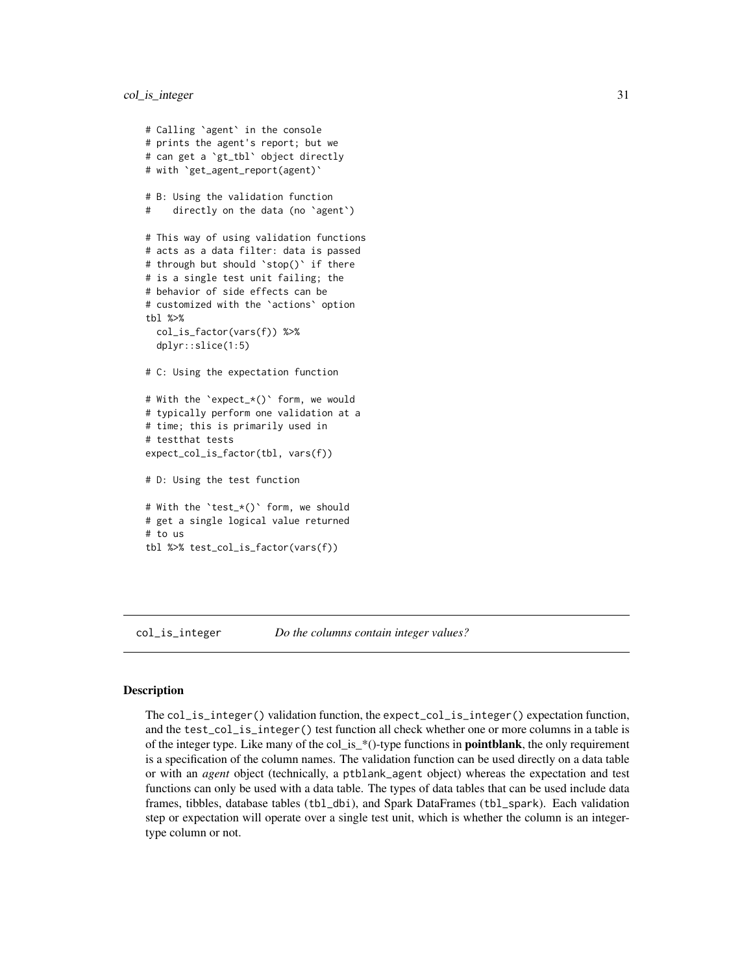```
# Calling `agent` in the console
# prints the agent's report; but we
# can get a `gt_tbl` object directly
# with `get_agent_report(agent)`
# B: Using the validation function
# directly on the data (no `agent`)
# This way of using validation functions
# acts as a data filter: data is passed
# through but should `stop()` if there
# is a single test unit failing; the
# behavior of side effects can be
# customized with the `actions` option
tbl %>%
 col_is_factor(vars(f)) %>%
 dplyr::slice(1:5)
# C: Using the expectation function
# With the `expect_*()` form, we would
# typically perform one validation at a
# time; this is primarily used in
# testthat tests
expect_col_is_factor(tbl, vars(f))
# D: Using the test function
# With the `test_*()` form, we should
# get a single logical value returned
# to us
tbl %>% test_col_is_factor(vars(f))
```
<span id="page-30-1"></span>col\_is\_integer *Do the columns contain integer values?*

#### Description

The col\_is\_integer() validation function, the expect\_col\_is\_integer() expectation function, and the test\_col\_is\_integer() test function all check whether one or more columns in a table is of the integer type. Like many of the col\_is\_\*()-type functions in **pointblank**, the only requirement is a specification of the column names. The validation function can be used directly on a data table or with an *agent* object (technically, a ptblank\_agent object) whereas the expectation and test functions can only be used with a data table. The types of data tables that can be used include data frames, tibbles, database tables (tbl\_dbi), and Spark DataFrames (tbl\_spark). Each validation step or expectation will operate over a single test unit, which is whether the column is an integertype column or not.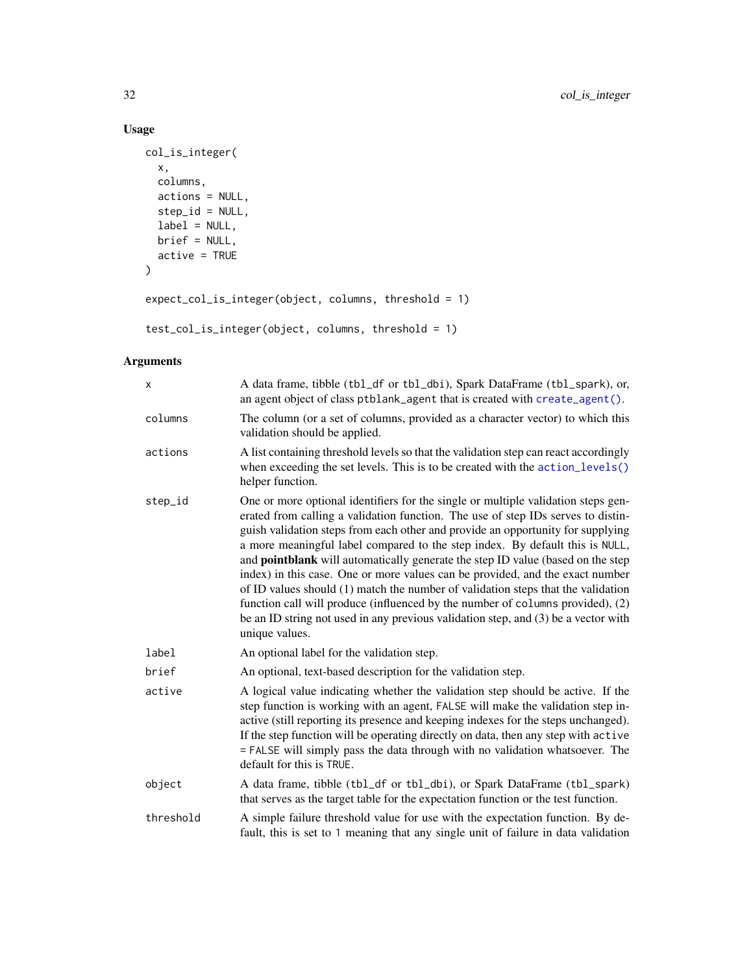# Usage

```
col_is_integer(
  x,
  columns,
  actions = NULL,
  step_id = NULL,
  label = NULL,brief = NULL,
  active = TRUE
\mathcal{L}expect_col_is_integer(object, columns, threshold = 1)
```

```
test_col_is_integer(object, columns, threshold = 1)
```
# Arguments

| X         | A data frame, tibble (tbl_df or tbl_dbi), Spark DataFrame (tbl_spark), or,<br>an agent object of class ptblank_agent that is created with create_agent().                                                                                                                                                                                                                                                                                                                                                                                                                                                                                                                                                                                                                                         |
|-----------|---------------------------------------------------------------------------------------------------------------------------------------------------------------------------------------------------------------------------------------------------------------------------------------------------------------------------------------------------------------------------------------------------------------------------------------------------------------------------------------------------------------------------------------------------------------------------------------------------------------------------------------------------------------------------------------------------------------------------------------------------------------------------------------------------|
| columns   | The column (or a set of columns, provided as a character vector) to which this<br>validation should be applied.                                                                                                                                                                                                                                                                                                                                                                                                                                                                                                                                                                                                                                                                                   |
| actions   | A list containing threshold levels so that the validation step can react accordingly<br>when exceeding the set levels. This is to be created with the action_levels()<br>helper function.                                                                                                                                                                                                                                                                                                                                                                                                                                                                                                                                                                                                         |
| step_id   | One or more optional identifiers for the single or multiple validation steps gen-<br>erated from calling a validation function. The use of step IDs serves to distin-<br>guish validation steps from each other and provide an opportunity for supplying<br>a more meaningful label compared to the step index. By default this is NULL,<br>and <b>pointblank</b> will automatically generate the step ID value (based on the step<br>index) in this case. One or more values can be provided, and the exact number<br>of ID values should (1) match the number of validation steps that the validation<br>function call will produce (influenced by the number of columns provided), (2)<br>be an ID string not used in any previous validation step, and (3) be a vector with<br>unique values. |
| label     | An optional label for the validation step.                                                                                                                                                                                                                                                                                                                                                                                                                                                                                                                                                                                                                                                                                                                                                        |
| brief     | An optional, text-based description for the validation step.                                                                                                                                                                                                                                                                                                                                                                                                                                                                                                                                                                                                                                                                                                                                      |
| active    | A logical value indicating whether the validation step should be active. If the<br>step function is working with an agent, FALSE will make the validation step in-<br>active (still reporting its presence and keeping indexes for the steps unchanged).<br>If the step function will be operating directly on data, then any step with active<br>= FALSE will simply pass the data through with no validation whatsoever. The<br>default for this is TRUE.                                                                                                                                                                                                                                                                                                                                       |
| object    | A data frame, tibble (tbl_df or tbl_dbi), or Spark DataFrame (tbl_spark)<br>that serves as the target table for the expectation function or the test function.                                                                                                                                                                                                                                                                                                                                                                                                                                                                                                                                                                                                                                    |
| threshold | A simple failure threshold value for use with the expectation function. By de-<br>fault, this is set to 1 meaning that any single unit of failure in data validation                                                                                                                                                                                                                                                                                                                                                                                                                                                                                                                                                                                                                              |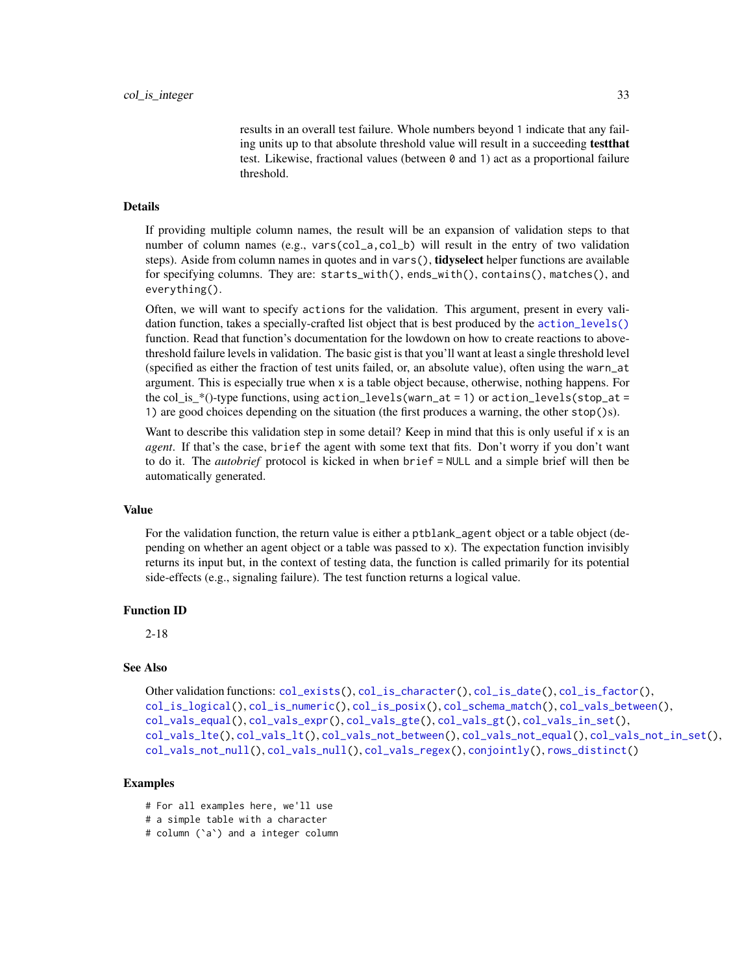results in an overall test failure. Whole numbers beyond 1 indicate that any failing units up to that absolute threshold value will result in a succeeding testthat test. Likewise, fractional values (between 0 and 1) act as a proportional failure threshold.

#### Details

If providing multiple column names, the result will be an expansion of validation steps to that number of column names (e.g., vars(col\_a,col\_b) will result in the entry of two validation steps). Aside from column names in quotes and in vars(), **tidyselect** helper functions are available for specifying columns. They are: starts\_with(), ends\_with(), contains(), matches(), and everything().

Often, we will want to specify actions for the validation. This argument, present in every validation function, takes a specially-crafted list object that is best produced by the [action\\_levels\(\)](#page-2-1) function. Read that function's documentation for the lowdown on how to create reactions to abovethreshold failure levels in validation. The basic gist is that you'll want at least a single threshold level (specified as either the fraction of test units failed, or, an absolute value), often using the warn\_at argument. This is especially true when x is a table object because, otherwise, nothing happens. For the col\_is\_\*()-type functions, using action\_levels(warn\_at = 1) or action\_levels(stop\_at = 1) are good choices depending on the situation (the first produces a warning, the other stop()s).

Want to describe this validation step in some detail? Keep in mind that this is only useful if x is an *agent*. If that's the case, brief the agent with some text that fits. Don't worry if you don't want to do it. The *autobrief* protocol is kicked in when brief = NULL and a simple brief will then be automatically generated.

#### Value

For the validation function, the return value is either a ptblank\_agent object or a table object (depending on whether an agent object or a table was passed to x). The expectation function invisibly returns its input but, in the context of testing data, the function is called primarily for its potential side-effects (e.g., signaling failure). The test function returns a logical value.

# Function ID

2-18

# See Also

```
Other validation functions: col_exists(), col_is_character(), col_is_date(), col_is_factor(),
col_is_logical(), col_is_numeric(), col_is_posix(), col_schema_match(), col_vals_between(),
col_vals_equal(), col_vals_expr(), col_vals_gte(), col_vals_gt(), col_vals_in_set(),
col_vals_lte(), col_vals_lt(), col_vals_not_between(), col_vals_not_equal(), col_vals_not_in_set(),
col_vals_not_null(), col_vals_null(), col_vals_regex(), conjointly(), rows_distinct()
```
#### Examples

# For all examples here, we'll use

```
# a simple table with a character
```
# column (`a`) and a integer column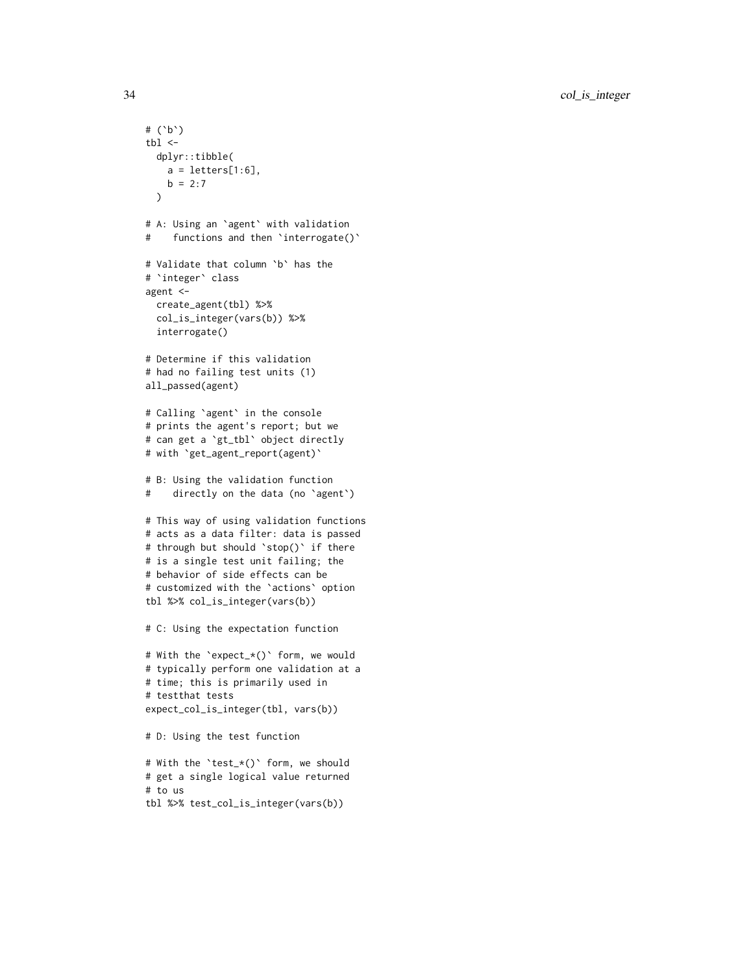```
# (`b`)
tb1 < -dplyr::tibble(
   a = letters[1:6],b = 2:7\lambda# A: Using an `agent` with validation
# functions and then `interrogate()`
# Validate that column `b` has the
# `integer` class
agent <-
  create_agent(tbl) %>%
  col_is_integer(vars(b)) %>%
  interrogate()
# Determine if this validation
# had no failing test units (1)
all_passed(agent)
# Calling `agent` in the console
# prints the agent's report; but we
# can get a `gt_tbl` object directly
# with `get_agent_report(agent)`
# B: Using the validation function
# directly on the data (no `agent`)
# This way of using validation functions
# acts as a data filter: data is passed
# through but should `stop()` if there
# is a single test unit failing; the
# behavior of side effects can be
# customized with the `actions` option
tbl %>% col_is_integer(vars(b))
# C: Using the expectation function
# With the `expect_*()` form, we would
# typically perform one validation at a
# time; this is primarily used in
# testthat tests
expect_col_is_integer(tbl, vars(b))
# D: Using the test function
# With the `test_*()` form, we should
# get a single logical value returned
# to us
tbl %>% test_col_is_integer(vars(b))
```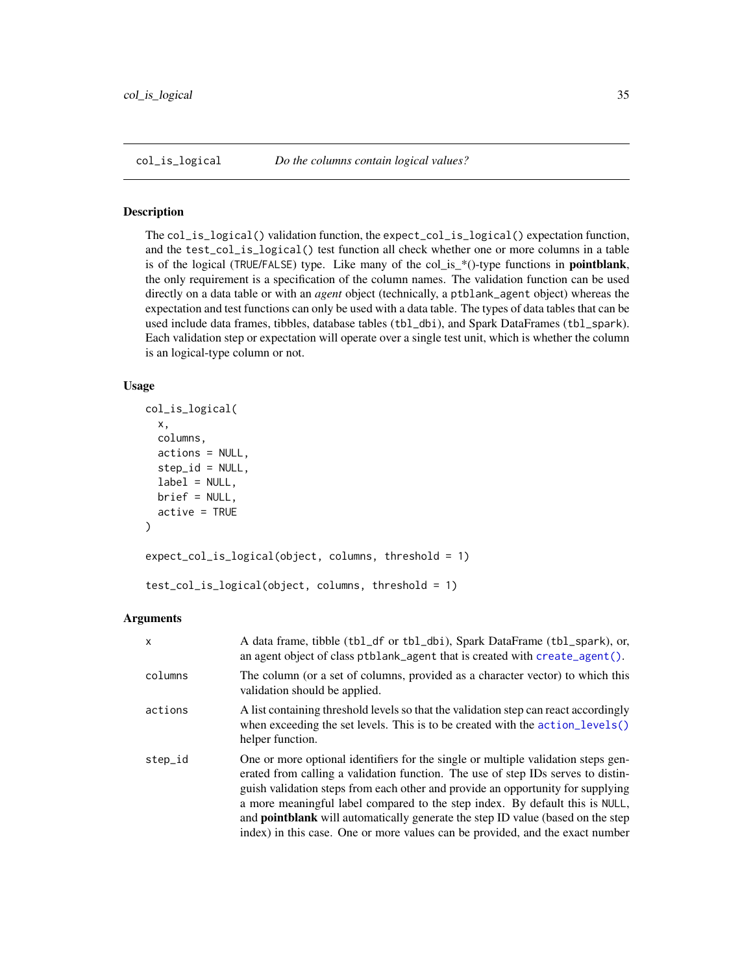<span id="page-34-1"></span><span id="page-34-0"></span>

# Description

The col\_is\_logical() validation function, the expect\_col\_is\_logical() expectation function, and the test\_col\_is\_logical() test function all check whether one or more columns in a table is of the logical (TRUE/FALSE) type. Like many of the col\_is\_\*()-type functions in pointblank, the only requirement is a specification of the column names. The validation function can be used directly on a data table or with an *agent* object (technically, a ptblank\_agent object) whereas the expectation and test functions can only be used with a data table. The types of data tables that can be used include data frames, tibbles, database tables (tbl\_dbi), and Spark DataFrames (tbl\_spark). Each validation step or expectation will operate over a single test unit, which is whether the column is an logical-type column or not.

# Usage

```
col_is_logical(
 x,
  columns,
  actions = NULL,
  step_id = NULL,
  label = NULL,brief = NULL,
  active = TRUE
)
expect_col_is_logical(object, columns, threshold = 1)
```

```
test_col_is_logical(object, columns, threshold = 1)
```
# Arguments

| $\boldsymbol{\mathsf{x}}$ | A data frame, tibble (tbl_df or tbl_dbi), Spark DataFrame (tbl_spark), or,<br>an agent object of class $ptblank\_\text{agent}$ that is created with create $\_\text{agent}()$ .                                                                                                                                                                                                                                                                                                                                     |
|---------------------------|---------------------------------------------------------------------------------------------------------------------------------------------------------------------------------------------------------------------------------------------------------------------------------------------------------------------------------------------------------------------------------------------------------------------------------------------------------------------------------------------------------------------|
| columns                   | The column (or a set of columns, provided as a character vector) to which this<br>validation should be applied.                                                                                                                                                                                                                                                                                                                                                                                                     |
| actions                   | A list containing threshold levels so that the validation step can react accordingly<br>when exceeding the set levels. This is to be created with the $\arctan\left(\frac{1}{2} \right)$<br>helper function.                                                                                                                                                                                                                                                                                                        |
| step_id                   | One or more optional identifiers for the single or multiple validation steps gen-<br>erated from calling a validation function. The use of step IDs serves to distin-<br>guish validation steps from each other and provide an opportunity for supplying<br>a more meaningful label compared to the step index. By default this is NULL,<br>and <b>pointblank</b> will automatically generate the step ID value (based on the step<br>index) in this case. One or more values can be provided, and the exact number |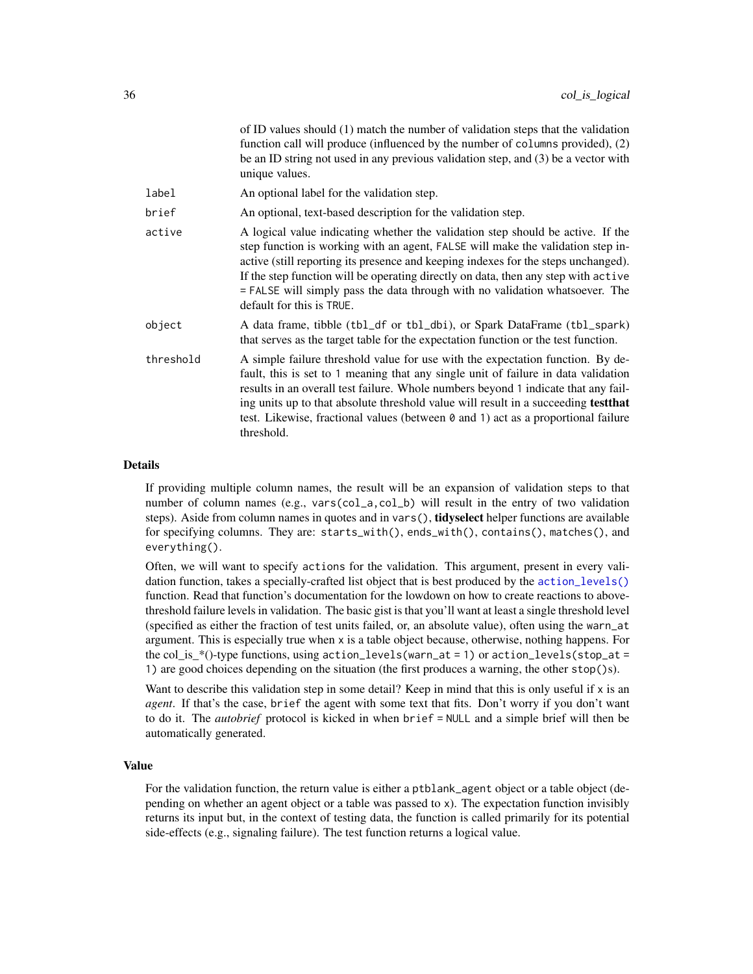| of ID values should (1) match the number of validation steps that the validation<br>function call will produce (influenced by the number of columns provided), (2)<br>be an ID string not used in any previous validation step, and (3) be a vector with<br>unique values.                                                                                                                                                                                  |
|-------------------------------------------------------------------------------------------------------------------------------------------------------------------------------------------------------------------------------------------------------------------------------------------------------------------------------------------------------------------------------------------------------------------------------------------------------------|
| An optional label for the validation step.                                                                                                                                                                                                                                                                                                                                                                                                                  |
| An optional, text-based description for the validation step.                                                                                                                                                                                                                                                                                                                                                                                                |
| A logical value indicating whether the validation step should be active. If the<br>step function is working with an agent, FALSE will make the validation step in-<br>active (still reporting its presence and keeping indexes for the steps unchanged).<br>If the step function will be operating directly on data, then any step with active<br>= FALSE will simply pass the data through with no validation whatsoever. The<br>default for this is TRUE. |
| A data frame, tibble (tbl_df or tbl_dbi), or Spark DataFrame (tbl_spark)<br>that serves as the target table for the expectation function or the test function.                                                                                                                                                                                                                                                                                              |
| A simple failure threshold value for use with the expectation function. By de-<br>fault, this is set to 1 meaning that any single unit of failure in data validation<br>results in an overall test failure. Whole numbers beyond 1 indicate that any fail-<br>ing units up to that absolute threshold value will result in a succeeding test that<br>test. Likewise, fractional values (between 0 and 1) act as a proportional failure<br>threshold.        |
|                                                                                                                                                                                                                                                                                                                                                                                                                                                             |

# Details

If providing multiple column names, the result will be an expansion of validation steps to that number of column names (e.g., vars(col\_a,col\_b) will result in the entry of two validation steps). Aside from column names in quotes and in vars(), **tidyselect** helper functions are available for specifying columns. They are: starts\_with(), ends\_with(), contains(), matches(), and everything().

Often, we will want to specify actions for the validation. This argument, present in every validation function, takes a specially-crafted list object that is best produced by the [action\\_levels\(\)](#page-2-1) function. Read that function's documentation for the lowdown on how to create reactions to abovethreshold failure levels in validation. The basic gist is that you'll want at least a single threshold level (specified as either the fraction of test units failed, or, an absolute value), often using the warn\_at argument. This is especially true when x is a table object because, otherwise, nothing happens. For the col\_is\_\*()-type functions, using action\_levels(warn\_at = 1) or action\_levels(stop\_at = 1) are good choices depending on the situation (the first produces a warning, the other stop()s).

Want to describe this validation step in some detail? Keep in mind that this is only useful if x is an *agent*. If that's the case, brief the agent with some text that fits. Don't worry if you don't want to do it. The *autobrief* protocol is kicked in when brief = NULL and a simple brief will then be automatically generated.

#### Value

For the validation function, the return value is either a ptblank\_agent object or a table object (depending on whether an agent object or a table was passed to x). The expectation function invisibly returns its input but, in the context of testing data, the function is called primarily for its potential side-effects (e.g., signaling failure). The test function returns a logical value.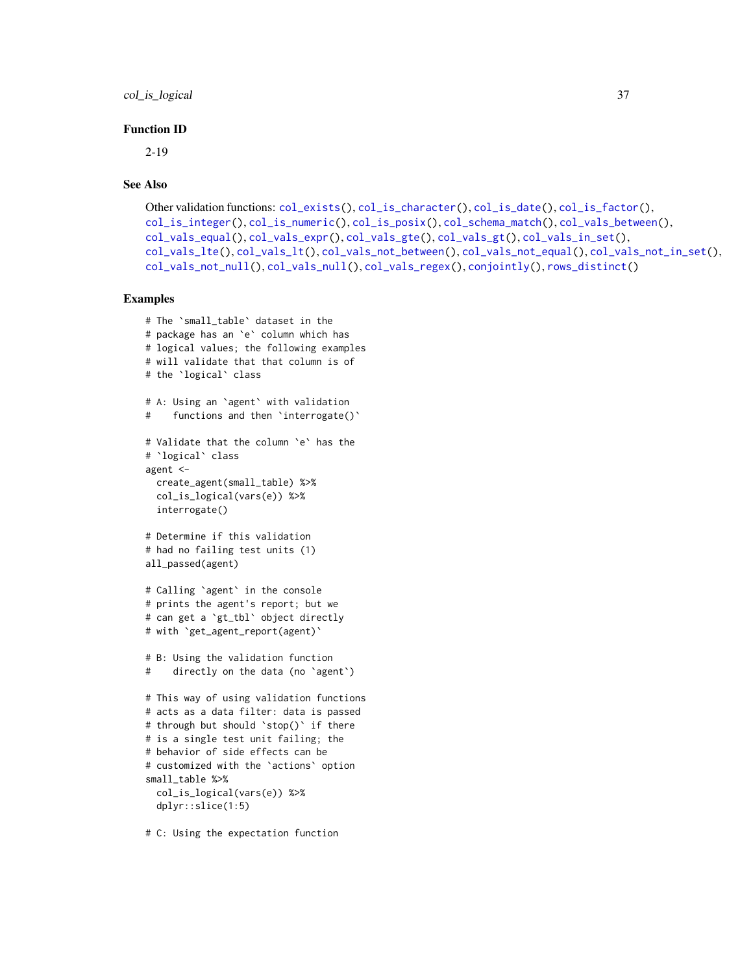col\_is\_logical 37

### Function ID

2-19

### See Also

```
Other validation functions: col_exists(), col_is_character(), col_is_date(), col_is_factor(),
col_is_integer(), col_is_numeric(), col_is_posix(), col_schema_match(), col_vals_between(),
col_vals_equal(), col_vals_expr(), col_vals_gte(), col_vals_gt(), col_vals_in_set(),
col_vals_lte(), col_vals_lt(), col_vals_not_between(), col_vals_not_equal(), col_vals_not_in_set(),
col_vals_not_null(), col_vals_null(), col_vals_regex(), conjointly(), rows_distinct()
```
### Examples

```
# The `small_table` dataset in the
# package has an `e` column which has
# logical values; the following examples
# will validate that that column is of
# the `logical` class
# A: Using an `agent` with validation
# functions and then `interrogate()`
# Validate that the column `e` has the
# `logical` class
agent <-
  create_agent(small_table) %>%
  col_is_logical(vars(e)) %>%
  interrogate()
# Determine if this validation
# had no failing test units (1)
all_passed(agent)
# Calling `agent` in the console
# prints the agent's report; but we
# can get a `gt_tbl` object directly
# with `get_agent_report(agent)`
# B: Using the validation function
# directly on the data (no `agent`)
# This way of using validation functions
# acts as a data filter: data is passed
# through but should `stop()` if there
# is a single test unit failing; the
# behavior of side effects can be
# customized with the `actions` option
small_table %>%
  col_is_logical(vars(e)) %>%
  dplyr::slice(1:5)
```
# C: Using the expectation function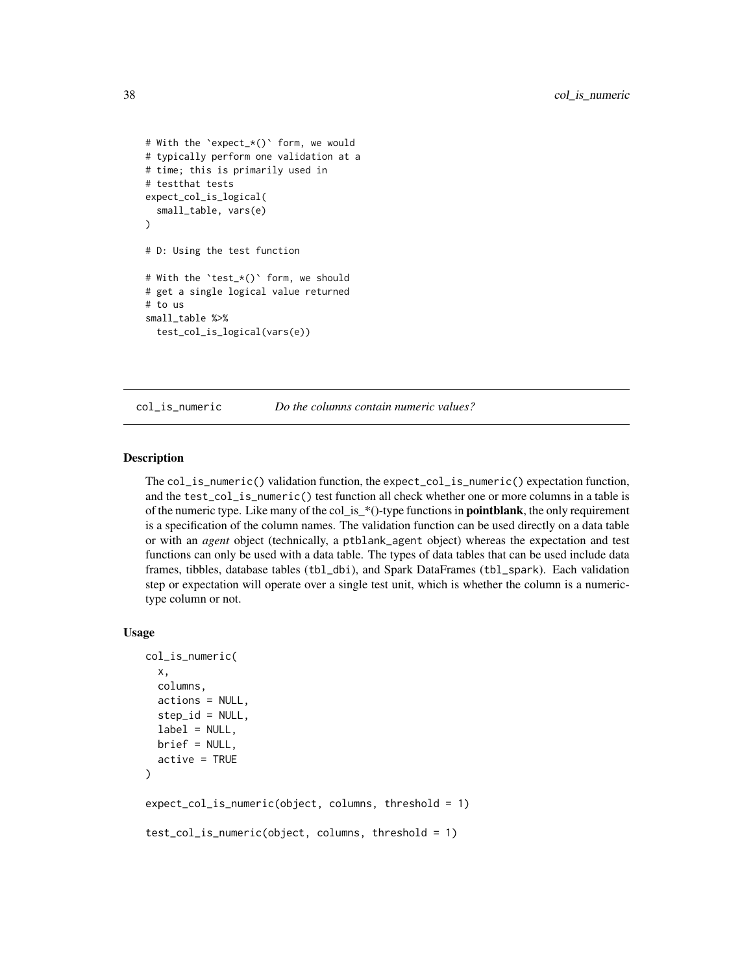```
# With the `expect_*()` form, we would
# typically perform one validation at a
# time; this is primarily used in
# testthat tests
expect_col_is_logical(
 small_table, vars(e)
)
# D: Using the test function
# With the `test_*()` form, we should
# get a single logical value returned
# to us
small_table %>%
 test_col_is_logical(vars(e))
```
<span id="page-37-0"></span>

col\_is\_numeric *Do the columns contain numeric values?*

#### Description

The col\_is\_numeric() validation function, the expect\_col\_is\_numeric() expectation function, and the test\_col\_is\_numeric() test function all check whether one or more columns in a table is of the numeric type. Like many of the col\_is\_ $*($ )-type functions in **pointblank**, the only requirement is a specification of the column names. The validation function can be used directly on a data table or with an *agent* object (technically, a ptblank\_agent object) whereas the expectation and test functions can only be used with a data table. The types of data tables that can be used include data frames, tibbles, database tables (tbl\_dbi), and Spark DataFrames (tbl\_spark). Each validation step or expectation will operate over a single test unit, which is whether the column is a numerictype column or not.

#### Usage

```
col_is_numeric(
 x,
 columns,
  actions = NULL,
 step_id = NULL,label = NULL,brief = NULL,
 active = TRUE)
expect_col_is_numeric(object, columns, threshold = 1)
test_col_is_numeric(object, columns, threshold = 1)
```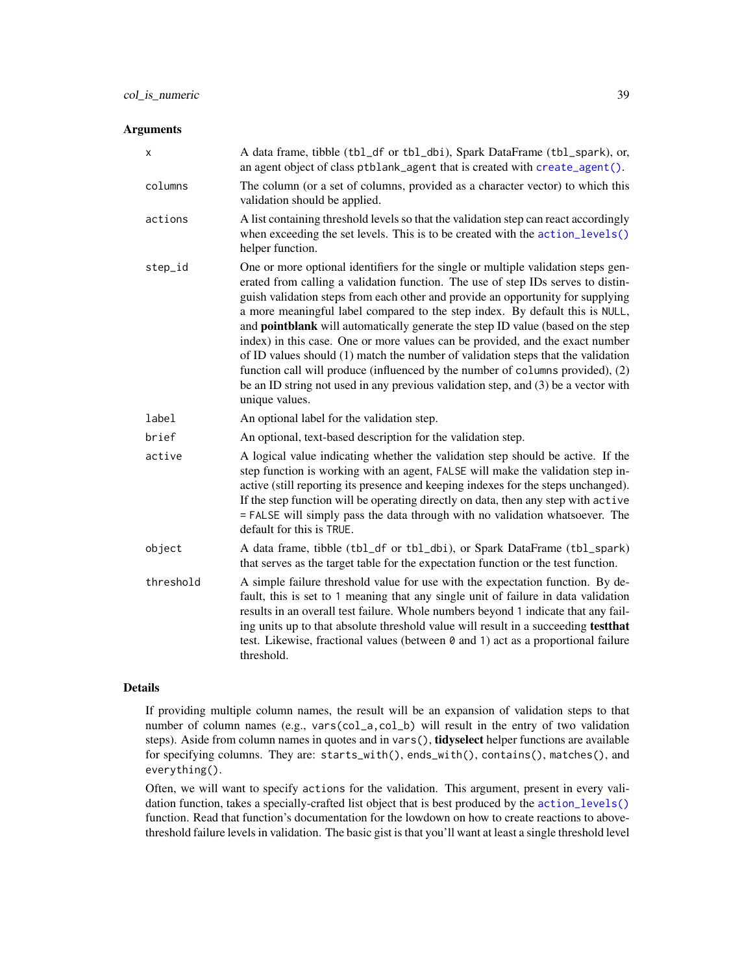### Arguments

| x         | A data frame, tibble (tbl_df or tbl_dbi), Spark DataFrame (tbl_spark), or,<br>an agent object of class ptblank_agent that is created with create_agent().                                                                                                                                                                                                                                                                                                                                                                                                                                                                                                                                                                                                                                         |
|-----------|---------------------------------------------------------------------------------------------------------------------------------------------------------------------------------------------------------------------------------------------------------------------------------------------------------------------------------------------------------------------------------------------------------------------------------------------------------------------------------------------------------------------------------------------------------------------------------------------------------------------------------------------------------------------------------------------------------------------------------------------------------------------------------------------------|
| columns   | The column (or a set of columns, provided as a character vector) to which this<br>validation should be applied.                                                                                                                                                                                                                                                                                                                                                                                                                                                                                                                                                                                                                                                                                   |
| actions   | A list containing threshold levels so that the validation step can react accordingly<br>when exceeding the set levels. This is to be created with the action_levels()<br>helper function.                                                                                                                                                                                                                                                                                                                                                                                                                                                                                                                                                                                                         |
| step_id   | One or more optional identifiers for the single or multiple validation steps gen-<br>erated from calling a validation function. The use of step IDs serves to distin-<br>guish validation steps from each other and provide an opportunity for supplying<br>a more meaningful label compared to the step index. By default this is NULL,<br>and <b>pointblank</b> will automatically generate the step ID value (based on the step<br>index) in this case. One or more values can be provided, and the exact number<br>of ID values should (1) match the number of validation steps that the validation<br>function call will produce (influenced by the number of columns provided), (2)<br>be an ID string not used in any previous validation step, and (3) be a vector with<br>unique values. |
| label     | An optional label for the validation step.                                                                                                                                                                                                                                                                                                                                                                                                                                                                                                                                                                                                                                                                                                                                                        |
| brief     | An optional, text-based description for the validation step.                                                                                                                                                                                                                                                                                                                                                                                                                                                                                                                                                                                                                                                                                                                                      |
| active    | A logical value indicating whether the validation step should be active. If the<br>step function is working with an agent, FALSE will make the validation step in-<br>active (still reporting its presence and keeping indexes for the steps unchanged).<br>If the step function will be operating directly on data, then any step with active<br>= FALSE will simply pass the data through with no validation whatsoever. The<br>default for this is TRUE.                                                                                                                                                                                                                                                                                                                                       |
| object    | A data frame, tibble (tbl_df or tbl_dbi), or Spark DataFrame (tbl_spark)<br>that serves as the target table for the expectation function or the test function.                                                                                                                                                                                                                                                                                                                                                                                                                                                                                                                                                                                                                                    |
| threshold | A simple failure threshold value for use with the expectation function. By de-<br>fault, this is set to 1 meaning that any single unit of failure in data validation<br>results in an overall test failure. Whole numbers beyond 1 indicate that any fail-<br>ing units up to that absolute threshold value will result in a succeeding testthat<br>test. Likewise, fractional values (between 0 and 1) act as a proportional failure<br>threshold.                                                                                                                                                                                                                                                                                                                                               |

#### Details

If providing multiple column names, the result will be an expansion of validation steps to that number of column names (e.g., vars(col\_a,col\_b) will result in the entry of two validation steps). Aside from column names in quotes and in vars(), tidyselect helper functions are available for specifying columns. They are: starts\_with(), ends\_with(), contains(), matches(), and everything().

Often, we will want to specify actions for the validation. This argument, present in every validation function, takes a specially-crafted list object that is best produced by the [action\\_levels\(\)](#page-2-0) function. Read that function's documentation for the lowdown on how to create reactions to abovethreshold failure levels in validation. The basic gist is that you'll want at least a single threshold level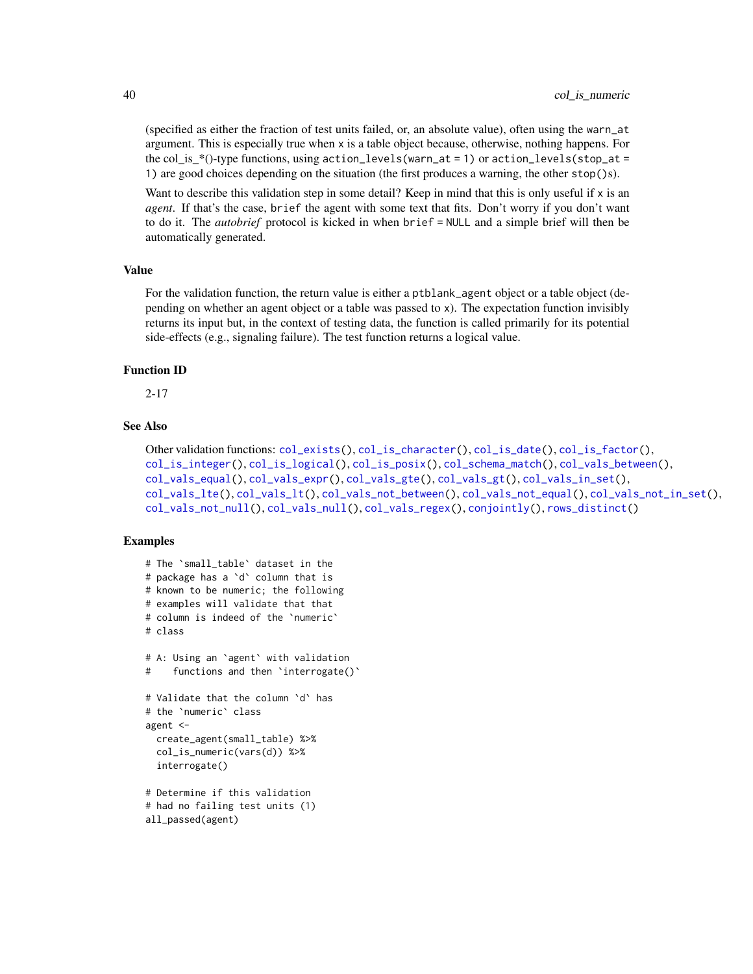(specified as either the fraction of test units failed, or, an absolute value), often using the warn\_at argument. This is especially true when x is a table object because, otherwise, nothing happens. For the col is  $*($ )-type functions, using action\_levels(warn\_at = 1) or action\_levels(stop\_at = 1) are good choices depending on the situation (the first produces a warning, the other stop()s).

Want to describe this validation step in some detail? Keep in mind that this is only useful if x is an *agent*. If that's the case, brief the agent with some text that fits. Don't worry if you don't want to do it. The *autobrief* protocol is kicked in when brief = NULL and a simple brief will then be automatically generated.

### Value

For the validation function, the return value is either a ptblank\_agent object or a table object (depending on whether an agent object or a table was passed to x). The expectation function invisibly returns its input but, in the context of testing data, the function is called primarily for its potential side-effects (e.g., signaling failure). The test function returns a logical value.

#### Function ID

2-17

### See Also

```
Other validation functions: col_exists(), col_is_character(), col_is_date(), col_is_factor(),
col_is_integer(), col_is_logical(), col_is_posix(), col_schema_match(), col_vals_between(),
col_vals_equal(), col_vals_expr(), col_vals_gte(), col_vals_gt(), col_vals_in_set(),
col_vals_lte(), col_vals_lt(), col_vals_not_between(), col_vals_not_equal(), col_vals_not_in_set(),
col_vals_not_null(), col_vals_null(), col_vals_regex(), conjointly(), rows_distinct()
```

```
# The `small_table` dataset in the
# package has a `d` column that is
# known to be numeric; the following
# examples will validate that that
# column is indeed of the `numeric`
# class
# A: Using an `agent` with validation
# functions and then `interrogate()`
# Validate that the column `d` has
# the `numeric` class
agent <-
 create_agent(small_table) %>%
 col_is_numeric(vars(d)) %>%
  interrogate()
# Determine if this validation
# had no failing test units (1)
all_passed(agent)
```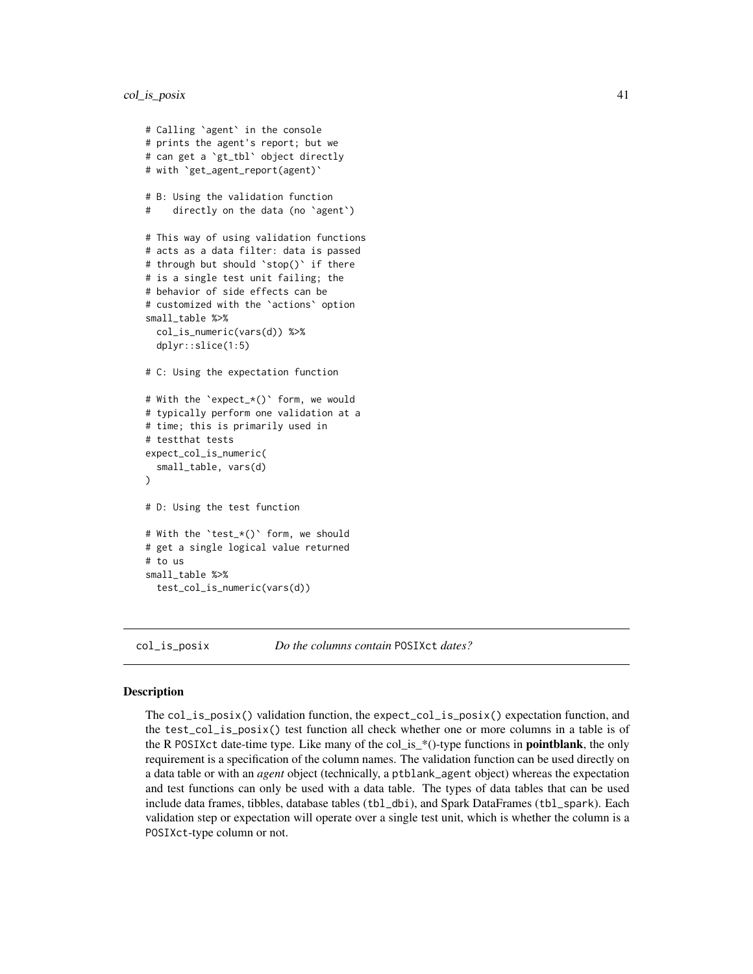```
# Calling `agent` in the console
# prints the agent's report; but we
# can get a `gt_tbl` object directly
# with `get_agent_report(agent)`
# B: Using the validation function
# directly on the data (no `agent`)
# This way of using validation functions
# acts as a data filter: data is passed
# through but should `stop()` if there
# is a single test unit failing; the
# behavior of side effects can be
# customized with the `actions` option
small_table %>%
 col_is_numeric(vars(d)) %>%
 dplyr::slice(1:5)
# C: Using the expectation function
# With the `expect_*()` form, we would
# typically perform one validation at a
# time; this is primarily used in
# testthat tests
expect_col_is_numeric(
  small_table, vars(d)
\lambda# D: Using the test function
# With the `test_*()` form, we should
# get a single logical value returned
# to us
small_table %>%
 test_col_is_numeric(vars(d))
```
<span id="page-40-0"></span>col\_is\_posix *Do the columns contain* POSIXct *dates?*

### Description

The col\_is\_posix() validation function, the expect\_col\_is\_posix() expectation function, and the test\_col\_is\_posix() test function all check whether one or more columns in a table is of the R POSIXct date-time type. Like many of the col\_is\_\*()-type functions in **pointblank**, the only requirement is a specification of the column names. The validation function can be used directly on a data table or with an *agent* object (technically, a ptblank\_agent object) whereas the expectation and test functions can only be used with a data table. The types of data tables that can be used include data frames, tibbles, database tables (tbl\_dbi), and Spark DataFrames (tbl\_spark). Each validation step or expectation will operate over a single test unit, which is whether the column is a POSIXct-type column or not.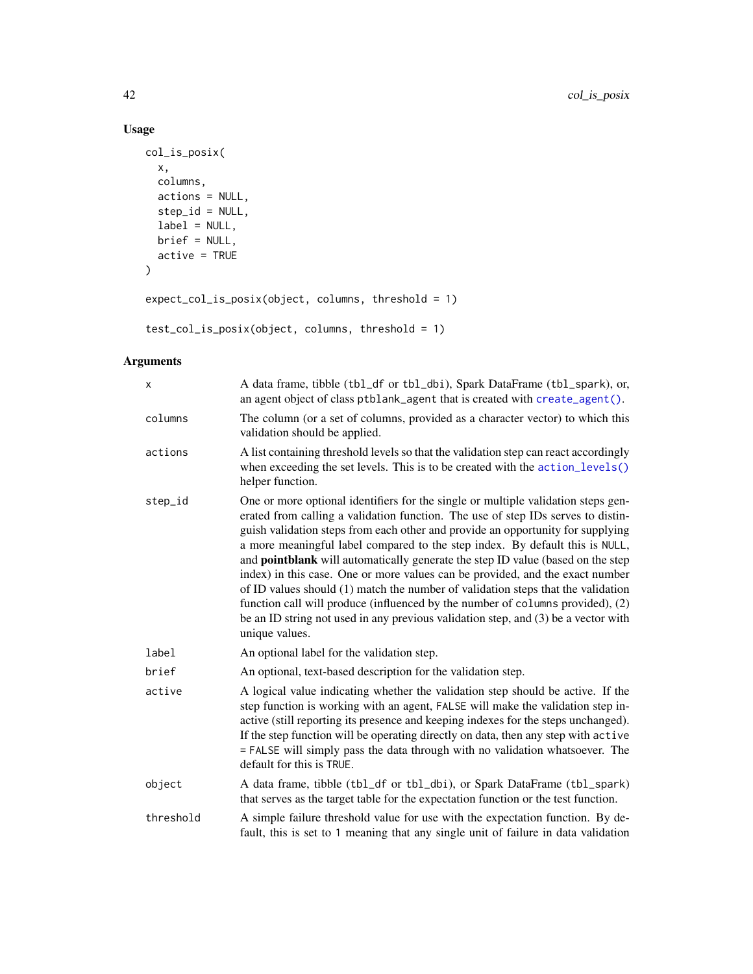## Usage

```
col_is_posix(
  x,
  columns,
  actions = NULL,
  step_id = NULL,label = NULL,brief = NULL,
  active = TRUE
\mathcal{L}expect_col_is_posix(object, columns, threshold = 1)
```
test\_col\_is\_posix(object, columns, threshold = 1)

## Arguments

| X         | A data frame, tibble (tbl_df or tbl_dbi), Spark DataFrame (tbl_spark), or,<br>an agent object of class ptblank_agent that is created with create_agent().                                                                                                                                                                                                                                                                                                                                                                                                                                                                                                                                                                                                                                         |
|-----------|---------------------------------------------------------------------------------------------------------------------------------------------------------------------------------------------------------------------------------------------------------------------------------------------------------------------------------------------------------------------------------------------------------------------------------------------------------------------------------------------------------------------------------------------------------------------------------------------------------------------------------------------------------------------------------------------------------------------------------------------------------------------------------------------------|
| columns   | The column (or a set of columns, provided as a character vector) to which this<br>validation should be applied.                                                                                                                                                                                                                                                                                                                                                                                                                                                                                                                                                                                                                                                                                   |
| actions   | A list containing threshold levels so that the validation step can react accordingly<br>when exceeding the set levels. This is to be created with the action_levels()<br>helper function.                                                                                                                                                                                                                                                                                                                                                                                                                                                                                                                                                                                                         |
| step_id   | One or more optional identifiers for the single or multiple validation steps gen-<br>erated from calling a validation function. The use of step IDs serves to distin-<br>guish validation steps from each other and provide an opportunity for supplying<br>a more meaningful label compared to the step index. By default this is NULL,<br>and <b>pointblank</b> will automatically generate the step ID value (based on the step<br>index) in this case. One or more values can be provided, and the exact number<br>of ID values should (1) match the number of validation steps that the validation<br>function call will produce (influenced by the number of columns provided), (2)<br>be an ID string not used in any previous validation step, and (3) be a vector with<br>unique values. |
| label     | An optional label for the validation step.                                                                                                                                                                                                                                                                                                                                                                                                                                                                                                                                                                                                                                                                                                                                                        |
| brief     | An optional, text-based description for the validation step.                                                                                                                                                                                                                                                                                                                                                                                                                                                                                                                                                                                                                                                                                                                                      |
| active    | A logical value indicating whether the validation step should be active. If the<br>step function is working with an agent, FALSE will make the validation step in-<br>active (still reporting its presence and keeping indexes for the steps unchanged).<br>If the step function will be operating directly on data, then any step with active<br>= FALSE will simply pass the data through with no validation whatsoever. The<br>default for this is TRUE.                                                                                                                                                                                                                                                                                                                                       |
| object    | A data frame, tibble (tbl_df or tbl_dbi), or Spark DataFrame (tbl_spark)<br>that serves as the target table for the expectation function or the test function.                                                                                                                                                                                                                                                                                                                                                                                                                                                                                                                                                                                                                                    |
| threshold | A simple failure threshold value for use with the expectation function. By de-<br>fault, this is set to 1 meaning that any single unit of failure in data validation                                                                                                                                                                                                                                                                                                                                                                                                                                                                                                                                                                                                                              |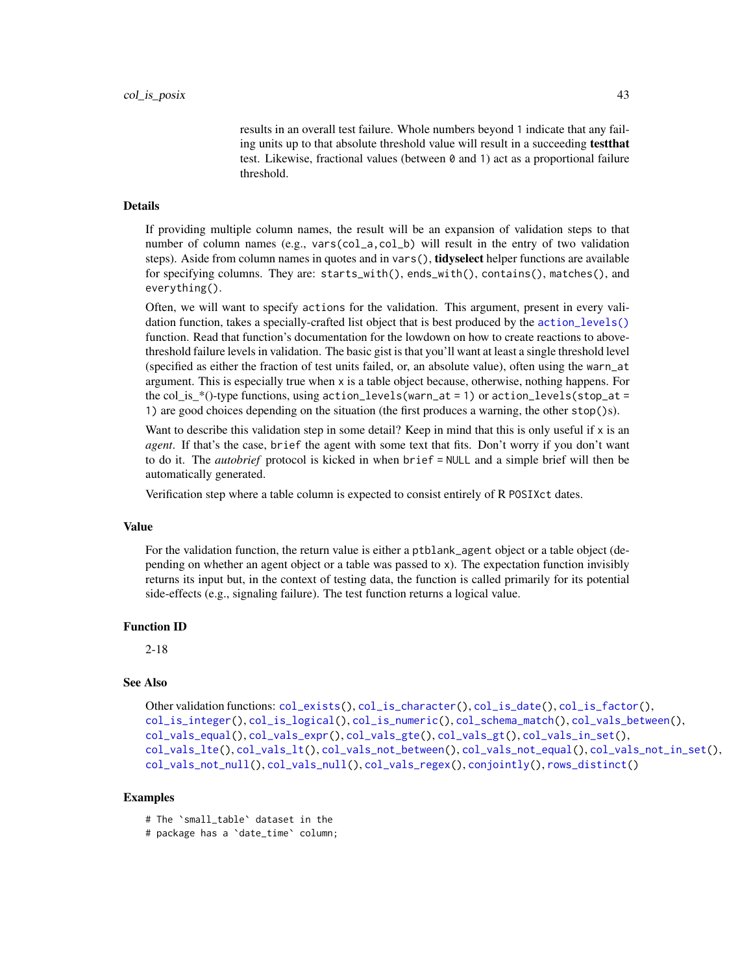results in an overall test failure. Whole numbers beyond 1 indicate that any failing units up to that absolute threshold value will result in a succeeding testthat test. Likewise, fractional values (between 0 and 1) act as a proportional failure threshold.

#### Details

If providing multiple column names, the result will be an expansion of validation steps to that number of column names (e.g., vars(col\_a,col\_b) will result in the entry of two validation steps). Aside from column names in quotes and in vars(), **tidyselect** helper functions are available for specifying columns. They are: starts\_with(), ends\_with(), contains(), matches(), and everything().

Often, we will want to specify actions for the validation. This argument, present in every validation function, takes a specially-crafted list object that is best produced by the [action\\_levels\(\)](#page-2-0) function. Read that function's documentation for the lowdown on how to create reactions to abovethreshold failure levels in validation. The basic gist is that you'll want at least a single threshold level (specified as either the fraction of test units failed, or, an absolute value), often using the warn\_at argument. This is especially true when x is a table object because, otherwise, nothing happens. For the col\_is\_\*()-type functions, using action\_levels(warn\_at = 1) or action\_levels(stop\_at = 1) are good choices depending on the situation (the first produces a warning, the other stop()s).

Want to describe this validation step in some detail? Keep in mind that this is only useful if x is an *agent*. If that's the case, brief the agent with some text that fits. Don't worry if you don't want to do it. The *autobrief* protocol is kicked in when brief = NULL and a simple brief will then be automatically generated.

Verification step where a table column is expected to consist entirely of R POSIXct dates.

#### Value

For the validation function, the return value is either a ptblank\_agent object or a table object (depending on whether an agent object or a table was passed to x). The expectation function invisibly returns its input but, in the context of testing data, the function is called primarily for its potential side-effects (e.g., signaling failure). The test function returns a logical value.

#### Function ID

2-18

## See Also

```
Other validation functions: col_exists(), col_is_character(), col_is_date(), col_is_factor(),
col_is_integer(), col_is_logical(), col_is_numeric(), col_schema_match(), col_vals_between(),
col_vals_equal(), col_vals_expr(), col_vals_gte(), col_vals_gt(), col_vals_in_set(),
col_vals_lte(), col_vals_lt(), col_vals_not_between(), col_vals_not_equal(), col_vals_not_in_set(),
col_vals_not_null(), col_vals_null(), col_vals_regex(), conjointly(), rows_distinct()
```
### Examples

# The `small\_table` dataset in the

```
# package has a `date_time` column;
```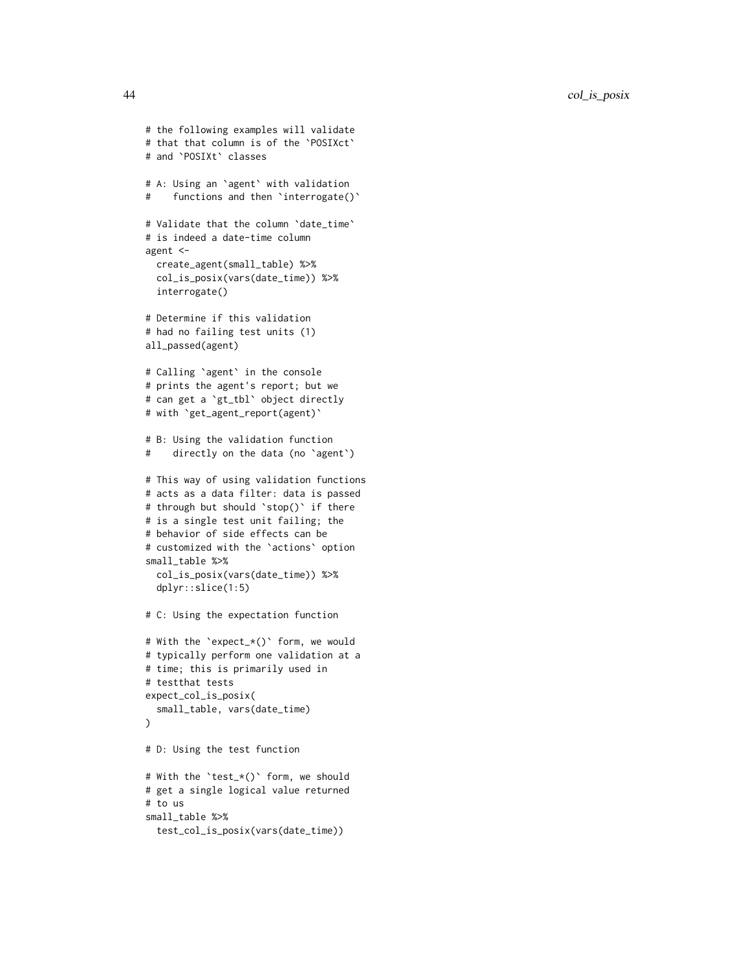```
# the following examples will validate
# that that column is of the `POSIXct`
# and `POSIXt` classes
# A: Using an `agent` with validation
# functions and then 'interrogate()'
# Validate that the column `date_time`
# is indeed a date-time column
agent <-
 create_agent(small_table) %>%
 col_is_posix(vars(date_time)) %>%
 interrogate()
# Determine if this validation
# had no failing test units (1)
all_passed(agent)
# Calling `agent` in the console
# prints the agent's report; but we
# can get a `gt_tbl` object directly
# with `get_agent_report(agent)`
# B: Using the validation function
# directly on the data (no `agent`)
# This way of using validation functions
# acts as a data filter: data is passed
# through but should `stop()` if there
# is a single test unit failing; the
# behavior of side effects can be
# customized with the `actions` option
small_table %>%
 col_is_posix(vars(date_time)) %>%
 dplyr::slice(1:5)
# C: Using the expectation function
# With the `expect_*()` form, we would
# typically perform one validation at a
# time; this is primarily used in
# testthat tests
expect_col_is_posix(
 small_table, vars(date_time)
\lambda# D: Using the test function
# With the `test_*()` form, we should
# get a single logical value returned
# to us
small_table %>%
 test_col_is_posix(vars(date_time))
```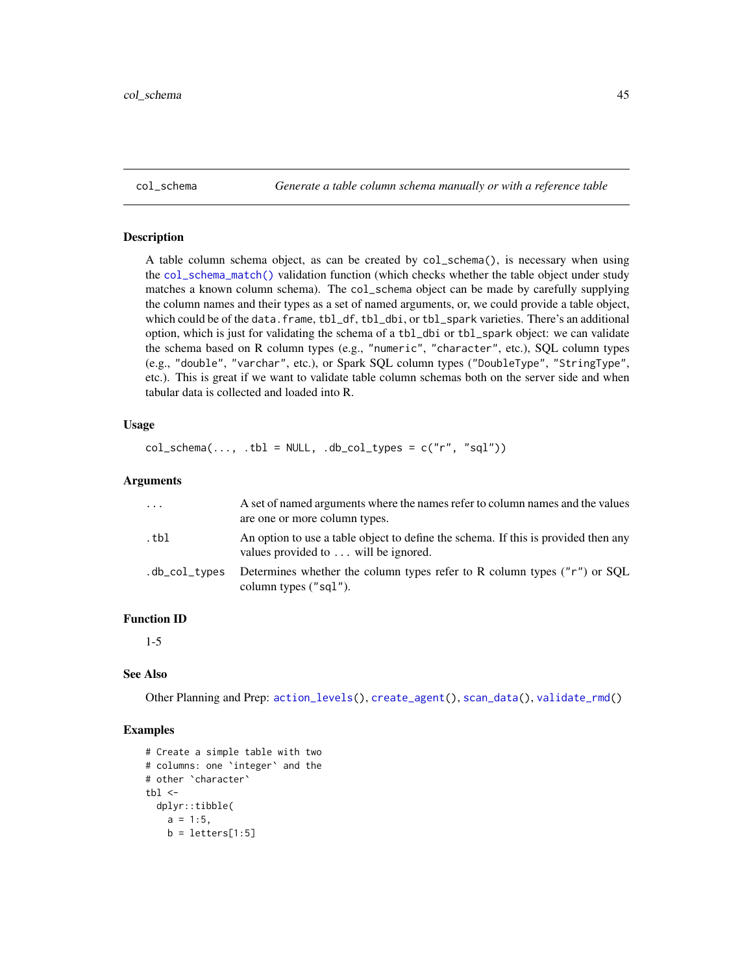<span id="page-44-0"></span>col\_schema *Generate a table column schema manually or with a reference table*

### Description

A table column schema object, as can be created by col\_schema(), is necessary when using the [col\\_schema\\_match\(\)](#page-45-0) validation function (which checks whether the table object under study matches a known column schema). The col\_schema object can be made by carefully supplying the column names and their types as a set of named arguments, or, we could provide a table object, which could be of the data.frame, tbl\_df, tbl\_dbi, or tbl\_spark varieties. There's an additional option, which is just for validating the schema of a tbl\_dbi or tbl\_spark object: we can validate the schema based on R column types (e.g., "numeric", "character", etc.), SQL column types (e.g., "double", "varchar", etc.), or Spark SQL column types ("DoubleType", "StringType", etc.). This is great if we want to validate table column schemas both on the server side and when tabular data is collected and loaded into R.

### Usage

```
col\_scheme(..., .tb1 = NULL, .db\_col\_types = c("r", "sgl"))
```
#### Arguments

| .             | A set of named arguments where the names refer to column names and the values<br>are one or more column types.             |
|---------------|----------------------------------------------------------------------------------------------------------------------------|
| .tbl          | An option to use a table object to define the schema. If this is provided then any<br>values provided to  will be ignored. |
| .db_col_types | Determines whether the column types refer to R column types ("r") or SQL<br>column types ("sql").                          |

### Function ID

1-5

### See Also

Other Planning and Prep: [action\\_levels\(](#page-2-0)), [create\\_agent\(](#page-115-0)), [scan\\_data\(](#page-138-0)), [validate\\_rmd\(](#page-144-0))

```
# Create a simple table with two
# columns: one `integer` and the
# other `character`
tb1 < -dplyr::tibble(
   a = 1:5,
   b = letters[1:5]
```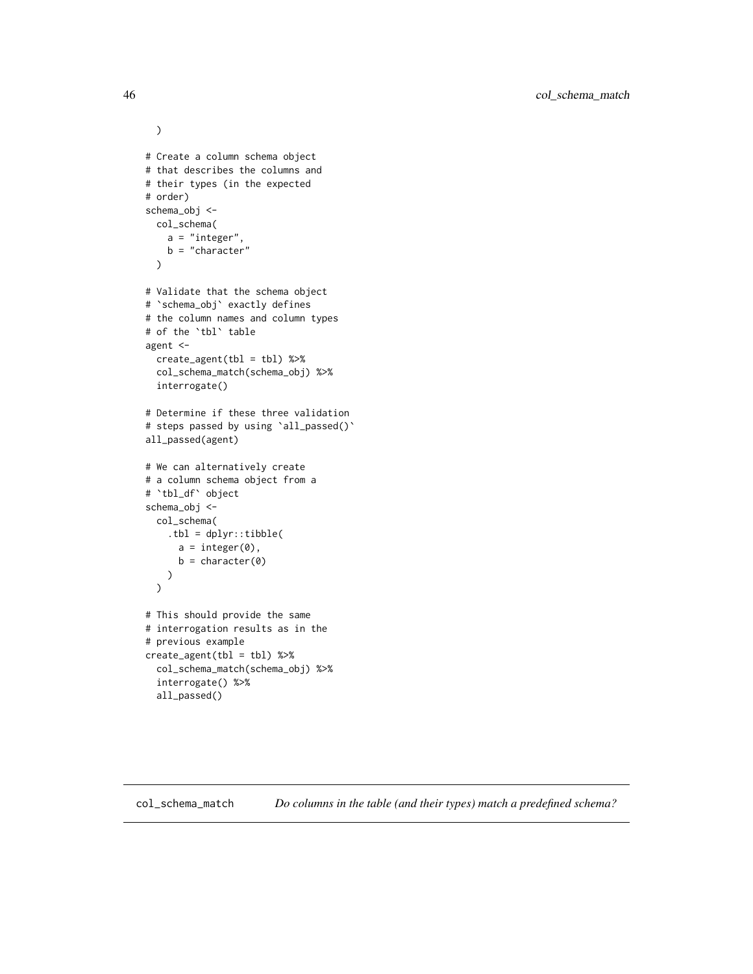```
)
# Create a column schema object
# that describes the columns and
# their types (in the expected
# order)
schema_obj <-
 col_schema(
   a = "integer",
   b = "character"
 \mathcal{L}# Validate that the schema object
# `schema_obj` exactly defines
# the column names and column types
# of the `tbl` table
agent <-
 create_agent(tbl = tbl) %>%
 col_schema_match(schema_obj) %>%
 interrogate()
# Determine if these three validation
# steps passed by using 'all_passed()'
all_passed(agent)
# We can alternatively create
# a column schema object from a
# `tbl_df` object
schema_obj <-
 col_schema(
   .tbl = dplyr::tibble(
     a = integer(0),
      b = character(0)
   )
 )
# This should provide the same
# interrogation results as in the
# previous example
create\_agent(tbl = tbl) %>%
 col_schema_match(schema_obj) %>%
 interrogate() %>%
 all_passed()
```
<span id="page-45-0"></span>col\_schema\_match *Do columns in the table (and their types) match a predefined schema?*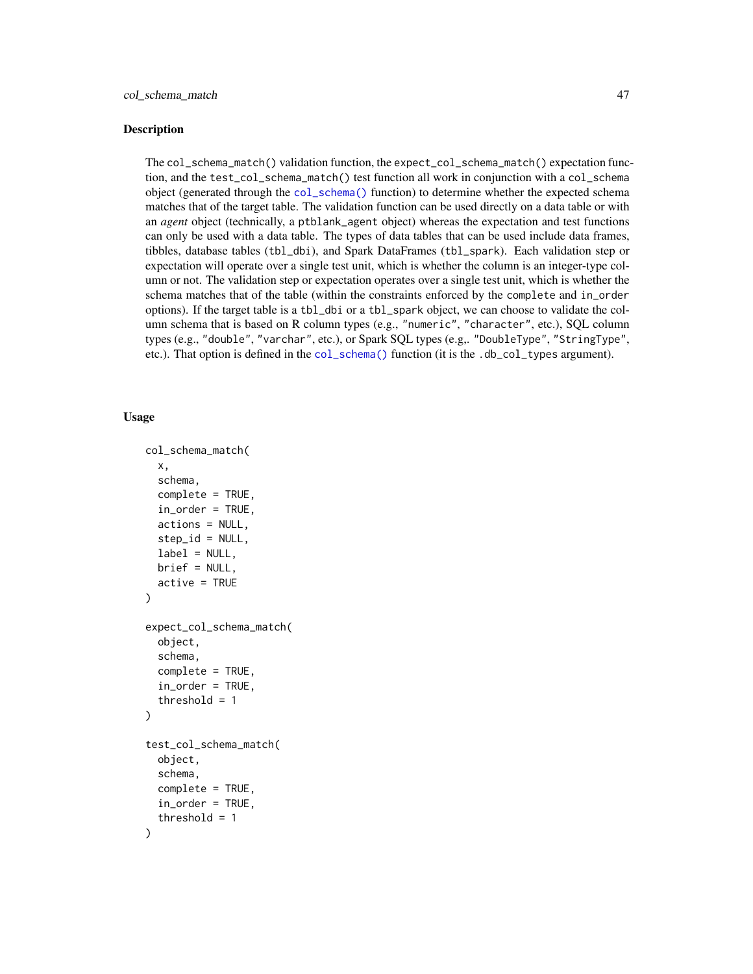#### **Description**

The col\_schema\_match() validation function, the expect\_col\_schema\_match() expectation function, and the test\_col\_schema\_match() test function all work in conjunction with a col\_schema object (generated through the [col\\_schema\(\)](#page-44-0) function) to determine whether the expected schema matches that of the target table. The validation function can be used directly on a data table or with an *agent* object (technically, a ptblank\_agent object) whereas the expectation and test functions can only be used with a data table. The types of data tables that can be used include data frames, tibbles, database tables (tbl\_dbi), and Spark DataFrames (tbl\_spark). Each validation step or expectation will operate over a single test unit, which is whether the column is an integer-type column or not. The validation step or expectation operates over a single test unit, which is whether the schema matches that of the table (within the constraints enforced by the complete and in\_order options). If the target table is a tbl\_dbi or a tbl\_spark object, we can choose to validate the column schema that is based on R column types (e.g., "numeric", "character", etc.), SQL column types (e.g., "double", "varchar", etc.), or Spark SQL types (e.g,. "DoubleType", "StringType", etc.). That option is defined in the [col\\_schema\(\)](#page-44-0) function (it is the .db\_col\_types argument).

#### Usage

```
col_schema_match(
  x,
  schema,
  complete = TRUE,
  in\_order = TRUE,
  actions = NULL,
  step_id = NULL,label = NULL,brief = NULL,
  active = TRUE
)
expect_col_schema_match(
  object,
  schema,
  complete = TRUE,
  in_order = TRUE,
  threshold = 1)
test_col_schema_match(
  object,
  schema,
  complete = TRUE,
  in_order = TRUE,
  threshold = 1
)
```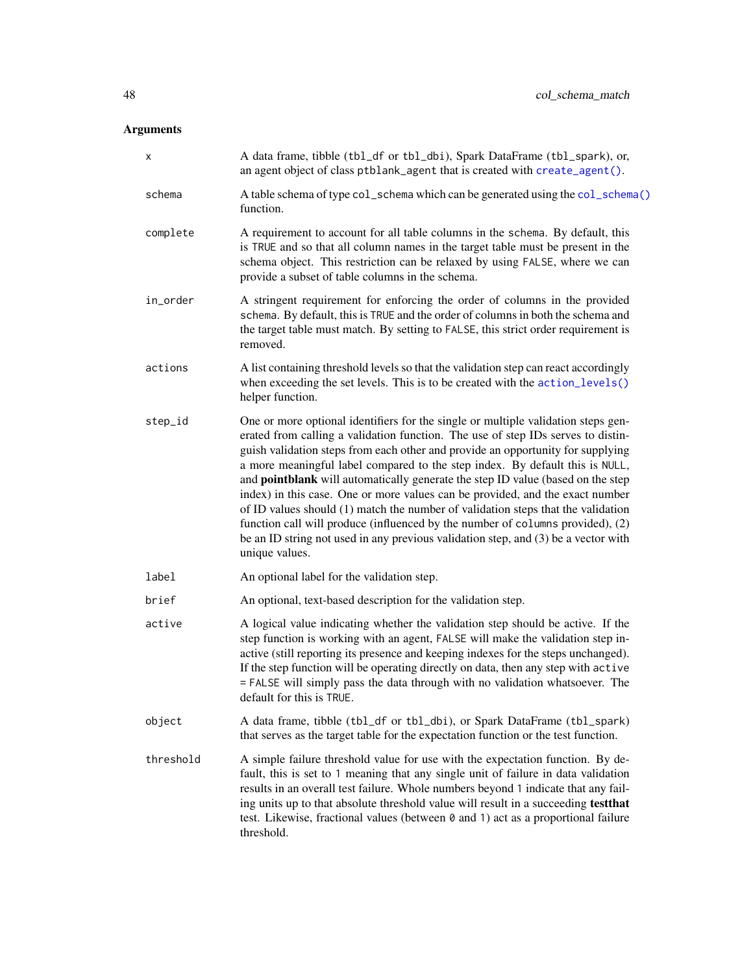# Arguments

|           | A data frame, tibble (tbl_df or tbl_dbi), Spark DataFrame (tbl_spark), or,                                                                                                                                                                                                                                                                                                                                                                                                                                                                                                                                                                                                                                                                                                                 |
|-----------|--------------------------------------------------------------------------------------------------------------------------------------------------------------------------------------------------------------------------------------------------------------------------------------------------------------------------------------------------------------------------------------------------------------------------------------------------------------------------------------------------------------------------------------------------------------------------------------------------------------------------------------------------------------------------------------------------------------------------------------------------------------------------------------------|
| х         | an agent object of class ptblank_agent that is created with create_agent().                                                                                                                                                                                                                                                                                                                                                                                                                                                                                                                                                                                                                                                                                                                |
| schema    | A table schema of type col_schema which can be generated using the col_schema()<br>function.                                                                                                                                                                                                                                                                                                                                                                                                                                                                                                                                                                                                                                                                                               |
| complete  | A requirement to account for all table columns in the schema. By default, this<br>is TRUE and so that all column names in the target table must be present in the<br>schema object. This restriction can be relaxed by using FALSE, where we can<br>provide a subset of table columns in the schema.                                                                                                                                                                                                                                                                                                                                                                                                                                                                                       |
| in_order  | A stringent requirement for enforcing the order of columns in the provided<br>schema. By default, this is TRUE and the order of columns in both the schema and<br>the target table must match. By setting to FALSE, this strict order requirement is<br>removed.                                                                                                                                                                                                                                                                                                                                                                                                                                                                                                                           |
| actions   | A list containing threshold levels so that the validation step can react accordingly<br>when exceeding the set levels. This is to be created with the action_levels()<br>helper function.                                                                                                                                                                                                                                                                                                                                                                                                                                                                                                                                                                                                  |
| step_id   | One or more optional identifiers for the single or multiple validation steps gen-<br>erated from calling a validation function. The use of step IDs serves to distin-<br>guish validation steps from each other and provide an opportunity for supplying<br>a more meaningful label compared to the step index. By default this is NULL,<br>and pointblank will automatically generate the step ID value (based on the step<br>index) in this case. One or more values can be provided, and the exact number<br>of ID values should (1) match the number of validation steps that the validation<br>function call will produce (influenced by the number of columns provided), (2)<br>be an ID string not used in any previous validation step, and (3) be a vector with<br>unique values. |
| label     | An optional label for the validation step.                                                                                                                                                                                                                                                                                                                                                                                                                                                                                                                                                                                                                                                                                                                                                 |
| brief     | An optional, text-based description for the validation step.                                                                                                                                                                                                                                                                                                                                                                                                                                                                                                                                                                                                                                                                                                                               |
| active    | A logical value indicating whether the validation step should be active. If the<br>step function is working with an agent, FALSE will make the validation step in-<br>active (still reporting its presence and keeping indexes for the steps unchanged).<br>If the step function will be operating directly on data, then any step with active<br>= FALSE will simply pass the data through with no validation whatsoever. The<br>default for this is TRUE.                                                                                                                                                                                                                                                                                                                                |
| object    | A data frame, tibble (tbl_df or tbl_dbi), or Spark DataFrame (tbl_spark)<br>that serves as the target table for the expectation function or the test function.                                                                                                                                                                                                                                                                                                                                                                                                                                                                                                                                                                                                                             |
| threshold | A simple failure threshold value for use with the expectation function. By de-<br>fault, this is set to 1 meaning that any single unit of failure in data validation<br>results in an overall test failure. Whole numbers beyond 1 indicate that any fail-<br>ing units up to that absolute threshold value will result in a succeeding testthat<br>test. Likewise, fractional values (between 0 and 1) act as a proportional failure<br>threshold.                                                                                                                                                                                                                                                                                                                                        |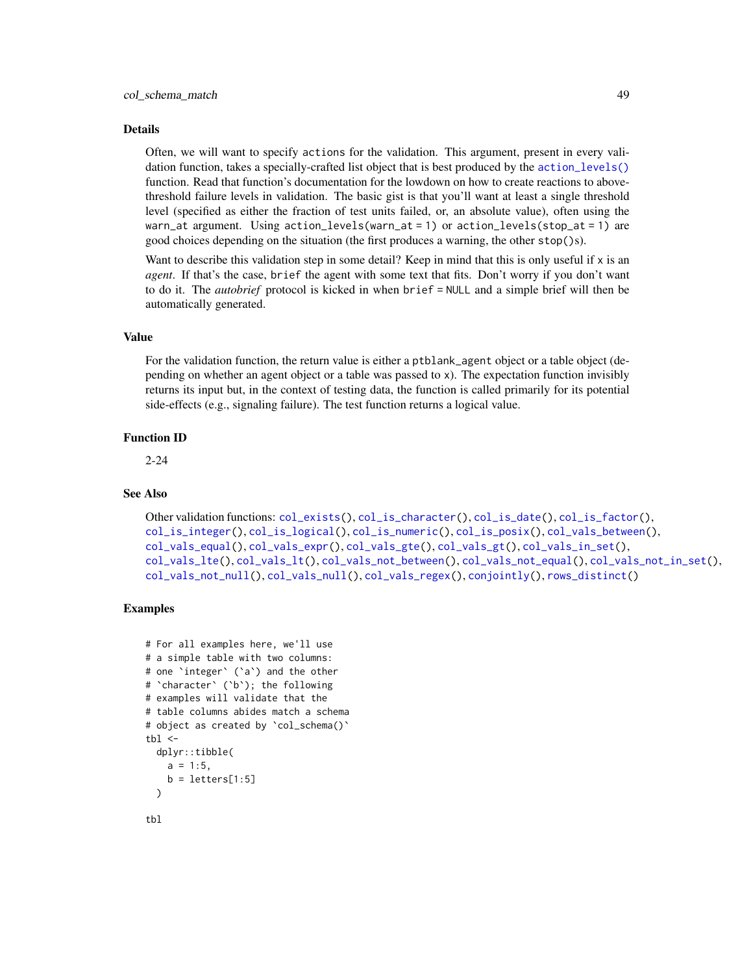#### Details

Often, we will want to specify actions for the validation. This argument, present in every validation function, takes a specially-crafted list object that is best produced by the [action\\_levels\(\)](#page-2-0) function. Read that function's documentation for the lowdown on how to create reactions to abovethreshold failure levels in validation. The basic gist is that you'll want at least a single threshold level (specified as either the fraction of test units failed, or, an absolute value), often using the warn\_at argument. Using action\_levels(warn\_at = 1) or action\_levels(stop\_at = 1) are good choices depending on the situation (the first produces a warning, the other stop()s).

Want to describe this validation step in some detail? Keep in mind that this is only useful if  $x$  is an *agent*. If that's the case, brief the agent with some text that fits. Don't worry if you don't want to do it. The *autobrief* protocol is kicked in when brief = NULL and a simple brief will then be automatically generated.

#### Value

For the validation function, the return value is either a ptblank\_agent object or a table object (depending on whether an agent object or a table was passed to x). The expectation function invisibly returns its input but, in the context of testing data, the function is called primarily for its potential side-effects (e.g., signaling failure). The test function returns a logical value.

### Function ID

2-24

### See Also

```
Other validation functions: col_exists(), col_is_character(), col_is_date(), col_is_factor(),
col_is_integer(), col_is_logical(), col_is_numeric(), col_is_posix(), col_vals_between(),
col_vals_equal(), col_vals_expr(), col_vals_gte(), col_vals_gt(), col_vals_in_set(),
col_vals_lte(), col_vals_lt(), col_vals_not_between(), col_vals_not_equal(), col_vals_not_in_set(),
col_vals_not_null(), col_vals_null(), col_vals_regex(), conjointly(), rows_distinct()
```

```
# For all examples here, we'll use
# a simple table with two columns:
# one `integer` (`a`) and the other
# `character` (`b`); the following
# examples will validate that the
# table columns abides match a schema
# object as created by `col_schema()`
tb1 < -dplyr::tibble(
   a = 1:5,
   b = letters[1:5])
tbl
```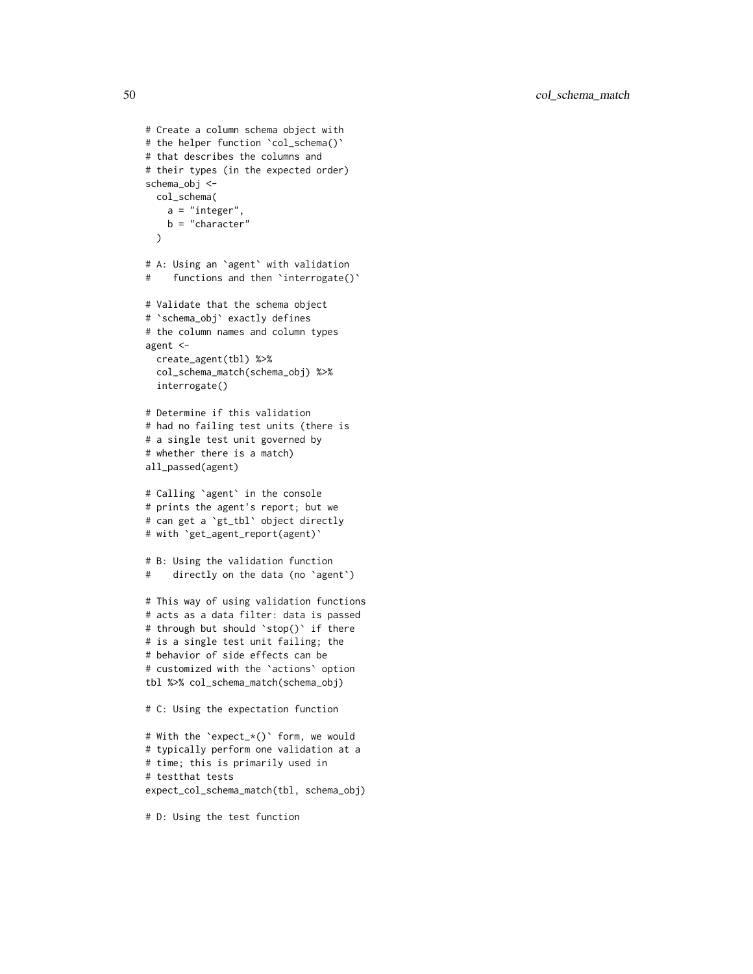50 col\_schema\_match

```
# Create a column schema object with
# the helper function 'col_schema()'
# that describes the columns and
# their types (in the expected order)
schema_obj <-
 col_schema(
   a = "interger",b = "character"
  \lambda# A: Using an `agent` with validation
# functions and then 'interrogate()'
# Validate that the schema object
# `schema_obj` exactly defines
# the column names and column types
agent <-
  create_agent(tbl) %>%
  col_schema_match(schema_obj) %>%
  interrogate()
# Determine if this validation
# had no failing test units (there is
# a single test unit governed by
# whether there is a match)
all_passed(agent)
# Calling `agent` in the console
# prints the agent's report; but we
# can get a `gt_tbl` object directly
# with `get_agent_report(agent)`
# B: Using the validation function
# directly on the data (no `agent`)
# This way of using validation functions
# acts as a data filter: data is passed
# through but should `stop()` if there
# is a single test unit failing; the
# behavior of side effects can be
# customized with the `actions` option
tbl %>% col_schema_match(schema_obj)
# C: Using the expectation function
# With the `expect_*()` form, we would
# typically perform one validation at a
# time; this is primarily used in
# testthat tests
expect_col_schema_match(tbl, schema_obj)
```
# D: Using the test function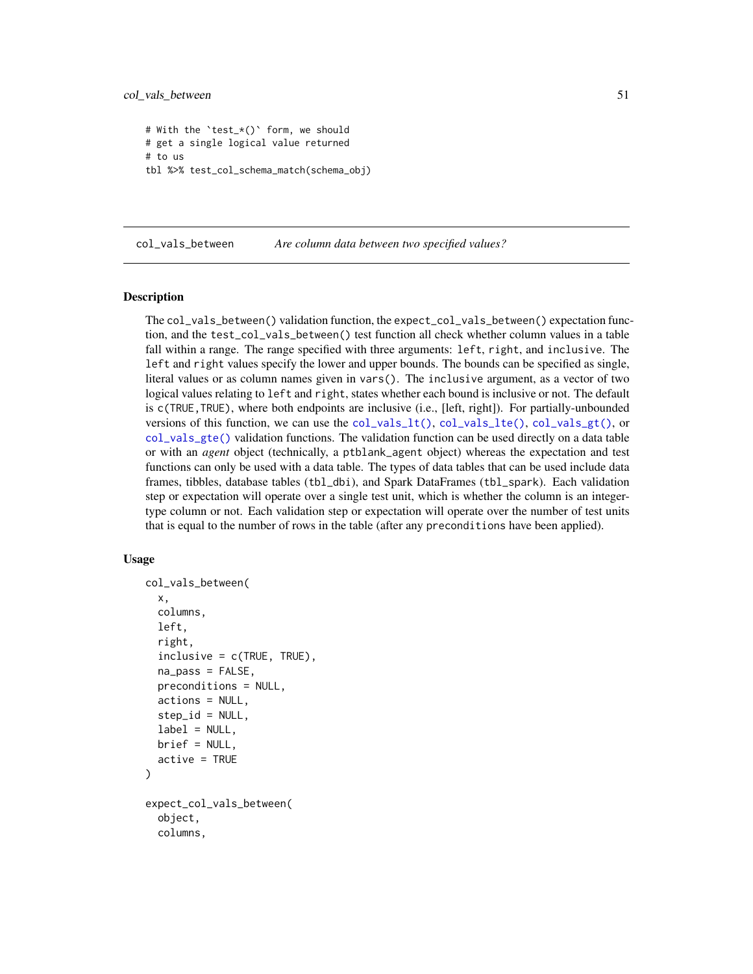col\_vals\_between 51

```
# With the `test_*()` form, we should
# get a single logical value returned
# to us
tbl %>% test_col_schema_match(schema_obj)
```
<span id="page-50-0"></span>col\_vals\_between *Are column data between two specified values?*

### Description

The col\_vals\_between() validation function, the expect\_col\_vals\_between() expectation function, and the test\_col\_vals\_between() test function all check whether column values in a table fall within a range. The range specified with three arguments: left, right, and inclusive. The left and right values specify the lower and upper bounds. The bounds can be specified as single, literal values or as column names given in vars(). The inclusive argument, as a vector of two logical values relating to left and right, states whether each bound is inclusive or not. The default is c(TRUE,TRUE), where both endpoints are inclusive (i.e., [left, right]). For partially-unbounded versions of this function, we can use the [col\\_vals\\_lt\(\)](#page-76-0), [col\\_vals\\_lte\(\)](#page-80-0), [col\\_vals\\_gt\(\)](#page-63-0), or [col\\_vals\\_gte\(\)](#page-68-0) validation functions. The validation function can be used directly on a data table or with an *agent* object (technically, a ptblank\_agent object) whereas the expectation and test functions can only be used with a data table. The types of data tables that can be used include data frames, tibbles, database tables (tbl\_dbi), and Spark DataFrames (tbl\_spark). Each validation step or expectation will operate over a single test unit, which is whether the column is an integertype column or not. Each validation step or expectation will operate over the number of test units that is equal to the number of rows in the table (after any preconditions have been applied).

#### Usage

```
col_vals_between(
  x,
  columns,
  left,
  right,
  inclusive = c(TRUE, TRUE),
  na_pass = FALSE,
  preconditions = NULL,
  actions = NULL,
  step_id = NULL,label = NULL,brief = NULL,
  active = TRUE
)
expect_col_vals_between(
  object,
  columns,
```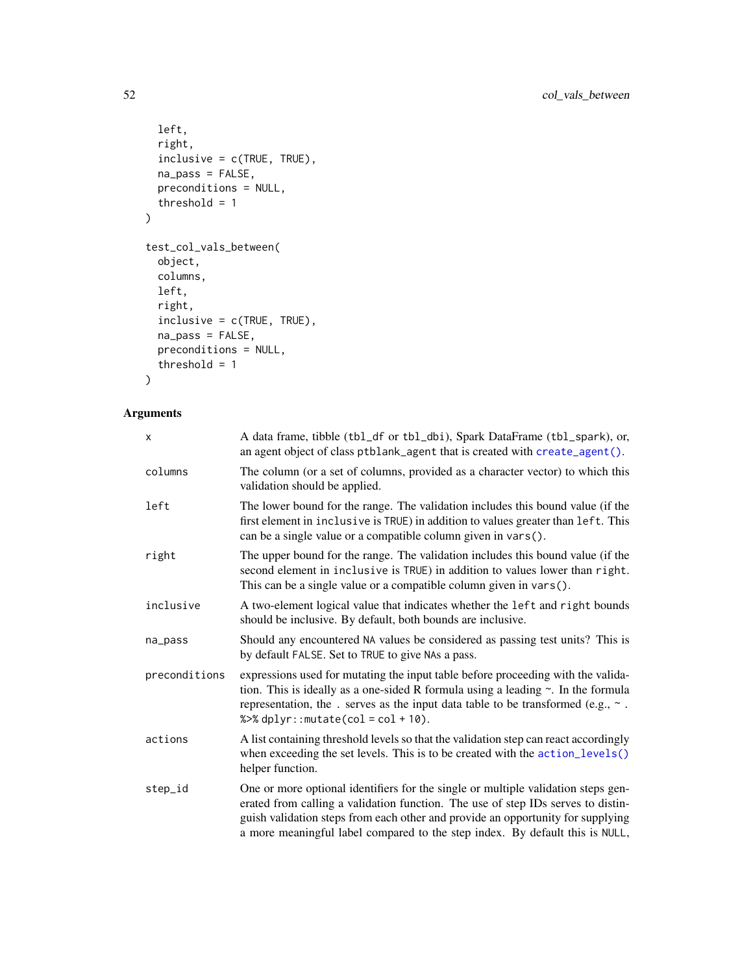```
left,
 right,
 inclusive = c(TRUE, TRUE),
 na_pass = FALSE,
 preconditions = NULL,
 threshold = 1
\mathcal{L}test_col_vals_between(
 object,
 columns,
 left,
 right,
  inclusive = c(TRUE, TRUE),
 na_pass = FALSE,
 preconditions = NULL,
  threshold = 1
```
# $\mathcal{L}$

# Arguments

| X             | A data frame, tibble (tbl_df or tbl_dbi), Spark DataFrame (tbl_spark), or,<br>an agent object of class ptblank_agent that is created with create_agent().                                                                                                                                                                                |
|---------------|------------------------------------------------------------------------------------------------------------------------------------------------------------------------------------------------------------------------------------------------------------------------------------------------------------------------------------------|
| columns       | The column (or a set of columns, provided as a character vector) to which this<br>validation should be applied.                                                                                                                                                                                                                          |
| left          | The lower bound for the range. The validation includes this bound value (if the<br>first element in inclusive is TRUE) in addition to values greater than left. This<br>can be a single value or a compatible column given in vars().                                                                                                    |
| right         | The upper bound for the range. The validation includes this bound value (if the<br>second element in inclusive is TRUE) in addition to values lower than right.<br>This can be a single value or a compatible column given in vars().                                                                                                    |
| inclusive     | A two-element logical value that indicates whether the left and right bounds<br>should be inclusive. By default, both bounds are inclusive.                                                                                                                                                                                              |
| na_pass       | Should any encountered NA values be considered as passing test units? This is<br>by default FALSE. Set to TRUE to give NAs a pass.                                                                                                                                                                                                       |
| preconditions | expressions used for mutating the input table before proceeding with the valida-<br>tion. This is ideally as a one-sided R formula using a leading $\sim$ . In the formula<br>representation, the . serves as the input data table to be transformed (e.g., $\sim$ .<br>% $>>$ dplyr:: mutate(col = col + 10).                           |
| actions       | A list containing threshold levels so that the validation step can react accordingly<br>when exceeding the set levels. This is to be created with the action_levels()<br>helper function.                                                                                                                                                |
| step_id       | One or more optional identifiers for the single or multiple validation steps gen-<br>erated from calling a validation function. The use of step IDs serves to distin-<br>guish validation steps from each other and provide an opportunity for supplying<br>a more meaningful label compared to the step index. By default this is NULL, |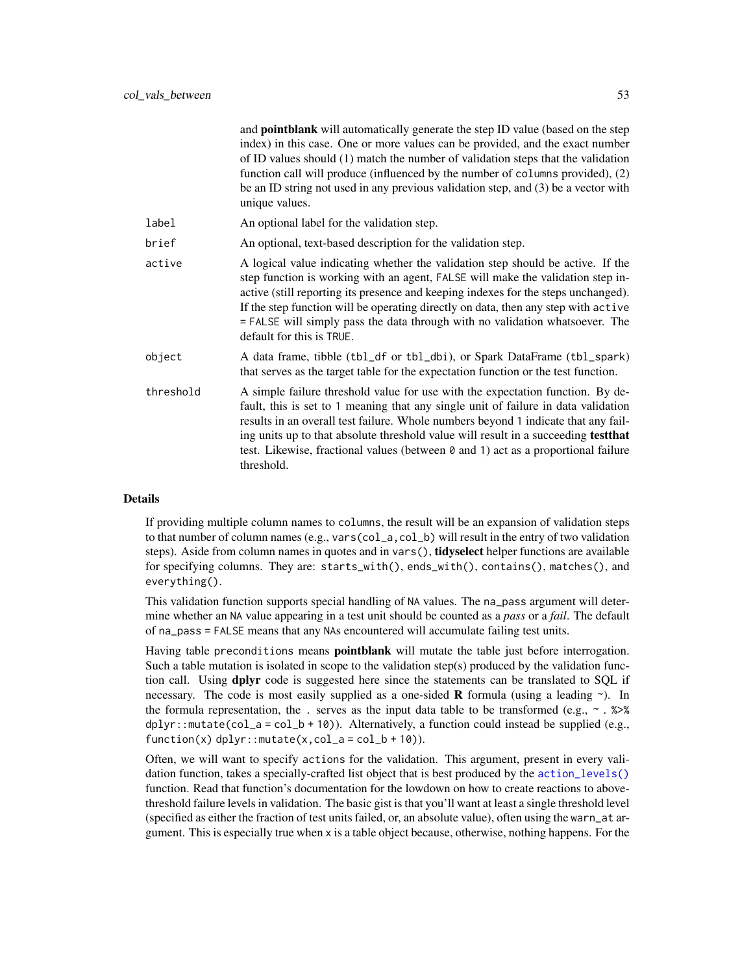|           | and <b>pointblank</b> will automatically generate the step ID value (based on the step<br>index) in this case. One or more values can be provided, and the exact number<br>of ID values should (1) match the number of validation steps that the validation<br>function call will produce (influenced by the number of columns provided), (2)<br>be an ID string not used in any previous validation step, and $(3)$ be a vector with<br>unique values.     |
|-----------|-------------------------------------------------------------------------------------------------------------------------------------------------------------------------------------------------------------------------------------------------------------------------------------------------------------------------------------------------------------------------------------------------------------------------------------------------------------|
| label     | An optional label for the validation step.                                                                                                                                                                                                                                                                                                                                                                                                                  |
| brief     | An optional, text-based description for the validation step.                                                                                                                                                                                                                                                                                                                                                                                                |
| active    | A logical value indicating whether the validation step should be active. If the<br>step function is working with an agent, FALSE will make the validation step in-<br>active (still reporting its presence and keeping indexes for the steps unchanged).<br>If the step function will be operating directly on data, then any step with active<br>= FALSE will simply pass the data through with no validation whatsoever. The<br>default for this is TRUE. |
| object    | A data frame, tibble (tbl_df or tbl_dbi), or Spark DataFrame (tbl_spark)<br>that serves as the target table for the expectation function or the test function.                                                                                                                                                                                                                                                                                              |
| threshold | A simple failure threshold value for use with the expectation function. By de-<br>fault, this is set to 1 meaning that any single unit of failure in data validation<br>results in an overall test failure. Whole numbers beyond 1 indicate that any fail-<br>ing units up to that absolute threshold value will result in a succeeding test that<br>test. Likewise, fractional values (between 0 and 1) act as a proportional failure<br>threshold.        |
|           |                                                                                                                                                                                                                                                                                                                                                                                                                                                             |

#### Details

If providing multiple column names to columns, the result will be an expansion of validation steps to that number of column names (e.g., vars(col\_a,col\_b) will result in the entry of two validation steps). Aside from column names in quotes and in vars(), tidyselect helper functions are available for specifying columns. They are: starts\_with(), ends\_with(), contains(), matches(), and everything().

This validation function supports special handling of NA values. The na\_pass argument will determine whether an NA value appearing in a test unit should be counted as a *pass* or a *fail*. The default of na\_pass = FALSE means that any NAs encountered will accumulate failing test units.

Having table preconditions means **pointblank** will mutate the table just before interrogation. Such a table mutation is isolated in scope to the validation step(s) produced by the validation function call. Using dplyr code is suggested here since the statements can be translated to SQL if necessary. The code is most easily supplied as a one-sided **R** formula (using a leading  $\sim$ ). In the formula representation, the . serves as the input data table to be transformed (e.g.,  $\sim$  .  $\gg\$ dplyr::mutate(col\_a = col\_b + 10)). Alternatively, a function could instead be supplied (e.g.,  $function(x)$  dplyr::mutate(x,col\_a = col\_b + 10)).

Often, we will want to specify actions for the validation. This argument, present in every validation function, takes a specially-crafted list object that is best produced by the [action\\_levels\(\)](#page-2-0) function. Read that function's documentation for the lowdown on how to create reactions to abovethreshold failure levels in validation. The basic gist is that you'll want at least a single threshold level (specified as either the fraction of test units failed, or, an absolute value), often using the warn\_at argument. This is especially true when x is a table object because, otherwise, nothing happens. For the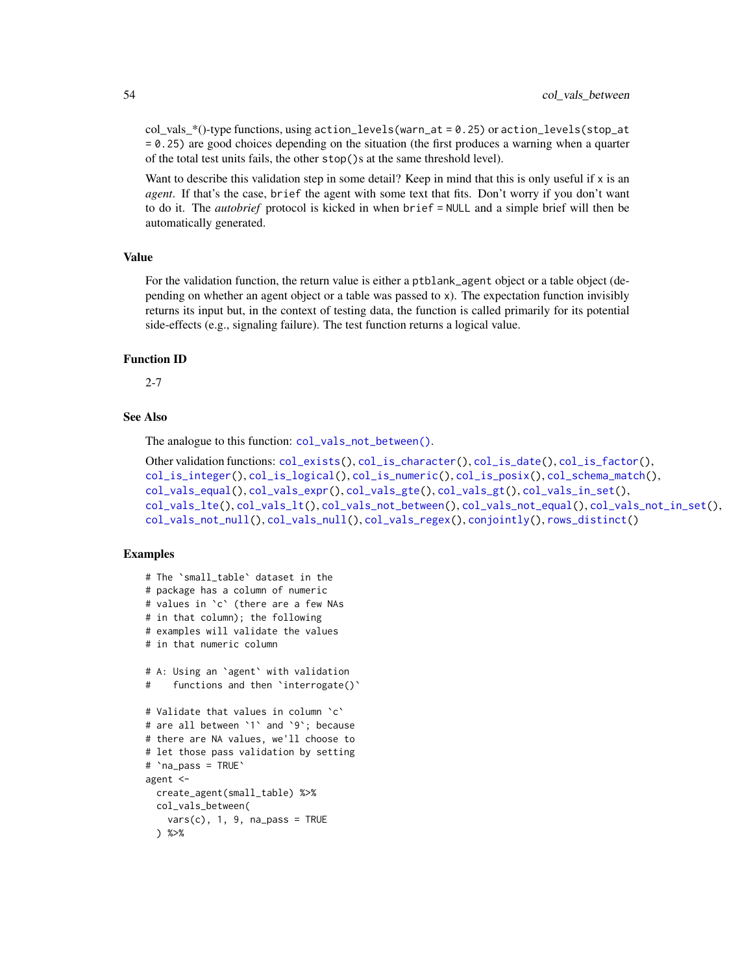$col\_vals^*()$ -type functions, using action\_levels(warn\_at = 0.25) or action\_levels(stop\_at = 0.25) are good choices depending on the situation (the first produces a warning when a quarter of the total test units fails, the other stop()s at the same threshold level).

Want to describe this validation step in some detail? Keep in mind that this is only useful if x is an *agent*. If that's the case, brief the agent with some text that fits. Don't worry if you don't want to do it. The *autobrief* protocol is kicked in when brief = NULL and a simple brief will then be automatically generated.

### Value

For the validation function, the return value is either a ptblank\_agent object or a table object (depending on whether an agent object or a table was passed to x). The expectation function invisibly returns its input but, in the context of testing data, the function is called primarily for its potential side-effects (e.g., signaling failure). The test function returns a logical value.

### Function ID

2-7

### See Also

The analogue to this function: [col\\_vals\\_not\\_between\(\)](#page-85-0).

```
Other validation functions: col_exists(), col_is_character(), col_is_date(), col_is_factor(),
col_is_integer(), col_is_logical(), col_is_numeric(), col_is_posix(), col_schema_match(),
col_vals_equal(), col_vals_expr(), col_vals_gte(), col_vals_gt(), col_vals_in_set(),
col_vals_lte(), col_vals_lt(), col_vals_not_between(), col_vals_not_equal(), col_vals_not_in_set(),
col_vals_not_null(), col_vals_null(), col_vals_regex(), conjointly(), rows_distinct()
```

```
# The `small_table` dataset in the
# package has a column of numeric
# values in `c` (there are a few NAs
# in that column); the following
# examples will validate the values
# in that numeric column
# A: Using an `agent` with validation
# functions and then 'interrogate()'
# Validate that values in column `c`
# are all between `1` and `9`; because
# there are NA values, we'll choose to
# let those pass validation by setting
# `na_pass = TRUE`
agent <-
 create_agent(small_table) %>%
 col_vals_between(
   vars(c), 1, 9, na_pass = TRUE
 ) %>%
```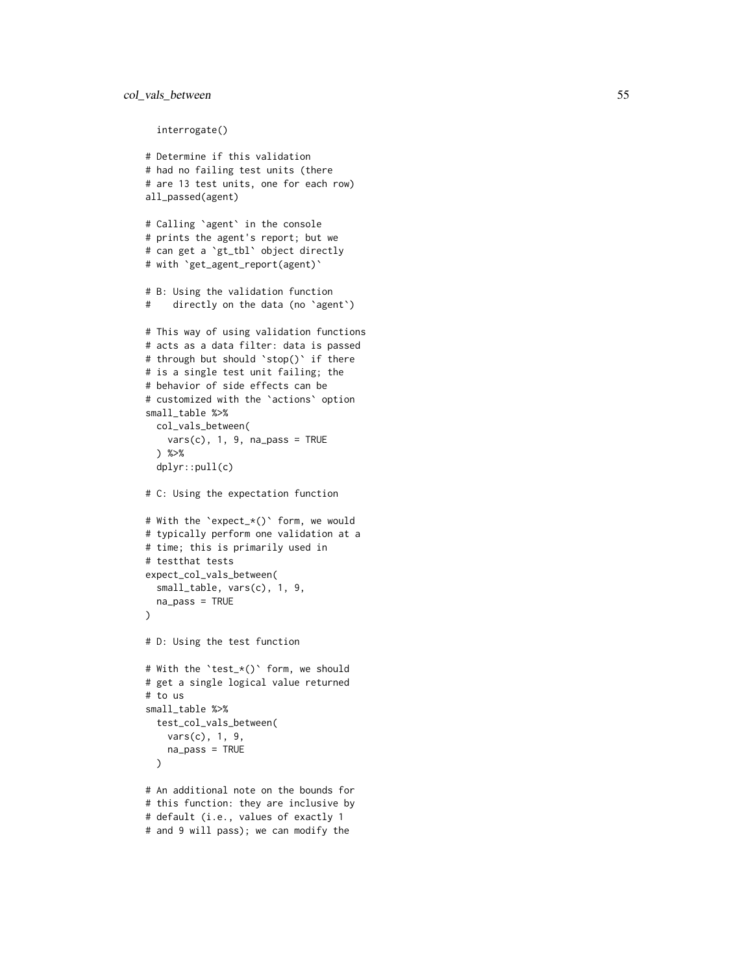### col\_vals\_between 55

interrogate()

```
# Determine if this validation
# had no failing test units (there
# are 13 test units, one for each row)
all_passed(agent)
# Calling
`agent
` in the console
# prints the agent's report; but we
# can get a
`gt_tbl
` object directly
# with
`get_agent_report(agent)
`
# B: Using the validation function
# directly on the data (no
`agent
`
)
# This way of using validation functions
# acts as a data filter: data is passed
# through but should
`stop()
` if there
# is a single test unit failing; the
# behavior of side effects can be
# customized with the
`actions
` option
small_table %>%
 col_vals_between(
   vars(c), 1, 9, na_pass = TRUE
  ) %>%
  dplyr::pull(c)
# C: Using the expectation function
# With the
`expect_*()
` form, we would
# typically perform one validation at a
# time; this is primarily used in
# testthat tests
expect_col_vals_between(
  small_table, vars(c), 1, 9,
  na_pass = TRUE
\lambda# D: Using the test function
# With the
`test_*()
` form, we should
# get a single logical value returned
# to us
small_table %>%
  test_col_vals_between(
    vars(c), 1, 9,
   na_pass = TRUE
  \lambda# An additional note on the bounds for
# this function: they are inclusive by
# default (i.e., values of exactly 1
```

```
# and 9 will pass); we can modify the
```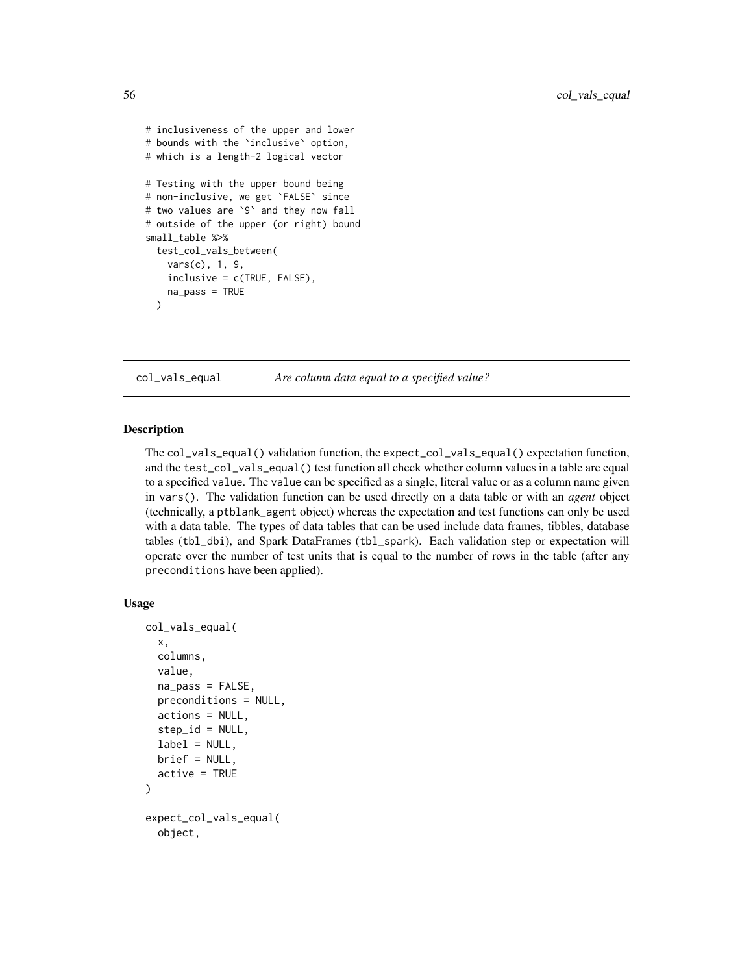```
# inclusiveness of the upper and lower
# bounds with the `inclusive` option,
# which is a length-2 logical vector
# Testing with the upper bound being
# non-inclusive, we get `FALSE` since
# two values are `9` and they now fall
# outside of the upper (or right) bound
small_table %>%
 test_col_vals_between(
    vars(c), 1, 9,
    inclusive = c(TRUE, FALSE),
   na_pass = TRUE
 )
```
<span id="page-55-0"></span>col\_vals\_equal *Are column data equal to a specified value?*

### Description

The col\_vals\_equal() validation function, the expect\_col\_vals\_equal() expectation function, and the test\_col\_vals\_equal() test function all check whether column values in a table are equal to a specified value. The value can be specified as a single, literal value or as a column name given in vars(). The validation function can be used directly on a data table or with an *agent* object (technically, a ptblank\_agent object) whereas the expectation and test functions can only be used with a data table. The types of data tables that can be used include data frames, tibbles, database tables (tbl\_dbi), and Spark DataFrames (tbl\_spark). Each validation step or expectation will operate over the number of test units that is equal to the number of rows in the table (after any preconditions have been applied).

#### Usage

```
col_vals_equal(
  x,
  columns,
  value,
  na_pass = FALSE,
  preconditions = NULL,
  actions = NULL,
  step_id = NULL,label = NULL,brief = NULL,active = TRUE)
expect_col_vals_equal(
  object,
```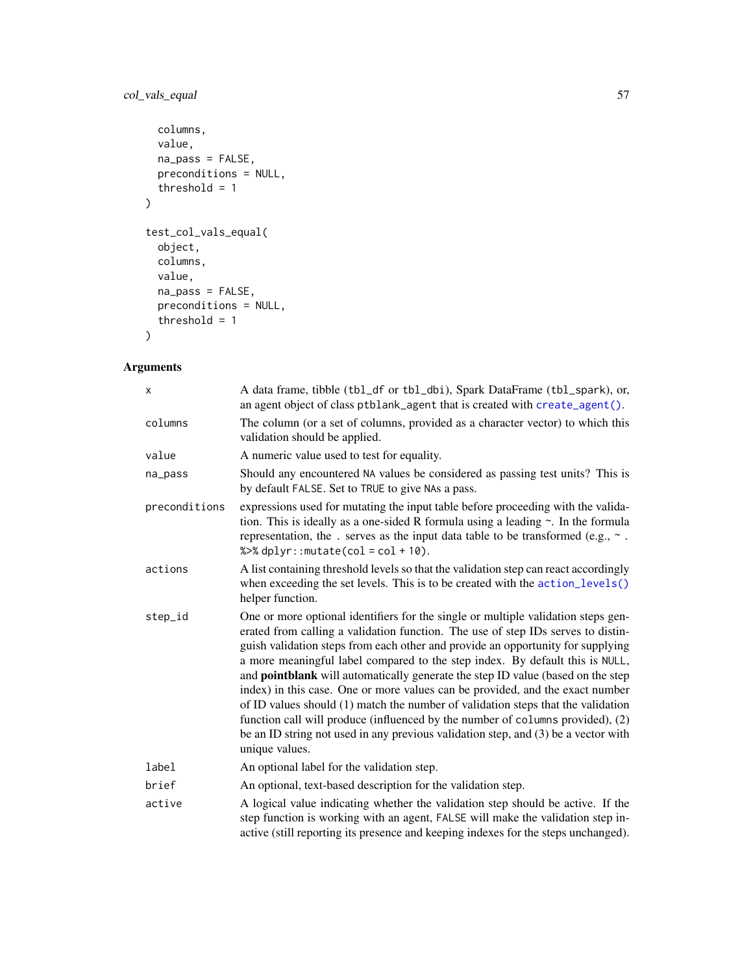## col\_vals\_equal 57

```
columns,
  value,
  na_pass = FALSE,
  preconditions = NULL,
  threshold = 1
\mathcal{L}test_col_vals_equal(
  object,
  columns,
  value,
  na_pass = FALSE,
  preconditions = NULL,
  threshold = 1
\mathcal{L}
```
## Arguments

| X             | A data frame, tibble (tbl_df or tbl_dbi), Spark DataFrame (tbl_spark), or,<br>an agent object of class ptblank_agent that is created with create_agent().                                                                                                                                                                                                                                                                                                                                                                                                                                                                                                                                                                                                                                  |
|---------------|--------------------------------------------------------------------------------------------------------------------------------------------------------------------------------------------------------------------------------------------------------------------------------------------------------------------------------------------------------------------------------------------------------------------------------------------------------------------------------------------------------------------------------------------------------------------------------------------------------------------------------------------------------------------------------------------------------------------------------------------------------------------------------------------|
| columns       | The column (or a set of columns, provided as a character vector) to which this<br>validation should be applied.                                                                                                                                                                                                                                                                                                                                                                                                                                                                                                                                                                                                                                                                            |
| value         | A numeric value used to test for equality.                                                                                                                                                                                                                                                                                                                                                                                                                                                                                                                                                                                                                                                                                                                                                 |
| na_pass       | Should any encountered NA values be considered as passing test units? This is<br>by default FALSE. Set to TRUE to give NAs a pass.                                                                                                                                                                                                                                                                                                                                                                                                                                                                                                                                                                                                                                                         |
| preconditions | expressions used for mutating the input table before proceeding with the valida-<br>tion. This is ideally as a one-sided R formula using a leading $\sim$ . In the formula<br>representation, the . serves as the input data table to be transformed (e.g., $\sim$ .<br>% $>$ % dplyr:: mutate(col = col + 10).                                                                                                                                                                                                                                                                                                                                                                                                                                                                            |
| actions       | A list containing threshold levels so that the validation step can react accordingly<br>when exceeding the set levels. This is to be created with the action_levels()<br>helper function.                                                                                                                                                                                                                                                                                                                                                                                                                                                                                                                                                                                                  |
| step_id       | One or more optional identifiers for the single or multiple validation steps gen-<br>erated from calling a validation function. The use of step IDs serves to distin-<br>guish validation steps from each other and provide an opportunity for supplying<br>a more meaningful label compared to the step index. By default this is NULL,<br>and pointblank will automatically generate the step ID value (based on the step<br>index) in this case. One or more values can be provided, and the exact number<br>of ID values should (1) match the number of validation steps that the validation<br>function call will produce (influenced by the number of columns provided), (2)<br>be an ID string not used in any previous validation step, and (3) be a vector with<br>unique values. |
| label         | An optional label for the validation step.                                                                                                                                                                                                                                                                                                                                                                                                                                                                                                                                                                                                                                                                                                                                                 |
| brief         | An optional, text-based description for the validation step.                                                                                                                                                                                                                                                                                                                                                                                                                                                                                                                                                                                                                                                                                                                               |
| active        | A logical value indicating whether the validation step should be active. If the<br>step function is working with an agent, FALSE will make the validation step in-<br>active (still reporting its presence and keeping indexes for the steps unchanged).                                                                                                                                                                                                                                                                                                                                                                                                                                                                                                                                   |
|               |                                                                                                                                                                                                                                                                                                                                                                                                                                                                                                                                                                                                                                                                                                                                                                                            |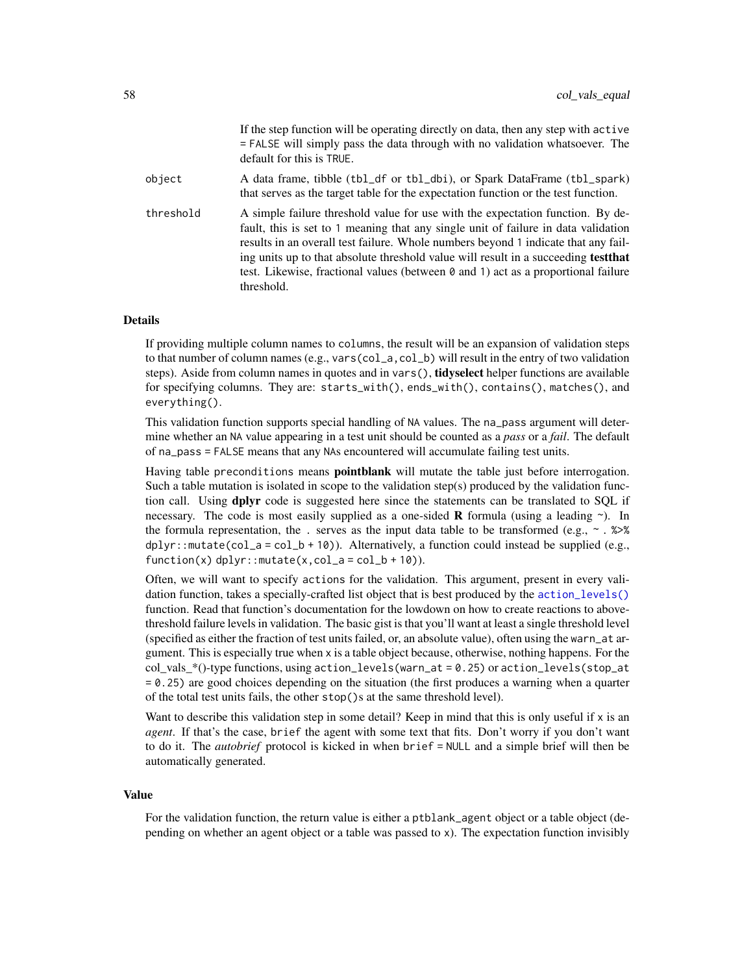|           | If the step function will be operating directly on data, then any step with active<br>= FALSE will simply pass the data through with no validation whatsoever. The<br>default for this is TRUE.                                                                                                                                                                                                                                                             |
|-----------|-------------------------------------------------------------------------------------------------------------------------------------------------------------------------------------------------------------------------------------------------------------------------------------------------------------------------------------------------------------------------------------------------------------------------------------------------------------|
| object    | A data frame, tibble (tbl_df or tbl_dbi), or Spark DataFrame (tbl_spark)<br>that serves as the target table for the expectation function or the test function.                                                                                                                                                                                                                                                                                              |
| threshold | A simple failure threshold value for use with the expectation function. By de-<br>fault, this is set to 1 meaning that any single unit of failure in data validation<br>results in an overall test failure. Whole numbers beyond 1 indicate that any fail-<br>ing units up to that absolute threshold value will result in a succeeding <b>test that</b><br>test. Likewise, fractional values (between 0 and 1) act as a proportional failure<br>threshold. |

If the step function will be operating directly on data, then any step with active

### Details

If providing multiple column names to columns, the result will be an expansion of validation steps to that number of column names (e.g., vars(col\_a,col\_b) will result in the entry of two validation steps). Aside from column names in quotes and in vars(), **tidyselect** helper functions are available for specifying columns. They are: starts\_with(), ends\_with(), contains(), matches(), and everything().

This validation function supports special handling of NA values. The na\_pass argument will determine whether an NA value appearing in a test unit should be counted as a *pass* or a *fail*. The default of na\_pass = FALSE means that any NAs encountered will accumulate failing test units.

Having table preconditions means **pointblank** will mutate the table just before interrogation. Such a table mutation is isolated in scope to the validation step(s) produced by the validation function call. Using **dplyr** code is suggested here since the statements can be translated to SOL if necessary. The code is most easily supplied as a one-sided **R** formula (using a leading  $\sim$ ). In the formula representation, the . serves as the input data table to be transformed (e.g.,  $\sim$  .  $\gg\$  $d$ ghlyr::mutate(col\_a = col\_b + 10)). Alternatively, a function could instead be supplied (e.g.,  $function(x)$  dplyr::mutate $(x, col_a = col_b + 10)$ ).

Often, we will want to specify actions for the validation. This argument, present in every validation function, takes a specially-crafted list object that is best produced by the [action\\_levels\(\)](#page-2-0) function. Read that function's documentation for the lowdown on how to create reactions to abovethreshold failure levels in validation. The basic gist is that you'll want at least a single threshold level (specified as either the fraction of test units failed, or, an absolute value), often using the warn\_at argument. This is especially true when x is a table object because, otherwise, nothing happens. For the  $col\_vals^*()$ -type functions, using action\_levels(warn\_at = 0.25) or action\_levels(stop\_at = 0.25) are good choices depending on the situation (the first produces a warning when a quarter of the total test units fails, the other stop()s at the same threshold level).

Want to describe this validation step in some detail? Keep in mind that this is only useful if x is an *agent*. If that's the case, brief the agent with some text that fits. Don't worry if you don't want to do it. The *autobrief* protocol is kicked in when brief = NULL and a simple brief will then be automatically generated.

#### Value

For the validation function, the return value is either a ptblank\_agent object or a table object (depending on whether an agent object or a table was passed to x). The expectation function invisibly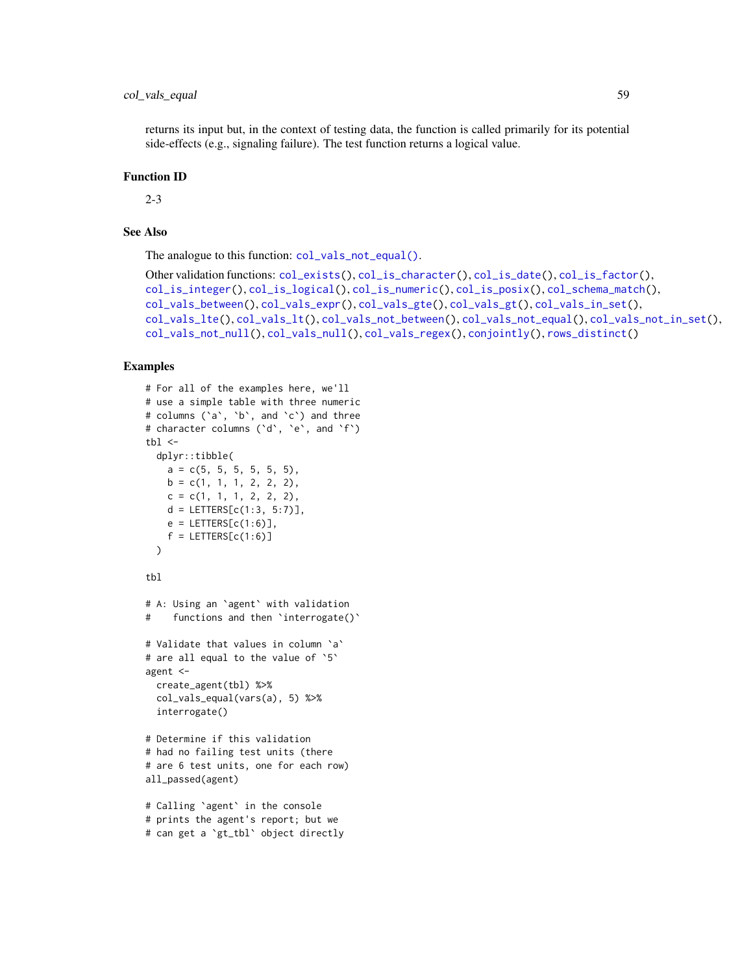### col\_vals\_equal 59

### Function ID

2-3

## See Also

The analogue to this function: [col\\_vals\\_not\\_equal\(\)](#page-90-0).

```
Other validation functions: col_exists(), col_is_character(), col_is_date(), col_is_factor(),
col_is_integer(), col_is_logical(), col_is_numeric(), col_is_posix(), col_schema_match(),
col_vals_between(), col_vals_expr(), col_vals_gte(), col_vals_gt(), col_vals_in_set(),
col_vals_lte(), col_vals_lt(), col_vals_not_between(), col_vals_not_equal(), col_vals_not_in_set(),
col_vals_not_null(), col_vals_null(), col_vals_regex(), conjointly(), rows_distinct()
```

```
# For all of the examples here, we'll
# use a simple table with three numeric
# columns (`a`, `b`, and `c`) and three
# character columns (`d`, `e`, and `f`)
thl < -dplyr::tibble(
   a = c(5, 5, 5, 5, 5, 5),
   b = c(1, 1, 1, 2, 2, 2),
   c = c(1, 1, 1, 2, 2, 2),
   d = LETTERS[c(1:3, 5:7)],
   e = LETTERS[c(1:6)],
    f = LETTERS[c(1:6)])
tbl
# A: Using an `agent` with validation
# functions and then `interrogate()`
# Validate that values in column `a`
# are all equal to the value of `5`
agent <-
  create_agent(tbl) %>%
  col_vals_equal(vars(a), 5) %>%
  interrogate()
# Determine if this validation
# had no failing test units (there
# are 6 test units, one for each row)
all_passed(agent)
# Calling `agent` in the console
# prints the agent's report; but we
# can get a `gt_tbl` object directly
```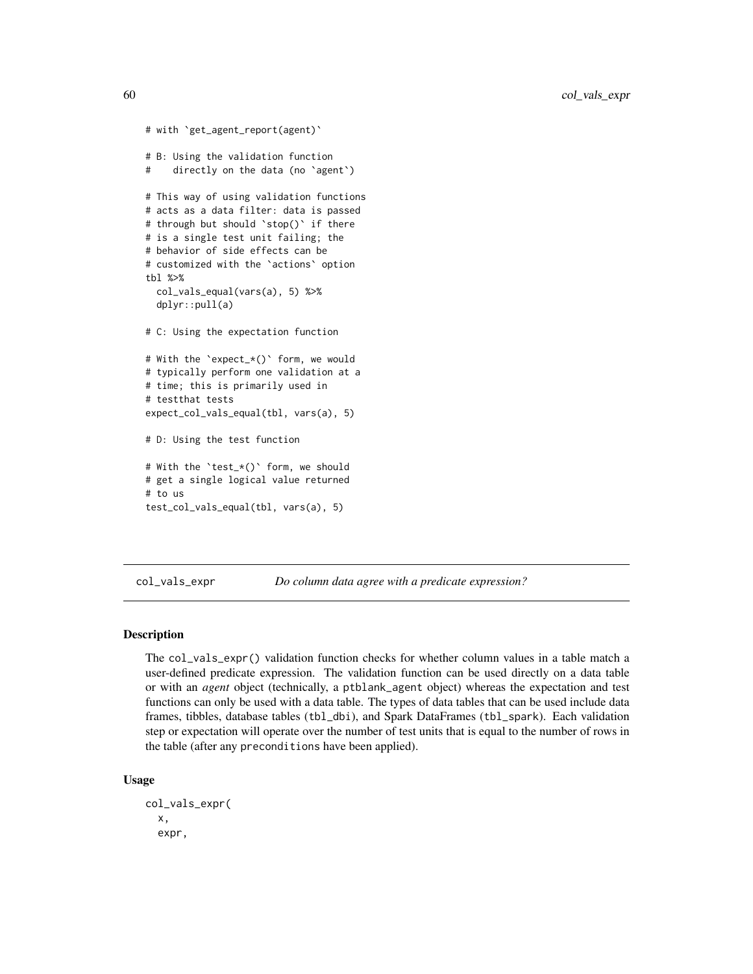```
# with `get_agent_report(agent)`
# B: Using the validation function
# directly on the data (no `agent`)
# This way of using validation functions
# acts as a data filter: data is passed
# through but should `stop()` if there
# is a single test unit failing; the
# behavior of side effects can be
# customized with the `actions` option
tbl %>%
 col_vals_equal(vars(a), 5) %>%
 dplyr::pull(a)
# C: Using the expectation function
# With the `expect_*()` form, we would
# typically perform one validation at a
# time; this is primarily used in
# testthat tests
expect_col_vals_equal(tbl, vars(a), 5)
# D: Using the test function
# With the `test_*()` form, we should
# get a single logical value returned
# to us
test_col_vals_equal(tbl, vars(a), 5)
```
<span id="page-59-0"></span>col\_vals\_expr *Do column data agree with a predicate expression?*

### Description

The col\_vals\_expr() validation function checks for whether column values in a table match a user-defined predicate expression. The validation function can be used directly on a data table or with an *agent* object (technically, a ptblank\_agent object) whereas the expectation and test functions can only be used with a data table. The types of data tables that can be used include data frames, tibbles, database tables (tbl\_dbi), and Spark DataFrames (tbl\_spark). Each validation step or expectation will operate over the number of test units that is equal to the number of rows in the table (after any preconditions have been applied).

#### Usage

```
col_vals_expr(
  x,
  expr,
```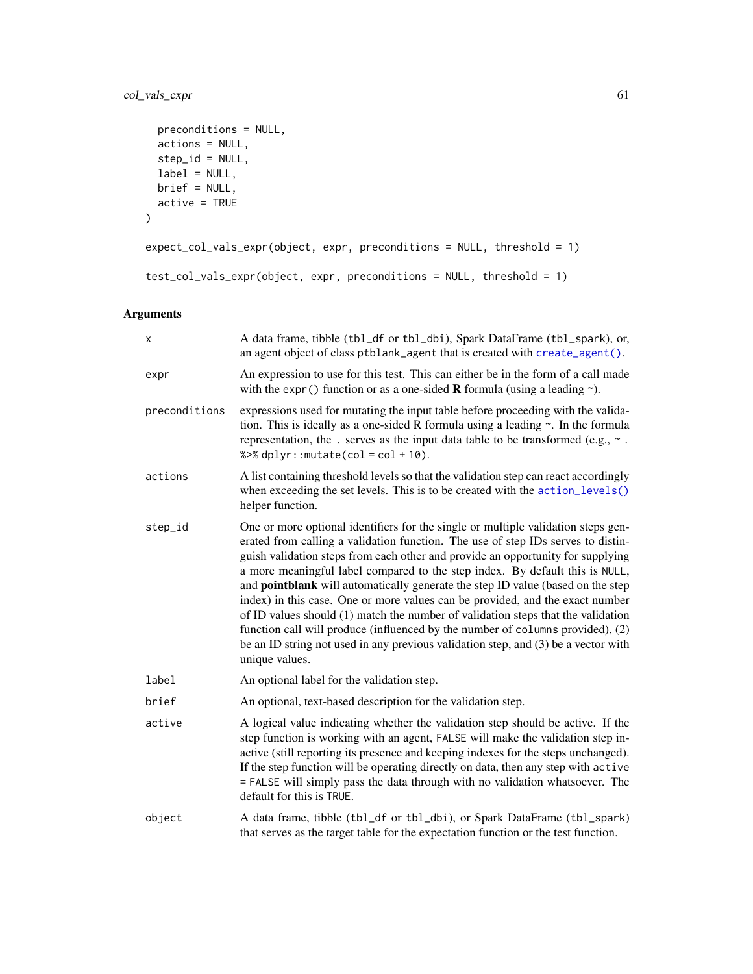```
preconditions = NULL,
 actions = NULL,
 step_id = NULL,label = NULL,brief = NULL,
 active = TRUE
\mathcal{L}expect_col_vals_expr(object, expr, preconditions = NULL, threshold = 1)
test_col_vals_expr(object, expr, preconditions = NULL, threshold = 1)
```
## Arguments

| х             | A data frame, tibble (tbl_df or tbl_dbi), Spark DataFrame (tbl_spark), or,<br>an agent object of class ptblank_agent that is created with create_agent().                                                                                                                                                                                                                                                                                                                                                                                                                                                                                                                                                                                                                                         |
|---------------|---------------------------------------------------------------------------------------------------------------------------------------------------------------------------------------------------------------------------------------------------------------------------------------------------------------------------------------------------------------------------------------------------------------------------------------------------------------------------------------------------------------------------------------------------------------------------------------------------------------------------------------------------------------------------------------------------------------------------------------------------------------------------------------------------|
| expr          | An expression to use for this test. This can either be in the form of a call made<br>with the expr() function or as a one-sided <b>R</b> formula (using a leading $\sim$ ).                                                                                                                                                                                                                                                                                                                                                                                                                                                                                                                                                                                                                       |
| preconditions | expressions used for mutating the input table before proceeding with the valida-<br>tion. This is ideally as a one-sided R formula using a leading $\sim$ . In the formula<br>representation, the . serves as the input data table to be transformed (e.g., $\sim$ .<br>% $>>$ dplyr:: mutate(col = col + 10).                                                                                                                                                                                                                                                                                                                                                                                                                                                                                    |
| actions       | A list containing threshold levels so that the validation step can react accordingly<br>when exceeding the set levels. This is to be created with the action_levels()<br>helper function.                                                                                                                                                                                                                                                                                                                                                                                                                                                                                                                                                                                                         |
| step_id       | One or more optional identifiers for the single or multiple validation steps gen-<br>erated from calling a validation function. The use of step IDs serves to distin-<br>guish validation steps from each other and provide an opportunity for supplying<br>a more meaningful label compared to the step index. By default this is NULL,<br>and <b>pointblank</b> will automatically generate the step ID value (based on the step<br>index) in this case. One or more values can be provided, and the exact number<br>of ID values should (1) match the number of validation steps that the validation<br>function call will produce (influenced by the number of columns provided), (2)<br>be an ID string not used in any previous validation step, and (3) be a vector with<br>unique values. |
| label         | An optional label for the validation step.                                                                                                                                                                                                                                                                                                                                                                                                                                                                                                                                                                                                                                                                                                                                                        |
| brief         | An optional, text-based description for the validation step.                                                                                                                                                                                                                                                                                                                                                                                                                                                                                                                                                                                                                                                                                                                                      |
| active        | A logical value indicating whether the validation step should be active. If the<br>step function is working with an agent, FALSE will make the validation step in-<br>active (still reporting its presence and keeping indexes for the steps unchanged).<br>If the step function will be operating directly on data, then any step with active<br>= FALSE will simply pass the data through with no validation whatsoever. The<br>default for this is TRUE.                                                                                                                                                                                                                                                                                                                                       |
| object        | A data frame, tibble (tbl_df or tbl_dbi), or Spark DataFrame (tbl_spark)<br>that serves as the target table for the expectation function or the test function.                                                                                                                                                                                                                                                                                                                                                                                                                                                                                                                                                                                                                                    |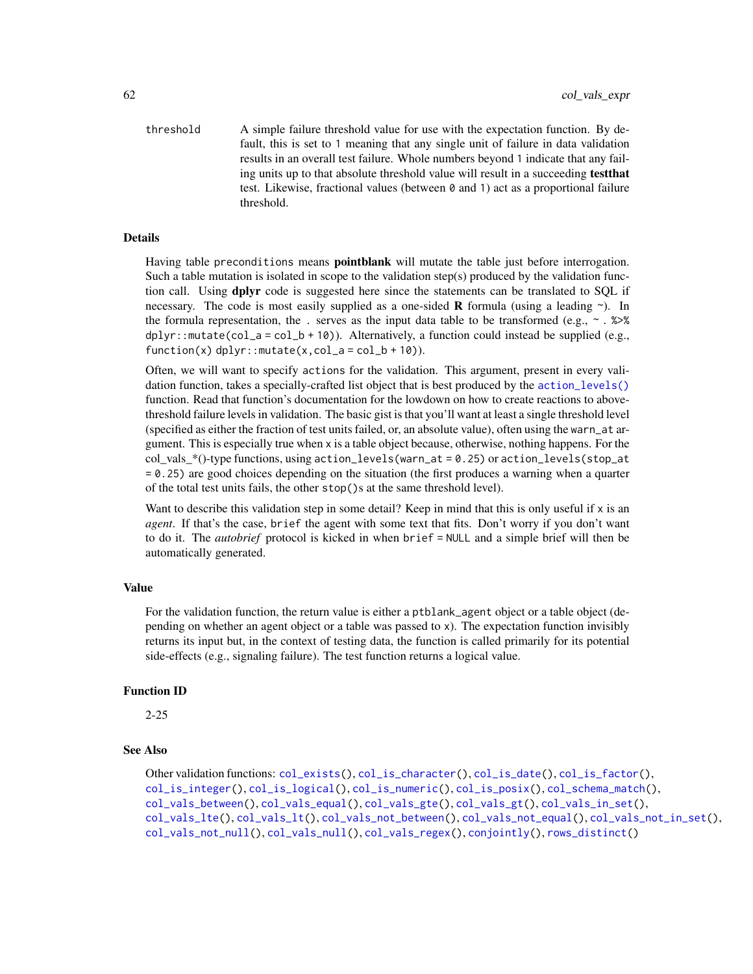threshold A simple failure threshold value for use with the expectation function. By default, this is set to 1 meaning that any single unit of failure in data validation results in an overall test failure. Whole numbers beyond 1 indicate that any failing units up to that absolute threshold value will result in a succeeding testthat test. Likewise, fractional values (between 0 and 1) act as a proportional failure threshold.

### Details

Having table preconditions means pointblank will mutate the table just before interrogation. Such a table mutation is isolated in scope to the validation step(s) produced by the validation function call. Using **dplyr** code is suggested here since the statements can be translated to SQL if necessary. The code is most easily supplied as a one-sided **R** formula (using a leading  $\sim$ ). In the formula representation, the . serves as the input data table to be transformed (e.g.,  $\sim$  .  $\gg$ )% dplyr::mutate(col\_a = col\_b + 10)). Alternatively, a function could instead be supplied (e.g.,  $function(x)$  dplyr::mutate(x,col\_a = col\_b + 10)).

Often, we will want to specify actions for the validation. This argument, present in every validation function, takes a specially-crafted list object that is best produced by the [action\\_levels\(\)](#page-2-0) function. Read that function's documentation for the lowdown on how to create reactions to abovethreshold failure levels in validation. The basic gist is that you'll want at least a single threshold level (specified as either the fraction of test units failed, or, an absolute value), often using the warn\_at argument. This is especially true when x is a table object because, otherwise, nothing happens. For the col\_vals\_\*()-type functions, using action\_levels(warn\_at = 0.25) or action\_levels(stop\_at = 0.25) are good choices depending on the situation (the first produces a warning when a quarter of the total test units fails, the other stop()s at the same threshold level).

Want to describe this validation step in some detail? Keep in mind that this is only useful if  $x$  is an *agent*. If that's the case, brief the agent with some text that fits. Don't worry if you don't want to do it. The *autobrief* protocol is kicked in when brief = NULL and a simple brief will then be automatically generated.

#### Value

For the validation function, the return value is either a ptblank\_agent object or a table object (depending on whether an agent object or a table was passed to x). The expectation function invisibly returns its input but, in the context of testing data, the function is called primarily for its potential side-effects (e.g., signaling failure). The test function returns a logical value.

### Function ID

2-25

### See Also

```
Other validation functions: col_exists(), col_is_character(), col_is_date(), col_is_factor(),
col_is_integer(), col_is_logical(), col_is_numeric(), col_is_posix(), col_schema_match(),
col_vals_between(), col_vals_equal(), col_vals_gte(), col_vals_gt(), col_vals_in_set(),
col_vals_lte(), col_vals_lt(), col_vals_not_between(), col_vals_not_equal(), col_vals_not_in_set(),
col_vals_not_null(), col_vals_null(), col_vals_regex(), conjointly(), rows_distinct()
```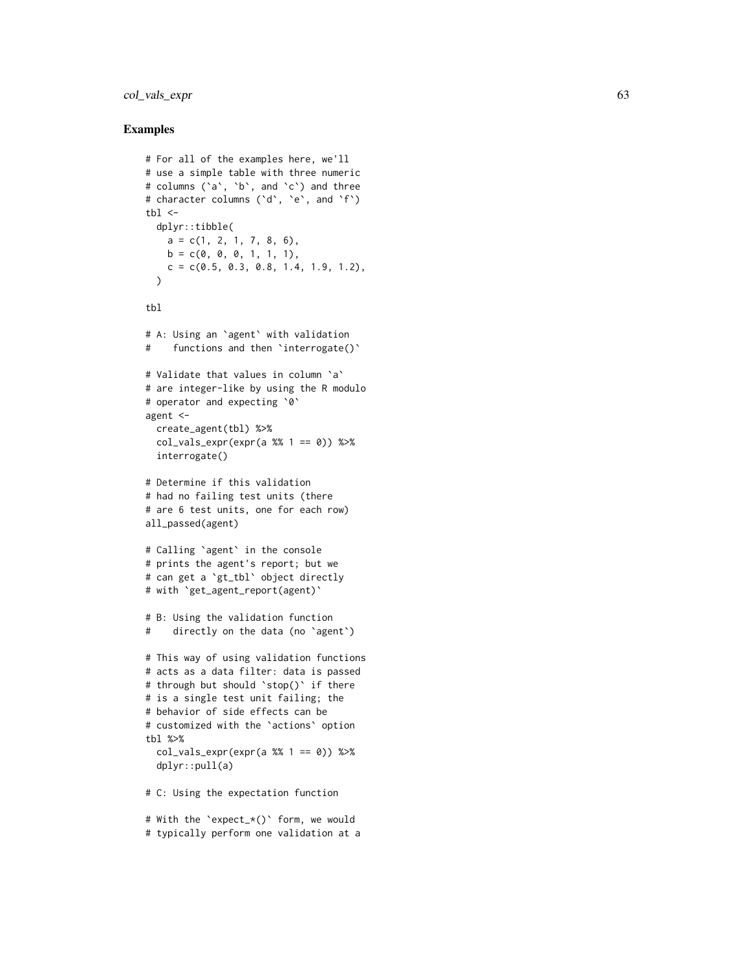### col\_vals\_expr 63

```
# For all of the examples here, we'll
# use a simple table with three numeric
# columns (`a`, `b`, and `c`) and three
# character columns (`d`, `e`, and `f`)
tb1 < -dplyr::tibble(
   a = c(1, 2, 1, 7, 8, 6),b = c(0, 0, 0, 1, 1, 1),c = c(0.5, 0.3, 0.8, 1.4, 1.9, 1.2),)
tbl
# A: Using an
`agent
` with validation
# functions and then
`interrogate()
`
# Validate that values in column
`
a
`
# are integer-like by using the R modulo
# operator and expecting
`
0
`
agent <-
  create_agent(tbl) %>%
  col\_vals\_expr(exp(a % 1 == 0)) %interrogate()
# Determine if this validation
# had no failing test units (there
# are 6 test units, one for each row)
all_passed(agent)
# Calling
`agent
` in the console
# prints the agent's report; but we
# can get a
`gt_tbl
` object directly
# with
`get_agent_report(agent)
`
# B: Using the validation function
# directly on the data (no
`agent
`
)
# This way of using validation functions
# acts as a data filter: data is passed
# through but should
`stop()
` if there
# is a single test unit failing; the
# behavior of side effects can be
# customized with the
`actions
` option
tbl %>%
  col\_vals\_expr(exp(a % 1 == 0)) %dplyr::pull(a)
# C: Using the expectation function
# With the
`expect_*()
` form, we would
# typically perform one validation at a
```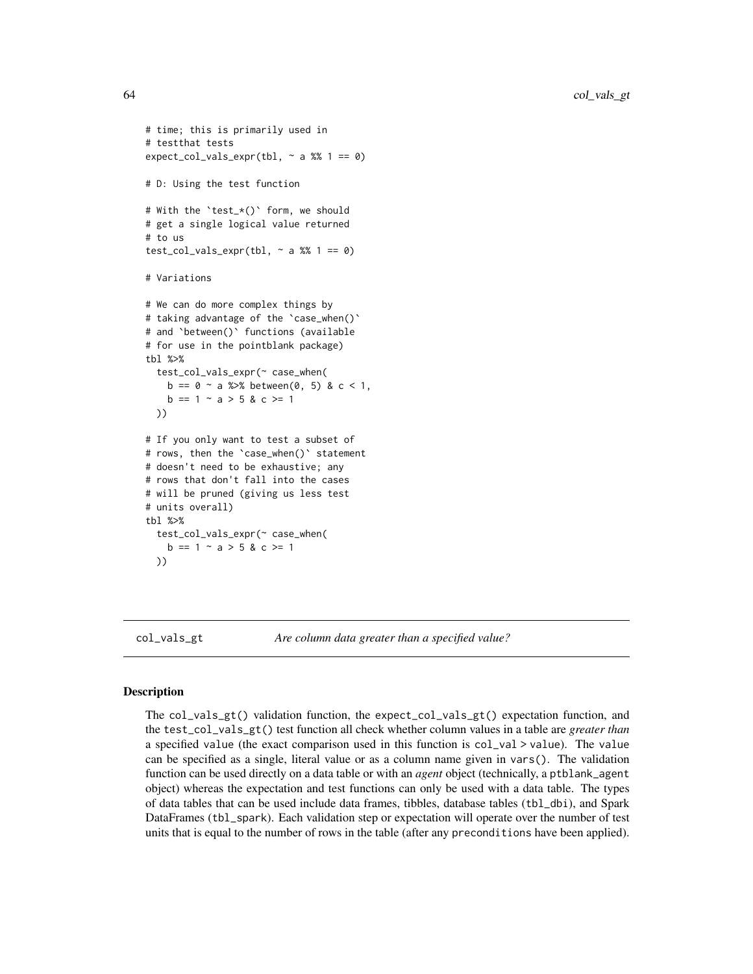```
# time; this is primarily used in
# testthat tests
expect_col_vals_expr(tbl, \sim a %% 1 == 0)
# D: Using the test function
# With the `test_*()` form, we should
# get a single logical value returned
# to us
test_col_vals_expr(tbl, \sim a %% 1 == 0)
# Variations
# We can do more complex things by
# taking advantage of the `case_when()`
# and `between()` functions (available
# for use in the pointblank package)
tbl %>%
 test_col_vals_expr(~ case_when(
   b == 0 \sim a %>% between(0, 5) & c < 1,
   b == 1 - a > 5 & c >= 1
 ))
# If you only want to test a subset of
# rows, then the `case_when()` statement
# doesn't need to be exhaustive; any
# rows that don't fall into the cases
# will be pruned (giving us less test
# units overall)
tbl %>%
 test_col_vals_expr(~ case_when(
   b == 1 ~ ~ a > 5 ~ & c > = 1))
```
col\_vals\_gt *Are column data greater than a specified value?*

### **Description**

The col\_vals\_gt() validation function, the expect\_col\_vals\_gt() expectation function, and the test\_col\_vals\_gt() test function all check whether column values in a table are *greater than* a specified value (the exact comparison used in this function is col\_val > value). The value can be specified as a single, literal value or as a column name given in vars(). The validation function can be used directly on a data table or with an *agent* object (technically, a ptblank\_agent object) whereas the expectation and test functions can only be used with a data table. The types of data tables that can be used include data frames, tibbles, database tables (tbl\_dbi), and Spark DataFrames (tbl\_spark). Each validation step or expectation will operate over the number of test units that is equal to the number of rows in the table (after any preconditions have been applied).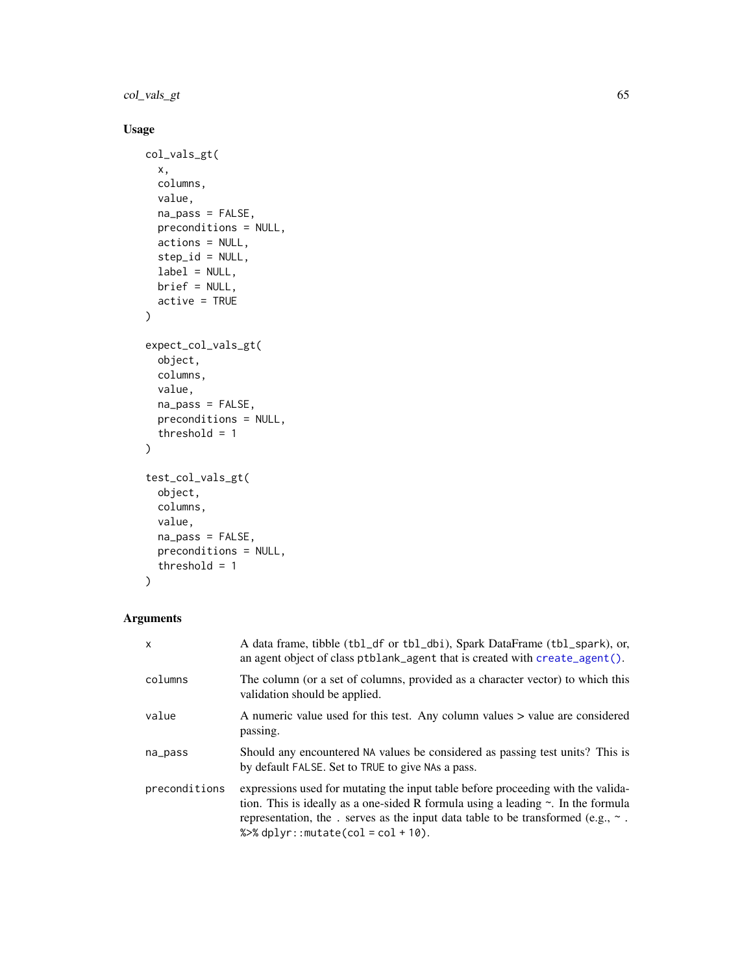col\_vals\_gt 65

## Usage

```
col_vals_gt(
  x,
  columns,
  value,
  na_pass = FALSE,
  preconditions = NULL,
  actions = NULL,
  step_id = NULL,
  label = NULL,brief = NULL,
  active = TRUE
\mathcal{L}expect_col_vals_gt(
  object,
  columns,
  value,
  na_pass = FALSE,
  preconditions = NULL,
  threshold = 1
\mathcal{L}test_col_vals_gt(
  object,
  columns,
  value,
  na_pass = FALSE,
  preconditions = NULL,
  threshold = 1
)
```
## Arguments

| $\mathsf{x}$  | A data frame, tibble (tbl_df or tbl_dbi), Spark DataFrame (tbl_spark), or,<br>an agent object of class $ptblank\_\text{agent}$ that is created with create $\_\text{agent}()$ .                                                                                                                                 |
|---------------|-----------------------------------------------------------------------------------------------------------------------------------------------------------------------------------------------------------------------------------------------------------------------------------------------------------------|
| columns       | The column (or a set of columns, provided as a character vector) to which this<br>validation should be applied.                                                                                                                                                                                                 |
| value         | A numeric value used for this test. Any column values > value are considered<br>passing.                                                                                                                                                                                                                        |
| na_pass       | Should any encountered NA values be considered as passing test units? This is<br>by default FALSE. Set to TRUE to give NAs a pass.                                                                                                                                                                              |
| preconditions | expressions used for mutating the input table before proceeding with the valida-<br>tion. This is ideally as a one-sided R formula using a leading $\sim$ . In the formula<br>representation, the . serves as the input data table to be transformed (e.g., $\sim$ .<br>% $\gg$ dplyr:: mutate(col = col + 10). |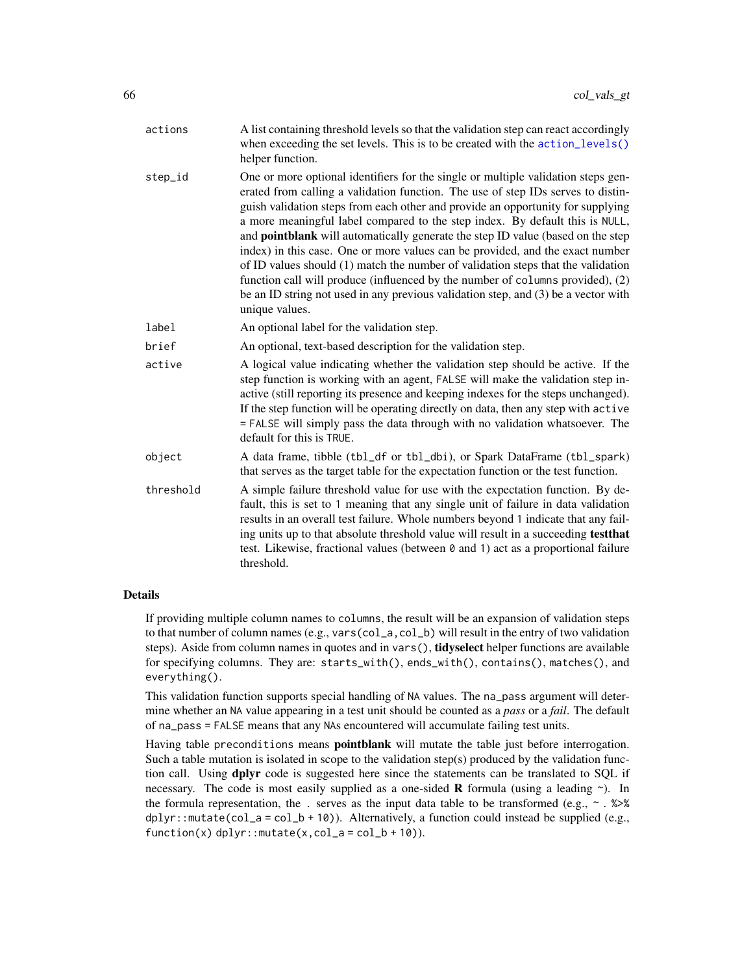| actions   | A list containing threshold levels so that the validation step can react accordingly<br>when exceeding the set levels. This is to be created with the action_levels()<br>helper function.                                                                                                                                                                                                                                                                                                                                                                                                                                                                                                                                                                                                         |
|-----------|---------------------------------------------------------------------------------------------------------------------------------------------------------------------------------------------------------------------------------------------------------------------------------------------------------------------------------------------------------------------------------------------------------------------------------------------------------------------------------------------------------------------------------------------------------------------------------------------------------------------------------------------------------------------------------------------------------------------------------------------------------------------------------------------------|
| step_id   | One or more optional identifiers for the single or multiple validation steps gen-<br>erated from calling a validation function. The use of step IDs serves to distin-<br>guish validation steps from each other and provide an opportunity for supplying<br>a more meaningful label compared to the step index. By default this is NULL,<br>and <b>pointblank</b> will automatically generate the step ID value (based on the step<br>index) in this case. One or more values can be provided, and the exact number<br>of ID values should (1) match the number of validation steps that the validation<br>function call will produce (influenced by the number of columns provided), (2)<br>be an ID string not used in any previous validation step, and (3) be a vector with<br>unique values. |
| label     | An optional label for the validation step.                                                                                                                                                                                                                                                                                                                                                                                                                                                                                                                                                                                                                                                                                                                                                        |
| brief     | An optional, text-based description for the validation step.                                                                                                                                                                                                                                                                                                                                                                                                                                                                                                                                                                                                                                                                                                                                      |
| active    | A logical value indicating whether the validation step should be active. If the<br>step function is working with an agent, FALSE will make the validation step in-<br>active (still reporting its presence and keeping indexes for the steps unchanged).<br>If the step function will be operating directly on data, then any step with active<br>= FALSE will simply pass the data through with no validation whatsoever. The<br>default for this is TRUE.                                                                                                                                                                                                                                                                                                                                       |
| object    | A data frame, tibble (tbl_df or tbl_dbi), or Spark DataFrame (tbl_spark)<br>that serves as the target table for the expectation function or the test function.                                                                                                                                                                                                                                                                                                                                                                                                                                                                                                                                                                                                                                    |
| threshold | A simple failure threshold value for use with the expectation function. By de-<br>fault, this is set to 1 meaning that any single unit of failure in data validation<br>results in an overall test failure. Whole numbers beyond 1 indicate that any fail-<br>ing units up to that absolute threshold value will result in a succeeding test that<br>test. Likewise, fractional values (between 0 and 1) act as a proportional failure<br>threshold.                                                                                                                                                                                                                                                                                                                                              |

### Details

If providing multiple column names to columns, the result will be an expansion of validation steps to that number of column names (e.g., vars(col\_a,col\_b) will result in the entry of two validation steps). Aside from column names in quotes and in vars(), tidyselect helper functions are available for specifying columns. They are: starts\_with(), ends\_with(), contains(), matches(), and everything().

This validation function supports special handling of NA values. The na\_pass argument will determine whether an NA value appearing in a test unit should be counted as a *pass* or a *fail*. The default of na\_pass = FALSE means that any NAs encountered will accumulate failing test units.

Having table preconditions means **pointblank** will mutate the table just before interrogation. Such a table mutation is isolated in scope to the validation step(s) produced by the validation function call. Using **dplyr** code is suggested here since the statements can be translated to SQL if necessary. The code is most easily supplied as a one-sided **R** formula (using a leading  $\sim$ ). In the formula representation, the . serves as the input data table to be transformed (e.g.,  $\sim$  .  $\gg$ dplyr::mutate(col\_a = col\_b + 10)). Alternatively, a function could instead be supplied (e.g.,  $function(x)$  dplyr::mutate(x,col\_a = col\_b + 10)).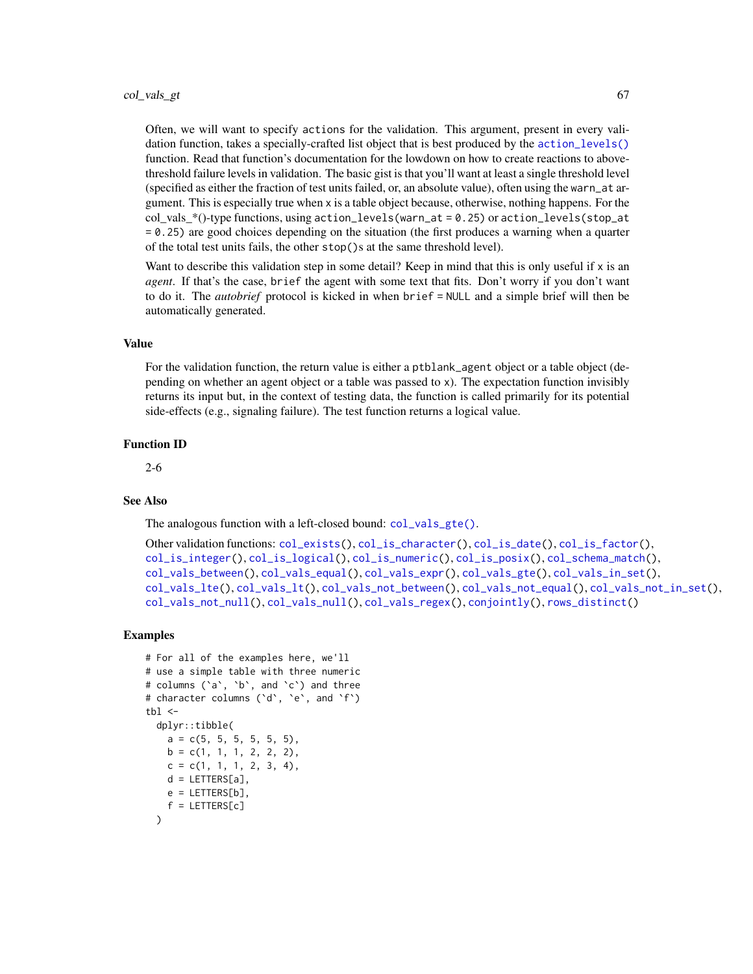Often, we will want to specify actions for the validation. This argument, present in every validation function, takes a specially-crafted list object that is best produced by the [action\\_levels\(\)](#page-2-0) function. Read that function's documentation for the lowdown on how to create reactions to abovethreshold failure levels in validation. The basic gist is that you'll want at least a single threshold level (specified as either the fraction of test units failed, or, an absolute value), often using the warn\_at argument. This is especially true when x is a table object because, otherwise, nothing happens. For the col\_vals\_\*()-type functions, using action\_levels(warn\_at = 0.25) or action\_levels(stop\_at = 0.25) are good choices depending on the situation (the first produces a warning when a quarter of the total test units fails, the other stop()s at the same threshold level).

Want to describe this validation step in some detail? Keep in mind that this is only useful if  $x$  is an *agent*. If that's the case, brief the agent with some text that fits. Don't worry if you don't want to do it. The *autobrief* protocol is kicked in when brief = NULL and a simple brief will then be automatically generated.

#### Value

For the validation function, the return value is either a ptblank\_agent object or a table object (depending on whether an agent object or a table was passed to x). The expectation function invisibly returns its input but, in the context of testing data, the function is called primarily for its potential side-effects (e.g., signaling failure). The test function returns a logical value.

#### Function ID

2-6

#### See Also

The analogous function with a left-closed bound: [col\\_vals\\_gte\(\)](#page-68-0).

```
Other validation functions: col_exists(), col_is_character(), col_is_date(), col_is_factor(),
col_is_integer(), col_is_logical(), col_is_numeric(), col_is_posix(), col_schema_match(),
col_vals_between(), col_vals_equal(), col_vals_expr(), col_vals_gte(), col_vals_in_set(),
col_vals_lte(), col_vals_lt(), col_vals_not_between(), col_vals_not_equal(), col_vals_not_in_set(),
col_vals_not_null(), col_vals_null(), col_vals_regex(), conjointly(), rows_distinct()
```

```
# For all of the examples here, we'll
# use a simple table with three numeric
# columns (`a`, `b`, and `c`) and three
# character columns (`d`, `e`, and `f`)
tb1 < -dplyr::tibble(
   a = c(5, 5, 5, 5, 5, 5),
   b = c(1, 1, 1, 2, 2, 2),
   c = c(1, 1, 1, 2, 3, 4),d = LETTERS[a],e = LETTERS[b],
    f = LETTERS[c])
```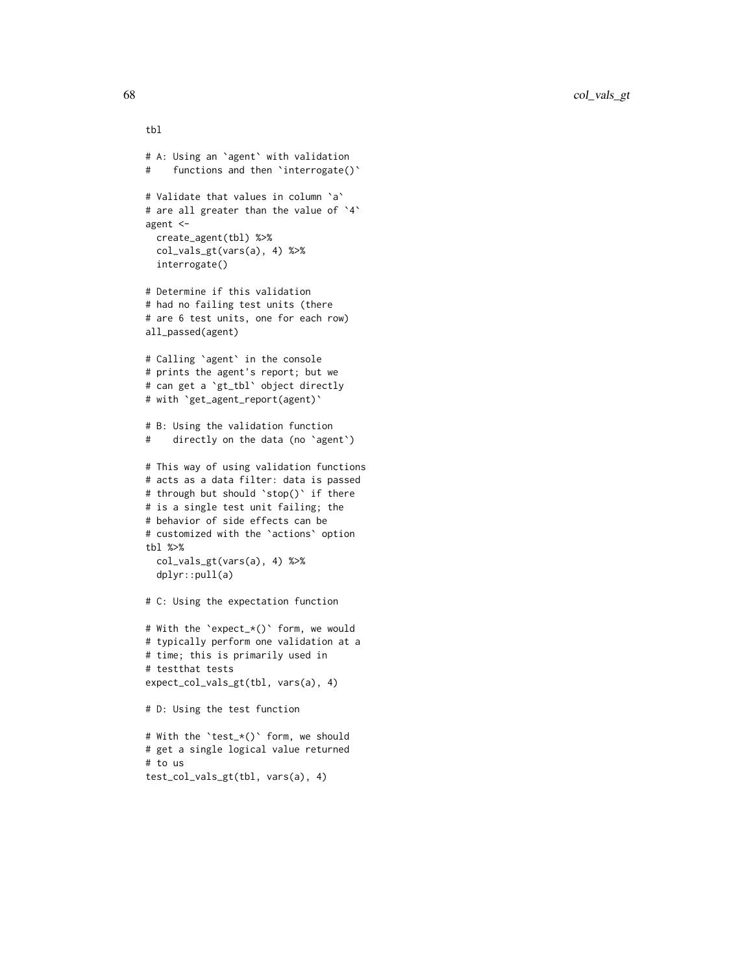```
tbl
# A: Using an `agent` with validation
# functions and then `interrogate()`
# Validate that values in column `a`
# are all greater than the value of `4`
agent <-
  create_agent(tbl) %>%
  col_vals_gt(vars(a), 4) %>%
  interrogate()
# Determine if this validation
# had no failing test units (there
# are 6 test units, one for each row)
all_passed(agent)
# Calling `agent` in the console
# prints the agent's report; but we
# can get a `gt_tbl` object directly
# with `get_agent_report(agent)`
# B: Using the validation function
# directly on the data (no `agent`)
# This way of using validation functions
# acts as a data filter: data is passed
# through but should `stop()` if there
# is a single test unit failing; the
# behavior of side effects can be
# customized with the `actions` option
tbl %>%
 col_vals_gt(vars(a), 4) %>%
  dplyr::pull(a)
# C: Using the expectation function
# With the `expect_*()` form, we would
# typically perform one validation at a
# time; this is primarily used in
# testthat tests
expect_col_vals_gt(tbl, vars(a), 4)
# D: Using the test function
# With the `test_*()` form, we should
# get a single logical value returned
# to us
```

```
test_col_vals_gt(tbl, vars(a), 4)
```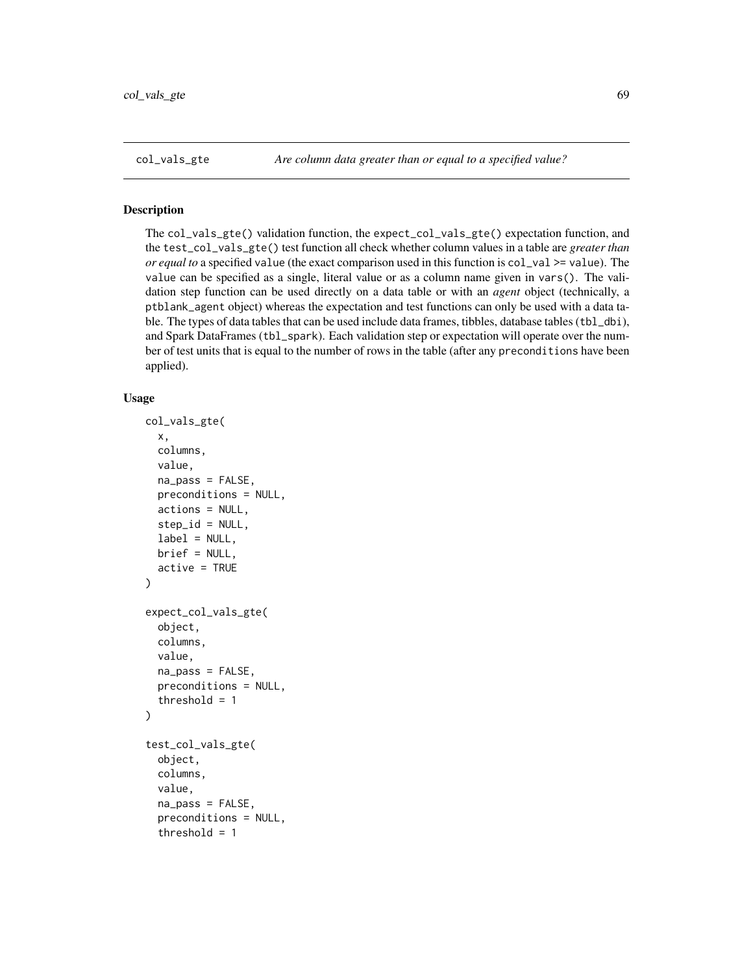### <span id="page-68-0"></span>Description

The col\_vals\_gte() validation function, the expect\_col\_vals\_gte() expectation function, and the test\_col\_vals\_gte() test function all check whether column values in a table are *greater than or equal to* a specified value (the exact comparison used in this function is col\_val >= value). The value can be specified as a single, literal value or as a column name given in vars(). The validation step function can be used directly on a data table or with an *agent* object (technically, a ptblank\_agent object) whereas the expectation and test functions can only be used with a data table. The types of data tables that can be used include data frames, tibbles, database tables (tbl\_dbi), and Spark DataFrames (tbl\_spark). Each validation step or expectation will operate over the number of test units that is equal to the number of rows in the table (after any preconditions have been applied).

#### Usage

```
col_vals_gte(
  x,
  columns,
  value,
  na_pass = FALSE,
 preconditions = NULL,
  actions = NULL,
  step_id = NULL,
  label = NULL,
 brief = NULL,
  active = TRUE
)
expect_col_vals_gte(
  object,
  columns,
  value,
  na_pass = FALSE,
 preconditions = NULL,
  threshold = 1)
test_col_vals_gte(
  object,
  columns,
  value,
  na_pass = FALSE,
  preconditions = NULL,
  threshold = 1
```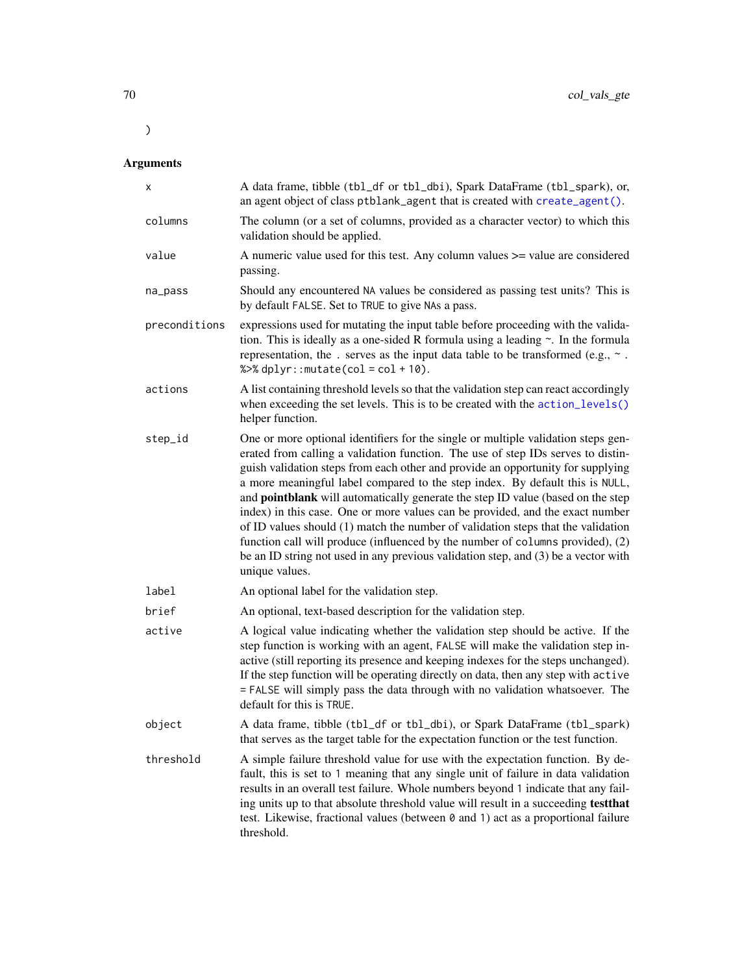# Arguments

 $\lambda$ 

| x             | A data frame, tibble (tbl_df or tbl_dbi), Spark DataFrame (tbl_spark), or,<br>an agent object of class ptblank_agent that is created with create_agent().                                                                                                                                                                                                                                                                                                                                                                                                                                                                                                                                                                                                                                  |
|---------------|--------------------------------------------------------------------------------------------------------------------------------------------------------------------------------------------------------------------------------------------------------------------------------------------------------------------------------------------------------------------------------------------------------------------------------------------------------------------------------------------------------------------------------------------------------------------------------------------------------------------------------------------------------------------------------------------------------------------------------------------------------------------------------------------|
| columns       | The column (or a set of columns, provided as a character vector) to which this<br>validation should be applied.                                                                                                                                                                                                                                                                                                                                                                                                                                                                                                                                                                                                                                                                            |
| value         | A numeric value used for this test. Any column values >= value are considered<br>passing.                                                                                                                                                                                                                                                                                                                                                                                                                                                                                                                                                                                                                                                                                                  |
| na_pass       | Should any encountered NA values be considered as passing test units? This is<br>by default FALSE. Set to TRUE to give NAs a pass.                                                                                                                                                                                                                                                                                                                                                                                                                                                                                                                                                                                                                                                         |
| preconditions | expressions used for mutating the input table before proceeding with the valida-<br>tion. This is ideally as a one-sided R formula using a leading $\sim$ . In the formula<br>representation, the . serves as the input data table to be transformed (e.g., $\sim$ .<br>% $>$ % dplyr:: mutate(col = col + 10).                                                                                                                                                                                                                                                                                                                                                                                                                                                                            |
| actions       | A list containing threshold levels so that the validation step can react accordingly<br>when exceeding the set levels. This is to be created with the action_levels()<br>helper function.                                                                                                                                                                                                                                                                                                                                                                                                                                                                                                                                                                                                  |
| step_id       | One or more optional identifiers for the single or multiple validation steps gen-<br>erated from calling a validation function. The use of step IDs serves to distin-<br>guish validation steps from each other and provide an opportunity for supplying<br>a more meaningful label compared to the step index. By default this is NULL,<br>and pointblank will automatically generate the step ID value (based on the step<br>index) in this case. One or more values can be provided, and the exact number<br>of ID values should (1) match the number of validation steps that the validation<br>function call will produce (influenced by the number of columns provided), (2)<br>be an ID string not used in any previous validation step, and (3) be a vector with<br>unique values. |
| label         | An optional label for the validation step.                                                                                                                                                                                                                                                                                                                                                                                                                                                                                                                                                                                                                                                                                                                                                 |
| brief         | An optional, text-based description for the validation step.                                                                                                                                                                                                                                                                                                                                                                                                                                                                                                                                                                                                                                                                                                                               |
| active        | A logical value indicating whether the validation step should be active. If the<br>step function is working with an agent, FALSE will make the validation step in-<br>active (still reporting its presence and keeping indexes for the steps unchanged).<br>If the step function will be operating directly on data, then any step with active<br>= FALSE will simply pass the data through with no validation whatsoever. The<br>default for this is TRUE.                                                                                                                                                                                                                                                                                                                                |
| object        | A data frame, tibble (tbl_df or tbl_dbi), or Spark DataFrame (tbl_spark)<br>that serves as the target table for the expectation function or the test function.                                                                                                                                                                                                                                                                                                                                                                                                                                                                                                                                                                                                                             |
| threshold     | A simple failure threshold value for use with the expectation function. By de-<br>fault, this is set to 1 meaning that any single unit of failure in data validation<br>results in an overall test failure. Whole numbers beyond 1 indicate that any fail-<br>ing units up to that absolute threshold value will result in a succeeding test that<br>test. Likewise, fractional values (between 0 and 1) act as a proportional failure<br>threshold.                                                                                                                                                                                                                                                                                                                                       |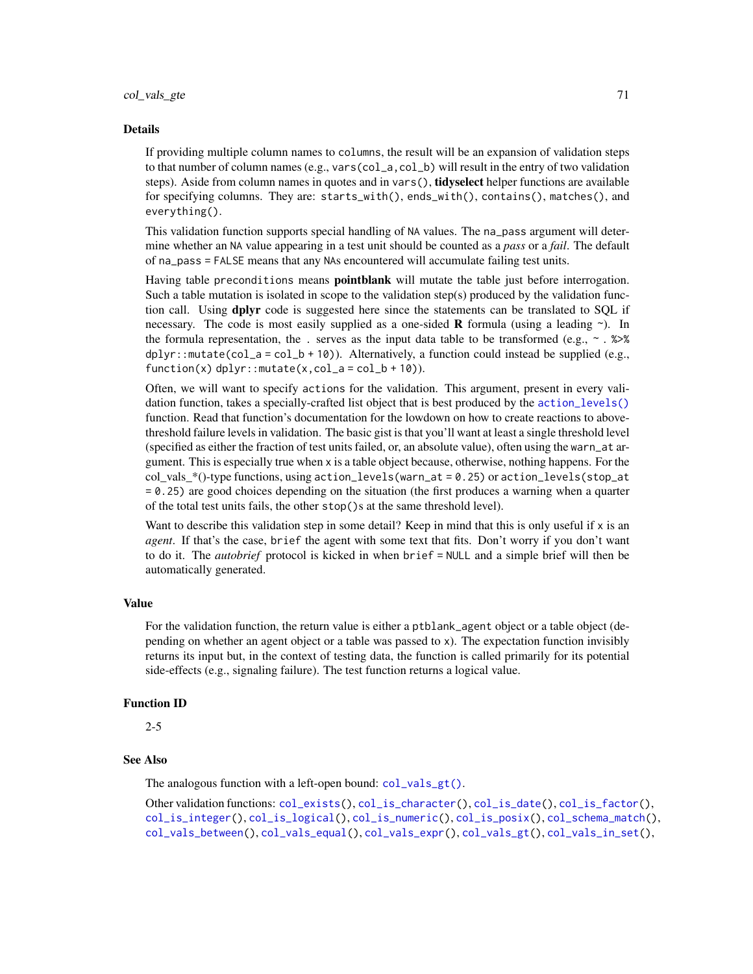#### Details

If providing multiple column names to columns, the result will be an expansion of validation steps to that number of column names (e.g., vars(col\_a,col\_b) will result in the entry of two validation steps). Aside from column names in quotes and in vars(), **tidyselect** helper functions are available for specifying columns. They are: starts\_with(), ends\_with(), contains(), matches(), and everything().

This validation function supports special handling of NA values. The na\_pass argument will determine whether an NA value appearing in a test unit should be counted as a *pass* or a *fail*. The default of na\_pass = FALSE means that any NAs encountered will accumulate failing test units.

Having table preconditions means **pointblank** will mutate the table just before interrogation. Such a table mutation is isolated in scope to the validation step(s) produced by the validation function call. Using **dplyr** code is suggested here since the statements can be translated to SQL if necessary. The code is most easily supplied as a one-sided **R** formula (using a leading  $\sim$ ). In the formula representation, the . serves as the input data table to be transformed (e.g.,  $\sim$  .  $\gg\$  $d$ ghlyr::mutate(col\_a = col\_b + 10)). Alternatively, a function could instead be supplied (e.g.,  $function(x)$  dplyr:: mutate(x,col\_a = col\_b + 10)).

Often, we will want to specify actions for the validation. This argument, present in every validation function, takes a specially-crafted list object that is best produced by the [action\\_levels\(\)](#page-2-0) function. Read that function's documentation for the lowdown on how to create reactions to abovethreshold failure levels in validation. The basic gist is that you'll want at least a single threshold level (specified as either the fraction of test units failed, or, an absolute value), often using the warn\_at argument. This is especially true when x is a table object because, otherwise, nothing happens. For the col vals  $*($ )-type functions, using action\_levels(warn\_at = 0.25) or action\_levels(stop\_at = 0.25) are good choices depending on the situation (the first produces a warning when a quarter of the total test units fails, the other stop()s at the same threshold level).

Want to describe this validation step in some detail? Keep in mind that this is only useful if  $x$  is an *agent*. If that's the case, brief the agent with some text that fits. Don't worry if you don't want to do it. The *autobrief* protocol is kicked in when brief = NULL and a simple brief will then be automatically generated.

### Value

For the validation function, the return value is either a ptblank\_agent object or a table object (depending on whether an agent object or a table was passed to x). The expectation function invisibly returns its input but, in the context of testing data, the function is called primarily for its potential side-effects (e.g., signaling failure). The test function returns a logical value.

#### Function ID

2-5

## See Also

The analogous function with a left-open bound: [col\\_vals\\_gt\(\)](#page-63-0).

Other validation functions: [col\\_exists\(](#page-17-0)), [col\\_is\\_character\(](#page-20-0)), [col\\_is\\_date\(](#page-23-0)), [col\\_is\\_factor\(](#page-27-0)), [col\\_is\\_integer\(](#page-30-0)), [col\\_is\\_logical\(](#page-34-0)), [col\\_is\\_numeric\(](#page-37-0)), [col\\_is\\_posix\(](#page-40-0)), [col\\_schema\\_match\(](#page-45-0)), [col\\_vals\\_between\(](#page-50-0)), [col\\_vals\\_equal\(](#page-55-0)), [col\\_vals\\_expr\(](#page-59-0)), [col\\_vals\\_gt\(](#page-63-0)), [col\\_vals\\_in\\_set\(](#page-72-0)),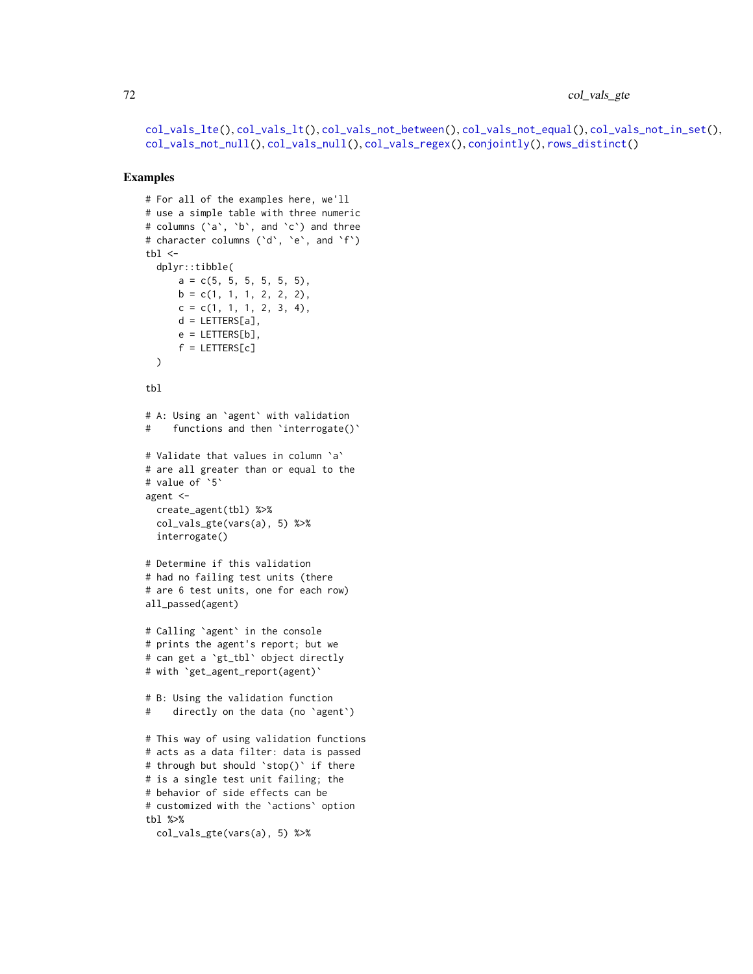72 col\_vals\_gte

[col\\_vals\\_lte\(](#page-80-0)), [col\\_vals\\_lt\(](#page-76-0)), [col\\_vals\\_not\\_between\(](#page-85-0)), [col\\_vals\\_not\\_equal\(](#page-90-0)), [col\\_vals\\_not\\_in\\_set\(](#page-94-0)), [col\\_vals\\_not\\_null\(](#page-98-0)), [col\\_vals\\_null\(](#page-102-0)), [col\\_vals\\_regex\(](#page-106-0)), [conjointly\(](#page-110-0)), [rows\\_distinct\(](#page-134-0))

```
# For all of the examples here, we'll
# use a simple table with three numeric
# columns (`a`, `b`, and `c`) and three
# character columns (`d`, `e`, and `f`)
tb1 < -dplyr::tibble(
      a = c(5, 5, 5, 5, 5, 5),
     b = c(1, 1, 1, 2, 2, 2),
     c = c(1, 1, 1, 2, 3, 4),d = LETTERS[a],e = LETTERS[b],
      f = LETTERS[c])
tbl
# A: Using an `agent` with validation
# functions and then 'interrogate()'
# Validate that values in column `a`
# are all greater than or equal to the
# value of `5`
agent <-
 create_agent(tbl) %>%
  col_vals_gte(vars(a), 5) %>%
  interrogate()
# Determine if this validation
# had no failing test units (there
# are 6 test units, one for each row)
all_passed(agent)
# Calling `agent` in the console
# prints the agent's report; but we
# can get a `gt_tbl` object directly
# with `get_agent_report(agent)`
# B: Using the validation function
# directly on the data (no `agent`)
# This way of using validation functions
# acts as a data filter: data is passed
# through but should `stop()` if there
# is a single test unit failing; the
# behavior of side effects can be
# customized with the `actions` option
tbl %>%
  col_vals_gte(vars(a), 5) %>%
```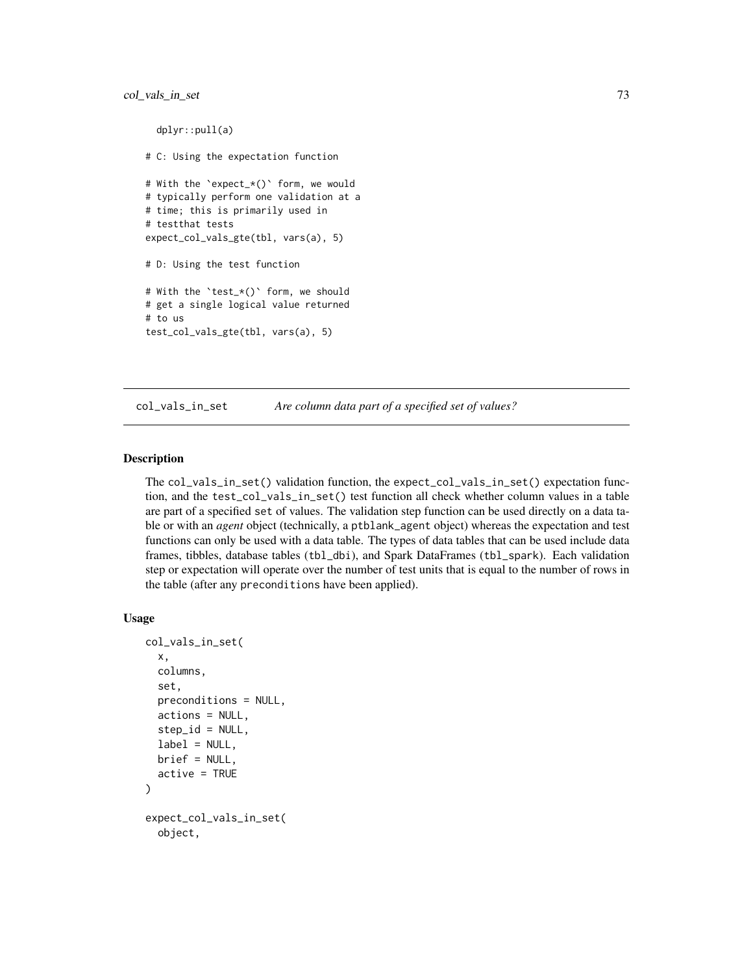```
dplyr::pull(a)
# C: Using the expectation function
# With the `expect_*()` form, we would
# typically perform one validation at a
# time; this is primarily used in
# testthat tests
expect_col_vals_gte(tbl, vars(a), 5)
# D: Using the test function
# With the `test_*()` form, we should
# get a single logical value returned
# to us
test_col_vals_gte(tbl, vars(a), 5)
```
<span id="page-72-0"></span>col\_vals\_in\_set *Are column data part of a specified set of values?*

### Description

The col\_vals\_in\_set() validation function, the expect\_col\_vals\_in\_set() expectation function, and the test\_col\_vals\_in\_set() test function all check whether column values in a table are part of a specified set of values. The validation step function can be used directly on a data table or with an *agent* object (technically, a ptblank\_agent object) whereas the expectation and test functions can only be used with a data table. The types of data tables that can be used include data frames, tibbles, database tables (tbl\_dbi), and Spark DataFrames (tbl\_spark). Each validation step or expectation will operate over the number of test units that is equal to the number of rows in the table (after any preconditions have been applied).

```
col_vals_in_set(
  x,
  columns,
  set,
  preconditions = NULL,
  actions = NULL,
  step_id = NULL,label = NULL,brief = NULL,active = TRUE)
expect_col_vals_in_set(
  object,
```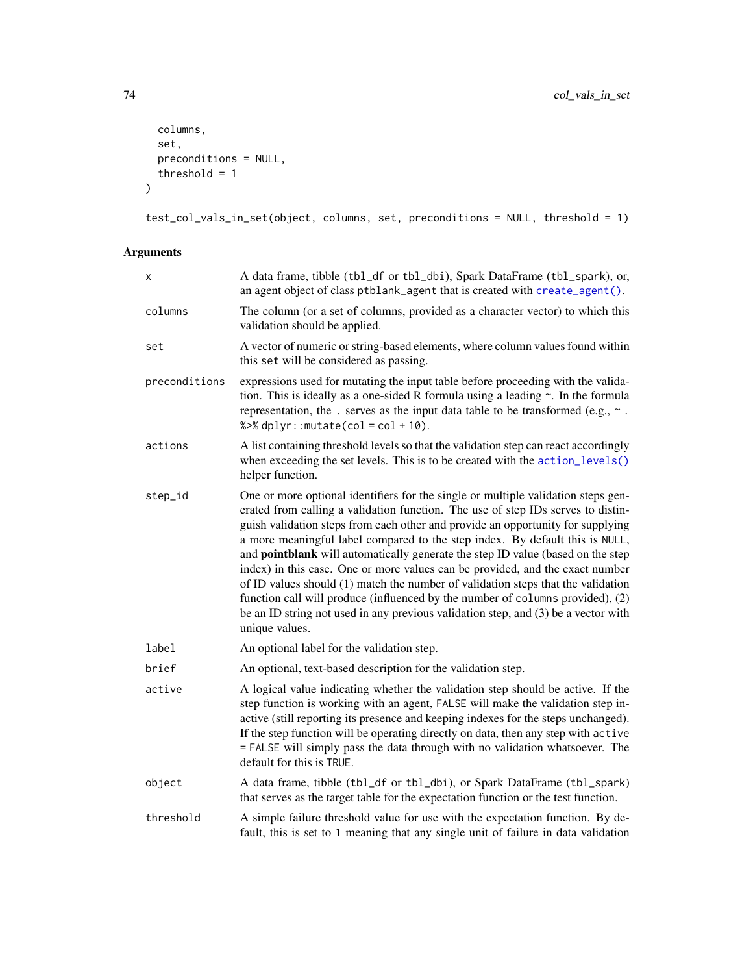```
columns,
  set,
  preconditions = NULL,
  threshold = 1
\mathcal{L}
```

```
test_col_vals_in_set(object, columns, set, preconditions = NULL, threshold = 1)
```

| x             | A data frame, tibble (tbl_df or tbl_dbi), Spark DataFrame (tbl_spark), or,<br>an agent object of class ptblank_agent that is created with create_agent().                                                                                                                                                                                                                                                                                                                                                                                                                                                                                                                                                                                                                                  |  |
|---------------|--------------------------------------------------------------------------------------------------------------------------------------------------------------------------------------------------------------------------------------------------------------------------------------------------------------------------------------------------------------------------------------------------------------------------------------------------------------------------------------------------------------------------------------------------------------------------------------------------------------------------------------------------------------------------------------------------------------------------------------------------------------------------------------------|--|
| columns       | The column (or a set of columns, provided as a character vector) to which this<br>validation should be applied.                                                                                                                                                                                                                                                                                                                                                                                                                                                                                                                                                                                                                                                                            |  |
| set           | A vector of numeric or string-based elements, where column values found within<br>this set will be considered as passing.                                                                                                                                                                                                                                                                                                                                                                                                                                                                                                                                                                                                                                                                  |  |
| preconditions | expressions used for mutating the input table before proceeding with the valida-<br>tion. This is ideally as a one-sided R formula using a leading $\sim$ . In the formula<br>representation, the . serves as the input data table to be transformed (e.g., $\sim$ .<br>% $>$ % dplyr:: mutate(col = col + 10).                                                                                                                                                                                                                                                                                                                                                                                                                                                                            |  |
| actions       | A list containing threshold levels so that the validation step can react accordingly<br>when exceeding the set levels. This is to be created with the action_levels()<br>helper function.                                                                                                                                                                                                                                                                                                                                                                                                                                                                                                                                                                                                  |  |
| step_id       | One or more optional identifiers for the single or multiple validation steps gen-<br>erated from calling a validation function. The use of step IDs serves to distin-<br>guish validation steps from each other and provide an opportunity for supplying<br>a more meaningful label compared to the step index. By default this is NULL,<br>and pointblank will automatically generate the step ID value (based on the step<br>index) in this case. One or more values can be provided, and the exact number<br>of ID values should (1) match the number of validation steps that the validation<br>function call will produce (influenced by the number of columns provided), (2)<br>be an ID string not used in any previous validation step, and (3) be a vector with<br>unique values. |  |
| label         | An optional label for the validation step.                                                                                                                                                                                                                                                                                                                                                                                                                                                                                                                                                                                                                                                                                                                                                 |  |
| brief         | An optional, text-based description for the validation step.                                                                                                                                                                                                                                                                                                                                                                                                                                                                                                                                                                                                                                                                                                                               |  |
| active        | A logical value indicating whether the validation step should be active. If the<br>step function is working with an agent, FALSE will make the validation step in-<br>active (still reporting its presence and keeping indexes for the steps unchanged).<br>If the step function will be operating directly on data, then any step with active<br>= FALSE will simply pass the data through with no validation whatsoever. The<br>default for this is TRUE.                                                                                                                                                                                                                                                                                                                                |  |
| object        | A data frame, tibble (tbl_df or tbl_dbi), or Spark DataFrame (tbl_spark)<br>that serves as the target table for the expectation function or the test function.                                                                                                                                                                                                                                                                                                                                                                                                                                                                                                                                                                                                                             |  |
| threshold     | A simple failure threshold value for use with the expectation function. By de-<br>fault, this is set to 1 meaning that any single unit of failure in data validation                                                                                                                                                                                                                                                                                                                                                                                                                                                                                                                                                                                                                       |  |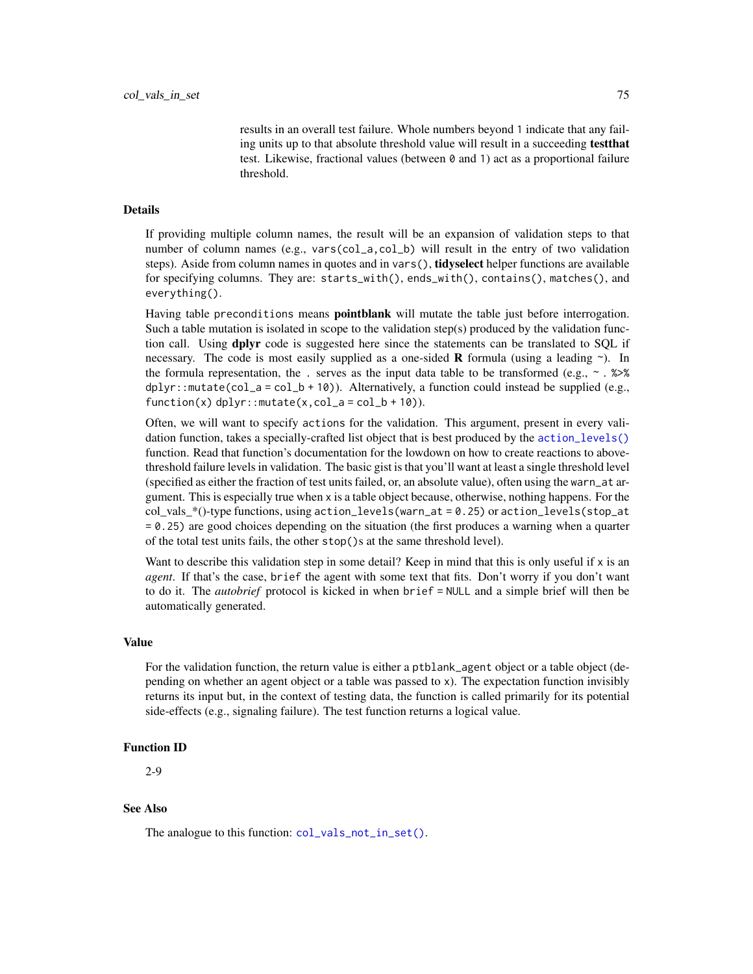results in an overall test failure. Whole numbers beyond 1 indicate that any failing units up to that absolute threshold value will result in a succeeding testthat test. Likewise, fractional values (between 0 and 1) act as a proportional failure threshold.

#### Details

If providing multiple column names, the result will be an expansion of validation steps to that number of column names (e.g., vars(col\_a,col\_b) will result in the entry of two validation steps). Aside from column names in quotes and in vars(), **tidyselect** helper functions are available for specifying columns. They are: starts\_with(), ends\_with(), contains(), matches(), and everything().

Having table preconditions means **pointblank** will mutate the table just before interrogation. Such a table mutation is isolated in scope to the validation step(s) produced by the validation function call. Using **dplyr** code is suggested here since the statements can be translated to SQL if necessary. The code is most easily supplied as a one-sided **R** formula (using a leading  $\sim$ ). In the formula representation, the . serves as the input data table to be transformed (e.g.,  $\sim$  .  $\gg\$ dplyr::mutate(col\_a = col\_b + 10)). Alternatively, a function could instead be supplied (e.g.,  $function(x)$  dplyr:: mutate(x,col\_a = col\_b + 10)).

Often, we will want to specify actions for the validation. This argument, present in every validation function, takes a specially-crafted list object that is best produced by the [action\\_levels\(\)](#page-2-0) function. Read that function's documentation for the lowdown on how to create reactions to abovethreshold failure levels in validation. The basic gist is that you'll want at least a single threshold level (specified as either the fraction of test units failed, or, an absolute value), often using the warn\_at argument. This is especially true when x is a table object because, otherwise, nothing happens. For the col vals  $*($ )-type functions, using action\_levels(warn\_at = 0.25) or action\_levels(stop\_at = 0.25) are good choices depending on the situation (the first produces a warning when a quarter of the total test units fails, the other stop()s at the same threshold level).

Want to describe this validation step in some detail? Keep in mind that this is only useful if  $x$  is an *agent*. If that's the case, brief the agent with some text that fits. Don't worry if you don't want to do it. The *autobrief* protocol is kicked in when brief = NULL and a simple brief will then be automatically generated.

#### Value

For the validation function, the return value is either a ptblank\_agent object or a table object (depending on whether an agent object or a table was passed to x). The expectation function invisibly returns its input but, in the context of testing data, the function is called primarily for its potential side-effects (e.g., signaling failure). The test function returns a logical value.

#### Function ID

2-9

# See Also

The analogue to this function:  $col\_vals\_not\_in\_set()$ .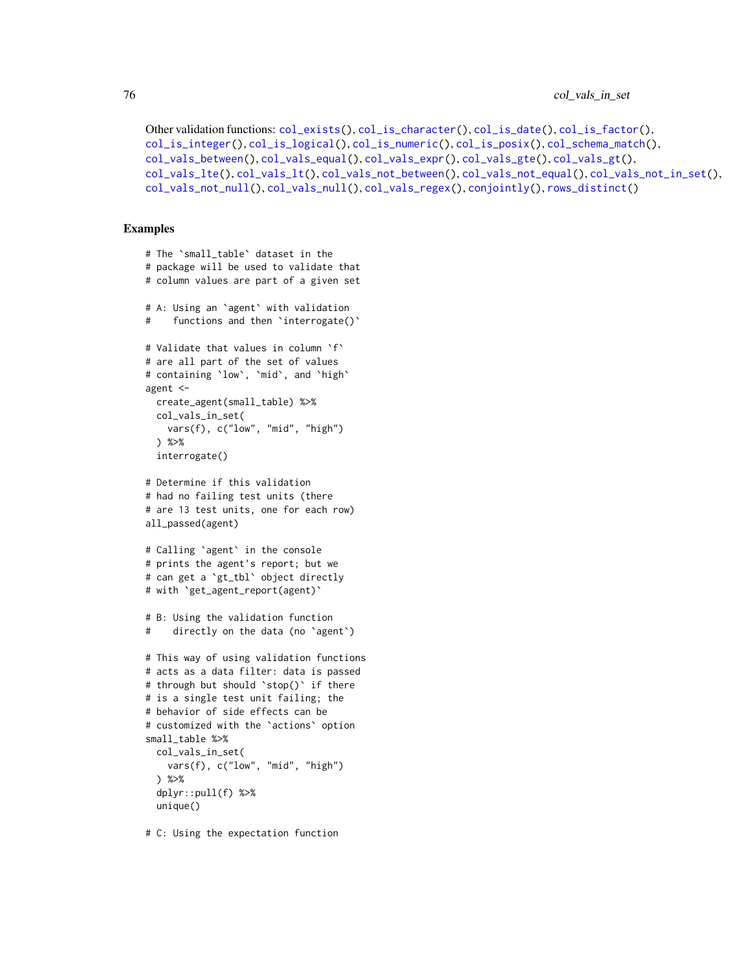```
Other validation functions: col_exists(), col_is_character(), col_is_date(), col_is_factor(),
col_is_integer(), col_is_logical(), col_is_numeric(), col_is_posix(), col_schema_match(),
col_vals_between(), col_vals_equal(), col_vals_expr(), col_vals_gte(), col_vals_gt(),
col_vals_lte(), col_vals_lt(), col_vals_not_between(), col_vals_not_equal(), col_vals_not_in_set(),
col_vals_not_null(), col_vals_null(), col_vals_regex(), conjointly(), rows_distinct()
```
# Examples

```
# The `small_table` dataset in the
# package will be used to validate that
# column values are part of a given set
# A: Using an `agent` with validation
# functions and then `interrogate()`
# Validate that values in column `f`
# are all part of the set of values
# containing `low`, `mid`, and `high`
agent <-
 create_agent(small_table) %>%
 col_vals_in_set(
   vars(f), c("low", "mid", "high")
 ) %>%
 interrogate()
# Determine if this validation
# had no failing test units (there
# are 13 test units, one for each row)
all_passed(agent)
# Calling `agent` in the console
# prints the agent's report; but we
# can get a `gt_tbl` object directly
# with `get_agent_report(agent)`
# B: Using the validation function
# directly on the data (no `agent`)
# This way of using validation functions
# acts as a data filter: data is passed
# through but should `stop()` if there
# is a single test unit failing; the
# behavior of side effects can be
# customized with the `actions` option
small_table %>%
 col_vals_in_set(
   vars(f), c("low", "mid", "high")
 ) %>%
 dplyr::pull(f) %>%
 unique()
```
# C: Using the expectation function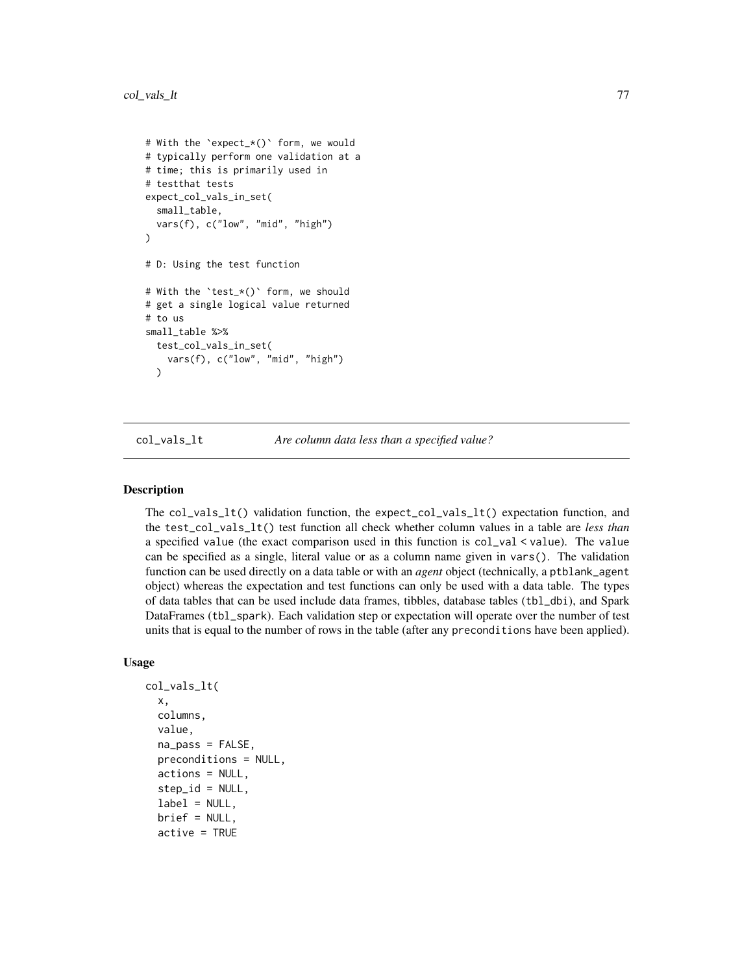```
# With the `expect_*()` form, we would
# typically perform one validation at a
# time; this is primarily used in
# testthat tests
expect_col_vals_in_set(
 small_table,
 vars(f), c("low", "mid", "high")
\lambda# D: Using the test function
# With the `test_*()` form, we should
# get a single logical value returned
# to us
small_table %>%
 test_col_vals_in_set(
    vars(f), c("low", "mid", "high")
 )
```
<span id="page-76-0"></span>col\_vals\_lt *Are column data less than a specified value?*

#### **Description**

The col\_vals\_lt() validation function, the expect\_col\_vals\_lt() expectation function, and the test\_col\_vals\_lt() test function all check whether column values in a table are *less than* a specified value (the exact comparison used in this function is col\_val < value). The value can be specified as a single, literal value or as a column name given in vars(). The validation function can be used directly on a data table or with an *agent* object (technically, a ptblank\_agent object) whereas the expectation and test functions can only be used with a data table. The types of data tables that can be used include data frames, tibbles, database tables (tbl\_dbi), and Spark DataFrames (tbl\_spark). Each validation step or expectation will operate over the number of test units that is equal to the number of rows in the table (after any preconditions have been applied).

```
col_vals_lt(
  x,
  columns,
  value,
  na_pass = FALSE,
  preconditions = NULL,
  actions = NULL,
  step_id = NULL,label = NULL,brief = NULL,
  active = TRUE
```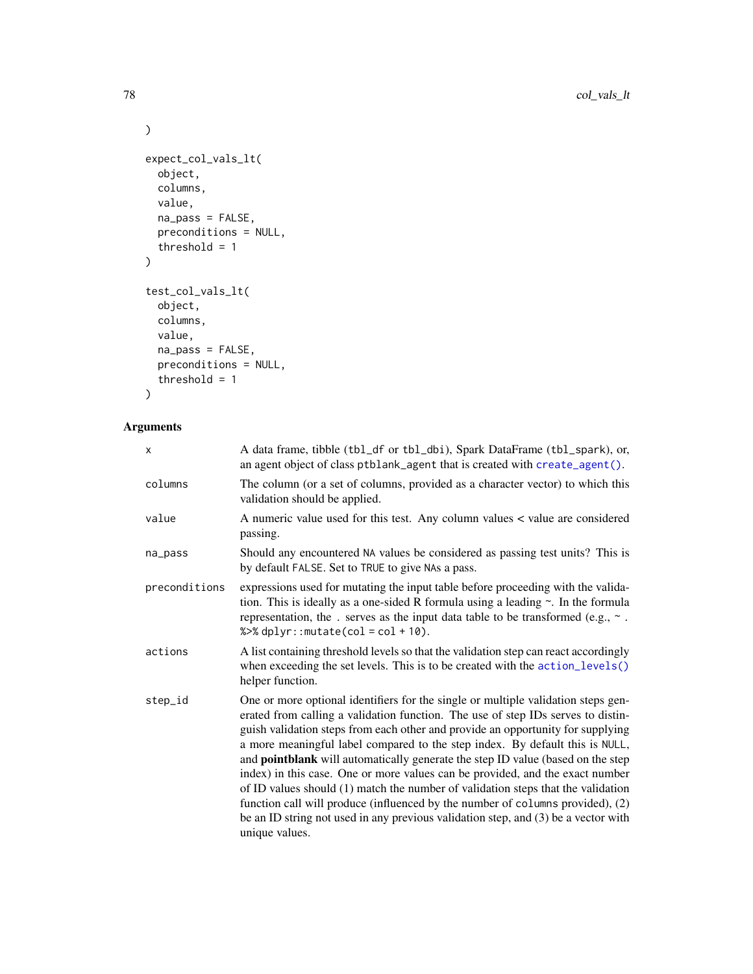```
\mathcal{L}expect_col_vals_lt(
  object,
  columns,
  value,
  na_pass = FALSE,
  preconditions = NULL,
  threshold = 1
\mathcal{L}test_col_vals_lt(
  object,
  columns,
  value,
  na_pass = FALSE,
  preconditions = NULL,
  threshold = 1\mathcal{L}
```

| X             | A data frame, tibble (tbl_df or tbl_dbi), Spark DataFrame (tbl_spark), or,<br>an agent object of class ptblank_agent that is created with create_agent().                                                                                                                                                                                                                                                                                                                                                                                                                                                                                                                                                                                                                                           |
|---------------|-----------------------------------------------------------------------------------------------------------------------------------------------------------------------------------------------------------------------------------------------------------------------------------------------------------------------------------------------------------------------------------------------------------------------------------------------------------------------------------------------------------------------------------------------------------------------------------------------------------------------------------------------------------------------------------------------------------------------------------------------------------------------------------------------------|
| columns       | The column (or a set of columns, provided as a character vector) to which this<br>validation should be applied.                                                                                                                                                                                                                                                                                                                                                                                                                                                                                                                                                                                                                                                                                     |
| value         | A numeric value used for this test. Any column values < value are considered<br>passing.                                                                                                                                                                                                                                                                                                                                                                                                                                                                                                                                                                                                                                                                                                            |
| na_pass       | Should any encountered NA values be considered as passing test units? This is<br>by default FALSE. Set to TRUE to give NAs a pass.                                                                                                                                                                                                                                                                                                                                                                                                                                                                                                                                                                                                                                                                  |
| preconditions | expressions used for mutating the input table before proceeding with the valida-<br>tion. This is ideally as a one-sided R formula using a leading $\sim$ . In the formula<br>representation, the . serves as the input data table to be transformed (e.g., $\sim$ .<br>% $>$ % dplyr:: mutate(col = col + 10).                                                                                                                                                                                                                                                                                                                                                                                                                                                                                     |
| actions       | A list containing threshold levels so that the validation step can react accordingly<br>when exceeding the set levels. This is to be created with the action_levels()<br>helper function.                                                                                                                                                                                                                                                                                                                                                                                                                                                                                                                                                                                                           |
| step_id       | One or more optional identifiers for the single or multiple validation steps gen-<br>erated from calling a validation function. The use of step IDs serves to distin-<br>guish validation steps from each other and provide an opportunity for supplying<br>a more meaningful label compared to the step index. By default this is NULL,<br>and <b>pointblank</b> will automatically generate the step ID value (based on the step<br>index) in this case. One or more values can be provided, and the exact number<br>of ID values should (1) match the number of validation steps that the validation<br>function call will produce (influenced by the number of columns provided), (2)<br>be an ID string not used in any previous validation step, and $(3)$ be a vector with<br>unique values. |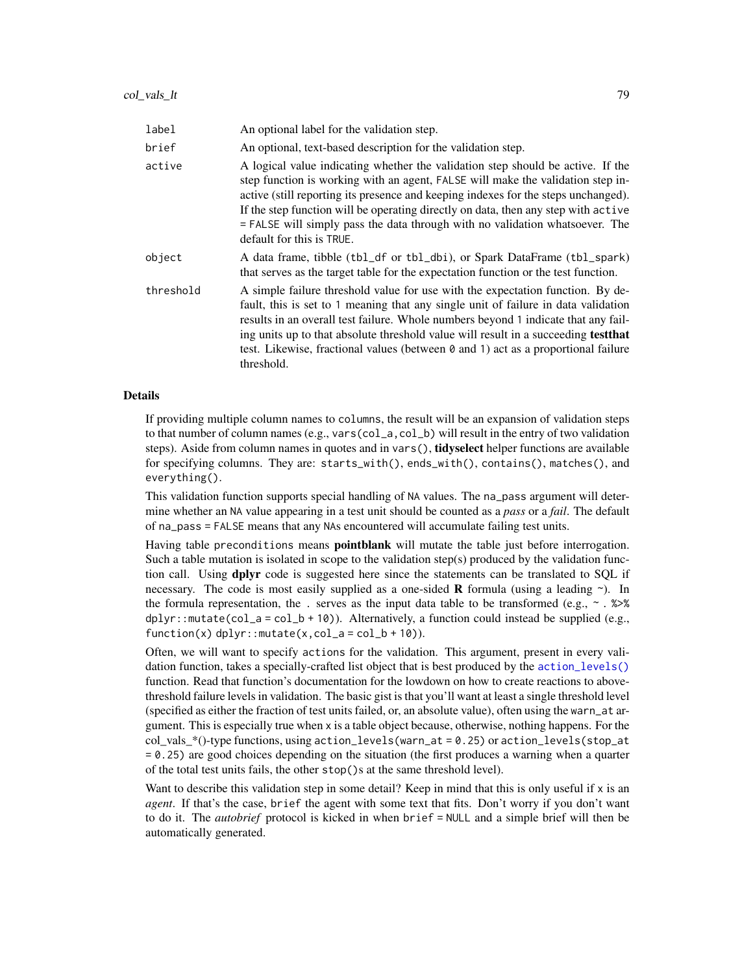| label     | An optional label for the validation step.                                                                                                                                                                                                                                                                                                                                                                                                                  |
|-----------|-------------------------------------------------------------------------------------------------------------------------------------------------------------------------------------------------------------------------------------------------------------------------------------------------------------------------------------------------------------------------------------------------------------------------------------------------------------|
| brief     | An optional, text-based description for the validation step.                                                                                                                                                                                                                                                                                                                                                                                                |
| active    | A logical value indicating whether the validation step should be active. If the<br>step function is working with an agent, FALSE will make the validation step in-<br>active (still reporting its presence and keeping indexes for the steps unchanged).<br>If the step function will be operating directly on data, then any step with active<br>= FALSE will simply pass the data through with no validation whatsoever. The<br>default for this is TRUE. |
| object    | A data frame, tibble (tbl_df or tbl_dbi), or Spark DataFrame (tbl_spark)<br>that serves as the target table for the expectation function or the test function.                                                                                                                                                                                                                                                                                              |
| threshold | A simple failure threshold value for use with the expectation function. By de-<br>fault, this is set to 1 meaning that any single unit of failure in data validation<br>results in an overall test failure. Whole numbers beyond 1 indicate that any fail-<br>ing units up to that absolute threshold value will result in a succeeding <b>test that</b><br>test. Likewise, fractional values (between 0 and 1) act as a proportional failure<br>threshold. |

#### Details

If providing multiple column names to columns, the result will be an expansion of validation steps to that number of column names (e.g., vars(col\_a,col\_b) will result in the entry of two validation steps). Aside from column names in quotes and in vars(), **tidyselect** helper functions are available for specifying columns. They are: starts\_with(), ends\_with(), contains(), matches(), and everything().

This validation function supports special handling of NA values. The na\_pass argument will determine whether an NA value appearing in a test unit should be counted as a *pass* or a *fail*. The default of na\_pass = FALSE means that any NAs encountered will accumulate failing test units.

Having table preconditions means **pointblank** will mutate the table just before interrogation. Such a table mutation is isolated in scope to the validation step(s) produced by the validation function call. Using **dplyr** code is suggested here since the statements can be translated to SQL if necessary. The code is most easily supplied as a one-sided **R** formula (using a leading  $\sim$ ). In the formula representation, the . serves as the input data table to be transformed (e.g.,  $\sim$  .  $\gg\$ dplyr::mutate(col\_a = col\_b + 10)). Alternatively, a function could instead be supplied (e.g.,  $function(x)$  dplyr::mutate(x,col\_a = col\_b + 10)).

Often, we will want to specify actions for the validation. This argument, present in every validation function, takes a specially-crafted list object that is best produced by the [action\\_levels\(\)](#page-2-0) function. Read that function's documentation for the lowdown on how to create reactions to abovethreshold failure levels in validation. The basic gist is that you'll want at least a single threshold level (specified as either the fraction of test units failed, or, an absolute value), often using the warn\_at argument. This is especially true when x is a table object because, otherwise, nothing happens. For the col vals  $*($ )-type functions, using action\_levels(warn\_at = 0.25) or action\_levels(stop\_at = 0.25) are good choices depending on the situation (the first produces a warning when a quarter of the total test units fails, the other stop()s at the same threshold level).

Want to describe this validation step in some detail? Keep in mind that this is only useful if  $x$  is an *agent*. If that's the case, brief the agent with some text that fits. Don't worry if you don't want to do it. The *autobrief* protocol is kicked in when brief = NULL and a simple brief will then be automatically generated.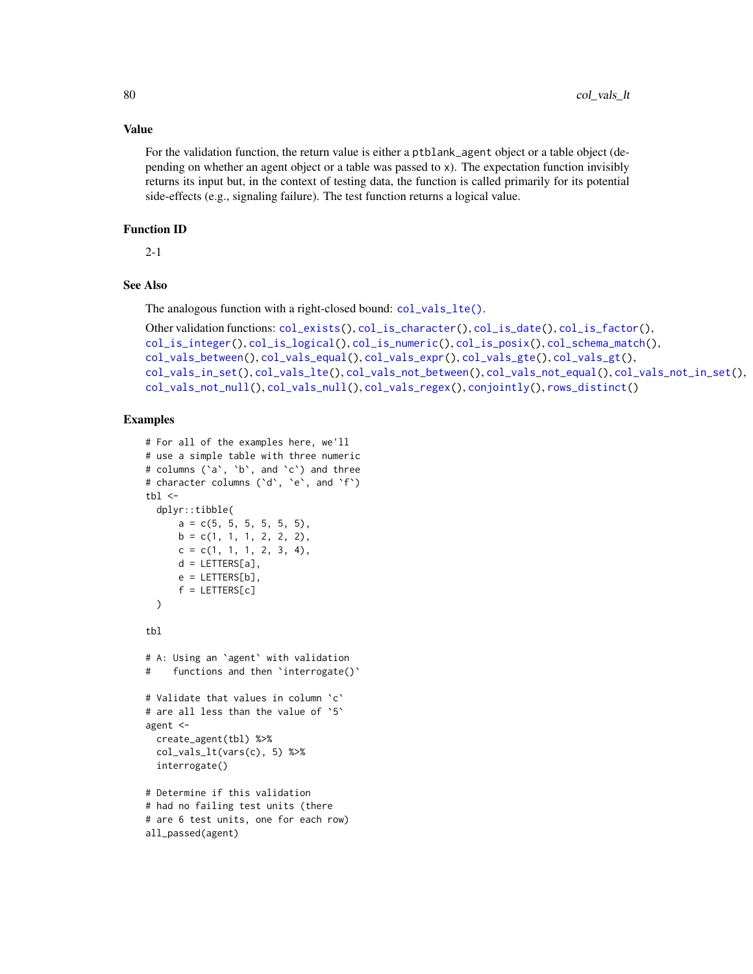#### Value

For the validation function, the return value is either a ptblank\_agent object or a table object (depending on whether an agent object or a table was passed to x). The expectation function invisibly returns its input but, in the context of testing data, the function is called primarily for its potential side-effects (e.g., signaling failure). The test function returns a logical value.

# Function ID

2-1

# See Also

The analogous function with a right-closed bound: [col\\_vals\\_lte\(\)](#page-80-0).

```
Other validation functions: col_exists(), col_is_character(), col_is_date(), col_is_factor(),
col_is_integer(), col_is_logical(), col_is_numeric(), col_is_posix(), col_schema_match(),
col_vals_between(), col_vals_equal(), col_vals_expr(), col_vals_gte(), col_vals_gt(),
col_vals_in_set(), col_vals_lte(), col_vals_not_between(), col_vals_not_equal(), col_vals_not_in_set(),
col_vals_not_null(), col_vals_null(), col_vals_regex(), conjointly(), rows_distinct()
```

```
# For all of the examples here, we'll
# use a simple table with three numeric
# columns (`a`, `b`, and `c`) and three
# character columns (`d`, `e`, and `f`)
tb1 < -dplyr::tibble(
      a = c(5, 5, 5, 5, 5, 5),
      b = c(1, 1, 1, 2, 2, 2),
     c = c(1, 1, 1, 2, 3, 4),d = LETTERS[a],e = LETTERS[b],
      f = LETTERS[c])
tbl
# A: Using an `agent` with validation
# functions and then `interrogate()`
# Validate that values in column `c`
# are all less than the value of `5`
agent <-
  create_agent(tbl) %>%
  col_vals_lt(vars(c), 5) %>%
  interrogate()
# Determine if this validation
# had no failing test units (there
# are 6 test units, one for each row)
all_passed(agent)
```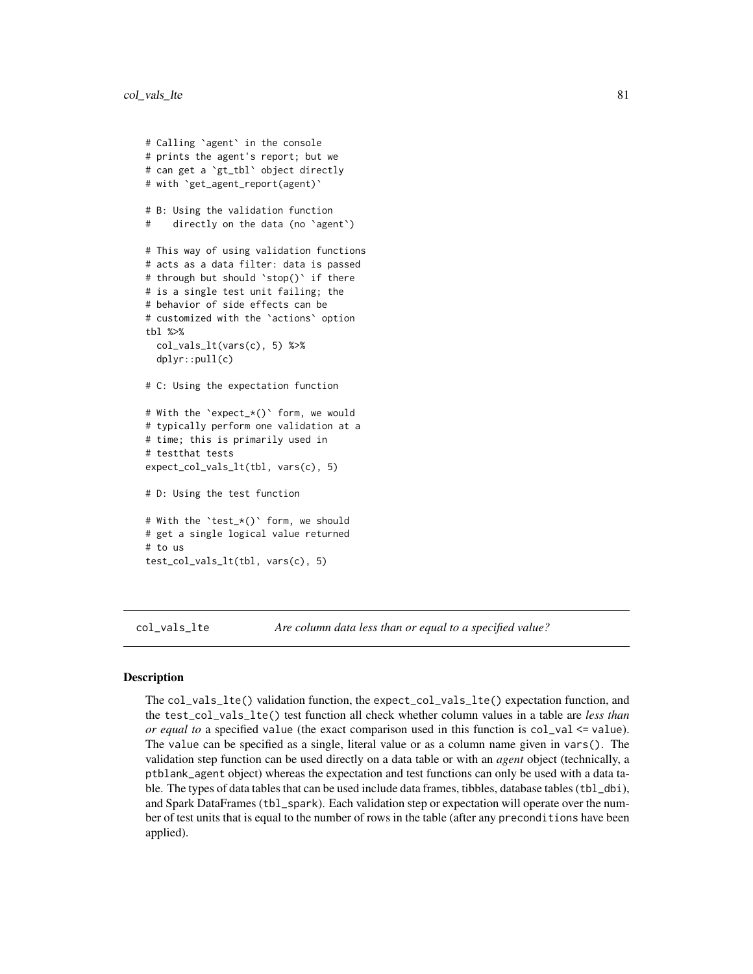```
# Calling `agent` in the console
# prints the agent's report; but we
# can get a `gt_tbl` object directly
# with `get_agent_report(agent)`
# B: Using the validation function
# directly on the data (no `agent`)
# This way of using validation functions
# acts as a data filter: data is passed
# through but should `stop()` if there
# is a single test unit failing; the
# behavior of side effects can be
# customized with the `actions` option
tbl %>%
 col_vals_lt(vars(c), 5) %>%
 dplyr::pull(c)
# C: Using the expectation function
# With the `expect_*()` form, we would
# typically perform one validation at a
# time; this is primarily used in
# testthat tests
expect_col_vals_lt(tbl, vars(c), 5)
# D: Using the test function
# With the `test_*()` form, we should
# get a single logical value returned
# to us
test_col_vals_lt(tbl, vars(c), 5)
```
<span id="page-80-0"></span>col\_vals\_lte *Are column data less than or equal to a specified value?*

### Description

The col\_vals\_lte() validation function, the expect\_col\_vals\_lte() expectation function, and the test\_col\_vals\_lte() test function all check whether column values in a table are *less than or equal to* a specified value (the exact comparison used in this function is col\_val  $\le$  value). The value can be specified as a single, literal value or as a column name given in vars(). The validation step function can be used directly on a data table or with an *agent* object (technically, a ptblank\_agent object) whereas the expectation and test functions can only be used with a data table. The types of data tables that can be used include data frames, tibbles, database tables (tbl\_dbi), and Spark DataFrames (tbl\_spark). Each validation step or expectation will operate over the number of test units that is equal to the number of rows in the table (after any preconditions have been applied).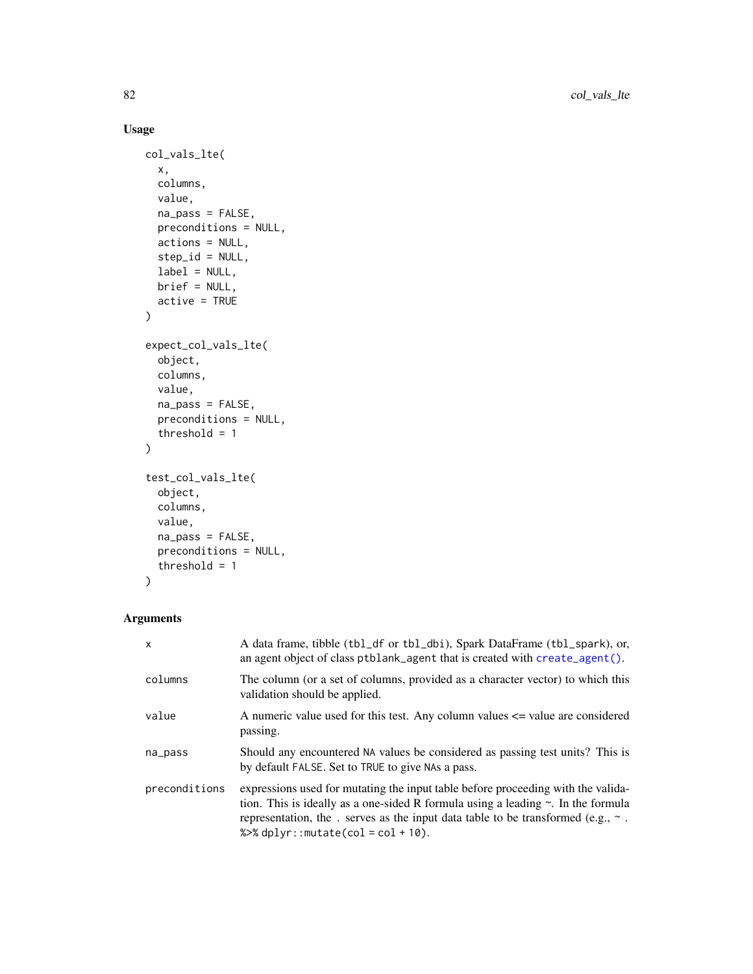# Usage

```
col_vals_lte(
  x,
  columns,
  value,
  na_pass = FALSE,
  preconditions = NULL,
  actions = NULL,
  step_id = NULL,
  label = NULL,brief = NULL,
  active = TRUE
\mathcal{L}expect_col_vals_lte(
  object,
  columns,
  value,
  na_pass = FALSE,
  preconditions = NULL,
  threshold = 1
\mathcal{L}test_col_vals_lte(
  object,
  columns,
  value,
  na_pass = FALSE,
  preconditions = NULL,
  threshold = 1
)
```
# Arguments

| $\mathsf{x}$  | A data frame, tibble (tbl_df or tbl_dbi), Spark DataFrame (tbl_spark), or,<br>an agent object of class ptblank_agent that is created with create_agent().                                                                                                                                                       |
|---------------|-----------------------------------------------------------------------------------------------------------------------------------------------------------------------------------------------------------------------------------------------------------------------------------------------------------------|
| columns       | The column (or a set of columns, provided as a character vector) to which this<br>validation should be applied.                                                                                                                                                                                                 |
| value         | A numeric value used for this test. Any column values $\leq$ value are considered<br>passing.                                                                                                                                                                                                                   |
| na_pass       | Should any encountered NA values be considered as passing test units? This is<br>by default FALSE. Set to TRUE to give NAs a pass.                                                                                                                                                                              |
| preconditions | expressions used for mutating the input table before proceeding with the valida-<br>tion. This is ideally as a one-sided R formula using a leading $\sim$ . In the formula<br>representation, the . serves as the input data table to be transformed (e.g., $\sim$ .<br>% $\gg$ dplyr:: mutate(col = col + 10). |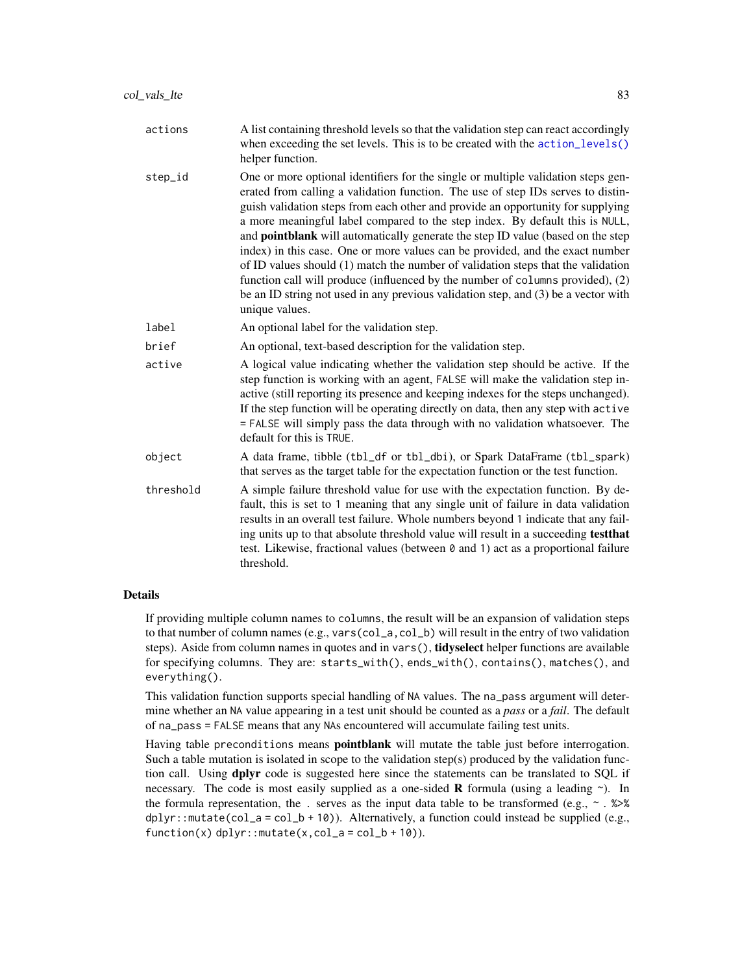| actions | A list containing threshold levels so that the validation step can react accordingly<br>when exceeding the set levels. This is to be created with the $\arctan_{\text{levels}}($ )                                                                                                                                                       |
|---------|------------------------------------------------------------------------------------------------------------------------------------------------------------------------------------------------------------------------------------------------------------------------------------------------------------------------------------------|
|         | helper function.                                                                                                                                                                                                                                                                                                                         |
| step_id | One or more optional identifiers for the single or multiple validation steps gen-<br>erated from calling a validation function. The use of step IDs serves to distin-<br>guish validation steps from each other and provide an opportunity for supplying<br>a more meaningful label compared to the step index. By default this is NULL, |
|         | and <b>pointblank</b> will automatically generate the step ID value (based on the step                                                                                                                                                                                                                                                   |
|         |                                                                                                                                                                                                                                                                                                                                          |

- index) in this case. One or more values can be provided, and the exact number of ID values should (1) match the number of validation steps that the validation function call will produce (influenced by the number of columns provided), (2) be an ID string not used in any previous validation step, and (3) be a vector with unique values.
- label An optional label for the validation step.

brief An optional, text-based description for the validation step.

- active A logical value indicating whether the validation step should be active. If the step function is working with an agent, FALSE will make the validation step inactive (still reporting its presence and keeping indexes for the steps unchanged). If the step function will be operating directly on data, then any step with active = FALSE will simply pass the data through with no validation whatsoever. The default for this is TRUE.
- object A data frame, tibble (tbl\_df or tbl\_dbi), or Spark DataFrame (tbl\_spark) that serves as the target table for the expectation function or the test function.
- threshold A simple failure threshold value for use with the expectation function. By default, this is set to 1 meaning that any single unit of failure in data validation results in an overall test failure. Whole numbers beyond 1 indicate that any failing units up to that absolute threshold value will result in a succeeding testthat test. Likewise, fractional values (between 0 and 1) act as a proportional failure threshold.

# Details

If providing multiple column names to columns, the result will be an expansion of validation steps to that number of column names (e.g., vars(col\_a,col\_b) will result in the entry of two validation steps). Aside from column names in quotes and in vars(), **tidyselect** helper functions are available for specifying columns. They are: starts\_with(), ends\_with(), contains(), matches(), and everything().

This validation function supports special handling of NA values. The na\_pass argument will determine whether an NA value appearing in a test unit should be counted as a *pass* or a *fail*. The default of na\_pass = FALSE means that any NAs encountered will accumulate failing test units.

Having table preconditions means **pointblank** will mutate the table just before interrogation. Such a table mutation is isolated in scope to the validation step(s) produced by the validation function call. Using **dplyr** code is suggested here since the statements can be translated to SQL if necessary. The code is most easily supplied as a one-sided **R** formula (using a leading  $\sim$ ). In the formula representation, the . serves as the input data table to be transformed (e.g.,  $\sim$  .  $\gg$ dplyr::mutate(col\_a = col\_b + 10)). Alternatively, a function could instead be supplied (e.g.,  $function(x)$  dplyr::mutate $(x, col_a = col_b + 10)$ ).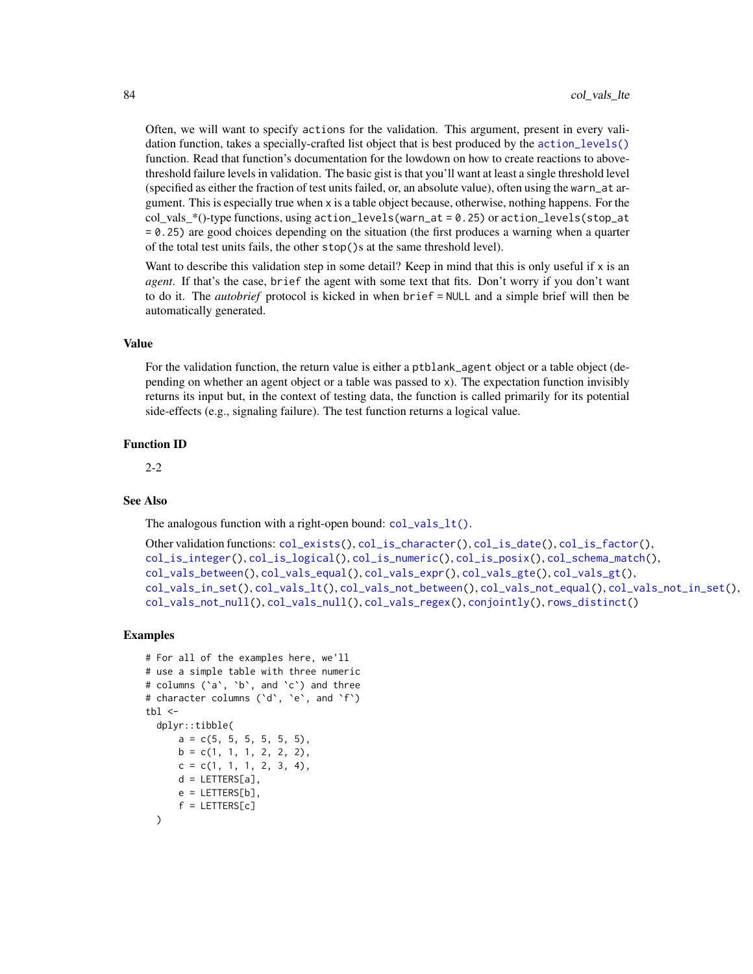Often, we will want to specify actions for the validation. This argument, present in every validation function, takes a specially-crafted list object that is best produced by the [action\\_levels\(\)](#page-2-0) function. Read that function's documentation for the lowdown on how to create reactions to abovethreshold failure levels in validation. The basic gist is that you'll want at least a single threshold level (specified as either the fraction of test units failed, or, an absolute value), often using the warn\_at argument. This is especially true when x is a table object because, otherwise, nothing happens. For the col\_vals\_\*()-type functions, using action\_levels(warn\_at = 0.25) or action\_levels(stop\_at = 0.25) are good choices depending on the situation (the first produces a warning when a quarter of the total test units fails, the other stop()s at the same threshold level).

Want to describe this validation step in some detail? Keep in mind that this is only useful if x is an *agent*. If that's the case, brief the agent with some text that fits. Don't worry if you don't want to do it. The *autobrief* protocol is kicked in when brief = NULL and a simple brief will then be automatically generated.

#### Value

For the validation function, the return value is either a ptblank\_agent object or a table object (depending on whether an agent object or a table was passed to x). The expectation function invisibly returns its input but, in the context of testing data, the function is called primarily for its potential side-effects (e.g., signaling failure). The test function returns a logical value.

#### Function ID

2-2

# See Also

The analogous function with a right-open bound:  $col\_vals_lt()$ .

```
Other validation functions: col_exists(), col_is_character(), col_is_date(), col_is_factor(),
col_is_integer(), col_is_logical(), col_is_numeric(), col_is_posix(), col_schema_match(),
col_vals_between(), col_vals_equal(), col_vals_expr(), col_vals_gte(), col_vals_gt(),
col_vals_in_set(), col_vals_lt(), col_vals_not_between(), col_vals_not_equal(), col_vals_not_in_set(),
col_vals_not_null(), col_vals_null(), col_vals_regex(), conjointly(), rows_distinct()
```

```
# For all of the examples here, we'll
# use a simple table with three numeric
# columns (`a`, `b`, and `c`) and three
# character columns (`d`, `e`, and `f`)
tb1 < -dplyr::tibble(
     a = c(5, 5, 5, 5, 5, 5),
     b = c(1, 1, 1, 2, 2, 2),
     c = c(1, 1, 1, 2, 3, 4),d = LETTERS[a],e = LETTERS[b],
     f = LETTERS[c])
```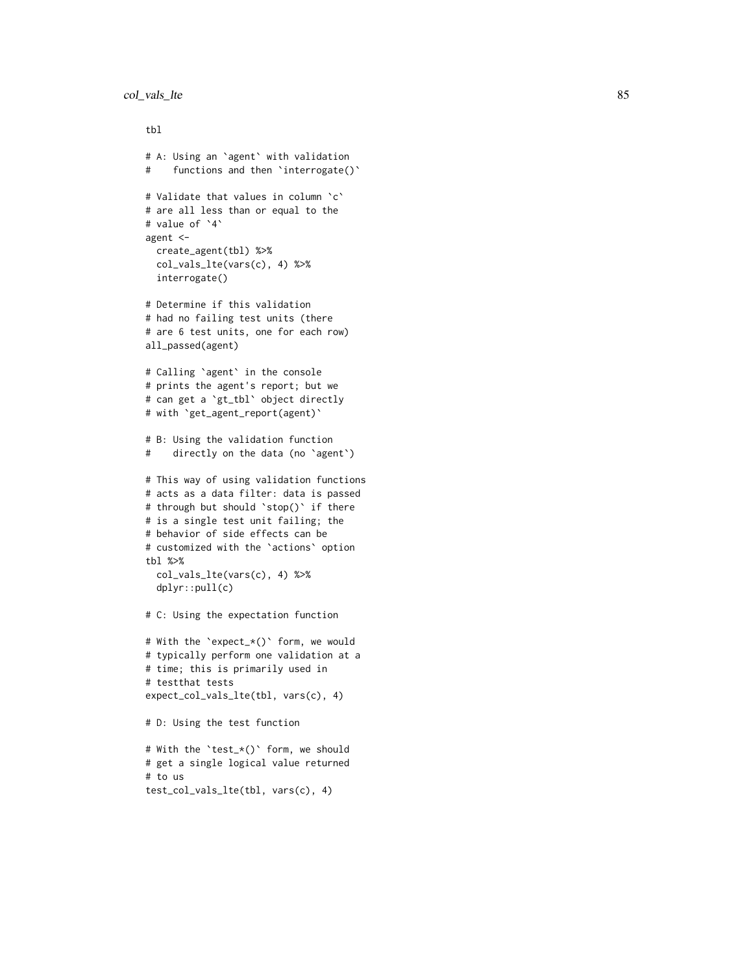```
col_vals_lte 85
```

```
tbl
# A: Using an
`agent
` with validation
# functions and then
`interrogate()
`
# Validate that values in column
`
c
`
# are all less than or equal to the
# value of
`
4
`
agent <-
 create_agent(tbl) %>%
  col_vals_lte(vars(c), 4) %>%
  interrogate()
# Determine if this validation
# had no failing test units (there
# are 6 test units, one for each row)
all_passed(agent)
# Calling
`agent
` in the console
# prints the agent's report; but we
# can get a
`gt_tbl
` object directly
# with
`get_agent_report(agent)
`
# B: Using the validation function
# directly on the data (no
`agent
`
)
# This way of using validation functions
# acts as a data filter: data is passed
# through but should
`stop()
` if there
# is a single test unit failing; the
# behavior of side effects can be
# customized with the
`actions
` option
tbl %>%
  col_vals_lte(vars(c), 4) %>%
  dplyr::pull(c)
# C: Using the expectation function
# With the
`expect_*()
` form, we would
# typically perform one validation at a
# time; this is primarily used in
# testthat tests
expect_col_vals_lte(tbl, vars(c), 4)
# D: Using the test function
# With the
`test_*()
` form, we should
# get a single logical value returned
# to us
test_col_vals_lte(tbl, vars(c), 4)
```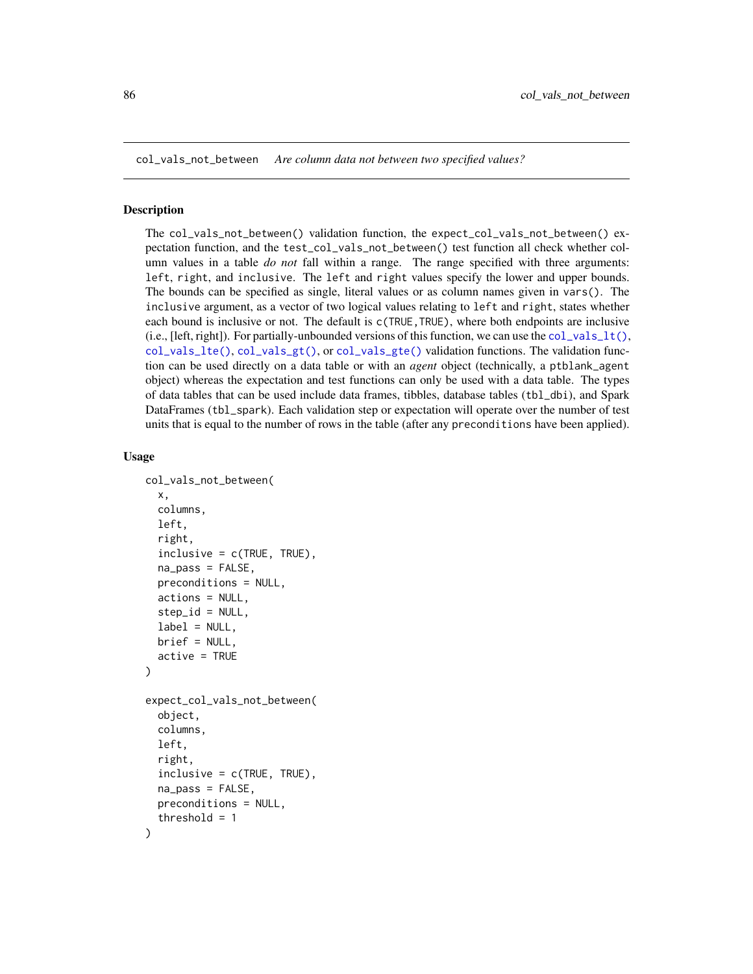<span id="page-85-0"></span>col\_vals\_not\_between *Are column data not between two specified values?*

### Description

The col\_vals\_not\_between() validation function, the expect\_col\_vals\_not\_between() expectation function, and the test\_col\_vals\_not\_between() test function all check whether column values in a table *do not* fall within a range. The range specified with three arguments: left, right, and inclusive. The left and right values specify the lower and upper bounds. The bounds can be specified as single, literal values or as column names given in vars(). The inclusive argument, as a vector of two logical values relating to left and right, states whether each bound is inclusive or not. The default is  $c$ (TRUE, TRUE), where both endpoints are inclusive (i.e., [left, right]). For partially-unbounded versions of this function, we can use the  $col\_vals_l(t)$ , [col\\_vals\\_lte\(\)](#page-80-0), [col\\_vals\\_gt\(\)](#page-63-0), or [col\\_vals\\_gte\(\)](#page-68-0) validation functions. The validation function can be used directly on a data table or with an *agent* object (technically, a ptblank\_agent object) whereas the expectation and test functions can only be used with a data table. The types of data tables that can be used include data frames, tibbles, database tables (tbl\_dbi), and Spark DataFrames (tbl\_spark). Each validation step or expectation will operate over the number of test units that is equal to the number of rows in the table (after any preconditions have been applied).

```
col_vals_not_between(
  x,
  columns,
  left,
  right,
  inclusive = c(TRUE, TRUE),
  na_pass = FALSE,
  preconditions = NULL,
  actions = NULL,
  step_id = NULL,label = NULL,brief = NULL,
  active = TRUE
)
expect_col_vals_not_between(
  object,
  columns,
  left,
  right,
  inclusive = c(TRUE, TRUE),
  na_{pass} = FALSE,
  preconditions = NULL,
  threshold = 1
)
```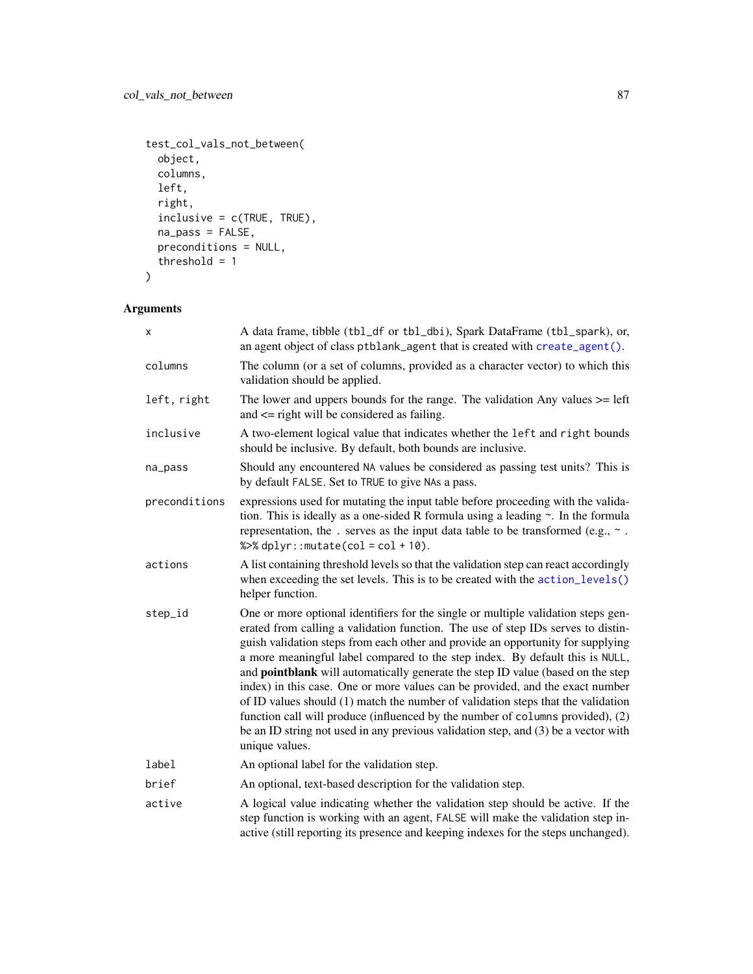```
test_col_vals_not_between(
  object,
  columns,
  left,
  right,
  inclusive = c(TRUE, TRUE),
  na_pass = FALSE,
  preconditions = NULL,
  threshold = 1
\mathcal{L}
```

| A data frame, tibble (tbl_df or tbl_dbi), Spark DataFrame (tbl_spark), or,<br>an agent object of class ptblank_agent that is created with create_agent().                                                                                                                                                                                                                                                                                                                                                                                                                                                                                                                                                                                                                                         |  |  |
|---------------------------------------------------------------------------------------------------------------------------------------------------------------------------------------------------------------------------------------------------------------------------------------------------------------------------------------------------------------------------------------------------------------------------------------------------------------------------------------------------------------------------------------------------------------------------------------------------------------------------------------------------------------------------------------------------------------------------------------------------------------------------------------------------|--|--|
| The column (or a set of columns, provided as a character vector) to which this<br>validation should be applied.                                                                                                                                                                                                                                                                                                                                                                                                                                                                                                                                                                                                                                                                                   |  |  |
| The lower and uppers bounds for the range. The validation Any values $>=$ left<br>and $\leq$ right will be considered as failing.                                                                                                                                                                                                                                                                                                                                                                                                                                                                                                                                                                                                                                                                 |  |  |
| A two-element logical value that indicates whether the left and right bounds<br>should be inclusive. By default, both bounds are inclusive.                                                                                                                                                                                                                                                                                                                                                                                                                                                                                                                                                                                                                                                       |  |  |
| Should any encountered NA values be considered as passing test units? This is<br>by default FALSE. Set to TRUE to give NAs a pass.                                                                                                                                                                                                                                                                                                                                                                                                                                                                                                                                                                                                                                                                |  |  |
| expressions used for mutating the input table before proceeding with the valida-<br>tion. This is ideally as a one-sided R formula using a leading $\sim$ . In the formula<br>representation, the . serves as the input data table to be transformed (e.g., $\sim$ .<br>% $>$ % dplyr:: mutate(col = col + 10).                                                                                                                                                                                                                                                                                                                                                                                                                                                                                   |  |  |
| A list containing threshold levels so that the validation step can react accordingly<br>when exceeding the set levels. This is to be created with the action_levels()<br>helper function.                                                                                                                                                                                                                                                                                                                                                                                                                                                                                                                                                                                                         |  |  |
| One or more optional identifiers for the single or multiple validation steps gen-<br>erated from calling a validation function. The use of step IDs serves to distin-<br>guish validation steps from each other and provide an opportunity for supplying<br>a more meaningful label compared to the step index. By default this is NULL,<br>and <b>pointblank</b> will automatically generate the step ID value (based on the step<br>index) in this case. One or more values can be provided, and the exact number<br>of ID values should (1) match the number of validation steps that the validation<br>function call will produce (influenced by the number of columns provided), (2)<br>be an ID string not used in any previous validation step, and (3) be a vector with<br>unique values. |  |  |
| An optional label for the validation step.                                                                                                                                                                                                                                                                                                                                                                                                                                                                                                                                                                                                                                                                                                                                                        |  |  |
| An optional, text-based description for the validation step.                                                                                                                                                                                                                                                                                                                                                                                                                                                                                                                                                                                                                                                                                                                                      |  |  |
| A logical value indicating whether the validation step should be active. If the<br>step function is working with an agent, FALSE will make the validation step in-<br>active (still reporting its presence and keeping indexes for the steps unchanged).                                                                                                                                                                                                                                                                                                                                                                                                                                                                                                                                          |  |  |
|                                                                                                                                                                                                                                                                                                                                                                                                                                                                                                                                                                                                                                                                                                                                                                                                   |  |  |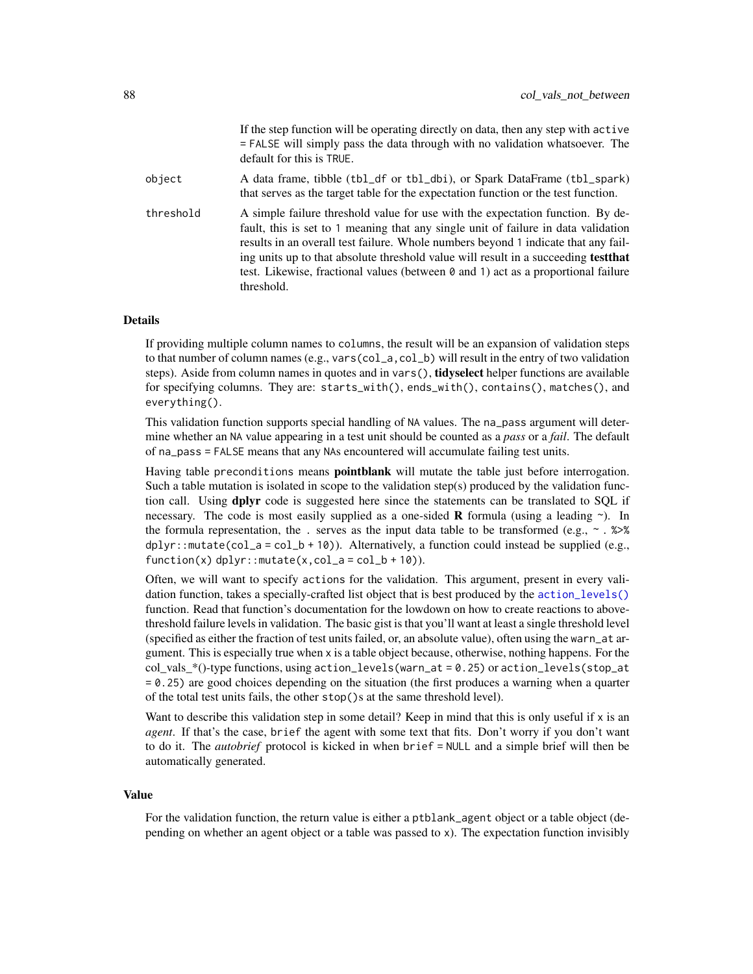|           | If the step function will be operating directly on data, then any step with active<br>$=$ FALSE will simply pass the data through with no validation whatsoever. The<br>default for this is TRUE.                                                                                                                                                                                                                                                                  |
|-----------|--------------------------------------------------------------------------------------------------------------------------------------------------------------------------------------------------------------------------------------------------------------------------------------------------------------------------------------------------------------------------------------------------------------------------------------------------------------------|
| object    | A data frame, tibble (tbl_df or tbl_dbi), or Spark DataFrame (tbl_spark)<br>that serves as the target table for the expectation function or the test function.                                                                                                                                                                                                                                                                                                     |
| threshold | A simple failure threshold value for use with the expectation function. By de-<br>fault, this is set to 1 meaning that any single unit of failure in data validation<br>results in an overall test failure. Whole numbers beyond 1 indicate that any fail-<br>ing units up to that absolute threshold value will result in a succeeding <b>test that</b><br>test. Likewise, fractional values (between $\theta$ and 1) act as a proportional failure<br>threshold. |

## Details

If providing multiple column names to columns, the result will be an expansion of validation steps to that number of column names (e.g., vars(col\_a,col\_b) will result in the entry of two validation steps). Aside from column names in quotes and in vars(), **tidyselect** helper functions are available for specifying columns. They are: starts\_with(), ends\_with(), contains(), matches(), and everything().

This validation function supports special handling of NA values. The na\_pass argument will determine whether an NA value appearing in a test unit should be counted as a *pass* or a *fail*. The default of na\_pass = FALSE means that any NAs encountered will accumulate failing test units.

Having table preconditions means **pointblank** will mutate the table just before interrogation. Such a table mutation is isolated in scope to the validation step(s) produced by the validation function call. Using **dplyr** code is suggested here since the statements can be translated to SOL if necessary. The code is most easily supplied as a one-sided **R** formula (using a leading  $\sim$ ). In the formula representation, the . serves as the input data table to be transformed (e.g.,  $\sim$  .  $\gg\$  $d$ ghlyr::mutate(col\_a = col\_b + 10)). Alternatively, a function could instead be supplied (e.g.,  $function(x)$  dplyr::mutate $(x, col_a = col_b + 10)$ ).

Often, we will want to specify actions for the validation. This argument, present in every validation function, takes a specially-crafted list object that is best produced by the [action\\_levels\(\)](#page-2-0) function. Read that function's documentation for the lowdown on how to create reactions to abovethreshold failure levels in validation. The basic gist is that you'll want at least a single threshold level (specified as either the fraction of test units failed, or, an absolute value), often using the warn\_at argument. This is especially true when x is a table object because, otherwise, nothing happens. For the  $col\_vals^*()$ -type functions, using action\_levels(warn\_at = 0.25) or action\_levels(stop\_at = 0.25) are good choices depending on the situation (the first produces a warning when a quarter of the total test units fails, the other stop()s at the same threshold level).

Want to describe this validation step in some detail? Keep in mind that this is only useful if x is an *agent*. If that's the case, brief the agent with some text that fits. Don't worry if you don't want to do it. The *autobrief* protocol is kicked in when brief = NULL and a simple brief will then be automatically generated.

#### Value

For the validation function, the return value is either a ptblank\_agent object or a table object (depending on whether an agent object or a table was passed to x). The expectation function invisibly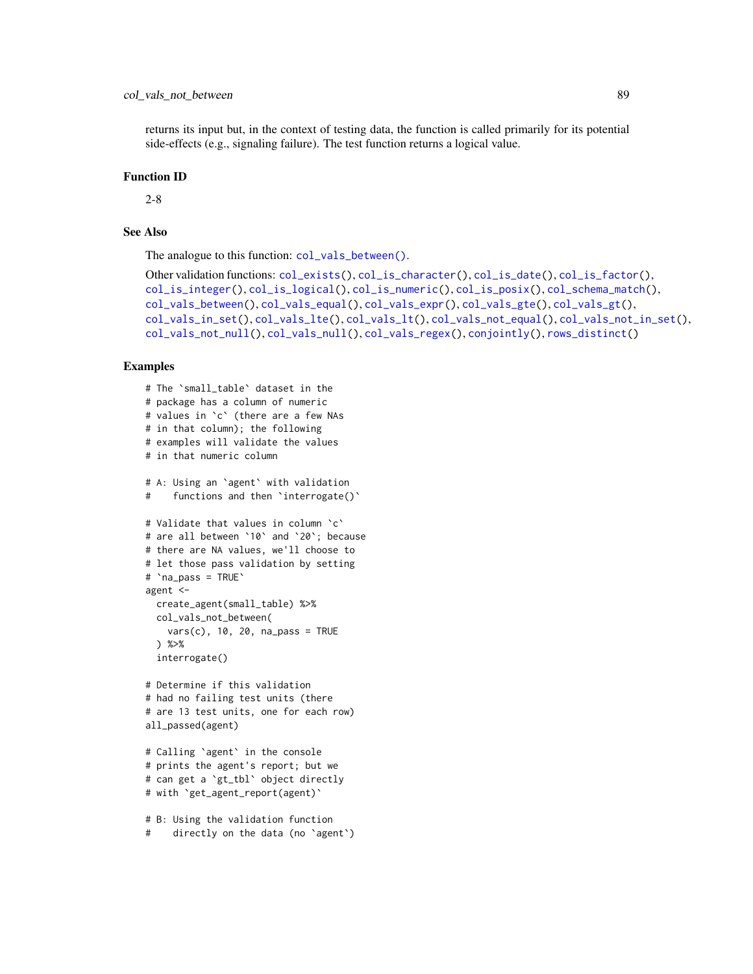# col\_vals\_not\_between 89

returns its input but, in the context of testing data, the function is called primarily for its potential side-effects (e.g., signaling failure). The test function returns a logical value.

### Function ID

2-8

# See Also

The analogue to this function: [col\\_vals\\_between\(\)](#page-50-0).

```
Other validation functions: col_exists(), col_is_character(), col_is_date(), col_is_factor(),
col_is_integer(), col_is_logical(), col_is_numeric(), col_is_posix(), col_schema_match(),
col_vals_between(), col_vals_equal(), col_vals_expr(), col_vals_gte(), col_vals_gt(),
col_vals_in_set(), col_vals_lte(), col_vals_lt(), col_vals_not_equal(), col_vals_not_in_set(),
col_vals_not_null(), col_vals_null(), col_vals_regex(), conjointly(), rows_distinct()
```

```
# The `small_table` dataset in the
# package has a column of numeric
# values in `c` (there are a few NAs
# in that column); the following
# examples will validate the values
# in that numeric column
# A: Using an `agent` with validation
# functions and then `interrogate()`
# Validate that values in column `c`
# are all between `10` and `20`; because
# there are NA values, we'll choose to
# let those pass validation by setting
# `na_pass = TRUE`
agent <-
 create_agent(small_table) %>%
 col_vals_not_between(
   vars(c), 10, 20, na_pass = TRUE
 ) %>%
 interrogate()
# Determine if this validation
# had no failing test units (there
# are 13 test units, one for each row)
all_passed(agent)
# Calling `agent` in the console
# prints the agent's report; but we
# can get a `gt_tbl` object directly
# with `get_agent_report(agent)`
# B: Using the validation function
```

```
# directly on the data (no `agent`)
```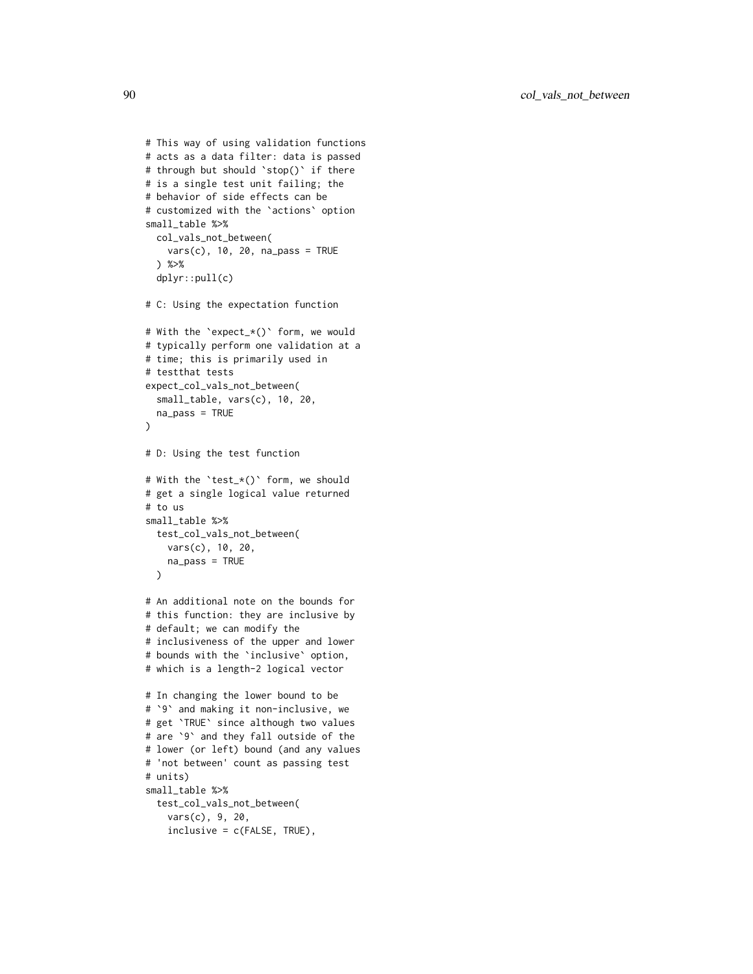```
# This way of using validation functions
# acts as a data filter: data is passed
# through but should `stop()` if there
# is a single test unit failing; the
# behavior of side effects can be
# customized with the `actions` option
small_table %>%
  col_vals_not_between(
    vars(c), 10, 20, na_pass = TRUE
  ) %>%
  dplyr::pull(c)
# C: Using the expectation function
# With the `expect_*()` form, we would
# typically perform one validation at a
# time; this is primarily used in
# testthat tests
expect_col_vals_not_between(
  small_table, vars(c), 10, 20,
  na_pass = TRUE
\lambda# D: Using the test function
# With the `test_*()` form, we should
# get a single logical value returned
# to us
small_table %>%
 test_col_vals_not_between(
   vars(c), 10, 20,
   na_pass = TRUE
  \mathcal{L}# An additional note on the bounds for
# this function: they are inclusive by
# default; we can modify the
# inclusiveness of the upper and lower
# bounds with the `inclusive` option,
# which is a length-2 logical vector
# In changing the lower bound to be
# `9` and making it non-inclusive, we
# get `TRUE` since although two values
# are `9` and they fall outside of the
# lower (or left) bound (and any values
# 'not between' count as passing test
# units)
small_table %>%
  test_col_vals_not_between(
    vars(c), 9, 20,
    inclusive = c(FALSE, TRUE),
```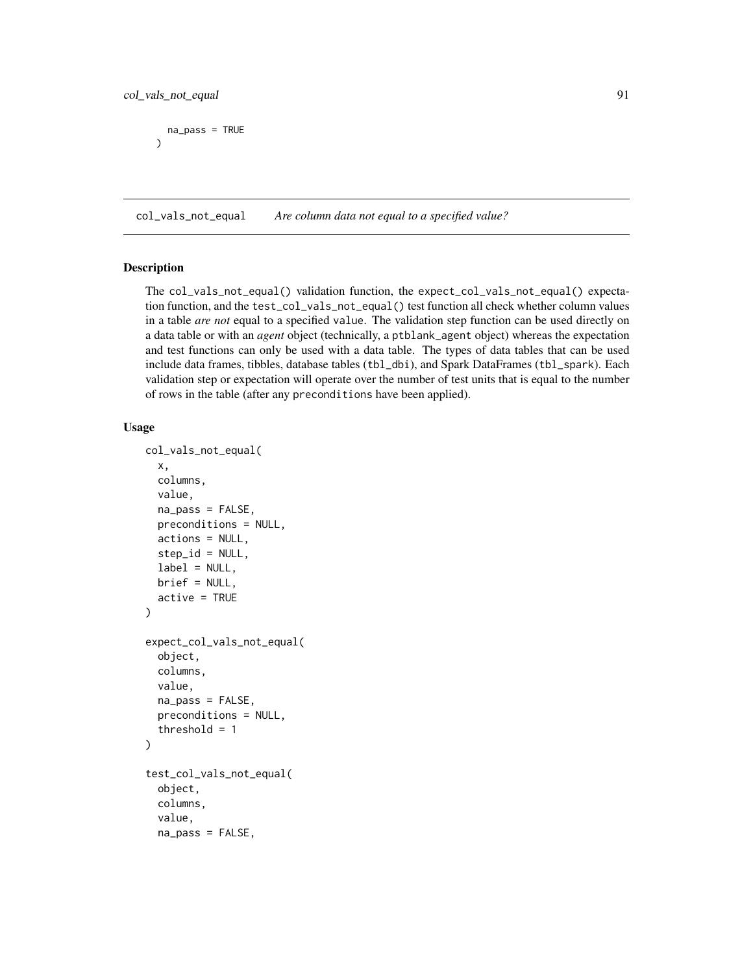```
na_pass = TRUE
)
```
<span id="page-90-0"></span>col\_vals\_not\_equal *Are column data not equal to a specified value?*

# Description

The col\_vals\_not\_equal() validation function, the expect\_col\_vals\_not\_equal() expectation function, and the test\_col\_vals\_not\_equal() test function all check whether column values in a table *are not* equal to a specified value. The validation step function can be used directly on a data table or with an *agent* object (technically, a ptblank\_agent object) whereas the expectation and test functions can only be used with a data table. The types of data tables that can be used include data frames, tibbles, database tables (tbl\_dbi), and Spark DataFrames (tbl\_spark). Each validation step or expectation will operate over the number of test units that is equal to the number of rows in the table (after any preconditions have been applied).

```
col_vals_not_equal(
  x,
  columns,
  value,
  na_pass = FALSE,
  preconditions = NULL,
  actions = NULL,
  step_id = NULL,label = NULL,brief = NULL,
  active = TRUE)
expect_col_vals_not_equal(
  object,
  columns,
  value,
  na_pass = FALSE,
  preconditions = NULL,
  threshold = 1\mathcal{L}test_col_vals_not_equal(
  object,
  columns,
  value,
  na_pass = FALSE,
```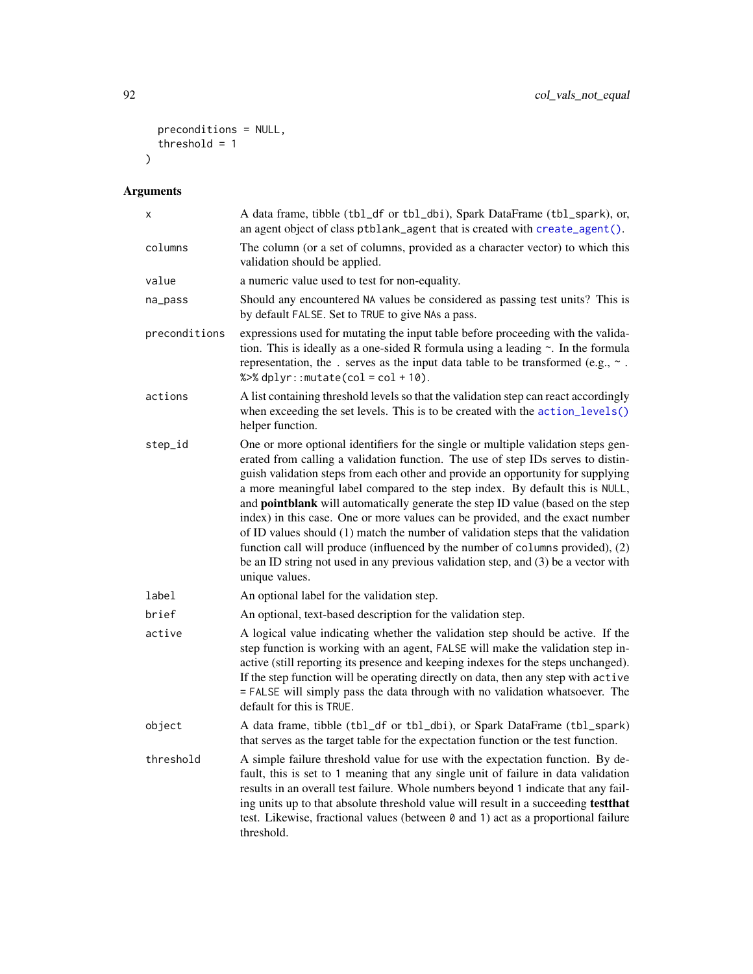```
preconditions = NULL,
  threshold = 1\mathcal{L}
```

| Χ             | A data frame, tibble (tbl_df or tbl_dbi), Spark DataFrame (tbl_spark), or,<br>an agent object of class ptblank_agent that is created with create_agent().                                                                                                                                                                                                                                                                                                                                                                                                                                                                                                                                                                                                                                  |  |  |
|---------------|--------------------------------------------------------------------------------------------------------------------------------------------------------------------------------------------------------------------------------------------------------------------------------------------------------------------------------------------------------------------------------------------------------------------------------------------------------------------------------------------------------------------------------------------------------------------------------------------------------------------------------------------------------------------------------------------------------------------------------------------------------------------------------------------|--|--|
| columns       | The column (or a set of columns, provided as a character vector) to which this<br>validation should be applied.                                                                                                                                                                                                                                                                                                                                                                                                                                                                                                                                                                                                                                                                            |  |  |
| value         | a numeric value used to test for non-equality.                                                                                                                                                                                                                                                                                                                                                                                                                                                                                                                                                                                                                                                                                                                                             |  |  |
| na_pass       | Should any encountered NA values be considered as passing test units? This is<br>by default FALSE. Set to TRUE to give NAs a pass.                                                                                                                                                                                                                                                                                                                                                                                                                                                                                                                                                                                                                                                         |  |  |
| preconditions | expressions used for mutating the input table before proceeding with the valida-<br>tion. This is ideally as a one-sided R formula using a leading $\sim$ . In the formula<br>representation, the . serves as the input data table to be transformed (e.g., $\sim$ .<br>% $>$ % dplyr:: mutate(col = col + 10).                                                                                                                                                                                                                                                                                                                                                                                                                                                                            |  |  |
| actions       | A list containing threshold levels so that the validation step can react accordingly<br>when exceeding the set levels. This is to be created with the action_levels()<br>helper function.                                                                                                                                                                                                                                                                                                                                                                                                                                                                                                                                                                                                  |  |  |
| step_id       | One or more optional identifiers for the single or multiple validation steps gen-<br>erated from calling a validation function. The use of step IDs serves to distin-<br>guish validation steps from each other and provide an opportunity for supplying<br>a more meaningful label compared to the step index. By default this is NULL,<br>and pointblank will automatically generate the step ID value (based on the step<br>index) in this case. One or more values can be provided, and the exact number<br>of ID values should (1) match the number of validation steps that the validation<br>function call will produce (influenced by the number of columns provided), (2)<br>be an ID string not used in any previous validation step, and (3) be a vector with<br>unique values. |  |  |
| label         | An optional label for the validation step.                                                                                                                                                                                                                                                                                                                                                                                                                                                                                                                                                                                                                                                                                                                                                 |  |  |
| brief         | An optional, text-based description for the validation step.                                                                                                                                                                                                                                                                                                                                                                                                                                                                                                                                                                                                                                                                                                                               |  |  |
| active        | A logical value indicating whether the validation step should be active. If the<br>step function is working with an agent, FALSE will make the validation step in-<br>active (still reporting its presence and keeping indexes for the steps unchanged).<br>If the step function will be operating directly on data, then any step with active<br>= FALSE will simply pass the data through with no validation whatsoever. The<br>default for this is TRUE.                                                                                                                                                                                                                                                                                                                                |  |  |
| object        | A data frame, tibble (tbl_df or tbl_dbi), or Spark DataFrame (tbl_spark)<br>that serves as the target table for the expectation function or the test function.                                                                                                                                                                                                                                                                                                                                                                                                                                                                                                                                                                                                                             |  |  |
| threshold     | A simple failure threshold value for use with the expectation function. By de-<br>fault, this is set to 1 meaning that any single unit of failure in data validation<br>results in an overall test failure. Whole numbers beyond 1 indicate that any fail-<br>ing units up to that absolute threshold value will result in a succeeding testthat<br>test. Likewise, fractional values (between 0 and 1) act as a proportional failure<br>threshold.                                                                                                                                                                                                                                                                                                                                        |  |  |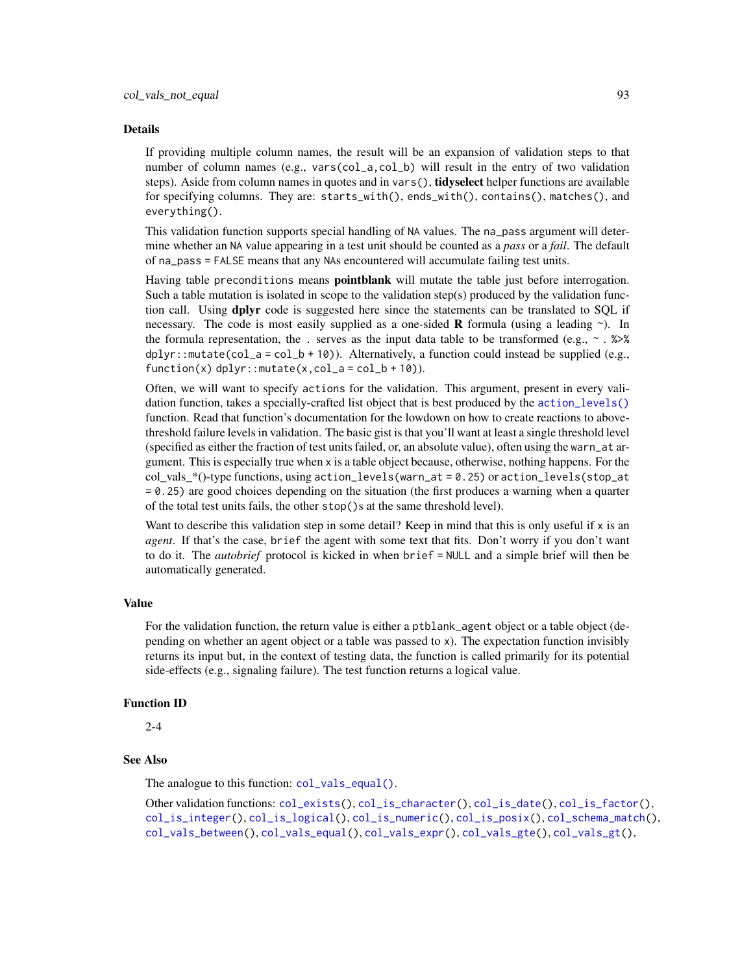#### Details

If providing multiple column names, the result will be an expansion of validation steps to that number of column names (e.g., vars(col\_a,col\_b) will result in the entry of two validation steps). Aside from column names in quotes and in vars(), tidyselect helper functions are available for specifying columns. They are: starts\_with(), ends\_with(), contains(), matches(), and everything().

This validation function supports special handling of NA values. The na\_pass argument will determine whether an NA value appearing in a test unit should be counted as a *pass* or a *fail*. The default of na\_pass = FALSE means that any NAs encountered will accumulate failing test units.

Having table preconditions means **pointblank** will mutate the table just before interrogation. Such a table mutation is isolated in scope to the validation step(s) produced by the validation function call. Using **dplyr** code is suggested here since the statements can be translated to SQL if necessary. The code is most easily supplied as a one-sided **R** formula (using a leading  $\sim$ ). In the formula representation, the . serves as the input data table to be transformed (e.g.,  $\sim$  .  $\gg\$  $d$ ghlyr::mutate(col\_a = col\_b + 10)). Alternatively, a function could instead be supplied (e.g.,  $function(x)$  dplyr:: mutate(x,col\_a = col\_b + 10)).

Often, we will want to specify actions for the validation. This argument, present in every validation function, takes a specially-crafted list object that is best produced by the [action\\_levels\(\)](#page-2-0) function. Read that function's documentation for the lowdown on how to create reactions to abovethreshold failure levels in validation. The basic gist is that you'll want at least a single threshold level (specified as either the fraction of test units failed, or, an absolute value), often using the warn\_at argument. This is especially true when x is a table object because, otherwise, nothing happens. For the col vals  $*($ )-type functions, using action\_levels(warn\_at = 0.25) or action\_levels(stop\_at = 0.25) are good choices depending on the situation (the first produces a warning when a quarter of the total test units fails, the other stop()s at the same threshold level).

Want to describe this validation step in some detail? Keep in mind that this is only useful if  $x$  is an *agent*. If that's the case, brief the agent with some text that fits. Don't worry if you don't want to do it. The *autobrief* protocol is kicked in when brief = NULL and a simple brief will then be automatically generated.

#### Value

For the validation function, the return value is either a ptblank\_agent object or a table object (depending on whether an agent object or a table was passed to x). The expectation function invisibly returns its input but, in the context of testing data, the function is called primarily for its potential side-effects (e.g., signaling failure). The test function returns a logical value.

#### Function ID

2-4

# See Also

The analogue to this function: [col\\_vals\\_equal\(\)](#page-55-0).

Other validation functions: [col\\_exists\(](#page-17-0)), [col\\_is\\_character\(](#page-20-0)), [col\\_is\\_date\(](#page-23-0)), [col\\_is\\_factor\(](#page-27-0)), [col\\_is\\_integer\(](#page-30-0)), [col\\_is\\_logical\(](#page-34-0)), [col\\_is\\_numeric\(](#page-37-0)), [col\\_is\\_posix\(](#page-40-0)), [col\\_schema\\_match\(](#page-45-0)), [col\\_vals\\_between\(](#page-50-0)), [col\\_vals\\_equal\(](#page-55-0)), [col\\_vals\\_expr\(](#page-59-0)), [col\\_vals\\_gte\(](#page-68-0)), [col\\_vals\\_gt\(](#page-63-0)),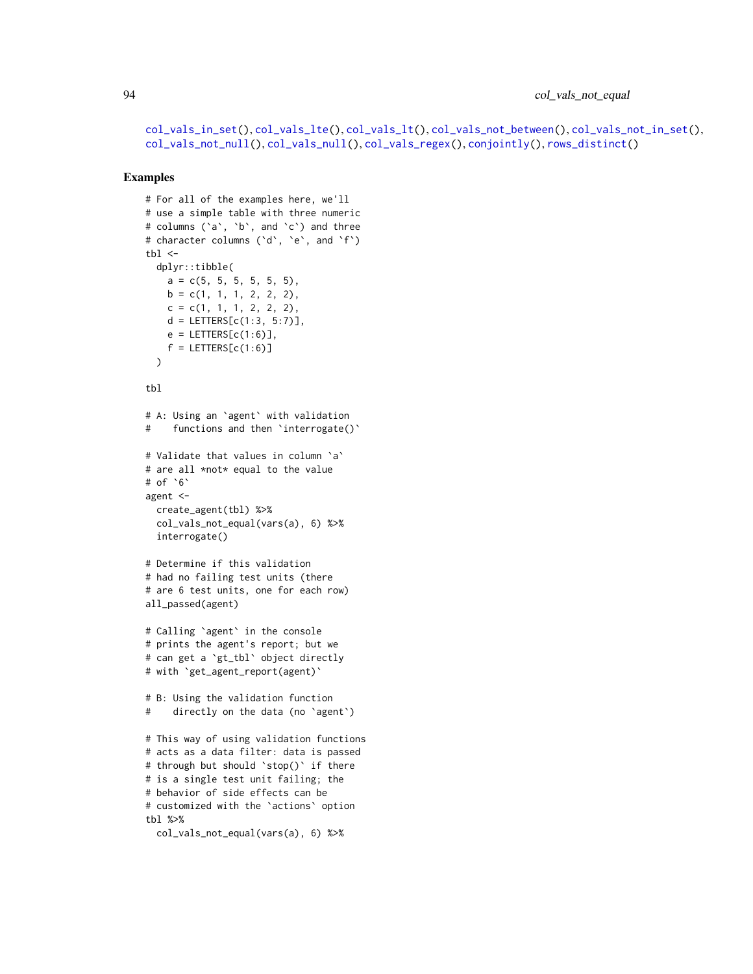```
col_vals_in_set(), col_vals_lte(), col_vals_lt(), col_vals_not_between(), col_vals_not_in_set(),
col_vals_not_null(), col_vals_null(), col_vals_regex(), conjointly(), rows_distinct()
```

```
# For all of the examples here, we'll
# use a simple table with three numeric
# columns (`a`, `b`, and `c`) and three
# character columns (`d`, `e`, and `f`)
tb1 < -dplyr::tibble(
   a = c(5, 5, 5, 5, 5, 5),
   b = c(1, 1, 1, 2, 2, 2),
   c = c(1, 1, 1, 2, 2, 2),
   d = LETTERS[c(1:3, 5:7)],e = LETTERS[c(1:6)],
   f = LETTERS[c(1:6)])
tbl
# A: Using an `agent` with validation
# functions and then 'interrogate()'
# Validate that values in column `a`
# are all *not* equal to the value
# of `6`
agent <-
 create_agent(tbl) %>%
  col_vals_not_equal(vars(a), 6) %>%
  interrogate()
# Determine if this validation
# had no failing test units (there
# are 6 test units, one for each row)
all_passed(agent)
# Calling `agent` in the console
# prints the agent's report; but we
# can get a `gt_tbl` object directly
# with `get_agent_report(agent)`
# B: Using the validation function
# directly on the data (no `agent`)
# This way of using validation functions
# acts as a data filter: data is passed
# through but should `stop()` if there
# is a single test unit failing; the
# behavior of side effects can be
# customized with the `actions` option
tbl %>%
  col_vals_not_equal(vars(a), 6) %>%
```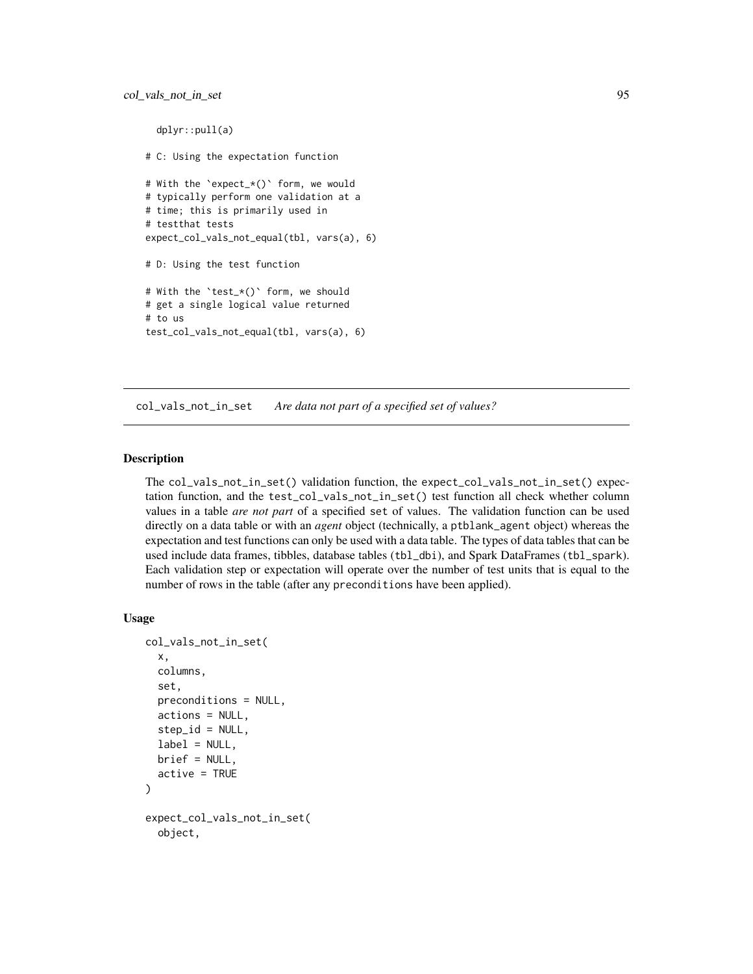```
dplyr::pull(a)
# C: Using the expectation function
# With the `expect_*()` form, we would
# typically perform one validation at a
# time; this is primarily used in
# testthat tests
expect_col_vals_not_equal(tbl, vars(a), 6)
# D: Using the test function
# With the `test_*()` form, we should
# get a single logical value returned
# to us
test_col_vals_not_equal(tbl, vars(a), 6)
```
<span id="page-94-0"></span>col\_vals\_not\_in\_set *Are data not part of a specified set of values?*

# Description

The col\_vals\_not\_in\_set() validation function, the expect\_col\_vals\_not\_in\_set() expectation function, and the test\_col\_vals\_not\_in\_set() test function all check whether column values in a table *are not part* of a specified set of values. The validation function can be used directly on a data table or with an *agent* object (technically, a ptblank\_agent object) whereas the expectation and test functions can only be used with a data table. The types of data tables that can be used include data frames, tibbles, database tables (tbl\_dbi), and Spark DataFrames (tbl\_spark). Each validation step or expectation will operate over the number of test units that is equal to the number of rows in the table (after any preconditions have been applied).

```
col_vals_not_in_set(
 x,
  columns,
  set,
  preconditions = NULL,
  actions = NULL,
  step_id = NULL,label = NULL,brief = NULL,
  active = TRUE)
expect_col_vals_not_in_set(
  object,
```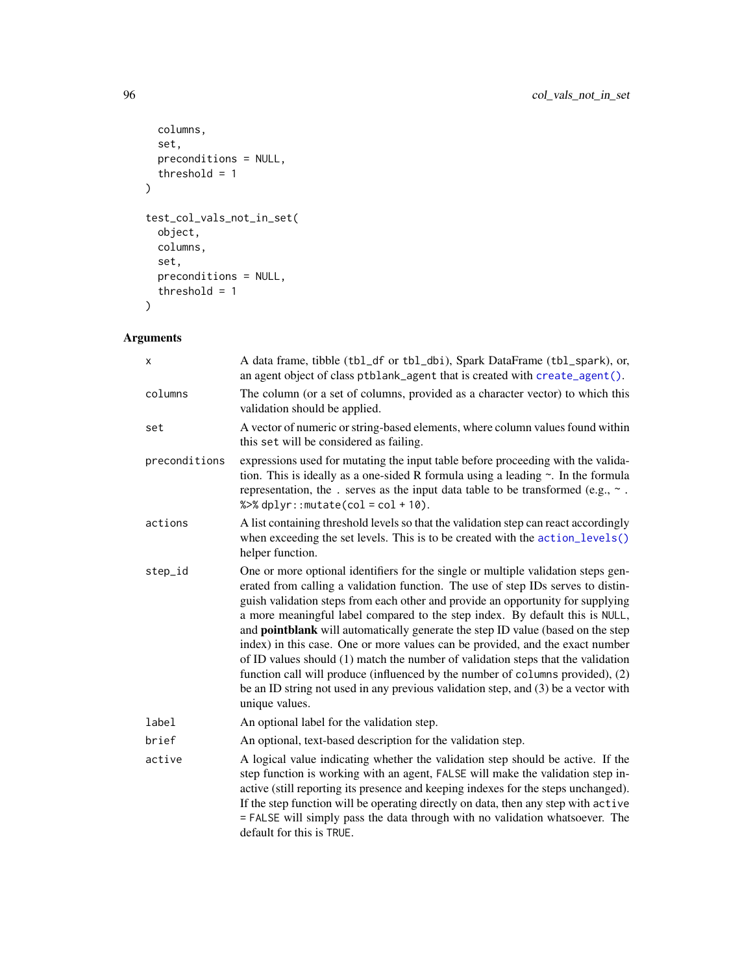```
columns,
  set,
  preconditions = NULL,
  threshold = 1
\mathcal{L}test_col_vals_not_in_set(
  object,
  columns,
  set,
  preconditions = NULL,
  threshold = 1
\mathcal{L}
```

| x             | A data frame, tibble (tbl_df or tbl_dbi), Spark DataFrame (tbl_spark), or,<br>an agent object of class ptblank_agent that is created with create_agent().                                                                                                                                                                                                                                                                                                                                                                                                                                                                                                                                                                                                                                         |  |  |
|---------------|---------------------------------------------------------------------------------------------------------------------------------------------------------------------------------------------------------------------------------------------------------------------------------------------------------------------------------------------------------------------------------------------------------------------------------------------------------------------------------------------------------------------------------------------------------------------------------------------------------------------------------------------------------------------------------------------------------------------------------------------------------------------------------------------------|--|--|
| columns       | The column (or a set of columns, provided as a character vector) to which this<br>validation should be applied.                                                                                                                                                                                                                                                                                                                                                                                                                                                                                                                                                                                                                                                                                   |  |  |
| set           | A vector of numeric or string-based elements, where column values found within<br>this set will be considered as failing.                                                                                                                                                                                                                                                                                                                                                                                                                                                                                                                                                                                                                                                                         |  |  |
| preconditions | expressions used for mutating the input table before proceeding with the valida-<br>tion. This is ideally as a one-sided R formula using a leading $\sim$ . In the formula<br>representation, the . serves as the input data table to be transformed (e.g., $\sim$ .<br>% $>$ % dplyr:: mutate(col = col + 10).                                                                                                                                                                                                                                                                                                                                                                                                                                                                                   |  |  |
| actions       | A list containing threshold levels so that the validation step can react accordingly<br>when exceeding the set levels. This is to be created with the action_levels()<br>helper function.                                                                                                                                                                                                                                                                                                                                                                                                                                                                                                                                                                                                         |  |  |
| step_id       | One or more optional identifiers for the single or multiple validation steps gen-<br>erated from calling a validation function. The use of step IDs serves to distin-<br>guish validation steps from each other and provide an opportunity for supplying<br>a more meaningful label compared to the step index. By default this is NULL,<br>and <b>pointblank</b> will automatically generate the step ID value (based on the step<br>index) in this case. One or more values can be provided, and the exact number<br>of ID values should (1) match the number of validation steps that the validation<br>function call will produce (influenced by the number of columns provided), (2)<br>be an ID string not used in any previous validation step, and (3) be a vector with<br>unique values. |  |  |
| label         | An optional label for the validation step.                                                                                                                                                                                                                                                                                                                                                                                                                                                                                                                                                                                                                                                                                                                                                        |  |  |
| brief         | An optional, text-based description for the validation step.                                                                                                                                                                                                                                                                                                                                                                                                                                                                                                                                                                                                                                                                                                                                      |  |  |
| active        | A logical value indicating whether the validation step should be active. If the<br>step function is working with an agent, FALSE will make the validation step in-<br>active (still reporting its presence and keeping indexes for the steps unchanged).<br>If the step function will be operating directly on data, then any step with active<br>= FALSE will simply pass the data through with no validation whatsoever. The<br>default for this is TRUE.                                                                                                                                                                                                                                                                                                                                       |  |  |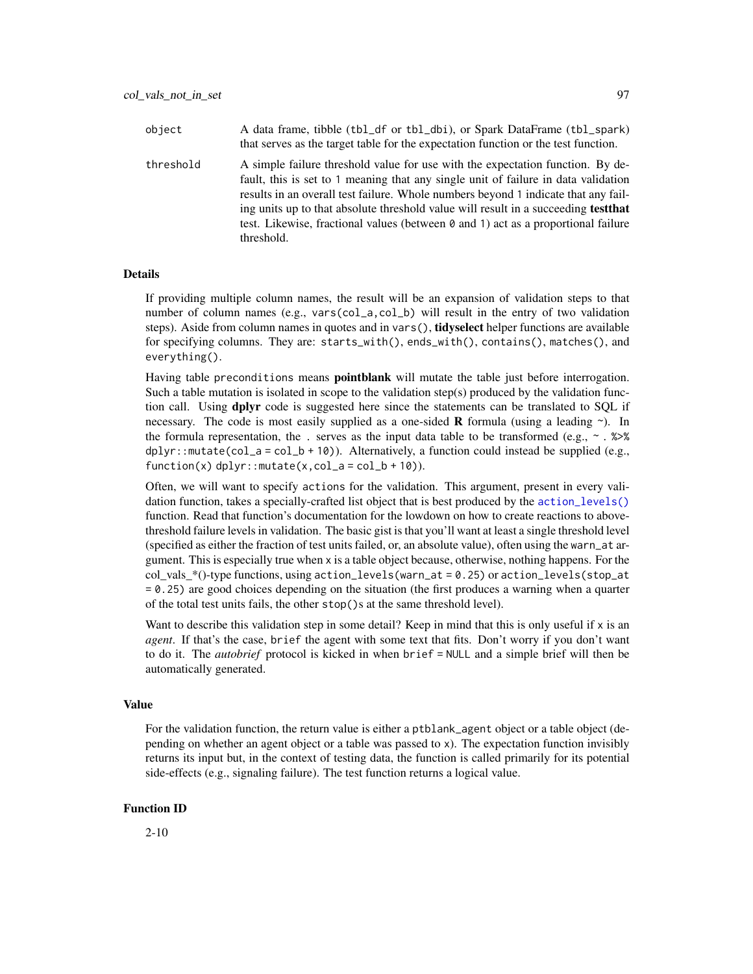| object    | A data frame, tibble (tbl_df or tbl_dbi), or Spark DataFrame (tbl_spark)<br>that serves as the target table for the expectation function or the test function.                                                                                                                                                                                                                                                                                              |
|-----------|-------------------------------------------------------------------------------------------------------------------------------------------------------------------------------------------------------------------------------------------------------------------------------------------------------------------------------------------------------------------------------------------------------------------------------------------------------------|
| threshold | A simple failure threshold value for use with the expectation function. By de-<br>fault, this is set to 1 meaning that any single unit of failure in data validation<br>results in an overall test failure. Whole numbers beyond 1 indicate that any fail-<br>ing units up to that absolute threshold value will result in a succeeding <b>test that</b><br>test. Likewise, fractional values (between 0 and 1) act as a proportional failure<br>threshold. |

#### **Details**

If providing multiple column names, the result will be an expansion of validation steps to that number of column names (e.g., vars(col\_a,col\_b) will result in the entry of two validation steps). Aside from column names in quotes and in vars(), **tidyselect** helper functions are available for specifying columns. They are: starts\_with(), ends\_with(), contains(), matches(), and everything().

Having table preconditions means **pointblank** will mutate the table just before interrogation. Such a table mutation is isolated in scope to the validation step(s) produced by the validation function call. Using **dplyr** code is suggested here since the statements can be translated to SQL if necessary. The code is most easily supplied as a one-sided **R** formula (using a leading  $\sim$ ). In the formula representation, the . serves as the input data table to be transformed (e.g.,  $\sim$  .  $\gg$ )%  $d$ ghlyr::mutate(col\_a = col\_b + 10)). Alternatively, a function could instead be supplied (e.g.,  $function(x)$  dplyr::mutate $(x, col_a = col_b + 10)$ ).

Often, we will want to specify actions for the validation. This argument, present in every validation function, takes a specially-crafted list object that is best produced by the [action\\_levels\(\)](#page-2-0) function. Read that function's documentation for the lowdown on how to create reactions to abovethreshold failure levels in validation. The basic gist is that you'll want at least a single threshold level (specified as either the fraction of test units failed, or, an absolute value), often using the warn\_at argument. This is especially true when x is a table object because, otherwise, nothing happens. For the  $col\_vals^*()$ -type functions, using action\_levels(warn\_at = 0.25) or action\_levels(stop\_at = 0.25) are good choices depending on the situation (the first produces a warning when a quarter of the total test units fails, the other stop()s at the same threshold level).

Want to describe this validation step in some detail? Keep in mind that this is only useful if x is an *agent*. If that's the case, brief the agent with some text that fits. Don't worry if you don't want to do it. The *autobrief* protocol is kicked in when brief = NULL and a simple brief will then be automatically generated.

### Value

For the validation function, the return value is either a ptblank\_agent object or a table object (depending on whether an agent object or a table was passed to x). The expectation function invisibly returns its input but, in the context of testing data, the function is called primarily for its potential side-effects (e.g., signaling failure). The test function returns a logical value.

#### Function ID

2-10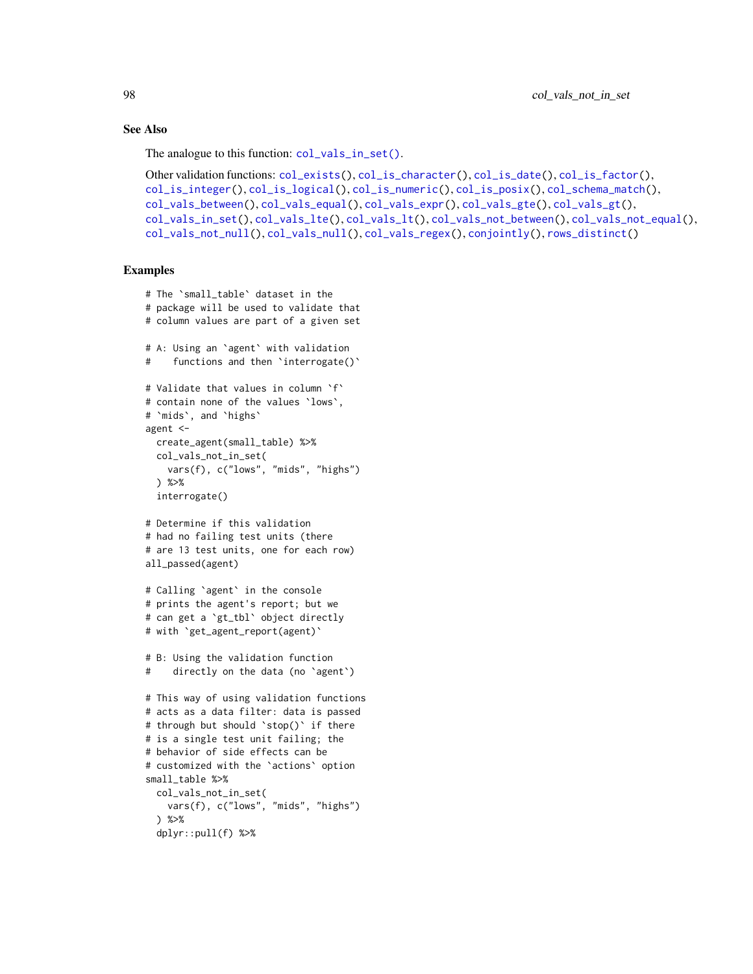### See Also

The analogue to this function:  $col\_vals_in_set()$ .

```
Other validation functions: col_exists(), col_is_character(), col_is_date(), col_is_factor(),
col_is_integer(), col_is_logical(), col_is_numeric(), col_is_posix(), col_schema_match(),
col_vals_between(), col_vals_equal(), col_vals_expr(), col_vals_gte(), col_vals_gt(),
col_vals_in_set(), col_vals_lte(), col_vals_lt(), col_vals_not_between(), col_vals_not_equal(),
col_vals_not_null(), col_vals_null(), col_vals_regex(), conjointly(), rows_distinct()
```

```
# The `small_table` dataset in the
# package will be used to validate that
# column values are part of a given set
# A: Using an `agent` with validation
# functions and then 'interrogate()'
# Validate that values in column `f`
# contain none of the values `lows`,
# `mids`, and `highs`
agent <-
  create_agent(small_table) %>%
 col_vals_not_in_set(
   vars(f), c("lows", "mids", "highs")
  ) %>%
  interrogate()
# Determine if this validation
# had no failing test units (there
# are 13 test units, one for each row)
all_passed(agent)
# Calling `agent` in the console
# prints the agent's report; but we
# can get a `gt_tbl` object directly
# with `get_agent_report(agent)`
# B: Using the validation function
# directly on the data (no `agent`)
# This way of using validation functions
# acts as a data filter: data is passed
# through but should `stop()` if there
# is a single test unit failing; the
# behavior of side effects can be
# customized with the `actions` option
small_table %>%
 col_vals_not_in_set(
    vars(f), c("lows", "mids", "highs")
  ) %>%
  dplyr::pull(f) %>%
```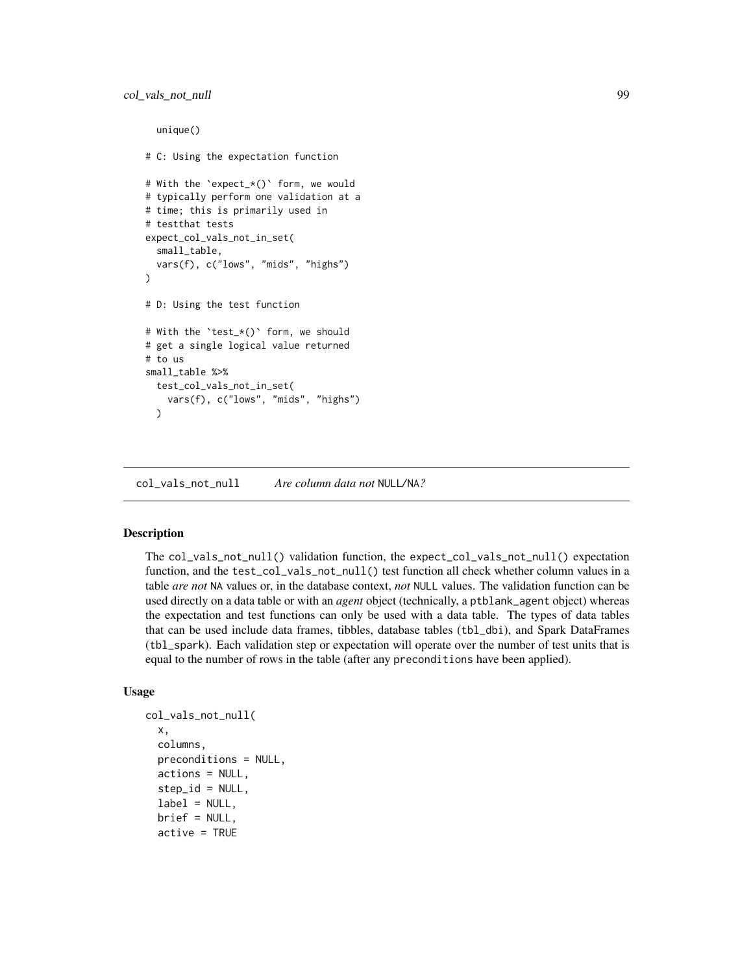```
unique()
# C: Using the expectation function
# With the `expect_*()` form, we would
# typically perform one validation at a
# time; this is primarily used in
# testthat tests
expect_col_vals_not_in_set(
 small_table,
 vars(f), c("lows", "mids", "highs")
\lambda# D: Using the test function
# With the `test_*()` form, we should
# get a single logical value returned
# to us
small_table %>%
 test_col_vals_not_in_set(
    vars(f), c("lows", "mids", "highs")
 \lambda
```
<span id="page-98-0"></span>col\_vals\_not\_null *Are column data not* NULL*/*NA*?*

# **Description**

The col\_vals\_not\_null() validation function, the expect\_col\_vals\_not\_null() expectation function, and the test\_col\_vals\_not\_null() test function all check whether column values in a table *are not* NA values or, in the database context, *not* NULL values. The validation function can be used directly on a data table or with an *agent* object (technically, a ptblank\_agent object) whereas the expectation and test functions can only be used with a data table. The types of data tables that can be used include data frames, tibbles, database tables (tbl\_dbi), and Spark DataFrames (tbl\_spark). Each validation step or expectation will operate over the number of test units that is equal to the number of rows in the table (after any preconditions have been applied).

```
col_vals_not_null(
  x,
  columns,
  preconditions = NULL,
  actions = NULL,
  step_id = NULL,label = NULL,brief = NULL,
  active = TRUE
```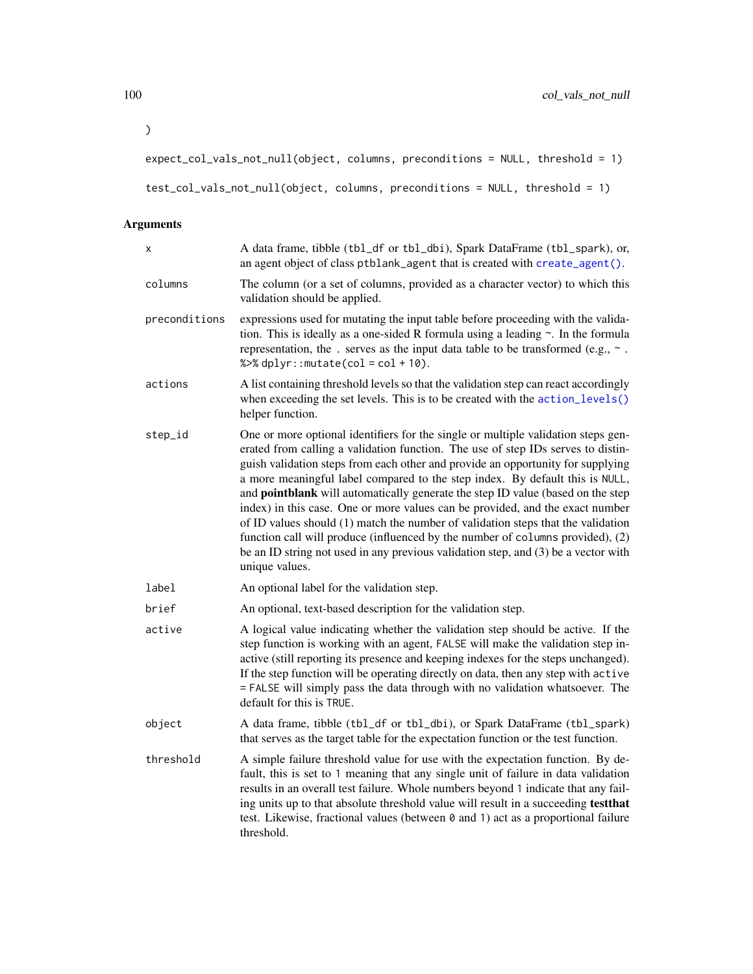```
expect_col_vals_not_null(object, columns, preconditions = NULL, threshold = 1)
```

```
test_col_vals_not_null(object, columns, preconditions = NULL, threshold = 1)
```

| Χ             | A data frame, tibble (tbl_df or tbl_dbi), Spark DataFrame (tbl_spark), or,<br>an agent object of class ptblank_agent that is created with create_agent().                                                                                                                                                                                                                                                                                                                                                                                                                                                                                                                                                                                                                                  |
|---------------|--------------------------------------------------------------------------------------------------------------------------------------------------------------------------------------------------------------------------------------------------------------------------------------------------------------------------------------------------------------------------------------------------------------------------------------------------------------------------------------------------------------------------------------------------------------------------------------------------------------------------------------------------------------------------------------------------------------------------------------------------------------------------------------------|
| columns       | The column (or a set of columns, provided as a character vector) to which this<br>validation should be applied.                                                                                                                                                                                                                                                                                                                                                                                                                                                                                                                                                                                                                                                                            |
| preconditions | expressions used for mutating the input table before proceeding with the valida-<br>tion. This is ideally as a one-sided R formula using a leading $\sim$ . In the formula<br>representation, the . serves as the input data table to be transformed (e.g., $\sim$ .<br>% $>>$ dplyr:: mutate(col = col + 10).                                                                                                                                                                                                                                                                                                                                                                                                                                                                             |
| actions       | A list containing threshold levels so that the validation step can react accordingly<br>when exceeding the set levels. This is to be created with the action_levels()<br>helper function.                                                                                                                                                                                                                                                                                                                                                                                                                                                                                                                                                                                                  |
| step_id       | One or more optional identifiers for the single or multiple validation steps gen-<br>erated from calling a validation function. The use of step IDs serves to distin-<br>guish validation steps from each other and provide an opportunity for supplying<br>a more meaningful label compared to the step index. By default this is NULL,<br>and pointblank will automatically generate the step ID value (based on the step<br>index) in this case. One or more values can be provided, and the exact number<br>of ID values should (1) match the number of validation steps that the validation<br>function call will produce (influenced by the number of columns provided), (2)<br>be an ID string not used in any previous validation step, and (3) be a vector with<br>unique values. |
| label         | An optional label for the validation step.                                                                                                                                                                                                                                                                                                                                                                                                                                                                                                                                                                                                                                                                                                                                                 |
| brief         | An optional, text-based description for the validation step.                                                                                                                                                                                                                                                                                                                                                                                                                                                                                                                                                                                                                                                                                                                               |
| active        | A logical value indicating whether the validation step should be active. If the<br>step function is working with an agent, FALSE will make the validation step in-<br>active (still reporting its presence and keeping indexes for the steps unchanged).<br>If the step function will be operating directly on data, then any step with active<br>= FALSE will simply pass the data through with no validation whatsoever. The<br>default for this is TRUE.                                                                                                                                                                                                                                                                                                                                |
| object        | A data frame, tibble (tbl_df or tbl_dbi), or Spark DataFrame (tbl_spark)<br>that serves as the target table for the expectation function or the test function.                                                                                                                                                                                                                                                                                                                                                                                                                                                                                                                                                                                                                             |
| threshold     | A simple failure threshold value for use with the expectation function. By de-<br>fault, this is set to 1 meaning that any single unit of failure in data validation<br>results in an overall test failure. Whole numbers beyond 1 indicate that any fail-<br>ing units up to that absolute threshold value will result in a succeeding testthat<br>test. Likewise, fractional values (between 0 and 1) act as a proportional failure<br>threshold.                                                                                                                                                                                                                                                                                                                                        |

 $\overline{\phantom{a}}$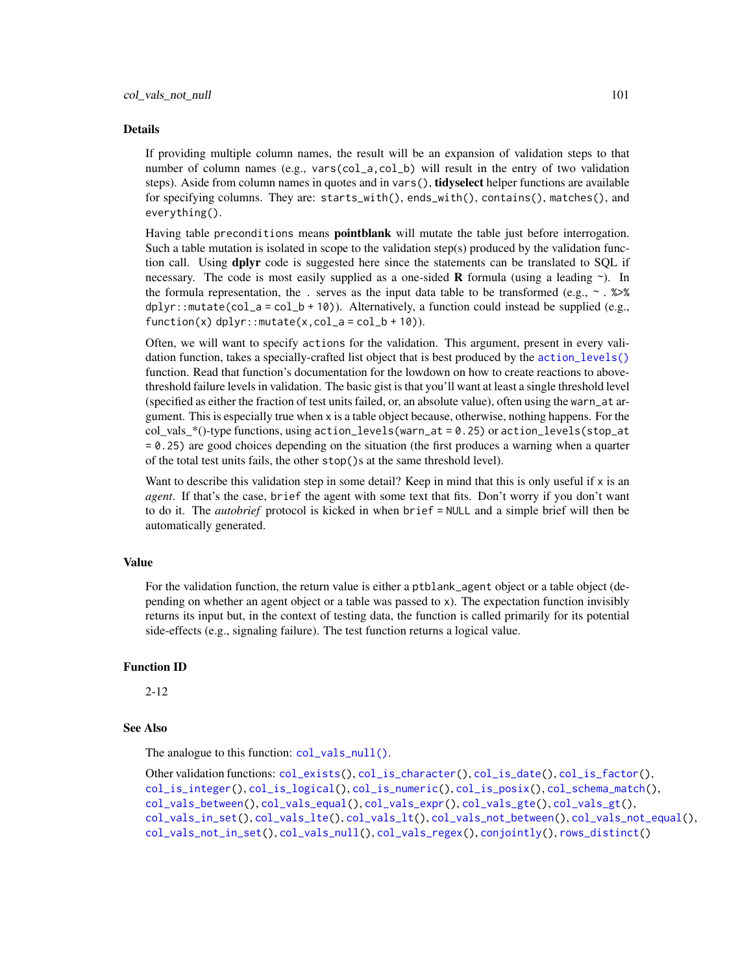#### Details

If providing multiple column names, the result will be an expansion of validation steps to that number of column names (e.g., vars(col\_a,col\_b) will result in the entry of two validation steps). Aside from column names in quotes and in vars(), tidyselect helper functions are available for specifying columns. They are: starts\_with(), ends\_with(), contains(), matches(), and everything().

Having table preconditions means **pointblank** will mutate the table just before interrogation. Such a table mutation is isolated in scope to the validation step(s) produced by the validation function call. Using **dplyr** code is suggested here since the statements can be translated to SOL if necessary. The code is most easily supplied as a one-sided **R** formula (using a leading  $\sim$ ). In the formula representation, the . serves as the input data table to be transformed (e.g.,  $\sim$  .  $\gg\$  $d$ ghlyr::mutate(col\_a = col\_b + 10)). Alternatively, a function could instead be supplied (e.g.,  $function(x)$  dplyr::mutate(x,col\_a = col\_b + 10)).

Often, we will want to specify actions for the validation. This argument, present in every validation function, takes a specially-crafted list object that is best produced by the [action\\_levels\(\)](#page-2-0) function. Read that function's documentation for the lowdown on how to create reactions to abovethreshold failure levels in validation. The basic gist is that you'll want at least a single threshold level (specified as either the fraction of test units failed, or, an absolute value), often using the warn\_at argument. This is especially true when x is a table object because, otherwise, nothing happens. For the  $col\_vals$ <sup>\*</sup>()-type functions, using  $action\_levels(warn\_at = 0.25)$  or  $action\_levels(stop\_at$ = 0.25) are good choices depending on the situation (the first produces a warning when a quarter of the total test units fails, the other stop()s at the same threshold level).

Want to describe this validation step in some detail? Keep in mind that this is only useful if  $x$  is an *agent*. If that's the case, brief the agent with some text that fits. Don't worry if you don't want to do it. The *autobrief* protocol is kicked in when brief = NULL and a simple brief will then be automatically generated.

## Value

For the validation function, the return value is either a ptblank\_agent object or a table object (depending on whether an agent object or a table was passed to x). The expectation function invisibly returns its input but, in the context of testing data, the function is called primarily for its potential side-effects (e.g., signaling failure). The test function returns a logical value.

#### Function ID

2-12

# See Also

The analogue to this function: [col\\_vals\\_null\(\)](#page-102-0).

```
Other validation functions: col_exists(), col_is_character(), col_is_date(), col_is_factor(),
col_is_integer(), col_is_logical(), col_is_numeric(), col_is_posix(), col_schema_match(),
col_vals_between(), col_vals_equal(), col_vals_expr(), col_vals_gte(), col_vals_gt(),
col_vals_in_set(), col_vals_lte(), col_vals_lt(), col_vals_not_between(), col_vals_not_equal(),
col_vals_not_in_set(), col_vals_null(), col_vals_regex(), conjointly(), rows_distinct()
```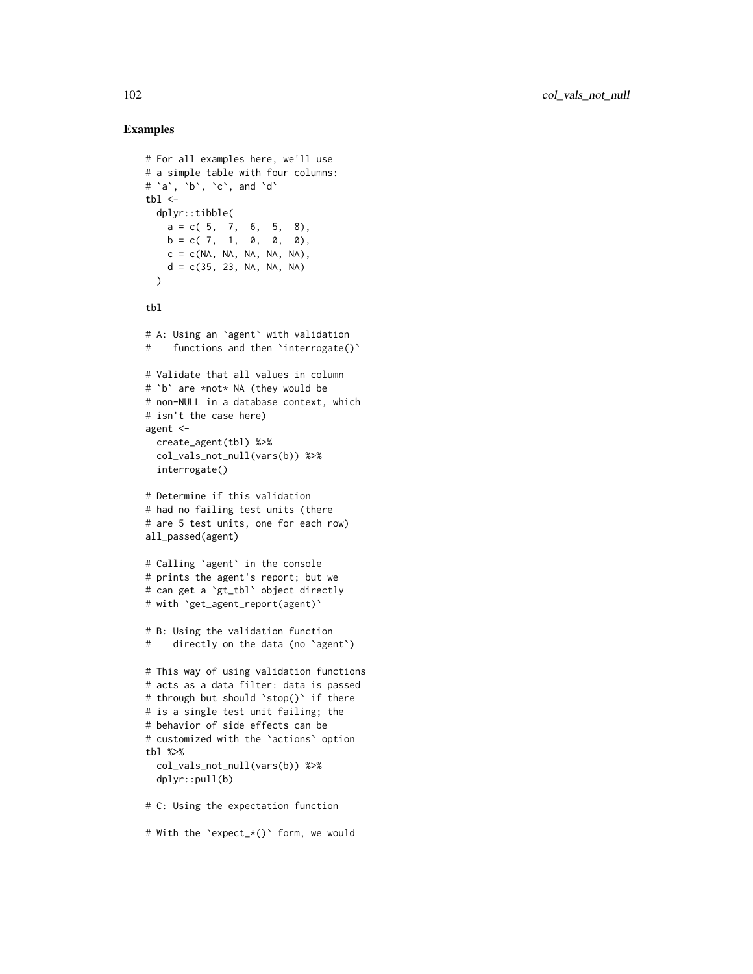```
# For all examples here, we'll use
# a simple table with four columns:
# `a`, `b`, `c`, and `d`
thl < -dplyr::tibble(
   a = c(5, 7, 6, 5, 8),b = c( 7, 1, 0, 0, 0),c = c(NA, NA, NA, NA, NA),d = c(35, 23, NA, NA, NA))
tbl
# A: Using an `agent` with validation
# functions and then `interrogate()`
# Validate that all values in column
# `b` are *not* NA (they would be
# non-NULL in a database context, which
# isn't the case here)
agent <-
 create_agent(tbl) %>%
  col_vals_not_null(vars(b)) %>%
 interrogate()
# Determine if this validation
# had no failing test units (there
# are 5 test units, one for each row)
all_passed(agent)
# Calling `agent` in the console
# prints the agent's report; but we
# can get a `gt_tbl` object directly
# with `get_agent_report(agent)`
# B: Using the validation function
# directly on the data (no `agent`)
# This way of using validation functions
# acts as a data filter: data is passed
# through but should `stop()` if there
# is a single test unit failing; the
# behavior of side effects can be
# customized with the `actions` option
tbl %>%
  col_vals_not_null(vars(b)) %>%
  dplyr::pull(b)
# C: Using the expectation function
# With the `expect_*()` form, we would
```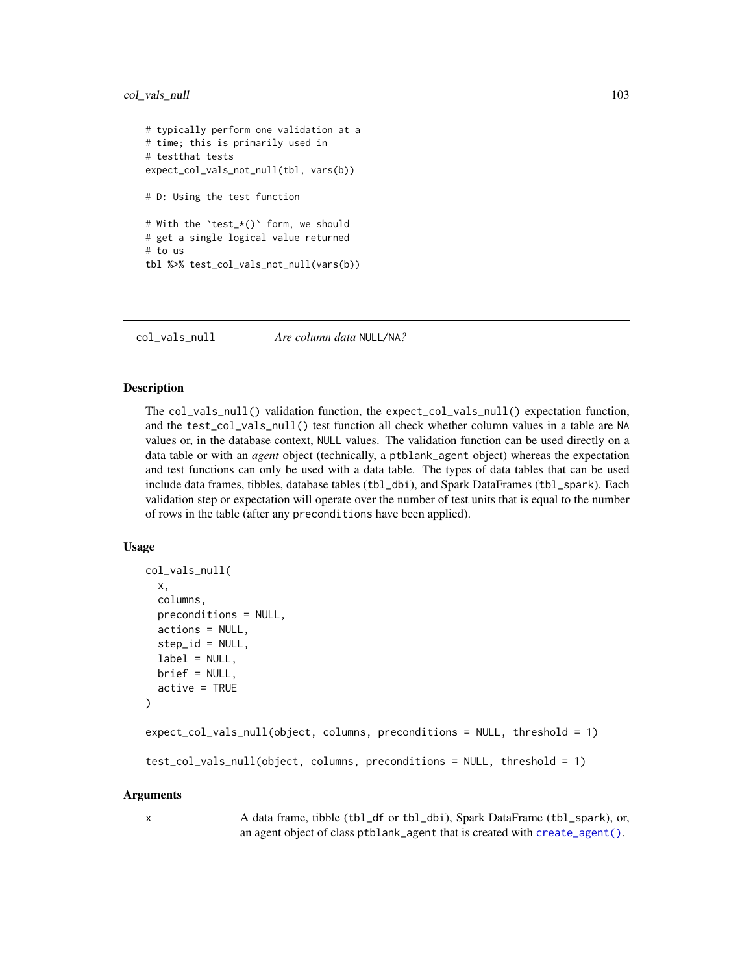# col\_vals\_null 103

```
# typically perform one validation at a
# time; this is primarily used in
# testthat tests
expect_col_vals_not_null(tbl, vars(b))
# D: Using the test function
# With the `test_*()` form, we should
# get a single logical value returned
# to us
tbl %>% test_col_vals_not_null(vars(b))
```
<span id="page-102-0"></span>col\_vals\_null *Are column data* NULL*/*NA*?*

#### Description

The col\_vals\_null() validation function, the expect\_col\_vals\_null() expectation function, and the test\_col\_vals\_null() test function all check whether column values in a table are NA values or, in the database context, NULL values. The validation function can be used directly on a data table or with an *agent* object (technically, a ptblank\_agent object) whereas the expectation and test functions can only be used with a data table. The types of data tables that can be used include data frames, tibbles, database tables (tbl\_dbi), and Spark DataFrames (tbl\_spark). Each validation step or expectation will operate over the number of test units that is equal to the number of rows in the table (after any preconditions have been applied).

## Usage

```
col_vals_null(
  x,
  columns,
 preconditions = NULL,
  actions = NULL,
  step_id = NULL,
  label = NULL,
 brief = NULL,
  active = TRUE)
expect_col_vals_null(object, columns, preconditions = NULL, threshold = 1)
test_col_vals_null(object, columns, preconditions = NULL, threshold = 1)
```
#### Arguments

x A data frame, tibble (tbl\_df or tbl\_dbi), Spark DataFrame (tbl\_spark), or, an agent object of class ptblank\_agent that is created with [create\\_agent\(\)](#page-115-0).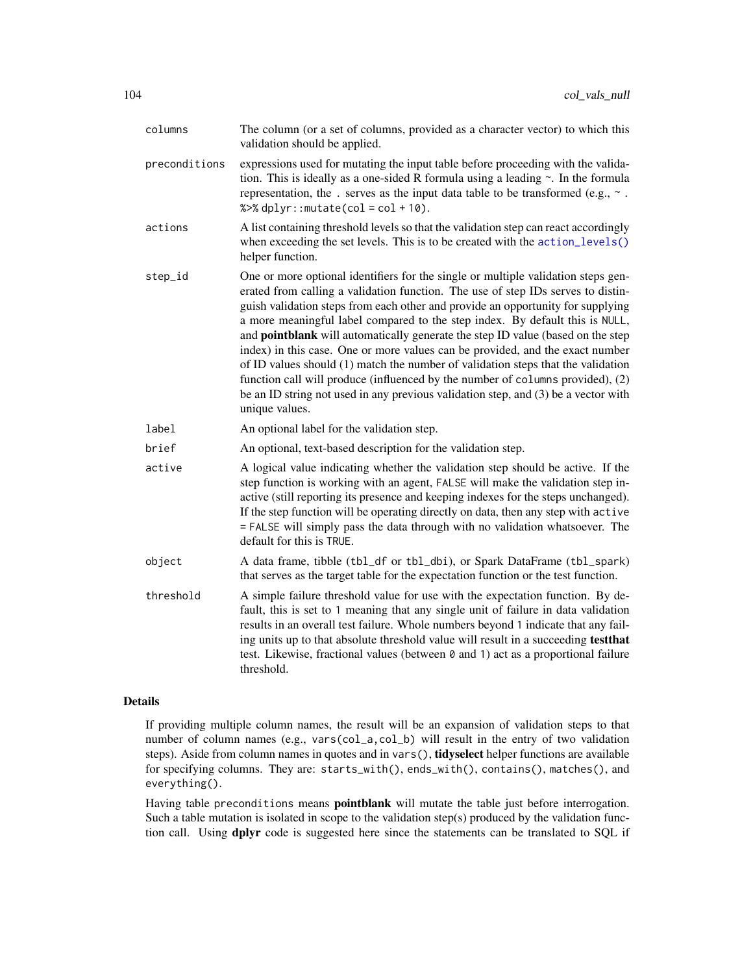| columns       | The column (or a set of columns, provided as a character vector) to which this<br>validation should be applied.                                                                                                                                                                                                                                                                                                                                                                                                                                                                                                                                                                                                                                                                                   |
|---------------|---------------------------------------------------------------------------------------------------------------------------------------------------------------------------------------------------------------------------------------------------------------------------------------------------------------------------------------------------------------------------------------------------------------------------------------------------------------------------------------------------------------------------------------------------------------------------------------------------------------------------------------------------------------------------------------------------------------------------------------------------------------------------------------------------|
| preconditions | expressions used for mutating the input table before proceeding with the valida-<br>tion. This is ideally as a one-sided R formula using a leading $\sim$ . In the formula<br>representation, the . serves as the input data table to be transformed (e.g., $\sim$ .<br>% $>$ % dplyr:: mutate(col = col + 10).                                                                                                                                                                                                                                                                                                                                                                                                                                                                                   |
| actions       | A list containing threshold levels so that the validation step can react accordingly<br>when exceeding the set levels. This is to be created with the action_levels()<br>helper function.                                                                                                                                                                                                                                                                                                                                                                                                                                                                                                                                                                                                         |
| step_id       | One or more optional identifiers for the single or multiple validation steps gen-<br>erated from calling a validation function. The use of step IDs serves to distin-<br>guish validation steps from each other and provide an opportunity for supplying<br>a more meaningful label compared to the step index. By default this is NULL,<br>and <b>pointblank</b> will automatically generate the step ID value (based on the step<br>index) in this case. One or more values can be provided, and the exact number<br>of ID values should (1) match the number of validation steps that the validation<br>function call will produce (influenced by the number of columns provided), (2)<br>be an ID string not used in any previous validation step, and (3) be a vector with<br>unique values. |
| label         | An optional label for the validation step.                                                                                                                                                                                                                                                                                                                                                                                                                                                                                                                                                                                                                                                                                                                                                        |
| brief         | An optional, text-based description for the validation step.                                                                                                                                                                                                                                                                                                                                                                                                                                                                                                                                                                                                                                                                                                                                      |
| active        | A logical value indicating whether the validation step should be active. If the<br>step function is working with an agent, FALSE will make the validation step in-<br>active (still reporting its presence and keeping indexes for the steps unchanged).<br>If the step function will be operating directly on data, then any step with active<br>= FALSE will simply pass the data through with no validation whatsoever. The<br>default for this is TRUE.                                                                                                                                                                                                                                                                                                                                       |
| object        | A data frame, tibble (tbl_df or tbl_dbi), or Spark DataFrame (tbl_spark)<br>that serves as the target table for the expectation function or the test function.                                                                                                                                                                                                                                                                                                                                                                                                                                                                                                                                                                                                                                    |
| threshold     | A simple failure threshold value for use with the expectation function. By de-<br>fault, this is set to 1 meaning that any single unit of failure in data validation<br>results in an overall test failure. Whole numbers beyond 1 indicate that any fail-<br>ing units up to that absolute threshold value will result in a succeeding testthat<br>test. Likewise, fractional values (between 0 and 1) act as a proportional failure<br>threshold.                                                                                                                                                                                                                                                                                                                                               |

# Details

If providing multiple column names, the result will be an expansion of validation steps to that number of column names (e.g., vars(col\_a,col\_b) will result in the entry of two validation steps). Aside from column names in quotes and in vars(), tidyselect helper functions are available for specifying columns. They are: starts\_with(), ends\_with(), contains(), matches(), and everything().

Having table preconditions means **pointblank** will mutate the table just before interrogation. Such a table mutation is isolated in scope to the validation step(s) produced by the validation function call. Using dplyr code is suggested here since the statements can be translated to SQL if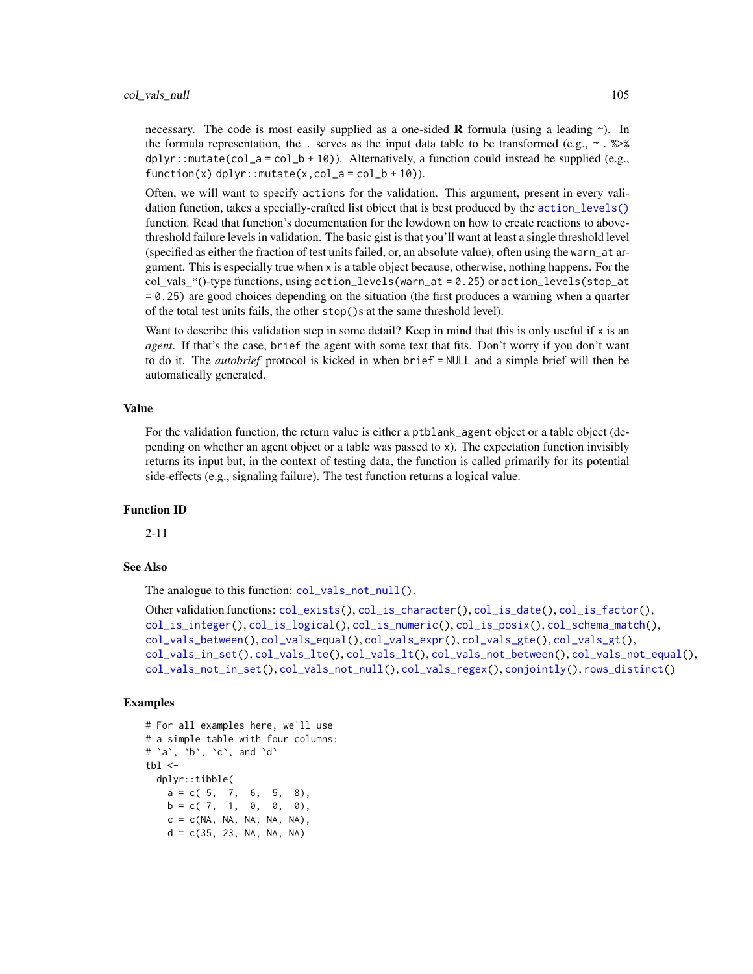necessary. The code is most easily supplied as a one-sided **R** formula (using a leading  $\sim$ ). In the formula representation, the . serves as the input data table to be transformed (e.g.,  $\sim$  .  $\gg\$  $d$ ghlyr::mutate(col\_a = col\_b + 10)). Alternatively, a function could instead be supplied (e.g.,  $function(x)$  dplyr::mutate $(x, col_a = col_b + 10)$ ).

Often, we will want to specify actions for the validation. This argument, present in every validation function, takes a specially-crafted list object that is best produced by the [action\\_levels\(\)](#page-2-0) function. Read that function's documentation for the lowdown on how to create reactions to abovethreshold failure levels in validation. The basic gist is that you'll want at least a single threshold level (specified as either the fraction of test units failed, or, an absolute value), often using the warn\_at argument. This is especially true when x is a table object because, otherwise, nothing happens. For the  $col\_vals$ <sup>\*</sup>()-type functions, using  $action\_levels(warn\_at = 0.25)$  or  $action\_levels(stop\_at$ = 0.25) are good choices depending on the situation (the first produces a warning when a quarter of the total test units fails, the other stop()s at the same threshold level).

Want to describe this validation step in some detail? Keep in mind that this is only useful if  $x$  is an *agent*. If that's the case, brief the agent with some text that fits. Don't worry if you don't want to do it. The *autobrief* protocol is kicked in when brief = NULL and a simple brief will then be automatically generated.

#### Value

For the validation function, the return value is either a ptblank\_agent object or a table object (depending on whether an agent object or a table was passed to x). The expectation function invisibly returns its input but, in the context of testing data, the function is called primarily for its potential side-effects (e.g., signaling failure). The test function returns a logical value.

#### Function ID

2-11

# See Also

The analogue to this function: [col\\_vals\\_not\\_null\(\)](#page-98-0).

```
Other validation functions: col_exists(), col_is_character(), col_is_date(), col_is_factor(),
col_is_integer(), col_is_logical(), col_is_numeric(), col_is_posix(), col_schema_match(),
col_vals_between(), col_vals_equal(), col_vals_expr(), col_vals_gte(), col_vals_gt(),
col_vals_in_set(), col_vals_lte(), col_vals_lt(), col_vals_not_between(), col_vals_not_equal(),
col_vals_not_in_set(), col_vals_not_null(), col_vals_regex(), conjointly(), rows_distinct()
```

```
# For all examples here, we'll use
# a simple table with four columns:
# `a`, `b`, `c`, and `d`
tb1 < -dplyr::tibble(
   a = c(5, 7, 6, 5, 8),b = c( 7, 1, 0, 0, 0),c = c(NA, NA, NA, NA, NA),d = c(35, 23, NA, NA, NA)
```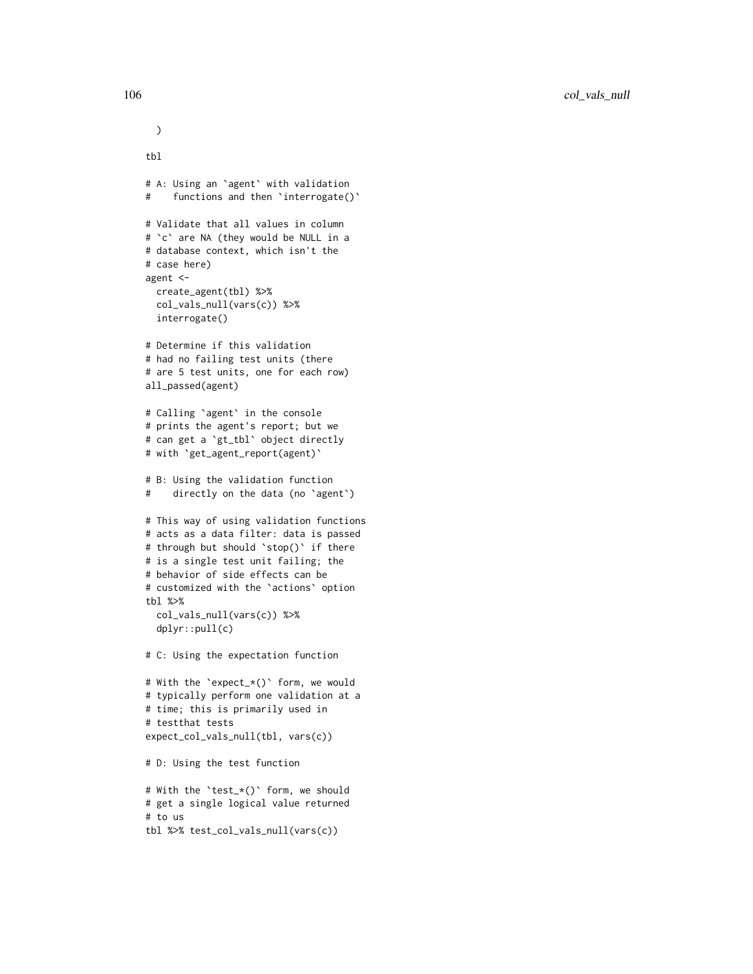```
tbl
# A: Using an `agent` with validation
# functions and then 'interrogate()'
# Validate that all values in column
# `c` are NA (they would be NULL in a
# database context, which isn't the
# case here)
agent <-
  create_agent(tbl) %>%
  col_vals_null(vars(c)) %>%
  interrogate()
# Determine if this validation
# had no failing test units (there
# are 5 test units, one for each row)
all_passed(agent)
# Calling `agent` in the console
# prints the agent's report; but we
# can get a `gt_tbl` object directly
# with `get_agent_report(agent)`
# B: Using the validation function
# directly on the data (no `agent`)
# This way of using validation functions
# acts as a data filter: data is passed
# through but should `stop()` if there
# is a single test unit failing; the
# behavior of side effects can be
# customized with the `actions` option
tbl %>%
  col_vals_null(vars(c)) %>%
  dplyr::pull(c)
# C: Using the expectation function
# With the `expect_*()` form, we would
# typically perform one validation at a
# time; this is primarily used in
# testthat tests
expect_col_vals_null(tbl, vars(c))
# D: Using the test function
# With the `test_*()` form, we should
# get a single logical value returned
# to us
tbl %>% test_col_vals_null(vars(c))
```
)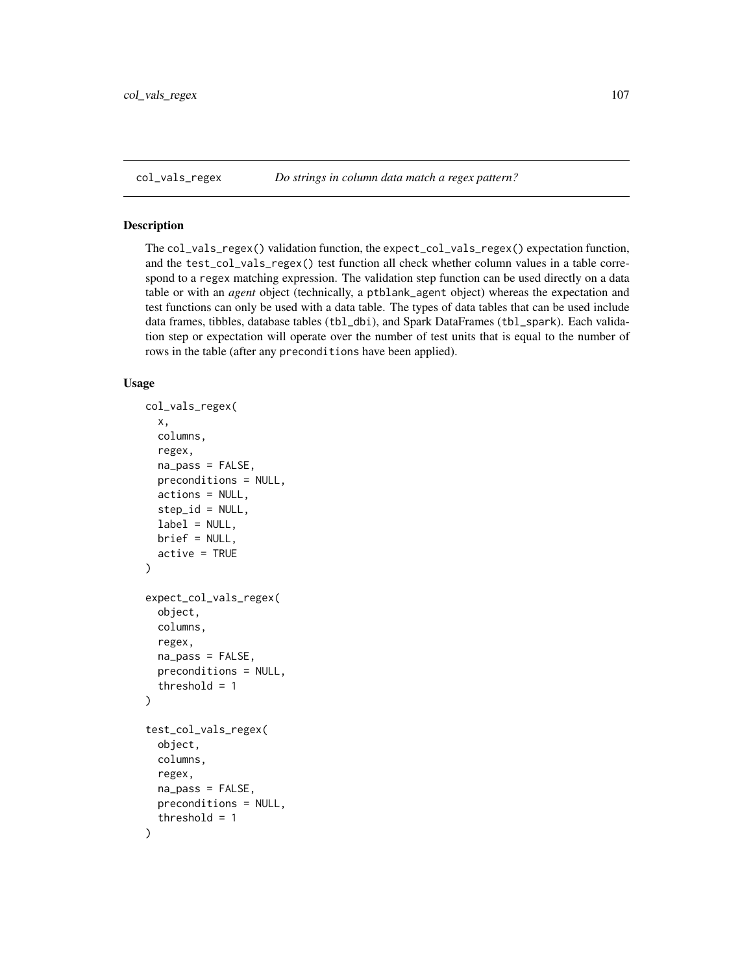<span id="page-106-0"></span>

### Description

The col\_vals\_regex() validation function, the expect\_col\_vals\_regex() expectation function, and the test\_col\_vals\_regex() test function all check whether column values in a table correspond to a regex matching expression. The validation step function can be used directly on a data table or with an *agent* object (technically, a ptblank\_agent object) whereas the expectation and test functions can only be used with a data table. The types of data tables that can be used include data frames, tibbles, database tables (tbl\_dbi), and Spark DataFrames (tbl\_spark). Each validation step or expectation will operate over the number of test units that is equal to the number of rows in the table (after any preconditions have been applied).

```
col_vals_regex(
  x,
  columns,
  regex,
  na_pass = FALSE,
  preconditions = NULL,
  actions = NULL,
  step_id = NULL,label = NULL,brief = NULL,
  active = TRUE\lambdaexpect_col_vals_regex(
  object,
  columns,
  regex,
  na_pass = FALSE,
  preconditions = NULL,
  threshold = 1)
test_col_vals_regex(
  object,
  columns,
  regex,
  na_pass = FALSE,
  preconditions = NULL,
  threshold = 1
)
```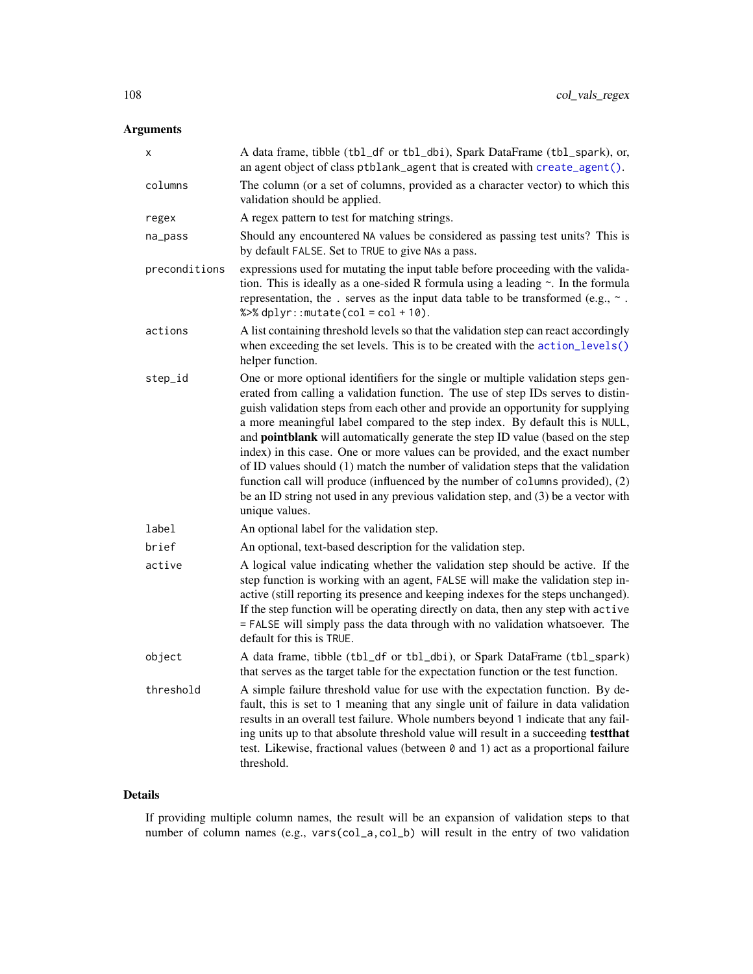| Χ             | A data frame, tibble (tbl_df or tbl_dbi), Spark DataFrame (tbl_spark), or,<br>an agent object of class ptblank_agent that is created with create_agent().                                                                                                                                                                                                                                                                                                                                                                                                                                                                                                                                                                                                                                  |
|---------------|--------------------------------------------------------------------------------------------------------------------------------------------------------------------------------------------------------------------------------------------------------------------------------------------------------------------------------------------------------------------------------------------------------------------------------------------------------------------------------------------------------------------------------------------------------------------------------------------------------------------------------------------------------------------------------------------------------------------------------------------------------------------------------------------|
| columns       | The column (or a set of columns, provided as a character vector) to which this<br>validation should be applied.                                                                                                                                                                                                                                                                                                                                                                                                                                                                                                                                                                                                                                                                            |
| regex         | A regex pattern to test for matching strings.                                                                                                                                                                                                                                                                                                                                                                                                                                                                                                                                                                                                                                                                                                                                              |
| na_pass       | Should any encountered NA values be considered as passing test units? This is<br>by default FALSE. Set to TRUE to give NAs a pass.                                                                                                                                                                                                                                                                                                                                                                                                                                                                                                                                                                                                                                                         |
| preconditions | expressions used for mutating the input table before proceeding with the valida-<br>tion. This is ideally as a one-sided R formula using a leading $\sim$ . In the formula<br>representation, the . serves as the input data table to be transformed (e.g., $\sim$ .<br>% $>>$ dplyr:: mutate(col = col + 10).                                                                                                                                                                                                                                                                                                                                                                                                                                                                             |
| actions       | A list containing threshold levels so that the validation step can react accordingly<br>when exceeding the set levels. This is to be created with the action_levels()<br>helper function.                                                                                                                                                                                                                                                                                                                                                                                                                                                                                                                                                                                                  |
| step_id       | One or more optional identifiers for the single or multiple validation steps gen-<br>erated from calling a validation function. The use of step IDs serves to distin-<br>guish validation steps from each other and provide an opportunity for supplying<br>a more meaningful label compared to the step index. By default this is NULL,<br>and pointblank will automatically generate the step ID value (based on the step<br>index) in this case. One or more values can be provided, and the exact number<br>of ID values should (1) match the number of validation steps that the validation<br>function call will produce (influenced by the number of columns provided), (2)<br>be an ID string not used in any previous validation step, and (3) be a vector with<br>unique values. |
| label         | An optional label for the validation step.                                                                                                                                                                                                                                                                                                                                                                                                                                                                                                                                                                                                                                                                                                                                                 |
| brief         | An optional, text-based description for the validation step.                                                                                                                                                                                                                                                                                                                                                                                                                                                                                                                                                                                                                                                                                                                               |
| active        | A logical value indicating whether the validation step should be active. If the<br>step function is working with an agent, FALSE will make the validation step in-<br>active (still reporting its presence and keeping indexes for the steps unchanged).<br>If the step function will be operating directly on data, then any step with active<br>= FALSE will simply pass the data through with no validation whatsoever. The<br>default for this is TRUE.                                                                                                                                                                                                                                                                                                                                |
| object        | A data frame, tibble (tbl_df or tbl_dbi), or Spark DataFrame (tbl_spark)<br>that serves as the target table for the expectation function or the test function.                                                                                                                                                                                                                                                                                                                                                                                                                                                                                                                                                                                                                             |
| threshold     | A simple failure threshold value for use with the expectation function. By de-<br>fault, this is set to 1 meaning that any single unit of failure in data validation<br>results in an overall test failure. Whole numbers beyond 1 indicate that any fail-<br>ing units up to that absolute threshold value will result in a succeeding testthat<br>test. Likewise, fractional values (between 0 and 1) act as a proportional failure<br>threshold.                                                                                                                                                                                                                                                                                                                                        |

# Details

If providing multiple column names, the result will be an expansion of validation steps to that number of column names (e.g., vars(col\_a,col\_b) will result in the entry of two validation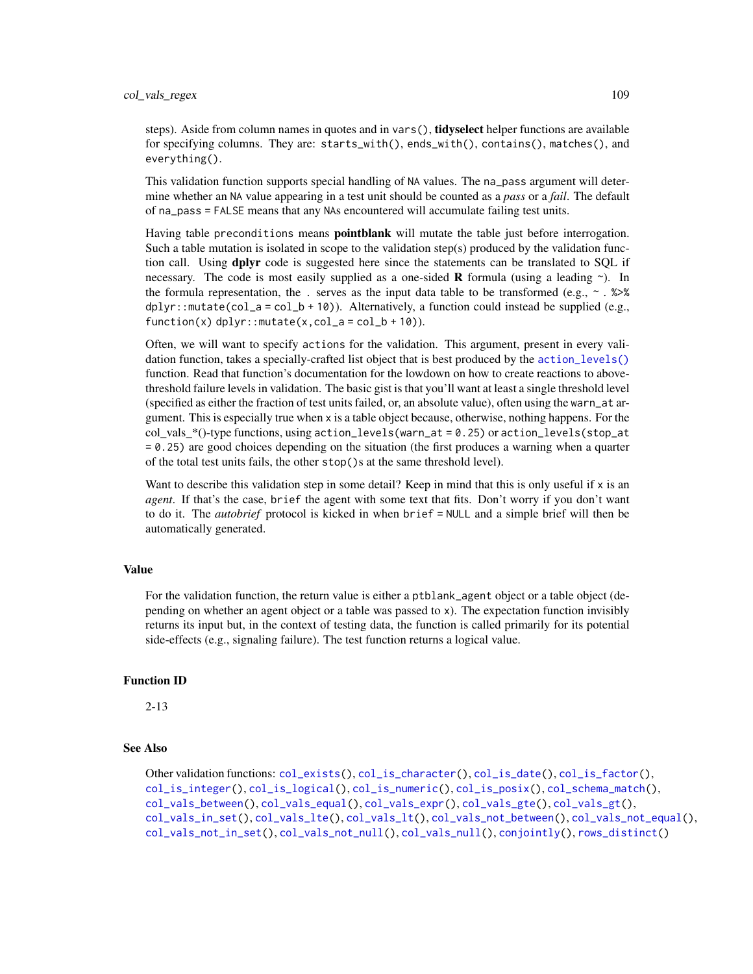steps). Aside from column names in quotes and in vars(), **tidyselect** helper functions are available for specifying columns. They are: starts\_with(), ends\_with(), contains(), matches(), and everything().

This validation function supports special handling of NA values. The na\_pass argument will determine whether an NA value appearing in a test unit should be counted as a *pass* or a *fail*. The default of na\_pass = FALSE means that any NAs encountered will accumulate failing test units.

Having table preconditions means **pointblank** will mutate the table just before interrogation. Such a table mutation is isolated in scope to the validation step(s) produced by the validation function call. Using **dplyr** code is suggested here since the statements can be translated to SOL if necessary. The code is most easily supplied as a one-sided **R** formula (using a leading  $\sim$ ). In the formula representation, the . serves as the input data table to be transformed (e.g.,  $\sim$  .  $\gg\$  $d$ ghlyr::mutate(col\_a = col\_b + 10)). Alternatively, a function could instead be supplied (e.g.,  $function(x)$  dplyr::mutate(x,col\_a = col\_b + 10)).

Often, we will want to specify actions for the validation. This argument, present in every validation function, takes a specially-crafted list object that is best produced by the [action\\_levels\(\)](#page-2-0) function. Read that function's documentation for the lowdown on how to create reactions to abovethreshold failure levels in validation. The basic gist is that you'll want at least a single threshold level (specified as either the fraction of test units failed, or, an absolute value), often using the warn\_at argument. This is especially true when x is a table object because, otherwise, nothing happens. For the  $col\_vals^*()$ -type functions, using action\_levels(warn\_at = 0.25) or action\_levels(stop\_at = 0.25) are good choices depending on the situation (the first produces a warning when a quarter of the total test units fails, the other stop()s at the same threshold level).

Want to describe this validation step in some detail? Keep in mind that this is only useful if  $x$  is an *agent*. If that's the case, brief the agent with some text that fits. Don't worry if you don't want to do it. The *autobrief* protocol is kicked in when brief = NULL and a simple brief will then be automatically generated.

### Value

For the validation function, the return value is either a ptblank\_agent object or a table object (depending on whether an agent object or a table was passed to x). The expectation function invisibly returns its input but, in the context of testing data, the function is called primarily for its potential side-effects (e.g., signaling failure). The test function returns a logical value.

### Function ID

2-13

# See Also

```
Other validation functions: col_exists(), col_is_character(), col_is_date(), col_is_factor(),
col_is_integer(), col_is_logical(), col_is_numeric(), col_is_posix(), col_schema_match(),
col_vals_between(), col_vals_equal(), col_vals_expr(), col_vals_gte(), col_vals_gt(),
col_vals_in_set(), col_vals_lte(), col_vals_lt(), col_vals_not_between(), col_vals_not_equal(),
col_vals_not_in_set(), col_vals_not_null(), col_vals_null(), conjointly(), rows_distinct()
```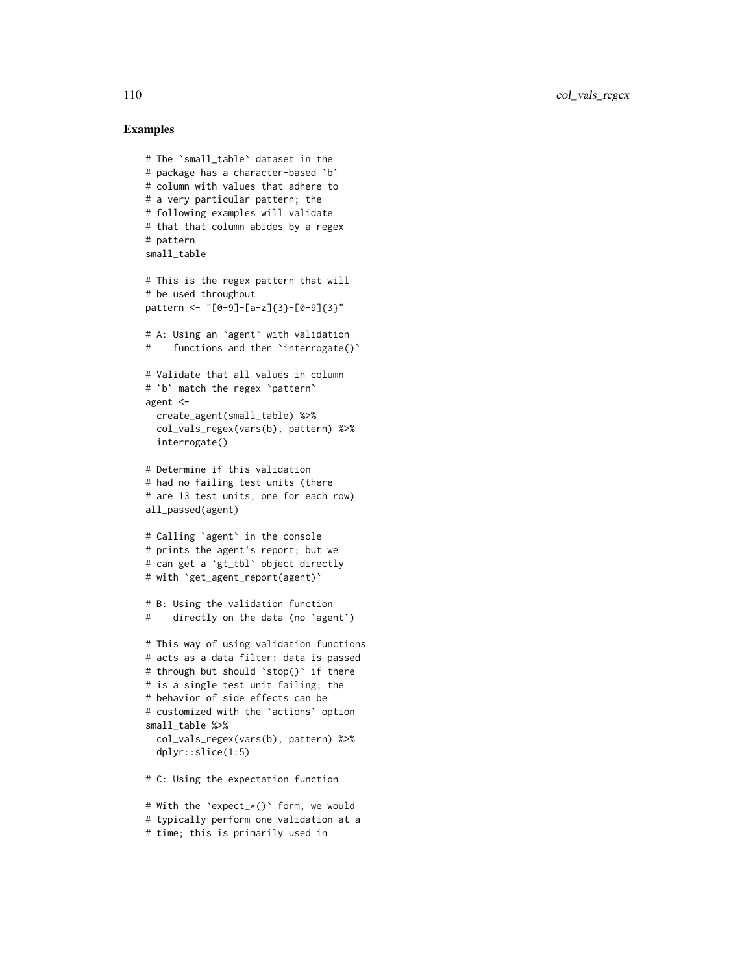110 col\_vals\_regex

```
# The `small_table` dataset in the
# package has a character-based `b`
# column with values that adhere to
# a very particular pattern; the
# following examples will validate
# that that column abides by a regex
# pattern
small table
# This is the regex pattern that will
# be used throughout
pattern <- "[0-9]-[a-z]{3}-[0-9]{3}"
# A: Using an `agent` with validation
# functions and then `interrogate()`
# Validate that all values in column
# `b` match the regex `pattern`
agent <-
  create_agent(small_table) %>%
  col_vals_regex(vars(b), pattern) %>%
  interrogate()
# Determine if this validation
# had no failing test units (there
# are 13 test units, one for each row)
all_passed(agent)
# Calling `agent` in the console
# prints the agent's report; but we
# can get a `gt_tbl` object directly
# with `get_agent_report(agent)`
# B: Using the validation function
# directly on the data (no `agent`)
# This way of using validation functions
# acts as a data filter: data is passed
# through but should `stop()` if there
# is a single test unit failing; the
# behavior of side effects can be
# customized with the `actions` option
small_table %>%
  col_vals_regex(vars(b), pattern) %>%
  dplyr::slice(1:5)
# C: Using the expectation function
# With the `expect_*()` form, we would
```

```
# typically perform one validation at a
```

```
# time; this is primarily used in
```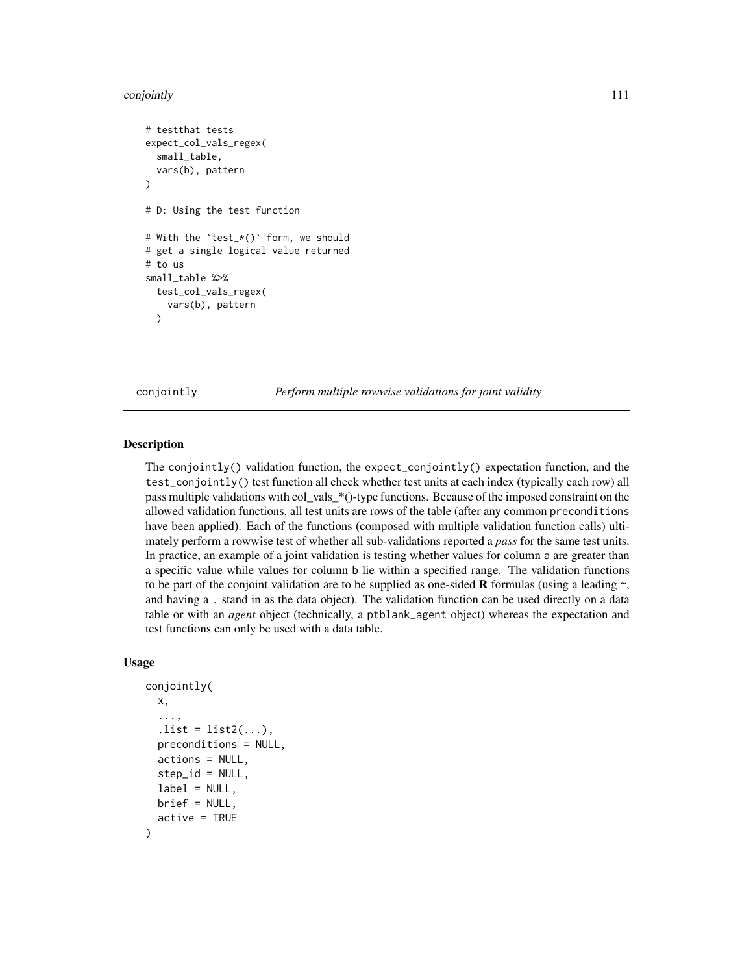#### conjointly the contract of the contract of the contract of the contract of the contract of the contract of the contract of the contract of the contract of the contract of the contract of the contract of the contract of the

```
# testthat tests
expect_col_vals_regex(
 small_table,
 vars(b), pattern
)
# D: Using the test function
# With the `test_*()` form, we should
# get a single logical value returned
# to us
small_table %>%
 test_col_vals_regex(
    vars(b), pattern
 )
```
<span id="page-110-0"></span>conjointly *Perform multiple rowwise validations for joint validity*

### Description

The conjointly() validation function, the expect\_conjointly() expectation function, and the test\_conjointly() test function all check whether test units at each index (typically each row) all pass multiple validations with col\_vals\_\*()-type functions. Because of the imposed constraint on the allowed validation functions, all test units are rows of the table (after any common preconditions have been applied). Each of the functions (composed with multiple validation function calls) ultimately perform a rowwise test of whether all sub-validations reported a *pass* for the same test units. In practice, an example of a joint validation is testing whether values for column a are greater than a specific value while values for column b lie within a specified range. The validation functions to be part of the conjoint validation are to be supplied as one-sided **R** formulas (using a leading  $\sim$ , and having a . stand in as the data object). The validation function can be used directly on a data table or with an *agent* object (technically, a ptblank\_agent object) whereas the expectation and test functions can only be used with a data table.

### Usage

```
conjointly(
  x,
  ...,
  . list = list2(...),preconditions = NULL,
  actions = NULL,
  step_id = NULL,
  label = NULL,
 brief = NULL,
  active = TRUE
)
```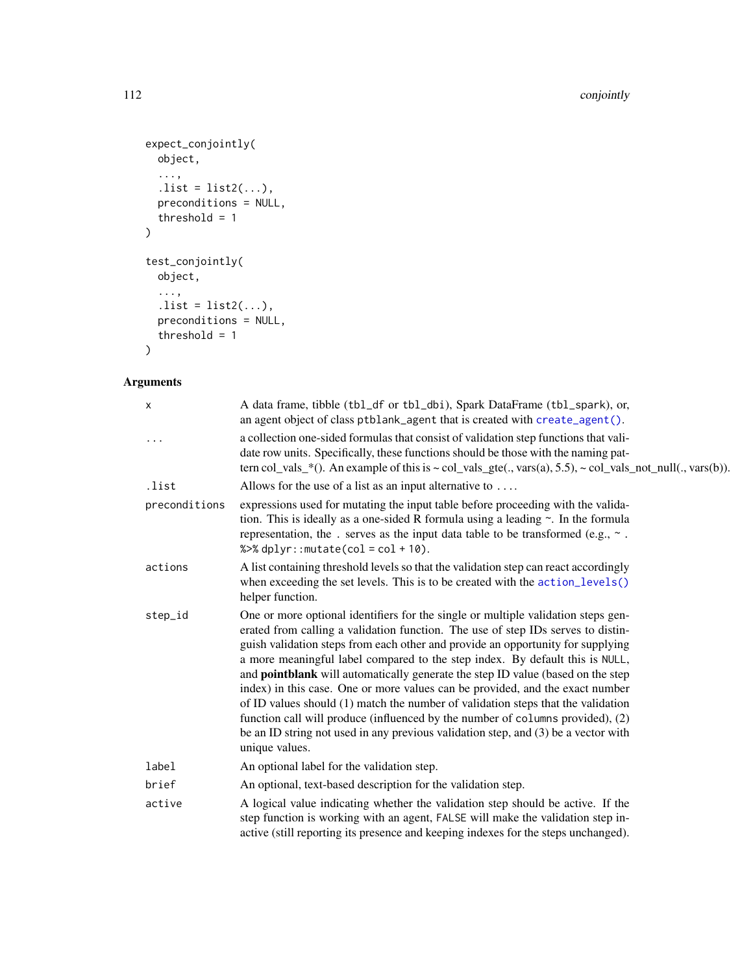```
expect_conjointly(
  object,
  ...,
  . list = list2(...),preconditions = NULL,
  threshold = 1
\mathcal{L}test_conjointly(
  object,
  ...,
  . list = list2(...),preconditions = NULL,
  threshold = 1
)
```

| X             | A data frame, tibble (tbl_df or tbl_dbi), Spark DataFrame (tbl_spark), or,<br>an agent object of class ptblank_agent that is created with create_agent().                                                                                                                                                                                                                                                                                                                                                                                                                                                                                                                                                                                                                                  |
|---------------|--------------------------------------------------------------------------------------------------------------------------------------------------------------------------------------------------------------------------------------------------------------------------------------------------------------------------------------------------------------------------------------------------------------------------------------------------------------------------------------------------------------------------------------------------------------------------------------------------------------------------------------------------------------------------------------------------------------------------------------------------------------------------------------------|
| .             | a collection one-sided formulas that consist of validation step functions that vali-<br>date row units. Specifically, these functions should be those with the naming pat-<br>tern col_vals_*(). An example of this is $\sim$ col_vals_gte(., vars(a), 5.5), $\sim$ col_vals_not_null(., vars(b)).                                                                                                                                                                                                                                                                                                                                                                                                                                                                                         |
| .list         | Allows for the use of a list as an input alternative to $\dots$                                                                                                                                                                                                                                                                                                                                                                                                                                                                                                                                                                                                                                                                                                                            |
| preconditions | expressions used for mutating the input table before proceeding with the valida-<br>tion. This is ideally as a one-sided R formula using a leading $\sim$ . In the formula<br>representation, the . serves as the input data table to be transformed (e.g., $\sim$ .<br>% $>$ % dplyr:: mutate(col = col + 10).                                                                                                                                                                                                                                                                                                                                                                                                                                                                            |
| actions       | A list containing threshold levels so that the validation step can react accordingly<br>when exceeding the set levels. This is to be created with the action_levels()<br>helper function.                                                                                                                                                                                                                                                                                                                                                                                                                                                                                                                                                                                                  |
| step_id       | One or more optional identifiers for the single or multiple validation steps gen-<br>erated from calling a validation function. The use of step IDs serves to distin-<br>guish validation steps from each other and provide an opportunity for supplying<br>a more meaningful label compared to the step index. By default this is NULL,<br>and pointblank will automatically generate the step ID value (based on the step<br>index) in this case. One or more values can be provided, and the exact number<br>of ID values should (1) match the number of validation steps that the validation<br>function call will produce (influenced by the number of columns provided), (2)<br>be an ID string not used in any previous validation step, and (3) be a vector with<br>unique values. |
| label         | An optional label for the validation step.                                                                                                                                                                                                                                                                                                                                                                                                                                                                                                                                                                                                                                                                                                                                                 |
| brief         | An optional, text-based description for the validation step.                                                                                                                                                                                                                                                                                                                                                                                                                                                                                                                                                                                                                                                                                                                               |
| active        | A logical value indicating whether the validation step should be active. If the<br>step function is working with an agent, FALSE will make the validation step in-<br>active (still reporting its presence and keeping indexes for the steps unchanged).                                                                                                                                                                                                                                                                                                                                                                                                                                                                                                                                   |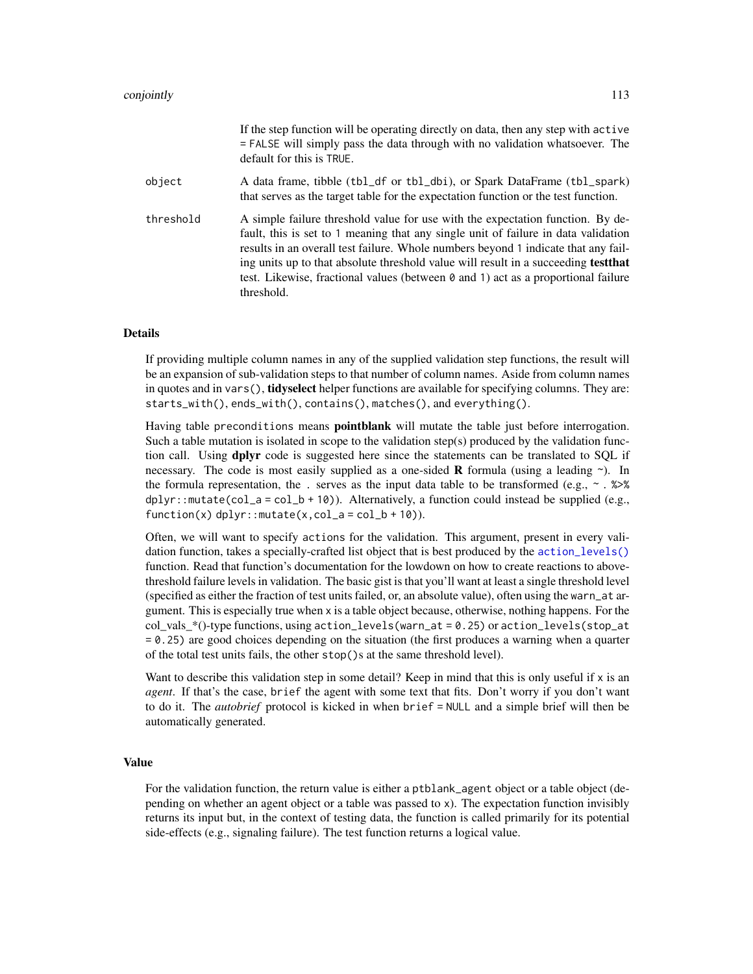|           | If the step function will be operating directly on data, then any step with active<br>= FALSE will simply pass the data through with no validation whatsoever. The<br>default for this is TRUE.                                                                                                                                                                                                                                                             |
|-----------|-------------------------------------------------------------------------------------------------------------------------------------------------------------------------------------------------------------------------------------------------------------------------------------------------------------------------------------------------------------------------------------------------------------------------------------------------------------|
| object    | A data frame, tibble (tbl_df or tbl_dbi), or Spark DataFrame (tbl_spark)<br>that serves as the target table for the expectation function or the test function.                                                                                                                                                                                                                                                                                              |
| threshold | A simple failure threshold value for use with the expectation function. By de-<br>fault, this is set to 1 meaning that any single unit of failure in data validation<br>results in an overall test failure. Whole numbers beyond 1 indicate that any fail-<br>ing units up to that absolute threshold value will result in a succeeding <b>test that</b><br>test. Likewise, fractional values (between 0 and 1) act as a proportional failure<br>threshold. |

### Details

If providing multiple column names in any of the supplied validation step functions, the result will be an expansion of sub-validation steps to that number of column names. Aside from column names in quotes and in vars(), **tidyselect** helper functions are available for specifying columns. They are: starts\_with(), ends\_with(), contains(), matches(), and everything().

Having table preconditions means **pointblank** will mutate the table just before interrogation. Such a table mutation is isolated in scope to the validation step(s) produced by the validation function call. Using **dplyr** code is suggested here since the statements can be translated to SQL if necessary. The code is most easily supplied as a one-sided **R** formula (using a leading  $\sim$ ). In the formula representation, the . serves as the input data table to be transformed (e.g.,  $\sim$  .  $\gg\$  $d$ plyr::mutate(col\_a = col\_b + 10)). Alternatively, a function could instead be supplied (e.g.,  $function(x)$  dplyr::mutate(x,col\_a = col\_b + 10)).

Often, we will want to specify actions for the validation. This argument, present in every validation function, takes a specially-crafted list object that is best produced by the [action\\_levels\(\)](#page-2-0) function. Read that function's documentation for the lowdown on how to create reactions to abovethreshold failure levels in validation. The basic gist is that you'll want at least a single threshold level (specified as either the fraction of test units failed, or, an absolute value), often using the warn\_at argument. This is especially true when x is a table object because, otherwise, nothing happens. For the col vals  $*($ )-type functions, using action\_levels(warn\_at = 0.25) or action\_levels(stop\_at = 0.25) are good choices depending on the situation (the first produces a warning when a quarter of the total test units fails, the other stop()s at the same threshold level).

Want to describe this validation step in some detail? Keep in mind that this is only useful if  $x$  is an *agent*. If that's the case, brief the agent with some text that fits. Don't worry if you don't want to do it. The *autobrief* protocol is kicked in when brief = NULL and a simple brief will then be automatically generated.

#### Value

For the validation function, the return value is either a ptblank\_agent object or a table object (depending on whether an agent object or a table was passed to x). The expectation function invisibly returns its input but, in the context of testing data, the function is called primarily for its potential side-effects (e.g., signaling failure). The test function returns a logical value.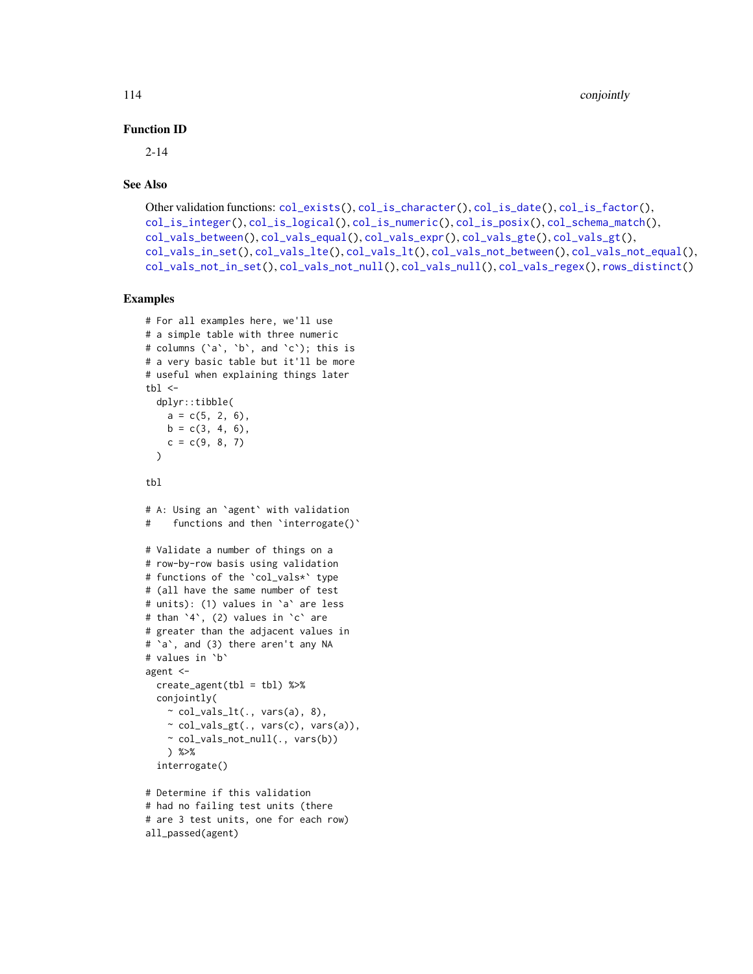# Function ID

2-14

### See Also

```
Other validation functions: col_exists(), col_is_character(), col_is_date(), col_is_factor(),
col_is_integer(), col_is_logical(), col_is_numeric(), col_is_posix(), col_schema_match(),
col_vals_between(), col_vals_equal(), col_vals_expr(), col_vals_gte(), col_vals_gt(),
col_vals_in_set(), col_vals_lte(), col_vals_lt(), col_vals_not_between(), col_vals_not_equal(),
col_vals_not_in_set(), col_vals_not_null(), col_vals_null(), col_vals_regex(), rows_distinct()
```

```
# For all examples here, we'll use
# a simple table with three numeric
# columns (`a`, `b`, and `c`); this is
# a very basic table but it'll be more
# useful when explaining things later
tb1 < -dplyr::tibble(
   a = c(5, 2, 6),
   b = c(3, 4, 6),
   c = c(9, 8, 7))
tbl
# A: Using an `agent` with validation
# functions and then `interrogate()`
# Validate a number of things on a
# row-by-row basis using validation
# functions of the `col_vals*` type
# (all have the same number of test
# units): (1) values in `a` are less
# than `4`, (2) values in `c` are
# greater than the adjacent values in
# `a`, and (3) there aren't any NA
# values in `b`
agent <-
  create\_agent(tbl = tb1) %>%
  conjointly(
   \sim col_vals_lt(., vars(a), 8),
   ~ col_vals_gt(., vars(c), vars(a)),
    ~ col_vals_not_null(., vars(b))
   ) %>%
  interrogate()
# Determine if this validation
# had no failing test units (there
```

```
# are 3 test units, one for each row)
all_passed(agent)
```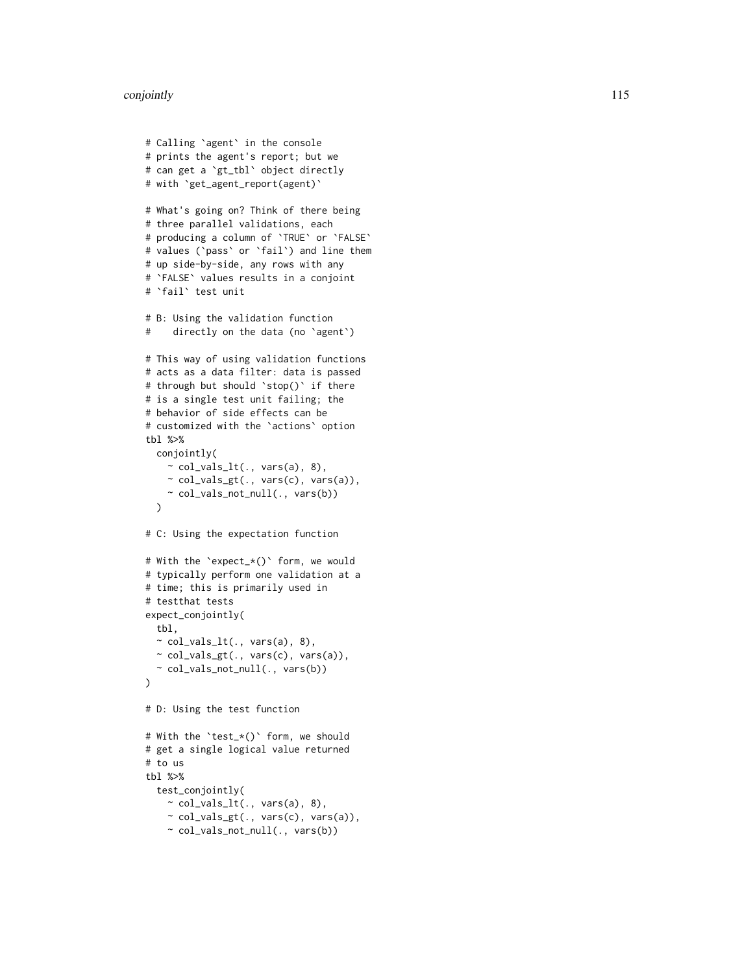#### conjointly the contract of the contract of the contract of the contract of the contract of the contract of the contract of the contract of the contract of the contract of the contract of the contract of the contract of the

```
# Calling
`agent
` in the console
# prints the agent's report; but we
# can get a
`gt_tbl
` object directly
# with
`get_agent_report(agent)
`
# What's going on? Think of there being
# three parallel validations, each
# producing a column of
`TRUE
` or
`FALSE
`
# values (
`pass
` or
`fail
`) and line them
# up side-by-side, any rows with any # `FALSE` values results in a conjoint # `fail` test unit
# B: Using the validation function
# directly on the data (no
`agent
`
)
# This way of using validation functions
# acts as a data filter: data is passed
# through but should
`stop()
` if there
# is a single test unit failing; the
# behavior of side effects can be
# customized with the
`actions
` option
tbl %>%
  conjointly(
    \sim col_vals_lt(., vars(a), 8),
    \sim col_vals_gt(., vars(c), vars(a)),
    ~ col_vals_not_null(., vars(b))
  \lambda# C: Using the expectation function
# With the
`expect_*()
` form, we would
# typically perform one validation at a
# time; this is primarily used in
# testthat tests
expect_conjointly(
 tbl,
 \sim col_vals_lt(., vars(a), 8),
 ~ col_vals_gt(., vars(c), vars(a)),
  ~ col_vals_not_null(., vars(b))
)
# D: Using the test function
# With the
`test_*()
` form, we should
# get a single logical value returned
# to us
tbl %>%
  test_conjointly(
    \sim col_vals_lt(., vars(a), 8),
    ~ col_vals_gt(., vars(c), vars(a)),
    \sim col_vals_not_null(., vars(b))
```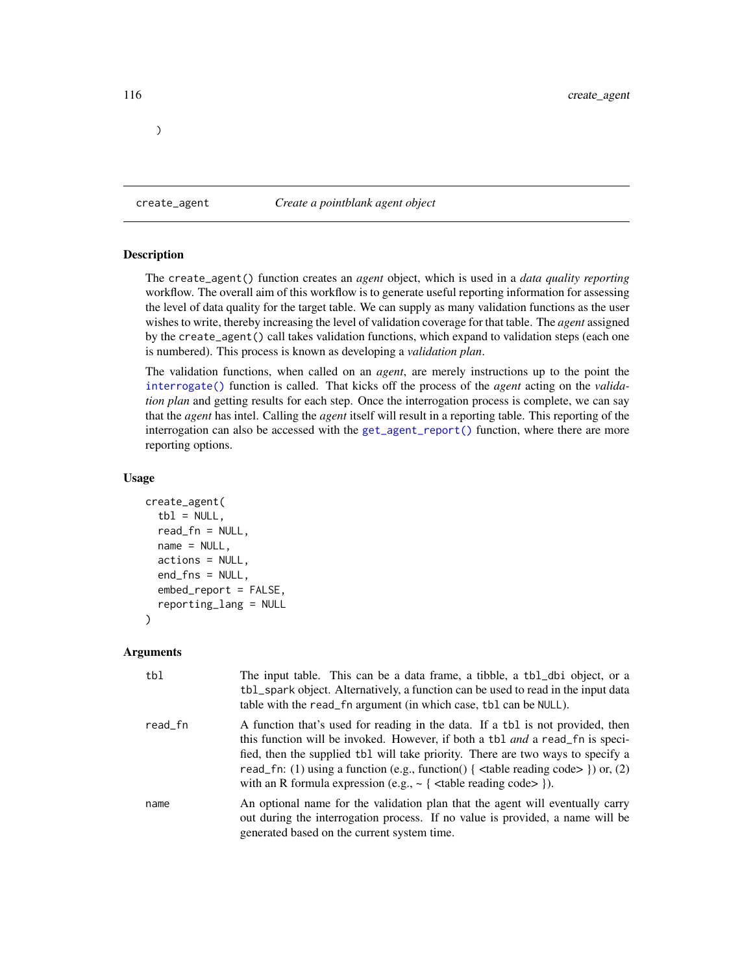<span id="page-115-0"></span>create\_agent *Create a pointblank agent object*

### Description

)

The create\_agent() function creates an *agent* object, which is used in a *data quality reporting* workflow. The overall aim of this workflow is to generate useful reporting information for assessing the level of data quality for the target table. We can supply as many validation functions as the user wishes to write, thereby increasing the level of validation coverage for that table. The *agent* assigned by the create\_agent() call takes validation functions, which expand to validation steps (each one is numbered). This process is known as developing a *validation plan*.

The validation functions, when called on an *agent*, are merely instructions up to the point the [interrogate\(\)](#page-131-0) function is called. That kicks off the process of the *agent* acting on the *validation plan* and getting results for each step. Once the interrogation process is complete, we can say that the *agent* has intel. Calling the *agent* itself will result in a reporting table. This reporting of the interrogation can also be accessed with the [get\\_agent\\_report\(\)](#page-123-0) function, where there are more reporting options.

### Usage

```
create_agent(
  tb1 = NULL,read_fn = NULL,
  name = NULL,actions = NULL,
  end_fns = NULL,
  embed_report = FALSE,
  reporting_lang = NULL
)
```

| tbl     | The input table. This can be a data frame, a tibble, a tbl_dbi object, or a<br>tbl_spark object. Alternatively, a function can be used to read in the input data<br>table with the read_fn argument (in which case, tbl can be NULL).                                                                                                                                                                                                      |
|---------|--------------------------------------------------------------------------------------------------------------------------------------------------------------------------------------------------------------------------------------------------------------------------------------------------------------------------------------------------------------------------------------------------------------------------------------------|
| read_fn | A function that's used for reading in the data. If a tbl is not provided, then<br>this function will be invoked. However, if both a tbl <i>and</i> a read fn is speci-<br>fied, then the supplied tbl will take priority. There are two ways to specify a<br>read_fn: (1) using a function (e.g., function() { $\lt$ table reading code> }) or, (2)<br>with an R formula expression (e.g., $\sim$ { <table code="" reading=""> }).</table> |
| name    | An optional name for the validation plan that the agent will eventually carry<br>out during the interrogation process. If no value is provided, a name will be<br>generated based on the current system time.                                                                                                                                                                                                                              |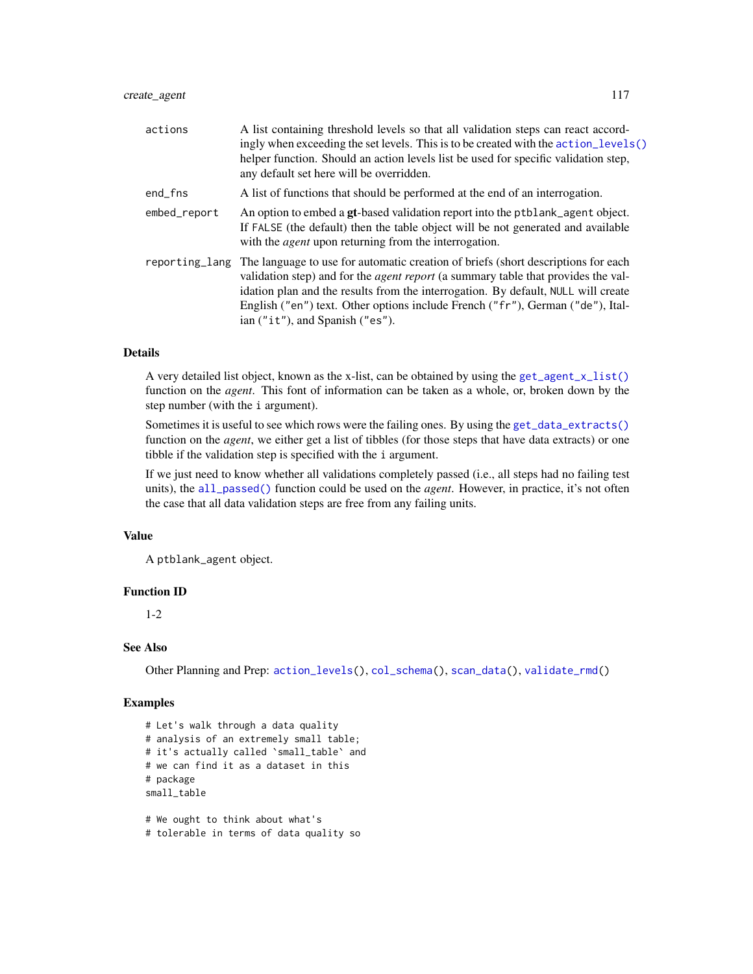| actions        | A list containing threshold levels so that all validation steps can react accord-<br>ingly when exceeding the set levels. This is to be created with the action_levels()<br>helper function. Should an action levels list be used for specific validation step,<br>any default set here will be overridden.                                                                                   |
|----------------|-----------------------------------------------------------------------------------------------------------------------------------------------------------------------------------------------------------------------------------------------------------------------------------------------------------------------------------------------------------------------------------------------|
| end_fns        | A list of functions that should be performed at the end of an interrogation.                                                                                                                                                                                                                                                                                                                  |
| embed_report   | An option to embed a gt-based validation report into the ptblank_agent object.<br>If FALSE (the default) then the table object will be not generated and available<br>with the <i>agent</i> upon returning from the interrogation.                                                                                                                                                            |
| reporting_lang | The language to use for automatic creation of briefs (short descriptions for each<br>validation step) and for the <i>agent report</i> (a summary table that provides the val-<br>idation plan and the results from the interrogation. By default, NULL will create<br>English ("en") text. Other options include French ("fr"), German ("de"), Ital-<br>ian $("it")$ , and Spanish $("es")$ . |

# Details

A very detailed list object, known as the x-list, can be obtained by using the [get\\_agent\\_x\\_list\(\)](#page-126-0) function on the *agent*. This font of information can be taken as a whole, or, broken down by the step number (with the i argument).

Sometimes it is useful to see which rows were the failing ones. By using the [get\\_data\\_extracts\(\)](#page-128-0) function on the *agent*, we either get a list of tibbles (for those steps that have data extracts) or one tibble if the validation step is specified with the i argument.

If we just need to know whether all validations completely passed (i.e., all steps had no failing test units), the [all\\_passed\(\)](#page-16-0) function could be used on the *agent*. However, in practice, it's not often the case that all data validation steps are free from any failing units.

### Value

A ptblank\_agent object.

# Function ID

1-2

### See Also

Other Planning and Prep: [action\\_levels\(](#page-2-0)), [col\\_schema\(](#page-44-0)), [scan\\_data\(](#page-138-0)), [validate\\_rmd\(](#page-144-0))

#### Examples

```
# Let's walk through a data quality
# analysis of an extremely small table;
# it's actually called `small_table` and
# we can find it as a dataset in this
# package
small_table
# We ought to think about what's
```
# tolerable in terms of data quality so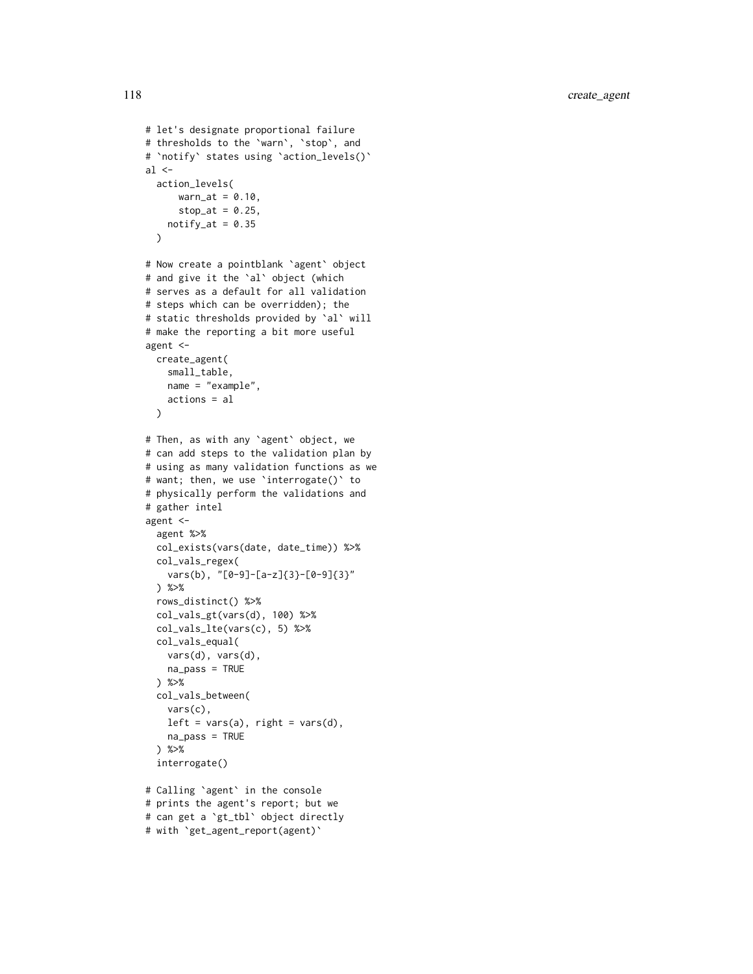```
# let's designate proportional failure
# thresholds to the
`warn
`
,
`stop
`, and
#
`notify
` states using
`action_levels()
`
al \leqaction_levels(
     wan_at = 0.10,stop_at = 0.25,
   notify_at = 0.35\lambda# Now create a pointblank
`agent
` object
# and give it the
`al
` object (which
# serves as a default for all validation
# steps which can be overridden); the
# static thresholds provided by
`al
` will
# make the reporting a bit more useful
agent <-
  create_agent(
   small_table,
   name = "example",
   actions = al
  \lambda# Then, as with any
`agent
` object, we
# can add steps to the validation plan by
# using as many validation functions as we
# want; then, we use
`interrogate()
` to
# physically perform the validations and
# gather intel
agent <-
  agent %>%
  col_exists(vars(date, date_time)) %>%
  col_vals_regex(
    vars(b), "[0-9]-[a-z]{3}-[0-9]{3}"
  ) %>%
  rows_distinct() %>%
  col_vals_gt(vars(d), 100) %>%
  col_vals_lte(vars(c), 5) %>%
  col_vals_equal(
   vars(d), vars(d),
   na_pass = TRUE
  ) %>%
  col_vals_between(
   vars(c),
   left = vars(a), right = vars(d),
   na_pass = TRUE
  ) %>%
  interrogate()
# Calling
`agent
` in the console
```

```
# prints the agent's report; but we
# can get a
`gt_tbl
` object directly
# with
`get_agent_report(agent)
`
```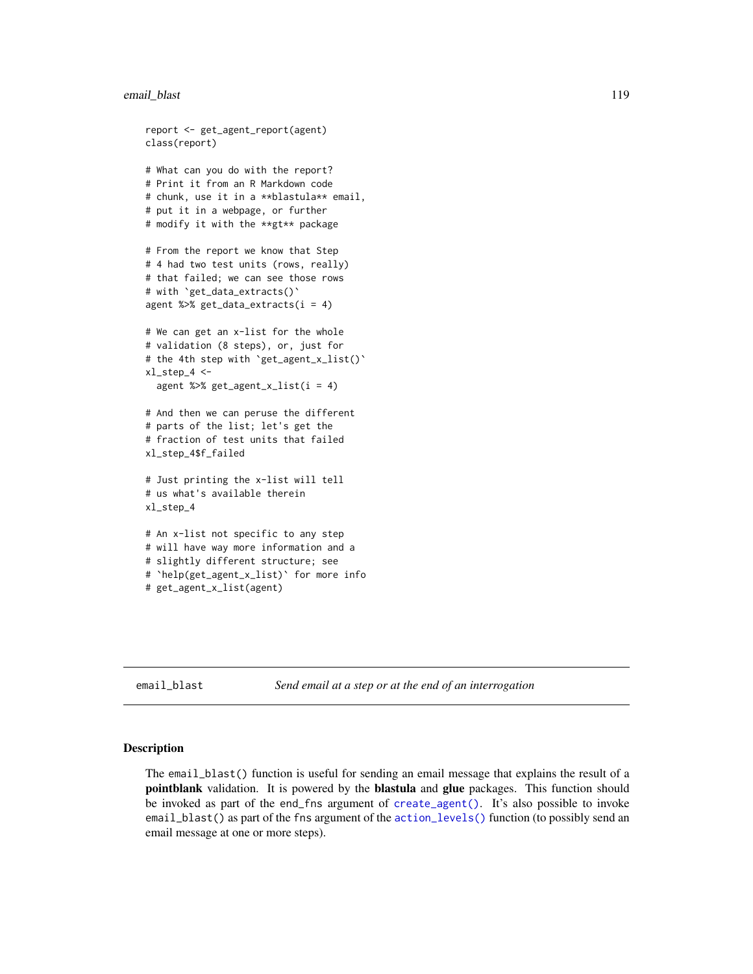### email\_blast 119

```
report <- get_agent_report(agent)
class(report)
# What can you do with the report?
# Print it from an R Markdown code
# chunk, use it in a **blastula** email,
# put it in a webpage, or further
# modify it with the **gt** package
# From the report we know that Step
# 4 had two test units (rows, really)
# that failed; we can see those rows
# with `get_data_extracts()`
agent %>% get_data_extracts(i = 4)
# We can get an x-list for the whole
# validation (8 steps), or, just for
# the 4th step with `get_agent_x_list()`
xl_step_4 <-
 agent %>% get_agent_x_list(i = 4)
# And then we can peruse the different
# parts of the list; let's get the
# fraction of test units that failed
xl_step_4$f_failed
# Just printing the x-list will tell
# us what's available therein
xl_step_4
# An x-list not specific to any step
# will have way more information and a
# slightly different structure; see
# `help(get_agent_x_list)` for more info
# get_agent_x_list(agent)
```
<span id="page-118-0"></span>email\_blast *Send email at a step or at the end of an interrogation*

#### Description

The email\_blast() function is useful for sending an email message that explains the result of a **pointblank** validation. It is powered by the **blastula** and **glue** packages. This function should be invoked as part of the end\_fns argument of [create\\_agent\(\)](#page-115-0). It's also possible to invoke email\_blast() as part of the fns argument of the [action\\_levels\(\)](#page-2-0) function (to possibly send an email message at one or more steps).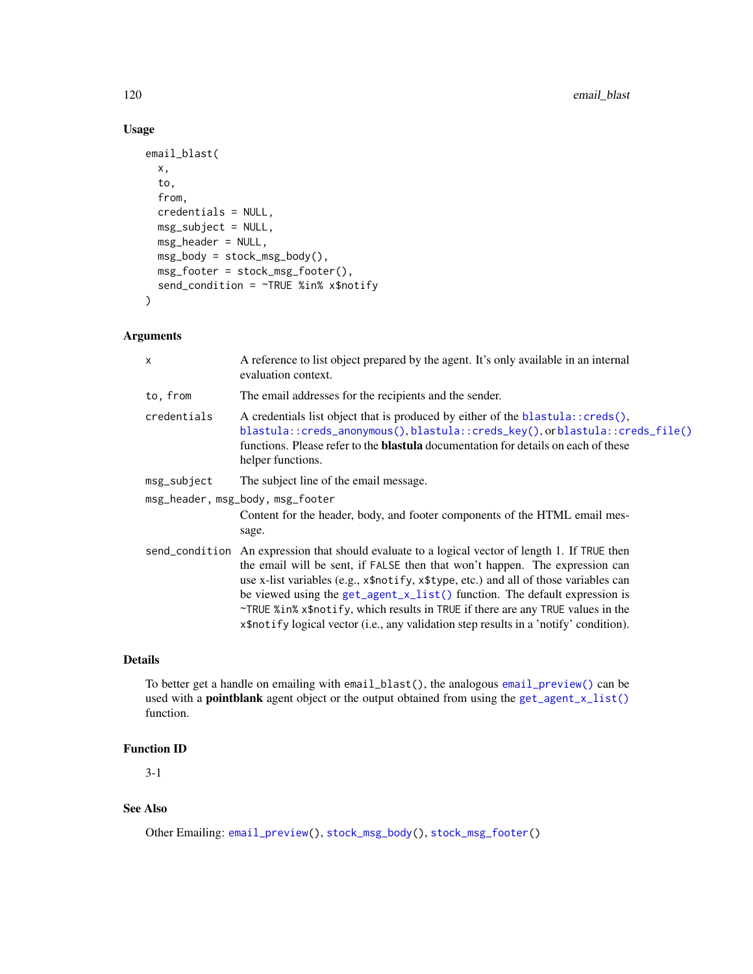# Usage

```
email_blast(
  x,
  to,
  from,
 credentials = NULL,
 msg_subject = NULL,
 msg_header = NULL,
 msg_body = stock_msg_body(),
 msg_footer = stock_msg_footer(),
  send_condition = ~TRUE %in% x$notify
\mathcal{L}
```
# Arguments

| X           | A reference to list object prepared by the agent. It's only available in an internal<br>evaluation context.                                                                                                                                                                                                                                                                                                                                                                                                                      |
|-------------|----------------------------------------------------------------------------------------------------------------------------------------------------------------------------------------------------------------------------------------------------------------------------------------------------------------------------------------------------------------------------------------------------------------------------------------------------------------------------------------------------------------------------------|
| to, from    | The email addresses for the recipients and the sender.                                                                                                                                                                                                                                                                                                                                                                                                                                                                           |
| credentials | A credentials list object that is produced by either of the blastula:: creds(),<br>blastula::creds_anonymous(),blastula::creds_key(),orblastula::creds_file()<br>functions. Please refer to the <b>blastula</b> documentation for details on each of these<br>helper functions.                                                                                                                                                                                                                                                  |
| msg_subject | The subject line of the email message.                                                                                                                                                                                                                                                                                                                                                                                                                                                                                           |
|             | msg_header, msg_body, msg_footer                                                                                                                                                                                                                                                                                                                                                                                                                                                                                                 |
|             | Content for the header, body, and footer components of the HTML email mes-<br>sage.                                                                                                                                                                                                                                                                                                                                                                                                                                              |
|             | send_condition An expression that should evaluate to a logical vector of length 1. If TRUE then<br>the email will be sent, if FALSE then that won't happen. The expression can<br>use x-list variables (e.g., x\$notify, x\$type, etc.) and all of those variables can<br>be viewed using the get_agent_x_list() function. The default expression is<br>~TRUE %in% x\$notify, which results in TRUE if there are any TRUE values in the<br>x\$notify logical vector (i.e., any validation step results in a 'notify' condition). |

# Details

To better get a handle on emailing with email\_blast(), the analogous [email\\_preview\(\)](#page-121-0) can be used with a **pointblank** agent object or the output obtained from using the [get\\_agent\\_x\\_list\(\)](#page-126-0) function.

# Function ID

3-1

# See Also

Other Emailing: [email\\_preview\(](#page-121-0)), [stock\\_msg\\_body\(](#page-142-0)), [stock\\_msg\\_footer\(](#page-142-1))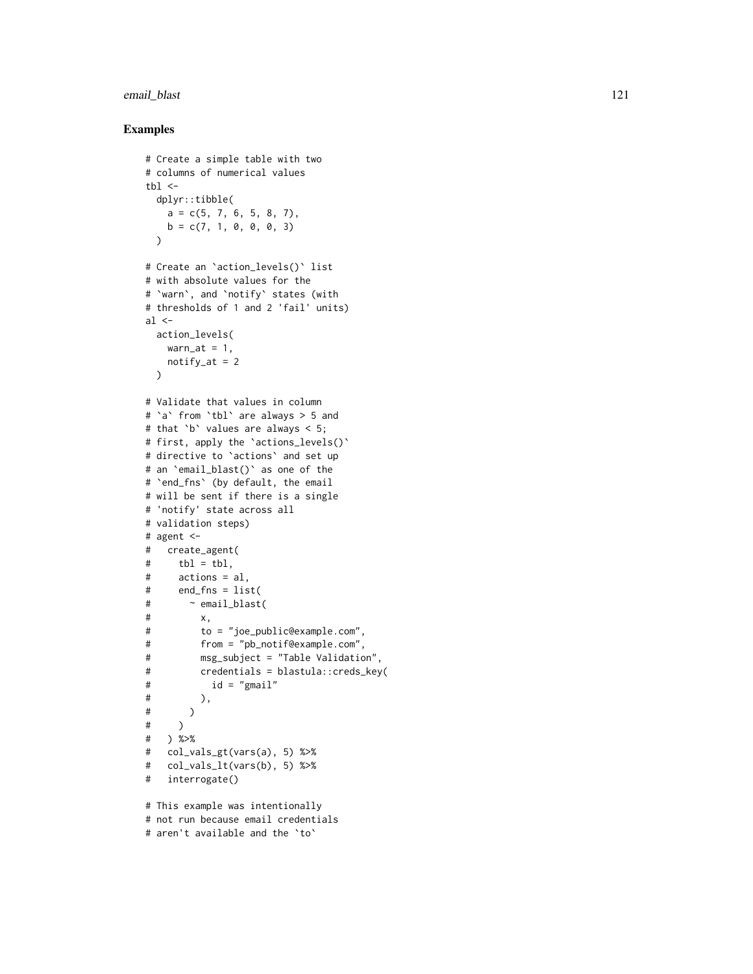# email\_blast 121

### Examples

```
# Create a simple table with two
# columns of numerical values
thl < -dplyr::tibble(
   a = c(5, 7, 6, 5, 8, 7),b = c(7, 1, 0, 0, 0, 3))
# Create an
`action_levels()
` list
# with absolute values for the # `warn`, and `notify` states (with
# thresholds of 1 and 2 'fail' units)
al \leq-
 action_levels(
   warn_at = 1,
   notify_at = 2\lambda# Validate that values in column # `a` from `tbl` are always > 5 and
# that
`
b
` values are always < 5;
# first, apply the
`actions_levels()
`
# directive to
`actions
` and set up
# an
`email_blast()
` as one of the
#
`end_fns
` (by default, the email
# will be sent if there is a single # 'notify' state across all
# validation steps)
# agent <-
# create_agent(
# tbl = tbl,
# actions = al,
# end_fns = list(
# ~ email_blast(
# x,
# to = "joe_public@example.com",
# from = "pb_notif@example.com",
# msg_subject = "Table Validation",
# credentials = blastula::creds_key(
# id = "gmail"
\# ),
# )
# )
# ) %>%
# col_vals_gt(vars(a), 5) %>%
# col_vals_lt(vars(b), 5) %>%
# interrogate()
# This example was intentionally
```
# not run because email credentials

```
# aren't available and the
`to
`
```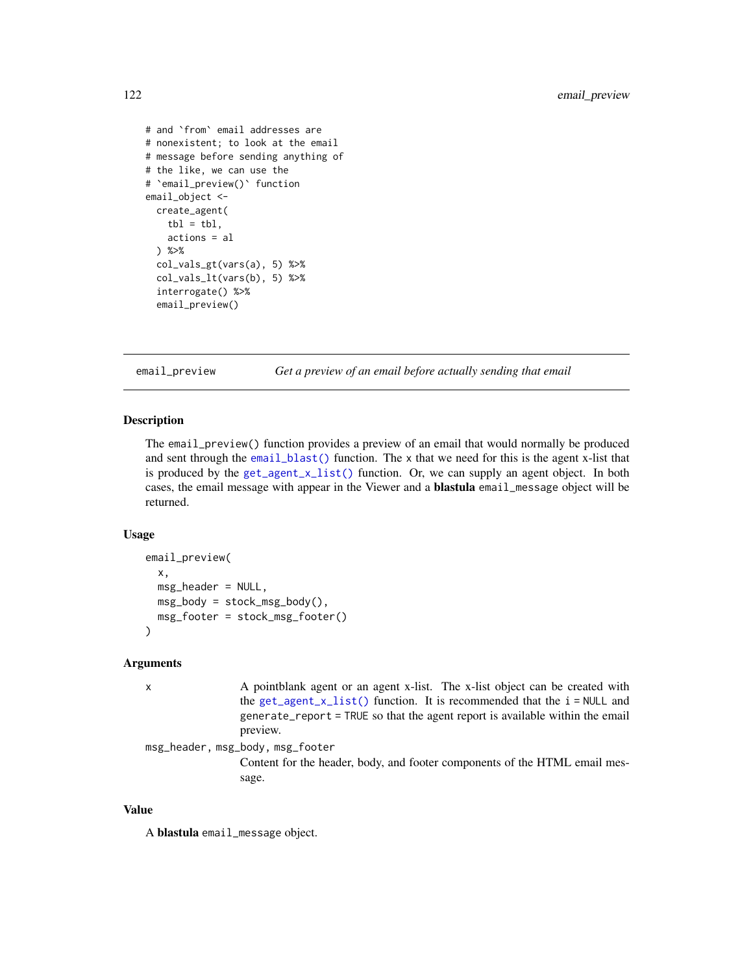```
# and `from` email addresses are
# nonexistent; to look at the email
# message before sending anything of
# the like, we can use the
# `email_preview()` function
email_object <-
 create_agent(
   tb1 = tb1,actions = al
 ) %>%
 col_vals_gt(vars(a), 5) %>%
 col_vals_lt(vars(b), 5) %>%
 interrogate() %>%
 email_preview()
```
<span id="page-121-0"></span>email\_preview *Get a preview of an email before actually sending that email*

### **Description**

The email\_preview() function provides a preview of an email that would normally be produced and sent through the [email\\_blast\(\)](#page-118-0) function. The x that we need for this is the agent x-list that is produced by the [get\\_agent\\_x\\_list\(\)](#page-126-0) function. Or, we can supply an agent object. In both cases, the email message with appear in the Viewer and a blastula email\_message object will be returned.

#### Usage

```
email_preview(
  x,
  msg_header = NULL,
 msg_body = stock_msg_body(),
 msg_footer = stock_msg_footer()
)
```
# Arguments

```
x A pointblank agent or an agent x-list. The x-list object can be created with
                get_agent_x_list() function. It is recommended that the i = NULL and
                generate_report = TRUE so that the agent report is available within the email
                preview.
```
msg\_header, msg\_body, msg\_footer

Content for the header, body, and footer components of the HTML email message.

### Value

A blastula email\_message object.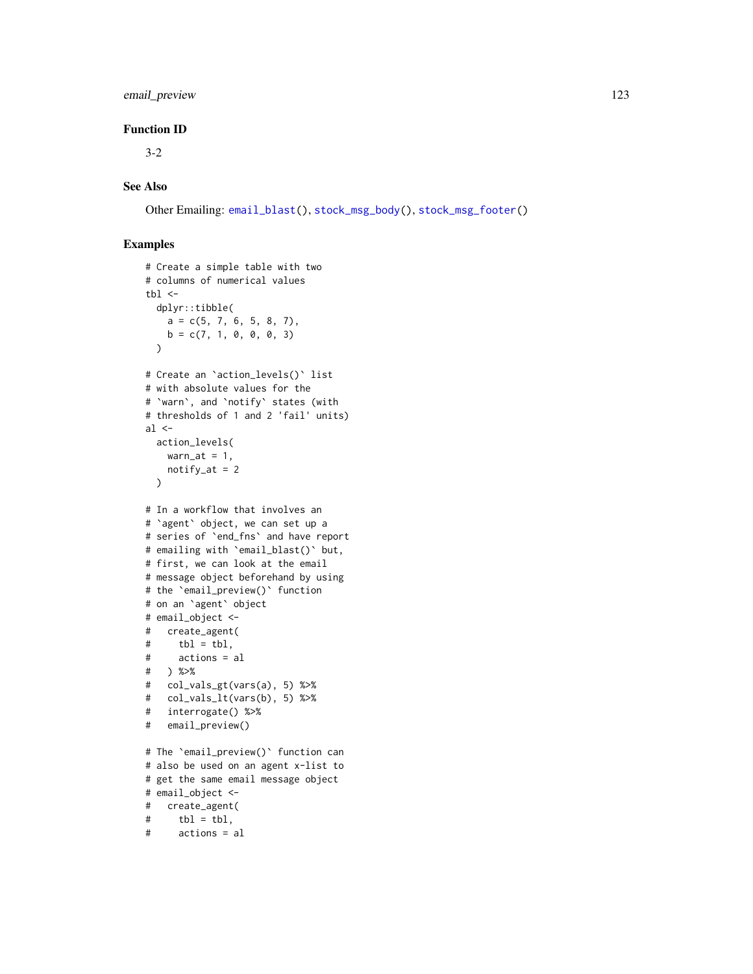# email\_preview 123

# Function ID

3-2

# See Also

Other Emailing: [email\\_blast\(](#page-118-0)), [stock\\_msg\\_body\(](#page-142-0)), [stock\\_msg\\_footer\(](#page-142-1))

```
# Create a simple table with two
# columns of numerical values
thl < -dplyr::tibble(
   a = c(5, 7, 6, 5, 8, 7),b = c(7, 1, 0, 0, 0, 3)\lambda# Create an `action_levels()` list
# with absolute values for the
# `warn`, and `notify` states (with
# thresholds of 1 and 2 'fail' units)
al \leftarrowaction_levels(
   warn_at = 1,
   notify_at = 2\lambda# In a workflow that involves an
# `agent` object, we can set up a
# series of `end_fns` and have report
# emailing with `email_blast()` but,
# first, we can look at the email
# message object beforehand by using
# the `email_preview()` function
# on an `agent` object
# email_object <-
# create_agent(
# tbl = tbl,
# actions = al
# ) %>%
# col_vals_gt(vars(a), 5) %>%
# col_vals_lt(vars(b), 5) %>%
# interrogate() %>%
# email_preview()
# The `email_preview()` function can
# also be used on an agent x-list to
# get the same email message object
# email_object <-
# create_agent(
# tbl = tbl,
# actions = al
```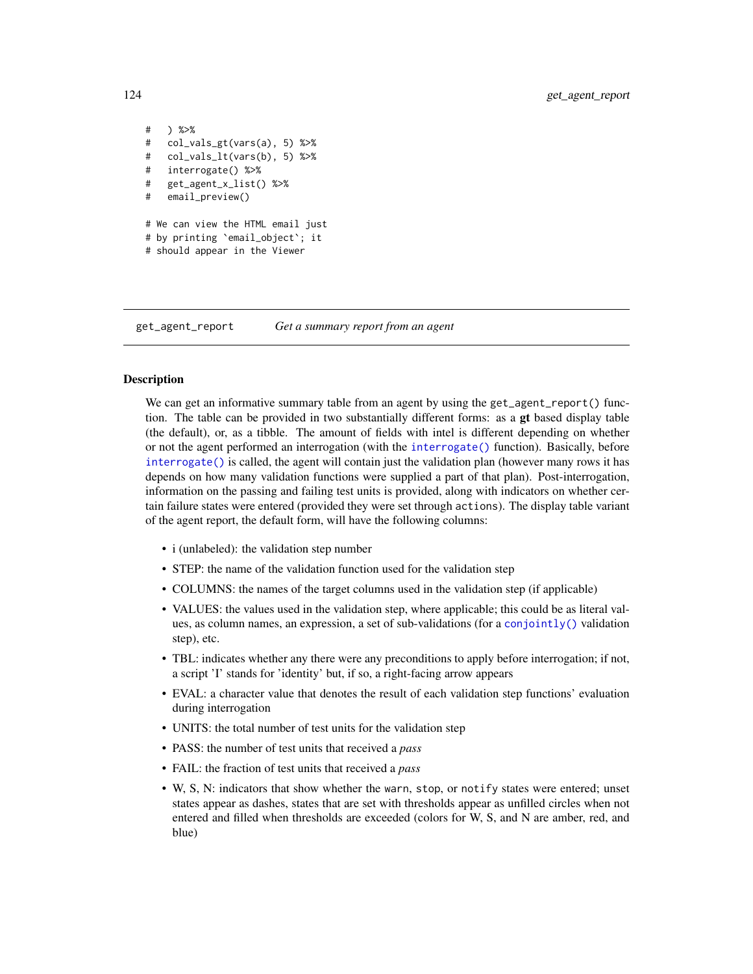```
# ) %>%
# col_vals_gt(vars(a), 5) %>%
# col_vals_lt(vars(b), 5) %>%
# interrogate() %>%
# get_agent_x_list() %>%
# email_preview()
# We can view the HTML email just
# by printing `email_object`; it
# should appear in the Viewer
```
<span id="page-123-0"></span>get\_agent\_report *Get a summary report from an agent*

### Description

We can get an informative summary table from an agent by using the get\_agent\_report() function. The table can be provided in two substantially different forms: as a gt based display table (the default), or, as a tibble. The amount of fields with intel is different depending on whether or not the agent performed an interrogation (with the [interrogate\(\)](#page-131-0) function). Basically, before [interrogate\(\)](#page-131-0) is called, the agent will contain just the validation plan (however many rows it has depends on how many validation functions were supplied a part of that plan). Post-interrogation, information on the passing and failing test units is provided, along with indicators on whether certain failure states were entered (provided they were set through actions). The display table variant of the agent report, the default form, will have the following columns:

- i (unlabeled): the validation step number
- STEP: the name of the validation function used for the validation step
- COLUMNS: the names of the target columns used in the validation step (if applicable)
- VALUES: the values used in the validation step, where applicable; this could be as literal values, as column names, an expression, a set of sub-validations (for a [conjointly\(\)](#page-110-0) validation step), etc.
- TBL: indicates whether any there were any preconditions to apply before interrogation; if not, a script 'I' stands for 'identity' but, if so, a right-facing arrow appears
- EVAL: a character value that denotes the result of each validation step functions' evaluation during interrogation
- UNITS: the total number of test units for the validation step
- PASS: the number of test units that received a *pass*
- FAIL: the fraction of test units that received a *pass*
- W, S, N: indicators that show whether the warn, stop, or notify states were entered; unset states appear as dashes, states that are set with thresholds appear as unfilled circles when not entered and filled when thresholds are exceeded (colors for W, S, and N are amber, red, and blue)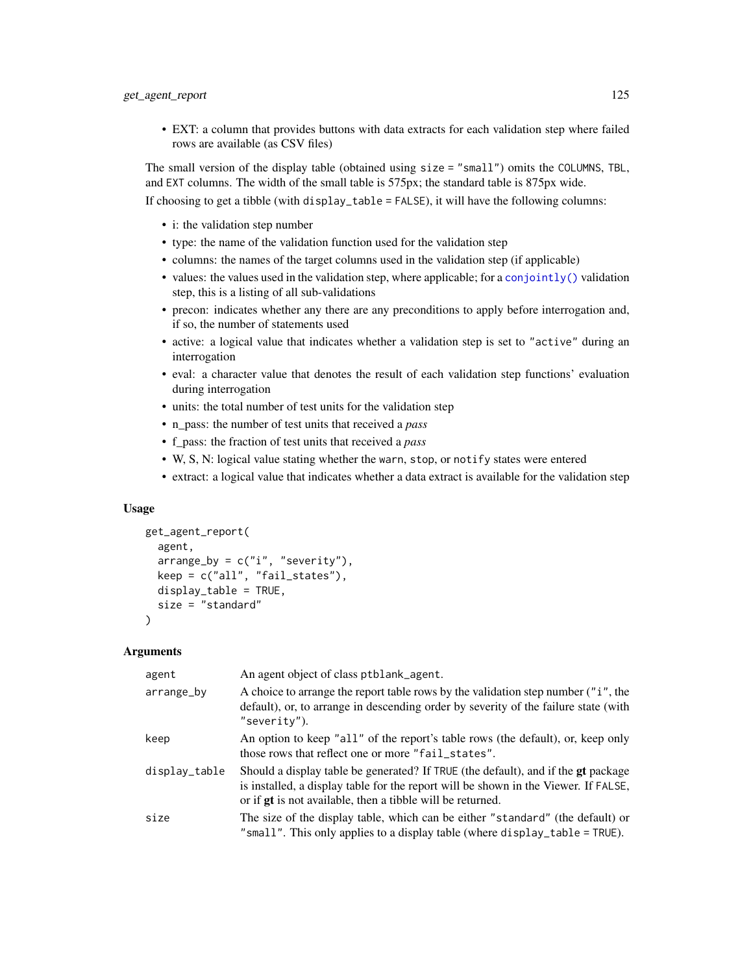• EXT: a column that provides buttons with data extracts for each validation step where failed rows are available (as CSV files)

The small version of the display table (obtained using size = "small") omits the COLUMNS, TBL, and EXT columns. The width of the small table is 575px; the standard table is 875px wide.

If choosing to get a tibble (with display\_table = FALSE), it will have the following columns:

- i: the validation step number
- type: the name of the validation function used for the validation step
- columns: the names of the target columns used in the validation step (if applicable)
- values: the values used in the validation step, where applicable; for a [conjointly\(\)](#page-110-0) validation step, this is a listing of all sub-validations
- precon: indicates whether any there are any preconditions to apply before interrogation and, if so, the number of statements used
- active: a logical value that indicates whether a validation step is set to "active" during an interrogation
- eval: a character value that denotes the result of each validation step functions' evaluation during interrogation
- units: the total number of test units for the validation step
- n\_pass: the number of test units that received a *pass*
- f\_pass: the fraction of test units that received a *pass*
- W, S, N: logical value stating whether the warn, stop, or notify states were entered
- extract: a logical value that indicates whether a data extract is available for the validation step

### Usage

```
get_agent_report(
  agent,
  arrayby = c("i", "severity"),keep = c("all", "fail_states"),
 display_table = TRUE,
 size = "standard"
)
```

| agent         | An agent object of class ptblank_agent.                                                                                                                                                                                                       |
|---------------|-----------------------------------------------------------------------------------------------------------------------------------------------------------------------------------------------------------------------------------------------|
| arrange_by    | A choice to arrange the report table rows by the validation step number ("i", the<br>default), or, to arrange in descending order by severity of the failure state (with<br>"severity").                                                      |
| keep          | An option to keep "all" of the report's table rows (the default), or, keep only<br>those rows that reflect one or more "fail_states".                                                                                                         |
| display_table | Should a display table be generated? If TRUE (the default), and if the gt package<br>is installed, a display table for the report will be shown in the Viewer. If FALSE,<br>or if <b>gt</b> is not available, then a tibble will be returned. |
| size          | The size of the display table, which can be either "standard" (the default) or<br>"small". This only applies to a display table (where display_table = $TRUE$ ).                                                                              |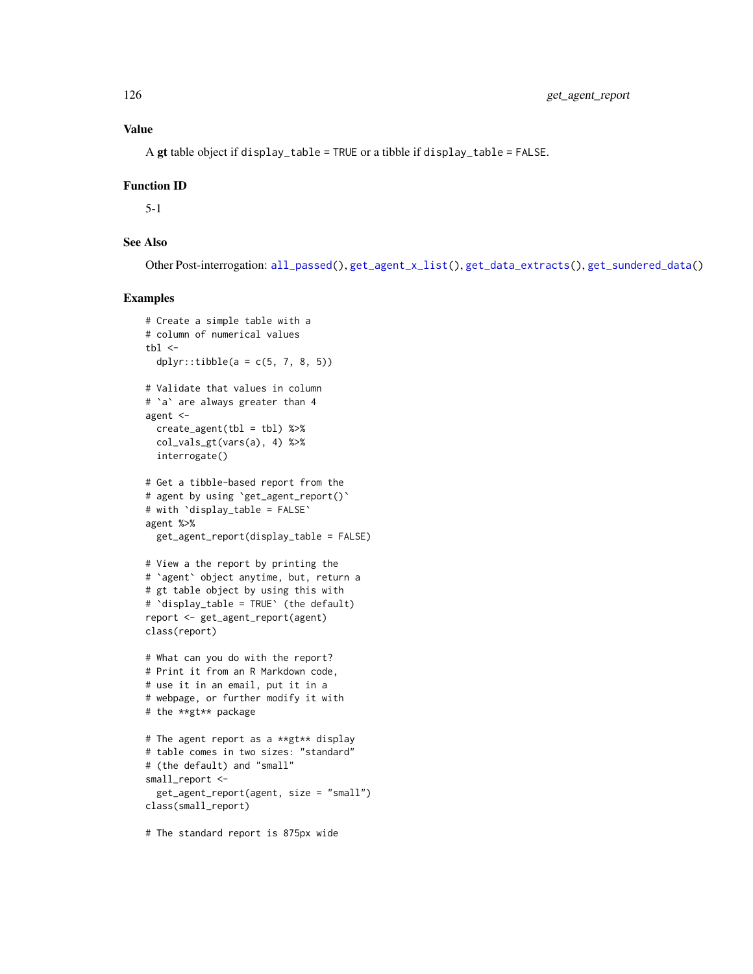# Value

A gt table object if display\_table = TRUE or a tibble if display\_table = FALSE.

### Function ID

5-1

# See Also

Other Post-interrogation: [all\\_passed\(](#page-16-0)), [get\\_agent\\_x\\_list\(](#page-126-0)), [get\\_data\\_extracts\(](#page-128-0)), [get\\_sundered\\_data\(](#page-130-0))

# Examples

```
# Create a simple table with a
# column of numerical values
tb1 < -dplyr::tibble(a = c(5, 7, 8, 5))
# Validate that values in column
# `a` are always greater than 4
agent <-
  create\_agent(tbl = tbl) %>%
  col_vals_gt(vars(a), 4) %>%
  interrogate()
# Get a tibble-based report from the
# agent by using `get_agent_report()`
# with `display_table = FALSE`
agent %>%
  get_agent_report(display_table = FALSE)
# View a the report by printing the
# `agent` object anytime, but, return a
# gt table object by using this with
# `display_table = TRUE` (the default)
report <- get_agent_report(agent)
class(report)
# What can you do with the report?
# Print it from an R Markdown code,
# use it in an email, put it in a
# webpage, or further modify it with
# the **gt** package
# The agent report as a **gt** display
# table comes in two sizes: "standard"
# (the default) and "small"
small_report <-
  get_agent_report(agent, size = "small")
class(small_report)
```
# The standard report is 875px wide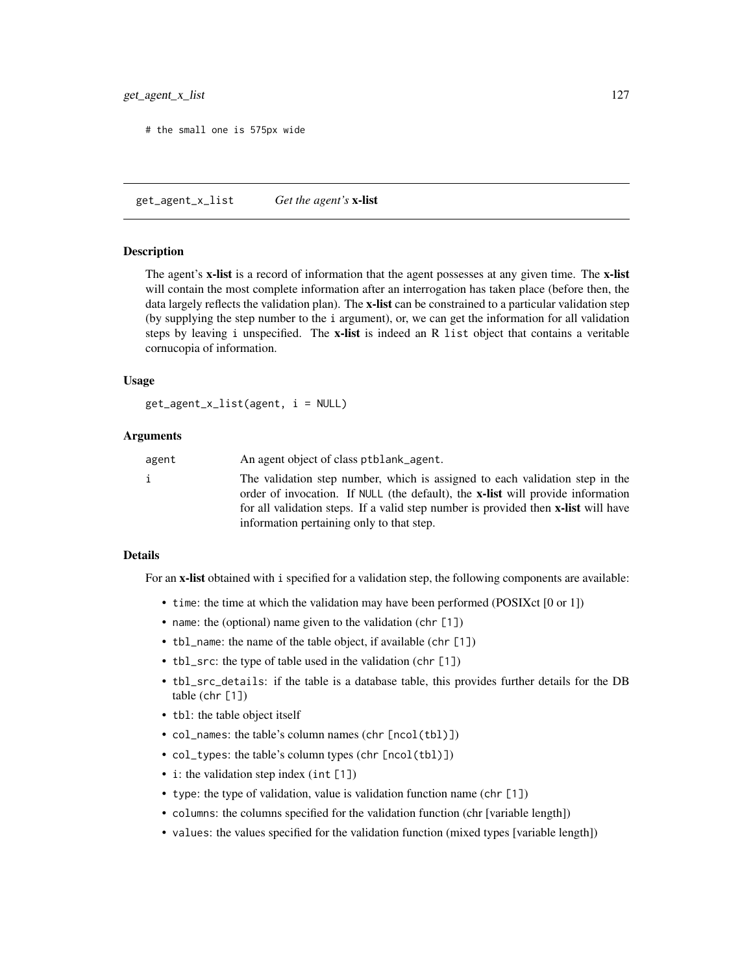### get\_agent\_x\_list 127

# the small one is 575px wide

<span id="page-126-0"></span>get\_agent\_x\_list *Get the agent's* x-list

## **Description**

The agent's x-list is a record of information that the agent possesses at any given time. The x-list will contain the most complete information after an interrogation has taken place (before then, the data largely reflects the validation plan). The x-list can be constrained to a particular validation step (by supplying the step number to the i argument), or, we can get the information for all validation steps by leaving i unspecified. The x-list is indeed an R list object that contains a veritable cornucopia of information.

### Usage

get\_agent\_x\_list(agent, i = NULL)

### **Arguments**

| agent | An agent object of class ptblank_agent.                                                                                                                                                                                                                                                                          |
|-------|------------------------------------------------------------------------------------------------------------------------------------------------------------------------------------------------------------------------------------------------------------------------------------------------------------------|
|       | The validation step number, which is assigned to each validation step in the<br>order of invocation. If NULL (the default), the <b>x-list</b> will provide information<br>for all validation steps. If a valid step number is provided then <b>x-list</b> will have<br>information pertaining only to that step. |
|       |                                                                                                                                                                                                                                                                                                                  |

# Details

For an x-list obtained with i specified for a validation step, the following components are available:

- time: the time at which the validation may have been performed (POSIXct [0 or 1])
- name: the (optional) name given to the validation (chr [1])
- tbl\_name: the name of the table object, if available (chr [1])
- tbl\_src: the type of table used in the validation (chr [1])
- tbl\_src\_details: if the table is a database table, this provides further details for the DB table (chr [1])
- tbl: the table object itself
- col\_names: the table's column names (chr [ncol(tbl)])
- col\_types: the table's column types (chr [ncol(tbl)])
- i: the validation step index (int [1])
- type: the type of validation, value is validation function name (chr [1])
- columns: the columns specified for the validation function (chr [variable length])
- values: the values specified for the validation function (mixed types [variable length])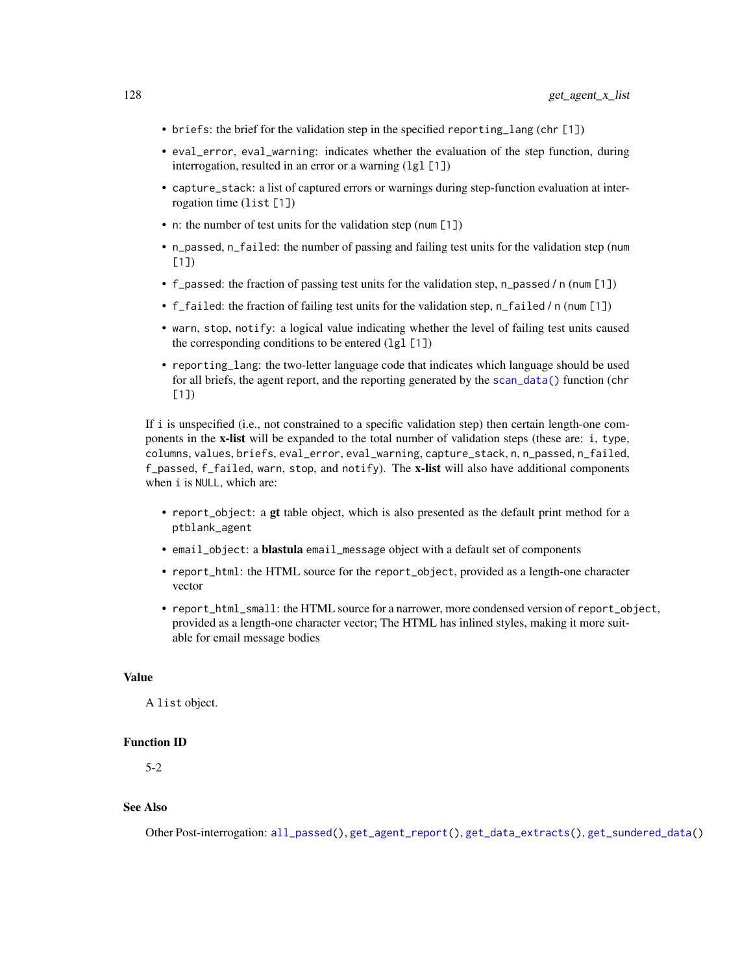- briefs: the brief for the validation step in the specified reporting\_lang (chr [1])
- eval\_error, eval\_warning: indicates whether the evaluation of the step function, during interrogation, resulted in an error or a warning (1g1 [1])
- capture\_stack: a list of captured errors or warnings during step-function evaluation at interrogation time (list [1])
- n: the number of test units for the validation step (num [1])
- n\_passed, n\_failed: the number of passing and failing test units for the validation step (num  $[1]$
- f\_passed: the fraction of passing test units for the validation step, n\_passed / n (num [1])
- f\_failed: the fraction of failing test units for the validation step, n\_failed / n (num [1])
- warn, stop, notify: a logical value indicating whether the level of failing test units caused the corresponding conditions to be entered  $(1gl [1])$
- reporting\_lang: the two-letter language code that indicates which language should be used for all briefs, the agent report, and the reporting generated by the [scan\\_data\(\)](#page-138-0) function (chr  $[1]$

If i is unspecified (i.e., not constrained to a specific validation step) then certain length-one components in the x-list will be expanded to the total number of validation steps (these are: i, type, columns, values, briefs, eval\_error, eval\_warning, capture\_stack, n, n\_passed, n\_failed, f\_passed,  $f$ \_failed, warn, stop, and notify). The x-list will also have additional components when i is NULL, which are:

- report\_object: a gt table object, which is also presented as the default print method for a ptblank\_agent
- email\_object: a **blastula** email\_message object with a default set of components
- report\_html: the HTML source for the report\_object, provided as a length-one character vector
- report\_html\_small: the HTML source for a narrower, more condensed version of report\_object, provided as a length-one character vector; The HTML has inlined styles, making it more suitable for email message bodies

### Value

A list object.

#### Function ID

5-2

### See Also

Other Post-interrogation: [all\\_passed\(](#page-16-0)), [get\\_agent\\_report\(](#page-123-0)), [get\\_data\\_extracts\(](#page-128-0)), [get\\_sundered\\_data\(](#page-130-0))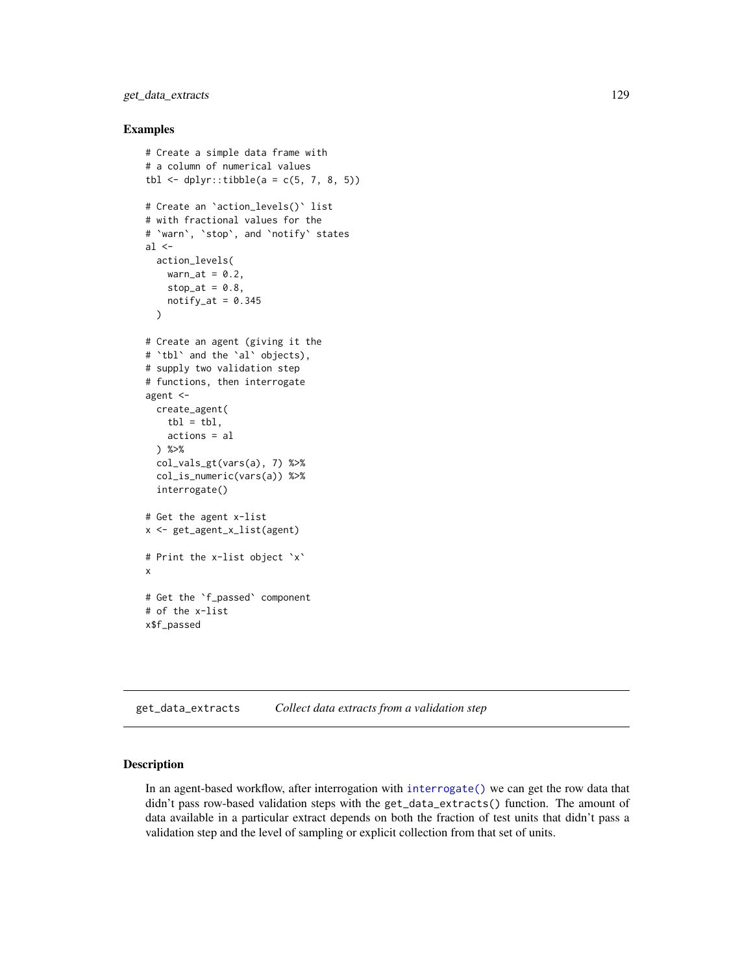# get\_data\_extracts 129

### Examples

```
# Create a simple data frame with
# a column of numerical values
tbl \le dplyr::tibble(a = c(5, 7, 8, 5))
# Create an `action_levels()` list
# with fractional values for the
# `warn`, `stop`, and `notify` states
al \leftarrowaction_levels(
   warn_at = 0.2,
   stop_at = 0.8,
   notify_at = 0.345)
# Create an agent (giving it the
# `tbl` and the `al` objects),
# supply two validation step
# functions, then interrogate
agent <-
  create_agent(
    tb1 = tb1,actions = al
 ) %>%
  col_vals_gt(vars(a), 7) %>%
  col_is_numeric(vars(a)) %>%
  interrogate()
# Get the agent x-list
x <- get_agent_x_list(agent)
# Print the x-list object `x`
x
# Get the `f_passed` component
# of the x-list
x$f_passed
```
<span id="page-128-0"></span>get\_data\_extracts *Collect data extracts from a validation step*

# Description

In an agent-based workflow, after interrogation with [interrogate\(\)](#page-131-0) we can get the row data that didn't pass row-based validation steps with the get\_data\_extracts() function. The amount of data available in a particular extract depends on both the fraction of test units that didn't pass a validation step and the level of sampling or explicit collection from that set of units.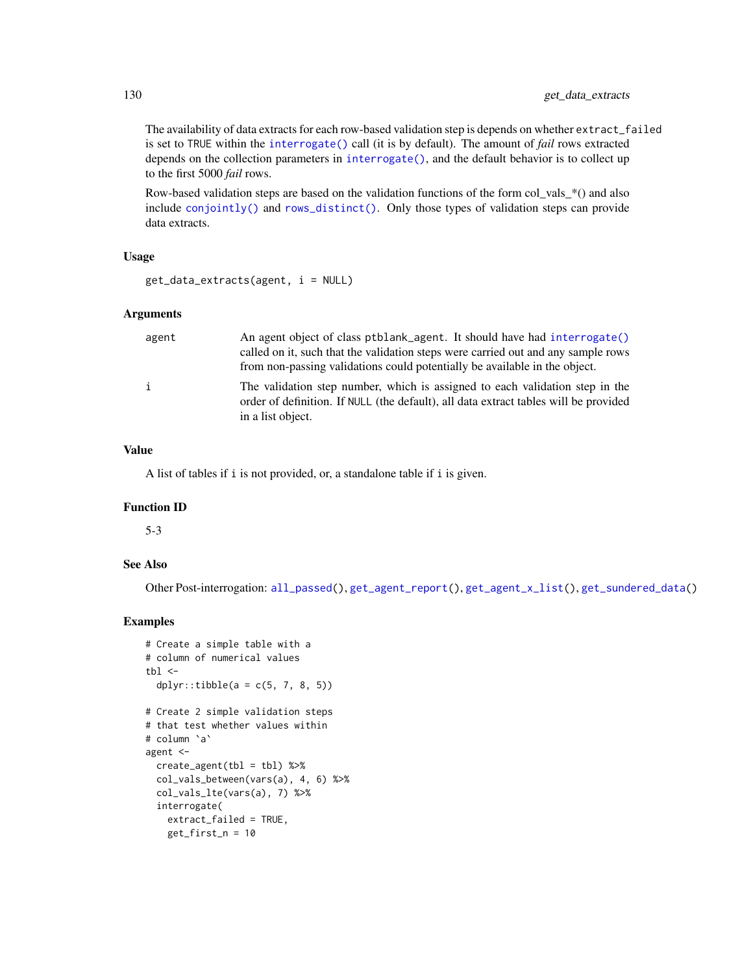The availability of data extracts for each row-based validation step is depends on whether extract\_failed is set to TRUE within the [interrogate\(\)](#page-131-0) call (it is by default). The amount of *fail* rows extracted depends on the collection parameters in [interrogate\(\)](#page-131-0), and the default behavior is to collect up to the first 5000 *fail* rows.

Row-based validation steps are based on the validation functions of the form col\_vals\_\*() and also include [conjointly\(\)](#page-110-0) and [rows\\_distinct\(\)](#page-134-0). Only those types of validation steps can provide data extracts.

### Usage

```
get_data_extracts(agent, i = NULL)
```
### Arguments

| agent        | An agent object of class ptblank_agent. It should have had interrogate()<br>called on it, such that the validation steps were carried out and any sample rows<br>from non-passing validations could potentially be available in the object. |
|--------------|---------------------------------------------------------------------------------------------------------------------------------------------------------------------------------------------------------------------------------------------|
| $\mathbf{i}$ | The validation step number, which is assigned to each validation step in the<br>order of definition. If NULL (the default), all data extract tables will be provided<br>in a list object.                                                   |

# Value

A list of tables if i is not provided, or, a standalone table if i is given.

# Function ID

5-3

# See Also

Other Post-interrogation: [all\\_passed\(](#page-16-0)), [get\\_agent\\_report\(](#page-123-0)), [get\\_agent\\_x\\_list\(](#page-126-0)), [get\\_sundered\\_data\(](#page-130-0))

```
# Create a simple table with a
# column of numerical values
tb1 < -dplyr::tibble(a = c(5, 7, 8, 5))
# Create 2 simple validation steps
# that test whether values within
# column `a`
agent <-
  create_agent(tbl = tbl) %>%
  col_vals_between(vars(a), 4, 6) %>%
  col_vals_lte(vars(a), 7) %>%
  interrogate(
   extract_failed = TRUE,
    get_first_n = 10
```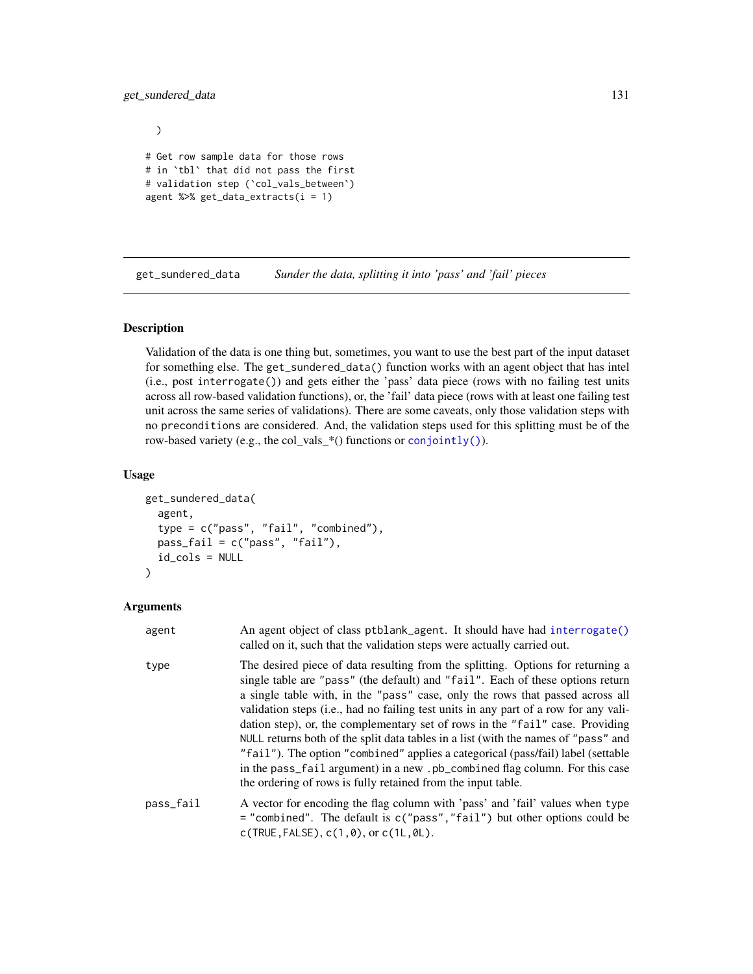# get\_sundered\_data 131

)

# Get row sample data for those rows # in `tbl` that did not pass the first # validation step (`col\_vals\_between`) agent %>% get\_data\_extracts(i = 1)

<span id="page-130-0"></span>get\_sundered\_data *Sunder the data, splitting it into 'pass' and 'fail' pieces*

### Description

Validation of the data is one thing but, sometimes, you want to use the best part of the input dataset for something else. The get\_sundered\_data() function works with an agent object that has intel (i.e., post interrogate()) and gets either the 'pass' data piece (rows with no failing test units across all row-based validation functions), or, the 'fail' data piece (rows with at least one failing test unit across the same series of validations). There are some caveats, only those validation steps with no preconditions are considered. And, the validation steps used for this splitting must be of the row-based variety (e.g., the col\_vals\_\*() functions or [conjointly\(\)](#page-110-0)).

### Usage

```
get_sundered_data(
  agent,
  type = c("pass", "fail", "combined"),
 pass_fail = c("pass", "fail"),
  id_cols = NULL
)
```

| agent     | An agent object of class ptblank_agent. It should have had interrogate()<br>called on it, such that the validation steps were actually carried out.                                                                                                                                                                                                                                                                                                                                                                                                                                                                                                                                                                                                  |
|-----------|------------------------------------------------------------------------------------------------------------------------------------------------------------------------------------------------------------------------------------------------------------------------------------------------------------------------------------------------------------------------------------------------------------------------------------------------------------------------------------------------------------------------------------------------------------------------------------------------------------------------------------------------------------------------------------------------------------------------------------------------------|
| type      | The desired piece of data resulting from the splitting. Options for returning a<br>single table are "pass" (the default) and "fail". Each of these options return<br>a single table with, in the "pass" case, only the rows that passed across all<br>validation steps (i.e., had no failing test units in any part of a row for any vali-<br>dation step), or, the complementary set of rows in the "fail" case. Providing<br>NULL returns both of the split data tables in a list (with the names of "pass" and<br>"fail"). The option "combined" applies a categorical (pass/fail) label (settable<br>in the pass_fail argument) in a new .pb_combined flag column. For this case<br>the ordering of rows is fully retained from the input table. |
| pass_fail | A vector for encoding the flag column with 'pass' and 'fail' values when type<br>$=$ "combined". The default is c("pass", "fail") but other options could be<br>$c(TRUE, FALSE), c(1, 0), or c(1L, 0L).$                                                                                                                                                                                                                                                                                                                                                                                                                                                                                                                                             |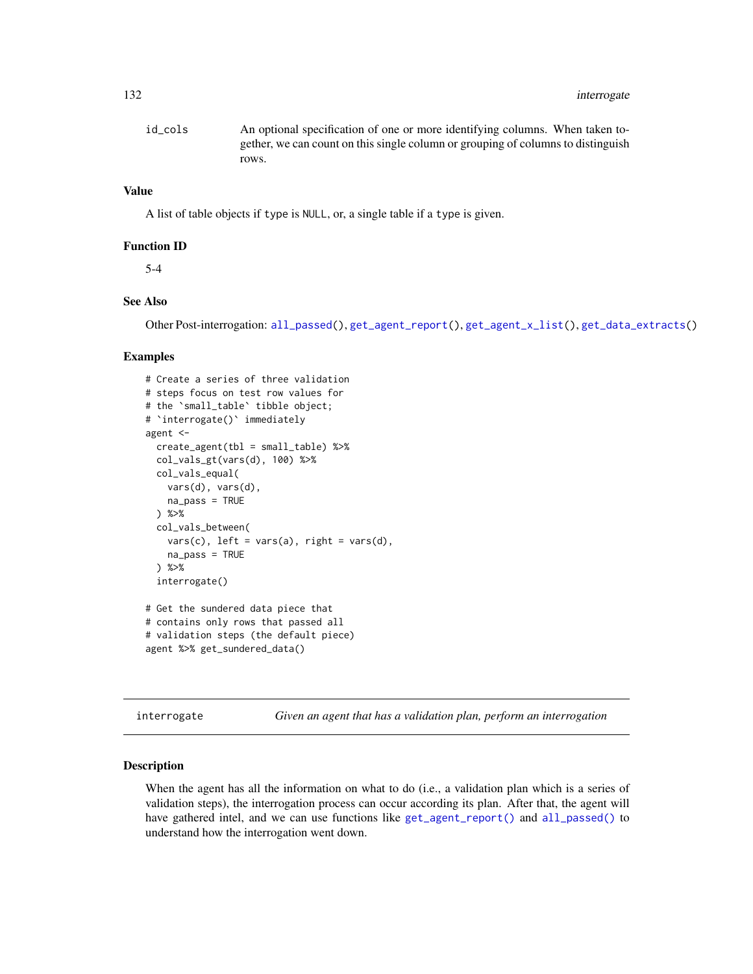| id cols | An optional specification of one or more identifying columns. When taken to-     |
|---------|----------------------------------------------------------------------------------|
|         | gether, we can count on this single column or grouping of columns to distinguish |
|         | rows.                                                                            |

# Value

A list of table objects if type is NULL, or, a single table if a type is given.

### Function ID

5-4

# See Also

Other Post-interrogation: [all\\_passed\(](#page-16-0)), [get\\_agent\\_report\(](#page-123-0)), [get\\_agent\\_x\\_list\(](#page-126-0)), [get\\_data\\_extracts\(](#page-128-0))

### Examples

```
# Create a series of three validation
# steps focus on test row values for
# the `small_table` tibble object;
# 'interrogate()' immediately
agent <-
 create_agent(tbl = small_table) %>%
 col_vals_gt(vars(d), 100) %>%
 col_vals_equal(
   vars(d), vars(d),
   na_pass = TRUE
 ) %>%
 col_vals_between(
   vars(c), left = vars(a), right = vars(d),
   na_pass = TRUE
 ) %>%
 interrogate()
# Get the sundered data piece that
# contains only rows that passed all
# validation steps (the default piece)
```

```
agent %>% get_sundered_data()
```
<span id="page-131-0"></span>interrogate *Given an agent that has a validation plan, perform an interrogation*

### Description

When the agent has all the information on what to do (i.e., a validation plan which is a series of validation steps), the interrogation process can occur according its plan. After that, the agent will have gathered intel, and we can use functions like [get\\_agent\\_report\(\)](#page-123-0) and [all\\_passed\(\)](#page-16-0) to understand how the interrogation went down.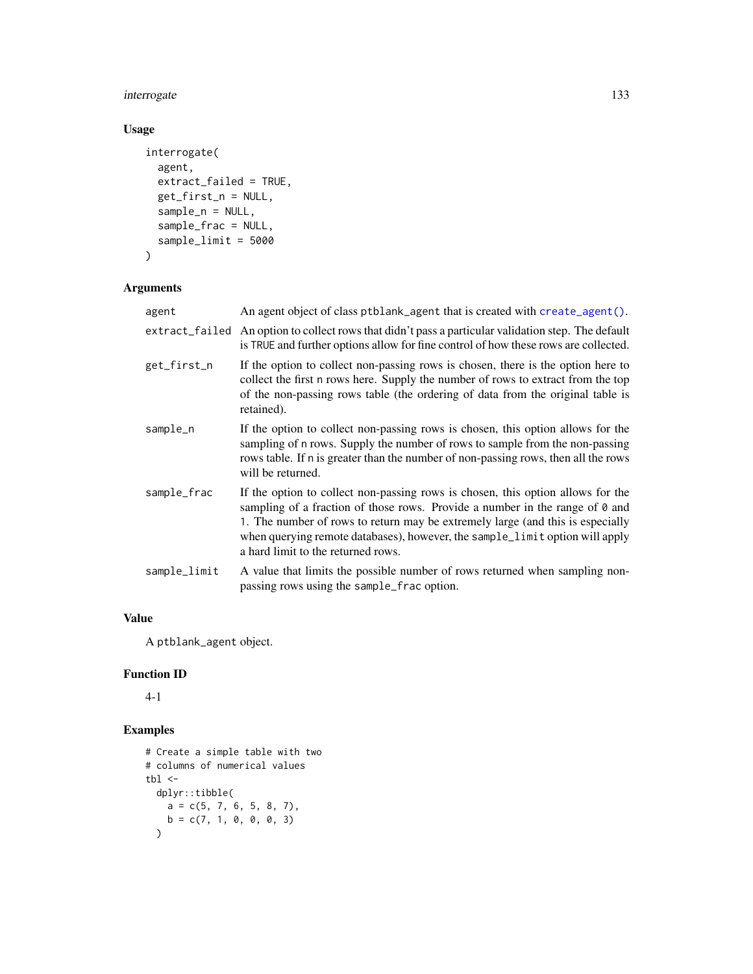# interrogate 133

# Usage

```
interrogate(
  agent,
  extract_failed = TRUE,
 get_first_n = NULL,
  sample_n = NULL,
  sample_frac = NULL,
  sample_limit = 5000
\mathcal{L}
```
# Arguments

| agent        | An agent object of class ptblank_agent that is created with create_agent().                                                                                                                                                                                                                                                                                             |
|--------------|-------------------------------------------------------------------------------------------------------------------------------------------------------------------------------------------------------------------------------------------------------------------------------------------------------------------------------------------------------------------------|
|              | extract_failed An option to collect rows that didn't pass a particular validation step. The default<br>is TRUE and further options allow for fine control of how these rows are collected.                                                                                                                                                                              |
| get_first_n  | If the option to collect non-passing rows is chosen, there is the option here to<br>collect the first n rows here. Supply the number of rows to extract from the top<br>of the non-passing rows table (the ordering of data from the original table is<br>retained).                                                                                                    |
| sample_n     | If the option to collect non-passing rows is chosen, this option allows for the<br>sampling of n rows. Supply the number of rows to sample from the non-passing<br>rows table. If n is greater than the number of non-passing rows, then all the rows<br>will be returned.                                                                                              |
| sample_frac  | If the option to collect non-passing rows is chosen, this option allows for the<br>sampling of a fraction of those rows. Provide a number in the range of 0 and<br>1. The number of rows to return may be extremely large (and this is especially<br>when querying remote databases), however, the sample_limit option will apply<br>a hard limit to the returned rows. |
| sample_limit | A value that limits the possible number of rows returned when sampling non-<br>passing rows using the sample_frac option.                                                                                                                                                                                                                                               |

# Value

A ptblank\_agent object.

# Function ID

4-1

```
# Create a simple table with two
# columns of numerical values
tbl\precdplyr::tibble(
   a = c(5, 7, 6, 5, 8, 7),b = c(7, 1, 0, 0, 0, 3)\mathcal{L}
```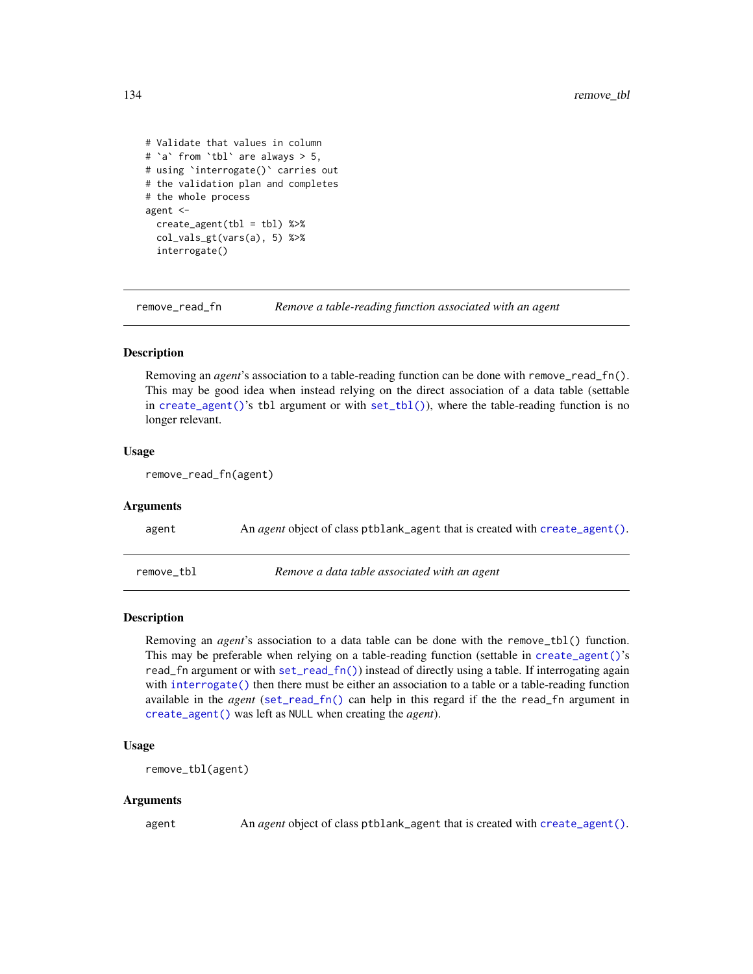```
# Validate that values in column
# `a` from `tbl` are always > 5,
# using `interrogate()` carries out
# the validation plan and completes
# the whole process
agent <-
 create_agent(tbl = tbl) %>%
 col_vals_gt(vars(a), 5) %>%
 interrogate()
```
remove\_read\_fn *Remove a table-reading function associated with an agent*

### **Description**

Removing an *agent*'s association to a table-reading function can be done with remove\_read\_fn(). This may be good idea when instead relying on the direct association of a data table (settable in [create\\_agent\(\)](#page-115-0)'s tbl argument or with [set\\_tbl\(\)](#page-140-0)), where the table-reading function is no longer relevant.

### Usage

remove\_read\_fn(agent)

### Arguments

<span id="page-133-0"></span>

| agent      | An <i>agent</i> object of class ptblank_agent that is created with create_agent(). |
|------------|------------------------------------------------------------------------------------|
| remove tbl | Remove a data table associated with an agent                                       |

### Description

Removing an *agent*'s association to a data table can be done with the remove\_tbl() function. This may be preferable when relying on a table-reading function (settable in [create\\_agent\(\)](#page-115-0)'s read\_fn argument or with [set\\_read\\_fn\(\)](#page-139-0)) instead of directly using a table. If interrogating again with [interrogate\(\)](#page-131-0) then there must be either an association to a table or a table-reading function available in the *agent* ([set\\_read\\_fn\(\)](#page-139-0) can help in this regard if the the read\_fn argument in [create\\_agent\(\)](#page-115-0) was left as NULL when creating the *agent*).

#### Usage

```
remove_tbl(agent)
```
### Arguments

agent An *agent* object of class ptblank\_agent that is created with [create\\_agent\(\)](#page-115-0).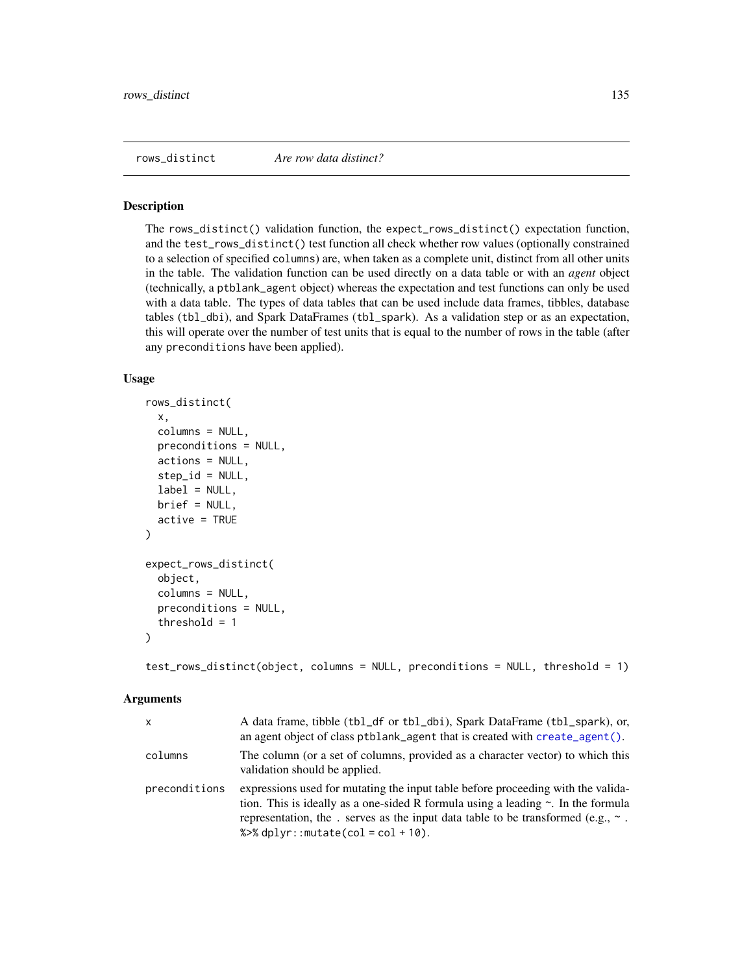<span id="page-134-0"></span>

#### Description

The rows\_distinct() validation function, the expect\_rows\_distinct() expectation function, and the test\_rows\_distinct() test function all check whether row values (optionally constrained to a selection of specified columns) are, when taken as a complete unit, distinct from all other units in the table. The validation function can be used directly on a data table or with an *agent* object (technically, a ptblank\_agent object) whereas the expectation and test functions can only be used with a data table. The types of data tables that can be used include data frames, tibbles, database tables (tbl\_dbi), and Spark DataFrames (tbl\_spark). As a validation step or as an expectation, this will operate over the number of test units that is equal to the number of rows in the table (after any preconditions have been applied).

### Usage

```
rows_distinct(
  x,
  columns = NULL,
 preconditions = NULL,
  actions = NULL,
  step_id = NULL,label = NULL,brief = NULL,
  active = TRUE
)
expect_rows_distinct(
  object,
  column = NULL,preconditions = NULL,
  threshold = 1
)
```
test\_rows\_distinct(object, columns = NULL, preconditions = NULL, threshold = 1)

| $\mathsf{x}$  | A data frame, tibble (tbl_df or tbl_dbi), Spark DataFrame (tbl_spark), or,<br>an agent object of class ptblank_agent that is created with create_agent().                                                                                                                                                         |
|---------------|-------------------------------------------------------------------------------------------------------------------------------------------------------------------------------------------------------------------------------------------------------------------------------------------------------------------|
| columns       | The column (or a set of columns, provided as a character vector) to which this<br>validation should be applied.                                                                                                                                                                                                   |
| preconditions | expressions used for mutating the input table before proceeding with the valida-<br>tion. This is ideally as a one-sided R formula using a leading $\sim$ . In the formula<br>representation, the . serves as the input data table to be transformed (e.g., $\sim$ .<br>% $\gg$ % dplyr:: mutate(col = col + 10). |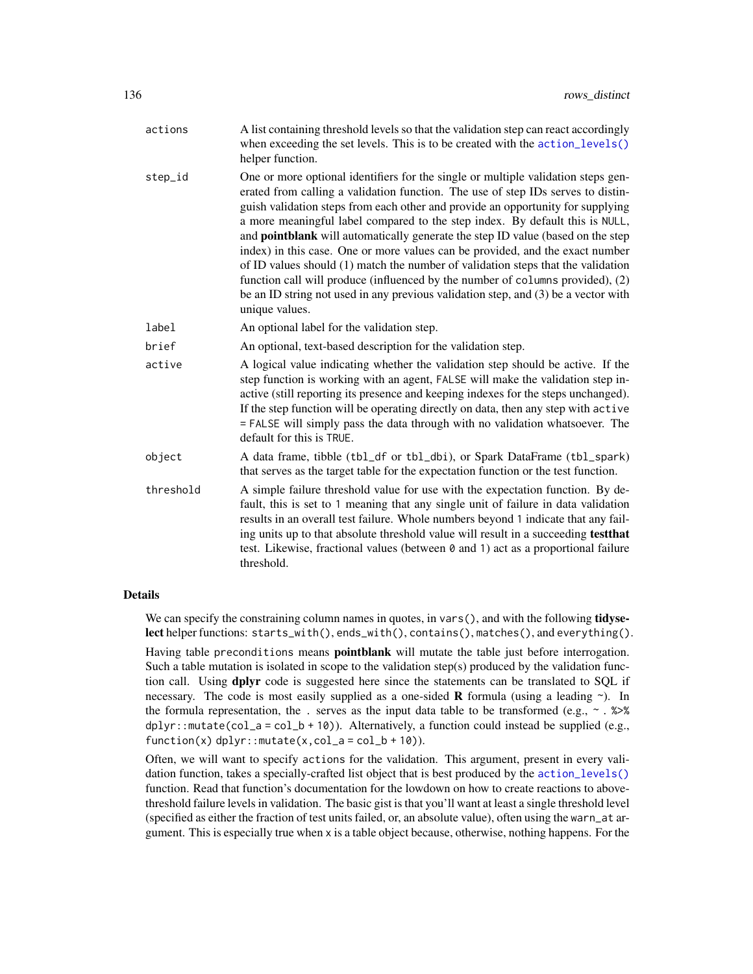| actions   | A list containing threshold levels so that the validation step can react accordingly<br>when exceeding the set levels. This is to be created with the action_levels()<br>helper function.                                                                                                                                                                                                                                                                                                                                                                                                                                                                                                                                                                                                         |
|-----------|---------------------------------------------------------------------------------------------------------------------------------------------------------------------------------------------------------------------------------------------------------------------------------------------------------------------------------------------------------------------------------------------------------------------------------------------------------------------------------------------------------------------------------------------------------------------------------------------------------------------------------------------------------------------------------------------------------------------------------------------------------------------------------------------------|
| step_id   | One or more optional identifiers for the single or multiple validation steps gen-<br>erated from calling a validation function. The use of step IDs serves to distin-<br>guish validation steps from each other and provide an opportunity for supplying<br>a more meaningful label compared to the step index. By default this is NULL,<br>and <b>pointblank</b> will automatically generate the step ID value (based on the step<br>index) in this case. One or more values can be provided, and the exact number<br>of ID values should (1) match the number of validation steps that the validation<br>function call will produce (influenced by the number of columns provided), (2)<br>be an ID string not used in any previous validation step, and (3) be a vector with<br>unique values. |
| label     | An optional label for the validation step.                                                                                                                                                                                                                                                                                                                                                                                                                                                                                                                                                                                                                                                                                                                                                        |
| brief     | An optional, text-based description for the validation step.                                                                                                                                                                                                                                                                                                                                                                                                                                                                                                                                                                                                                                                                                                                                      |
| active    | A logical value indicating whether the validation step should be active. If the<br>step function is working with an agent, FALSE will make the validation step in-<br>active (still reporting its presence and keeping indexes for the steps unchanged).<br>If the step function will be operating directly on data, then any step with active<br>= FALSE will simply pass the data through with no validation whatsoever. The<br>default for this is TRUE.                                                                                                                                                                                                                                                                                                                                       |
| object    | A data frame, tibble (tbl_df or tbl_dbi), or Spark DataFrame (tbl_spark)<br>that serves as the target table for the expectation function or the test function.                                                                                                                                                                                                                                                                                                                                                                                                                                                                                                                                                                                                                                    |
| threshold | A simple failure threshold value for use with the expectation function. By de-<br>fault, this is set to 1 meaning that any single unit of failure in data validation<br>results in an overall test failure. Whole numbers beyond 1 indicate that any fail-<br>ing units up to that absolute threshold value will result in a succeeding test that<br>test. Likewise, fractional values (between 0 and 1) act as a proportional failure<br>threshold.                                                                                                                                                                                                                                                                                                                                              |

### Details

We can specify the constraining column names in quotes, in vars(), and with the following tidyselect helper functions: starts\_with(), ends\_with(), contains(), matches(), and everything(). Having table preconditions means **pointblank** will mutate the table just before interrogation. Such a table mutation is isolated in scope to the validation step(s) produced by the validation function call. Using **dplyr** code is suggested here since the statements can be translated to SQL if necessary. The code is most easily supplied as a one-sided **R** formula (using a leading  $\sim$ ). In the formula representation, the . serves as the input data table to be transformed (e.g.,  $\sim$  .  $\gg$ dplyr::mutate(col\_a = col\_b + 10)). Alternatively, a function could instead be supplied (e.g.,  $function(x)$  dplyr::mutate $(x, col_a = col_b + 10)$ ).

Often, we will want to specify actions for the validation. This argument, present in every validation function, takes a specially-crafted list object that is best produced by the [action\\_levels\(\)](#page-2-0) function. Read that function's documentation for the lowdown on how to create reactions to abovethreshold failure levels in validation. The basic gist is that you'll want at least a single threshold level (specified as either the fraction of test units failed, or, an absolute value), often using the warn\_at argument. This is especially true when x is a table object because, otherwise, nothing happens. For the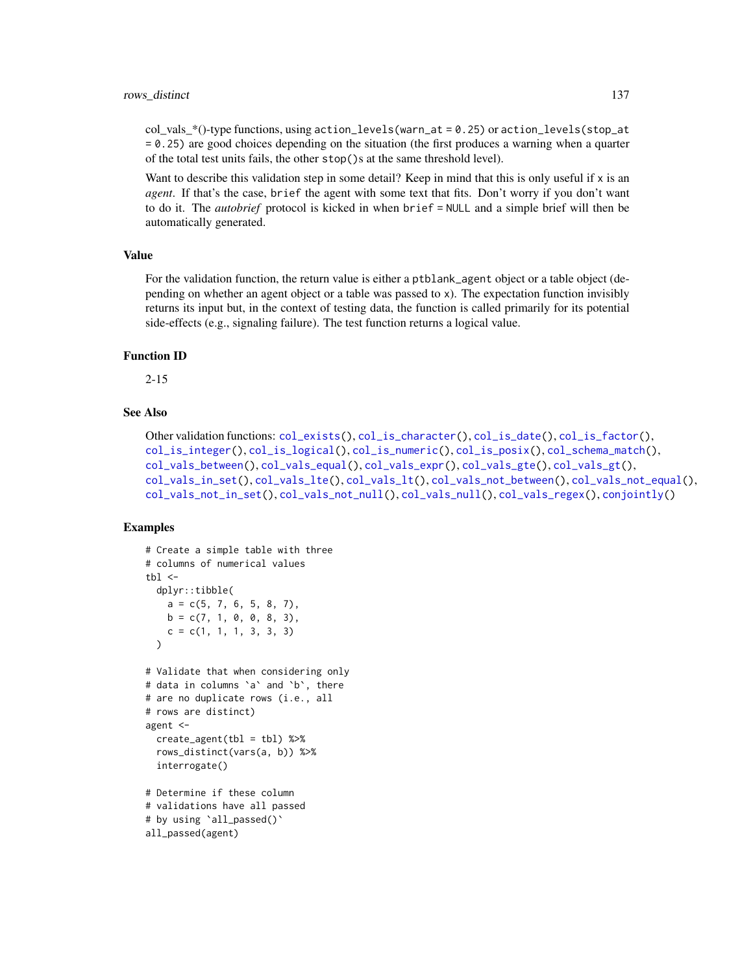$col\_vals^*()$ -type functions, using action\_levels(warn\_at = 0.25) or action\_levels(stop\_at = 0.25) are good choices depending on the situation (the first produces a warning when a quarter of the total test units fails, the other stop()s at the same threshold level).

Want to describe this validation step in some detail? Keep in mind that this is only useful if  $x$  is an *agent*. If that's the case, brief the agent with some text that fits. Don't worry if you don't want to do it. The *autobrief* protocol is kicked in when brief = NULL and a simple brief will then be automatically generated.

#### Value

For the validation function, the return value is either a ptblank\_agent object or a table object (depending on whether an agent object or a table was passed to x). The expectation function invisibly returns its input but, in the context of testing data, the function is called primarily for its potential side-effects (e.g., signaling failure). The test function returns a logical value.

### Function ID

2-15

# See Also

```
Other validation functions: col_exists(), col_is_character(), col_is_date(), col_is_factor(),
col_is_integer(), col_is_logical(), col_is_numeric(), col_is_posix(), col_schema_match(),
col_vals_between(), col_vals_equal(), col_vals_expr(), col_vals_gte(), col_vals_gt(),
col_vals_in_set(), col_vals_lte(), col_vals_lt(), col_vals_not_between(), col_vals_not_equal(),
col_vals_not_in_set(), col_vals_not_null(), col_vals_null(), col_vals_regex(), conjointly()
```
# Examples

```
# Create a simple table with three
# columns of numerical values
thl < -dplyr::tibble(
   a = c(5, 7, 6, 5, 8, 7),b = c(7, 1, 0, 0, 8, 3),
   c = c(1, 1, 1, 3, 3, 3))
# Validate that when considering only
# data in columns `a` and `b`, there
# are no duplicate rows (i.e., all
# rows are distinct)
agent <-
 create\_agent(tbl = tb1) %>%
 rows_distinct(vars(a, b)) %>%
  interrogate()
# Determine if these column
# validations have all passed
# by using `all_passed()`
```
all\_passed(agent)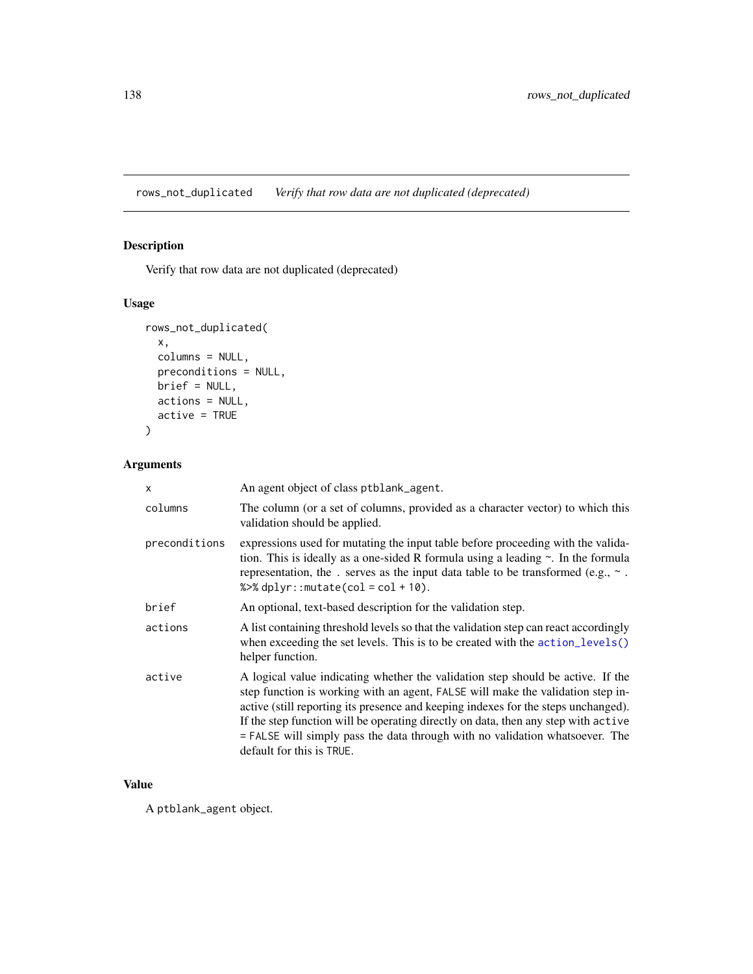rows\_not\_duplicated *Verify that row data are not duplicated (deprecated)*

# Description

Verify that row data are not duplicated (deprecated)

# Usage

```
rows_not_duplicated(
 x,
 columns = NULL,
 preconditions = NULL,
 brief = NULL,
 actions = NULL,
  active = TRUE
)
```
# Arguments

| $\mathsf{x}$  | An agent object of class ptblank_agent.                                                                                                                                                                                                                                                                                                                                                                                                                       |
|---------------|---------------------------------------------------------------------------------------------------------------------------------------------------------------------------------------------------------------------------------------------------------------------------------------------------------------------------------------------------------------------------------------------------------------------------------------------------------------|
| columns       | The column (or a set of columns, provided as a character vector) to which this<br>validation should be applied.                                                                                                                                                                                                                                                                                                                                               |
| preconditions | expressions used for mutating the input table before proceeding with the valida-<br>tion. This is ideally as a one-sided R formula using a leading $\sim$ . In the formula<br>representation, the . serves as the input data table to be transformed (e.g., $\sim$ .<br>% $>$ % dplyr:: mutate(col = col + 10).                                                                                                                                               |
| brief         | An optional, text-based description for the validation step.                                                                                                                                                                                                                                                                                                                                                                                                  |
| actions       | A list containing threshold levels so that the validation step can react accordingly<br>when exceeding the set levels. This is to be created with the action_levels()<br>helper function.                                                                                                                                                                                                                                                                     |
| active        | A logical value indicating whether the validation step should be active. If the<br>step function is working with an agent, FALSE will make the validation step in-<br>active (still reporting its presence and keeping indexes for the steps unchanged).<br>If the step function will be operating directly on data, then any step with active<br>$=$ FALSE will simply pass the data through with no validation whatsoever. The<br>default for this is TRUE. |

# Value

A ptblank\_agent object.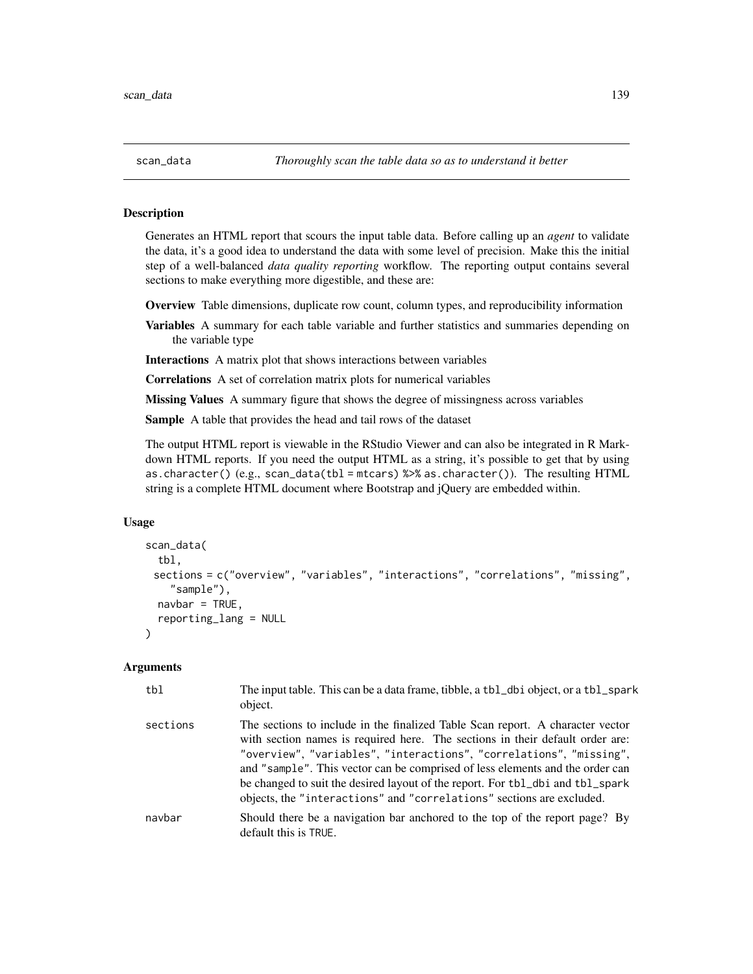<span id="page-138-0"></span>

### Description

Generates an HTML report that scours the input table data. Before calling up an *agent* to validate the data, it's a good idea to understand the data with some level of precision. Make this the initial step of a well-balanced *data quality reporting* workflow. The reporting output contains several sections to make everything more digestible, and these are:

Overview Table dimensions, duplicate row count, column types, and reproducibility information

Variables A summary for each table variable and further statistics and summaries depending on the variable type

Interactions A matrix plot that shows interactions between variables

Correlations A set of correlation matrix plots for numerical variables

**Missing Values** A summary figure that shows the degree of missingness across variables

Sample A table that provides the head and tail rows of the dataset

The output HTML report is viewable in the RStudio Viewer and can also be integrated in R Markdown HTML reports. If you need the output HTML as a string, it's possible to get that by using as.character() (e.g., scan\_data(tbl = mtcars) %>% as.character()). The resulting HTML string is a complete HTML document where Bootstrap and jQuery are embedded within.

### Usage

```
scan_data(
  tbl,
 sections = c("overview", "variables", "interactions", "correlations", "missing",
    "sample"),
  navbar = TRUE.
  reporting_lang = NULL
)
```

| tbl      | The input table. This can be a data frame, tibble, a tbl_dbi object, or a tbl_spark<br>object.                                                                                                                                                                                                                                                                                                                                                                                     |
|----------|------------------------------------------------------------------------------------------------------------------------------------------------------------------------------------------------------------------------------------------------------------------------------------------------------------------------------------------------------------------------------------------------------------------------------------------------------------------------------------|
| sections | The sections to include in the finalized Table Scan report. A character vector<br>with section names is required here. The sections in their default order are:<br>"overview", "variables", "interactions", "correlations", "missing",<br>and "sample". This vector can be comprised of less elements and the order can<br>be changed to suit the desired layout of the report. For tbl_dbi and tbl_spark<br>objects, the "interactions" and "correlations" sections are excluded. |
| navbar   | Should there be a navigation bar anchored to the top of the report page? By<br>default this is TRUE.                                                                                                                                                                                                                                                                                                                                                                               |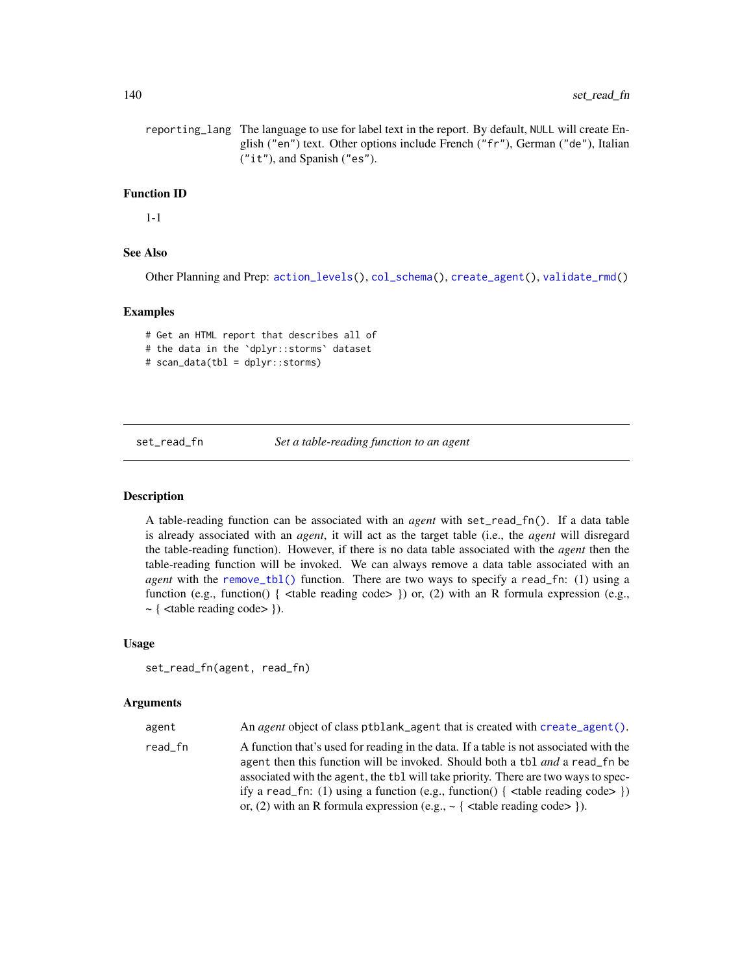reporting\_lang The language to use for label text in the report. By default, NULL will create English ("en") text. Other options include French ("fr"), German ("de"), Italian ("it"), and Spanish ("es").

#### Function ID

1-1

#### See Also

Other Planning and Prep: [action\\_levels\(](#page-2-0)), [col\\_schema\(](#page-44-0)), [create\\_agent\(](#page-115-0)), [validate\\_rmd\(](#page-144-0))

# Examples

```
# Get an HTML report that describes all of
# the data in the `dplyr::storms` dataset
# scan_data(tbl = dplyr::storms)
```
<span id="page-139-0"></span>set\_read\_fn *Set a table-reading function to an agent*

### Description

A table-reading function can be associated with an *agent* with set\_read\_fn(). If a data table is already associated with an *agent*, it will act as the target table (i.e., the *agent* will disregard the table-reading function). However, if there is no data table associated with the *agent* then the table-reading function will be invoked. We can always remove a data table associated with an *agent* with the [remove\\_tbl\(\)](#page-133-0) function. There are two ways to specify a read\_fn: (1) using a function (e.g., function() {  $ltable$  reading code> }) or, (2) with an R formula expression (e.g., ~ { <table reading code> }).

#### Usage

```
set_read_fn(agent, read_fn)
```

| agent   | An <i>agent</i> object of class ptblank agent that is created with create agent ().                                                                                                                                                                                                                                                                                                                                                                  |
|---------|------------------------------------------------------------------------------------------------------------------------------------------------------------------------------------------------------------------------------------------------------------------------------------------------------------------------------------------------------------------------------------------------------------------------------------------------------|
| read_fn | A function that's used for reading in the data. If a table is not associated with the<br>agent then this function will be invoked. Should both a tbl and a read_fn be<br>associated with the agent, the tbl will take priority. There are two ways to spec-<br>ify a read_fn: (1) using a function (e.g., function() { $\lt$ -table reading code > })<br>or, (2) with an R formula expression (e.g., $\sim$ { <table code="" reading=""> }).</table> |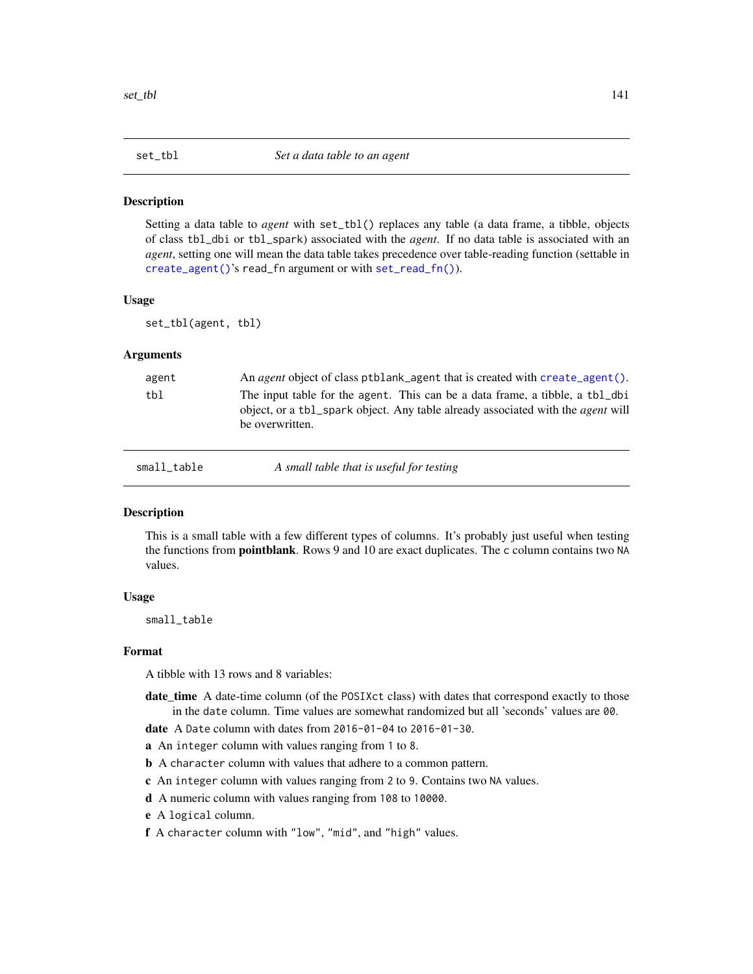<span id="page-140-0"></span>

### Description

Setting a data table to *agent* with set\_tbl() replaces any table (a data frame, a tibble, objects of class tbl\_dbi or tbl\_spark) associated with the *agent*. If no data table is associated with an *agent*, setting one will mean the data table takes precedence over table-reading function (settable in [create\\_agent\(\)](#page-115-0)'s read\_fn argument or with [set\\_read\\_fn\(\)](#page-139-0)).

#### Usage

set\_tbl(agent, tbl)

### Arguments

| agent | An <i>agent</i> object of class ptblank agent that is created with create agent ().                                                                                                       |
|-------|-------------------------------------------------------------------------------------------------------------------------------------------------------------------------------------------|
| tbl   | The input table for the agent. This can be a data frame, a tibble, a tbl_dbi<br>object, or a tbl_spark object. Any table already associated with the <i>agent</i> will<br>be overwritten. |
|       |                                                                                                                                                                                           |

<span id="page-140-1"></span>

small\_table *A small table that is useful for testing*

### **Description**

This is a small table with a few different types of columns. It's probably just useful when testing the functions from **pointblank**. Rows 9 and 10 are exact duplicates. The c column contains two NA values.

### Usage

small\_table

#### Format

A tibble with 13 rows and 8 variables:

- date\_time A date-time column (of the POSIXct class) with dates that correspond exactly to those in the date column. Time values are somewhat randomized but all 'seconds' values are 00.
- date A Date column with dates from 2016-01-04 to 2016-01-30.
- a An integer column with values ranging from 1 to 8.
- b A character column with values that adhere to a common pattern.
- c An integer column with values ranging from 2 to 9. Contains two NA values.
- d A numeric column with values ranging from 108 to 10000.
- e A logical column.
- f A character column with "low", "mid", and "high" values.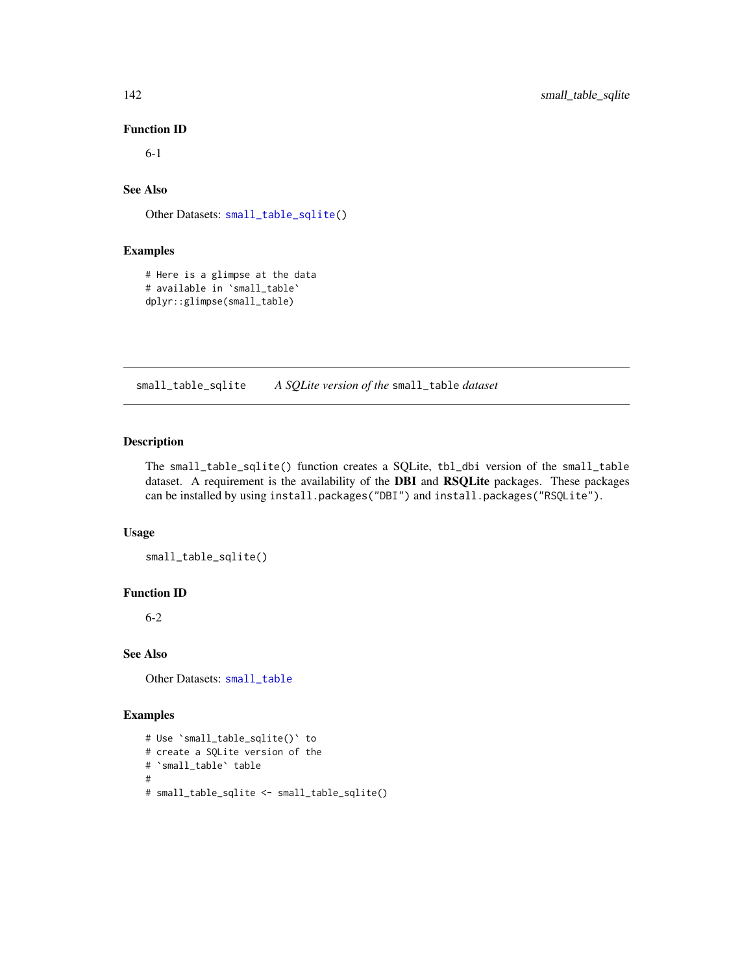# Function ID

6-1

# See Also

Other Datasets: [small\\_table\\_sqlite\(](#page-141-0))

# Examples

```
# Here is a glimpse at the data
# available in `small_table`
dplyr::glimpse(small_table)
```
<span id="page-141-0"></span>small\_table\_sqlite *A SQLite version of the* small\_table *dataset*

# Description

The small\_table\_sqlite() function creates a SQLite, tbl\_dbi version of the small\_table dataset. A requirement is the availability of the DBI and RSQLite packages. These packages can be installed by using install.packages("DBI") and install.packages("RSQLite").

### Usage

small\_table\_sqlite()

### Function ID

6-2

# See Also

Other Datasets: [small\\_table](#page-140-1)

```
# Use `small_table_sqlite()` to
# create a SQLite version of the
# `small_table` table
#
# small_table_sqlite <- small_table_sqlite()
```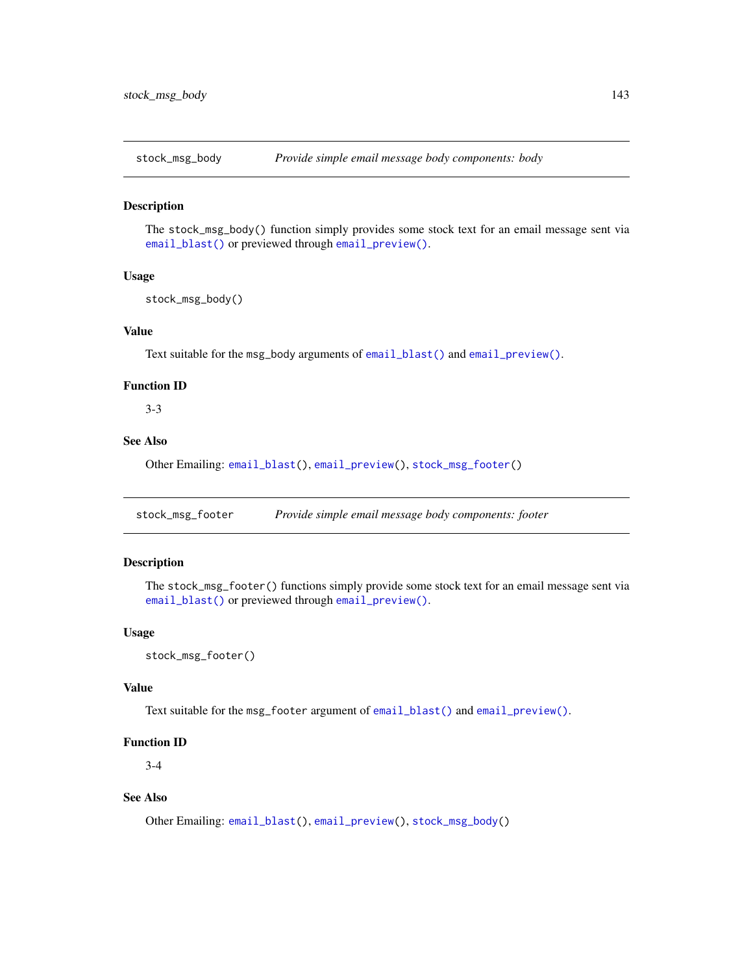<span id="page-142-0"></span>

### Description

The stock\_msg\_body() function simply provides some stock text for an email message sent via [email\\_blast\(\)](#page-118-0) or previewed through [email\\_preview\(\)](#page-121-0).

# Usage

```
stock_msg_body()
```
### Value

Text suitable for the msg\_body arguments of [email\\_blast\(\)](#page-118-0) and [email\\_preview\(\)](#page-121-0).

### Function ID

3-3

# See Also

Other Emailing: [email\\_blast\(](#page-118-0)), [email\\_preview\(](#page-121-0)), [stock\\_msg\\_footer\(](#page-142-1))

<span id="page-142-1"></span>stock\_msg\_footer *Provide simple email message body components: footer*

# Description

The stock\_msg\_footer() functions simply provide some stock text for an email message sent via [email\\_blast\(\)](#page-118-0) or previewed through [email\\_preview\(\)](#page-121-0).

### Usage

stock\_msg\_footer()

#### Value

Text suitable for the msg\_footer argument of [email\\_blast\(\)](#page-118-0) and [email\\_preview\(\)](#page-121-0).

# Function ID

3-4

# See Also

Other Emailing: [email\\_blast\(](#page-118-0)), [email\\_preview\(](#page-121-0)), [stock\\_msg\\_body\(](#page-142-0))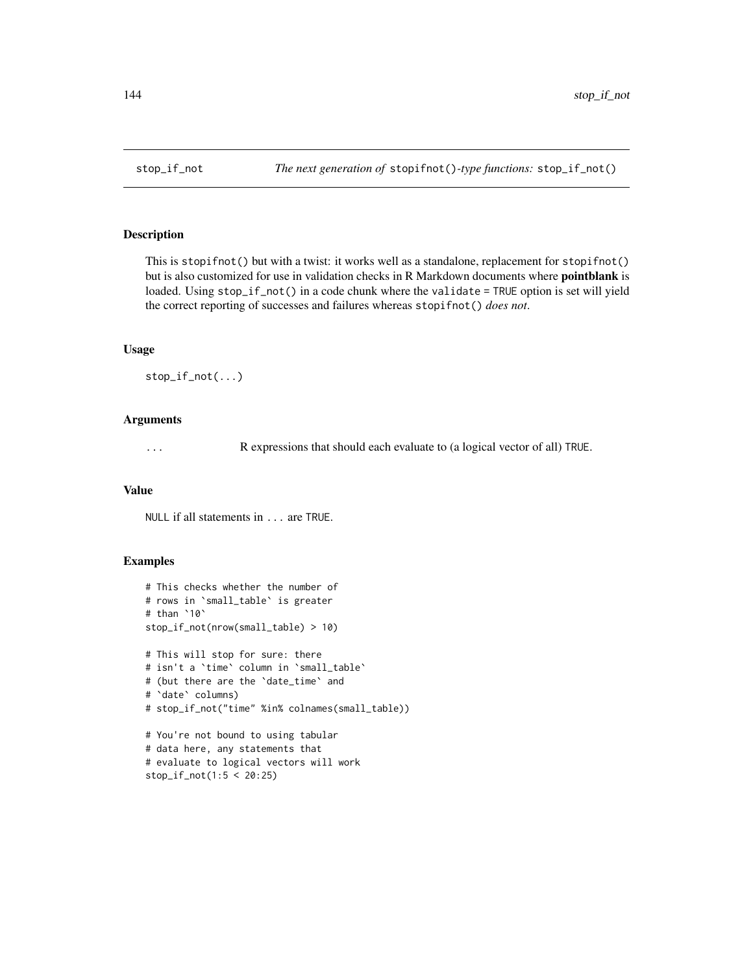### Description

This is stopifnot() but with a twist: it works well as a standalone, replacement for stopifnot() but is also customized for use in validation checks in R Markdown documents where pointblank is loaded. Using stop\_if\_not() in a code chunk where the validate = TRUE option is set will yield the correct reporting of successes and failures whereas stopifnot() *does not*.

### Usage

stop\_if\_not(...)

### Arguments

... R expressions that should each evaluate to (a logical vector of all) TRUE.

#### Value

NULL if all statements in ... are TRUE.

```
# This checks whether the number of
# rows in `small_table` is greater
# than `10`
stop_if_not(nrow(small_table) > 10)
# This will stop for sure: there
# isn't a `time` column in `small_table`
# (but there are the `date_time` and
# `date` columns)
# stop_if_not("time" %in% colnames(small_table))
# You're not bound to using tabular
# data here, any statements that
# evaluate to logical vectors will work
stop_if_not(1:5 < 20:25)
```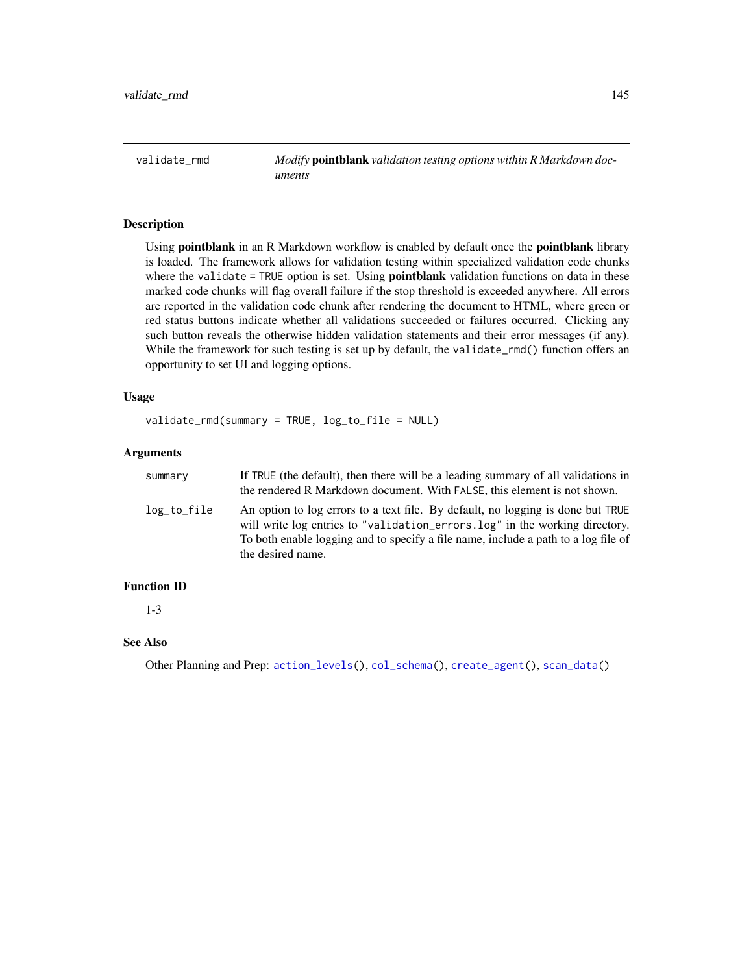<span id="page-144-0"></span>validate\_rmd *Modify* pointblank *validation testing options within R Markdown documents*

# **Description**

Using pointblank in an R Markdown workflow is enabled by default once the pointblank library is loaded. The framework allows for validation testing within specialized validation code chunks where the validate = TRUE option is set. Using **pointblank** validation functions on data in these marked code chunks will flag overall failure if the stop threshold is exceeded anywhere. All errors are reported in the validation code chunk after rendering the document to HTML, where green or red status buttons indicate whether all validations succeeded or failures occurred. Clicking any such button reveals the otherwise hidden validation statements and their error messages (if any). While the framework for such testing is set up by default, the validate\_rmd() function offers an opportunity to set UI and logging options.

#### Usage

validate\_rmd(summary = TRUE, log\_to\_file = NULL)

## Arguments

| summary     | If TRUE (the default), then there will be a leading summary of all validations in<br>the rendered R Markdown document. With FALSE, this element is not shown.                                                                                                             |
|-------------|---------------------------------------------------------------------------------------------------------------------------------------------------------------------------------------------------------------------------------------------------------------------------|
| log_to_file | An option to log errors to a text file. By default, no logging is done but TRUE<br>will write log entries to "validation_errors.log" in the working directory.<br>To both enable logging and to specify a file name, include a path to a log file of<br>the desired name. |

## Function ID

1-3

# See Also

Other Planning and Prep: [action\\_levels\(](#page-2-0)), [col\\_schema\(](#page-44-0)), [create\\_agent\(](#page-115-0)), [scan\\_data\(](#page-138-0))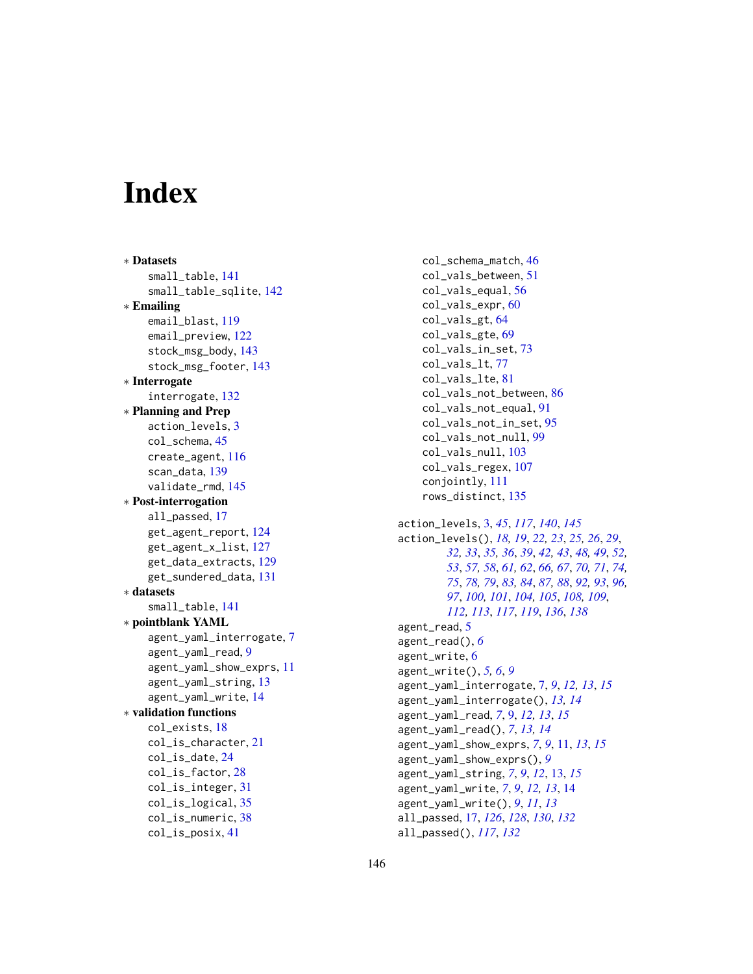# **Index**

∗ Datasets small\_table, [141](#page-140-0) small\_table\_sqlite, [142](#page-141-0) ∗ Emailing email\_blast, [119](#page-118-0) email\_preview, [122](#page-121-0) stock\_msg\_body, [143](#page-142-0) stock\_msg\_footer, [143](#page-142-0) ∗ Interrogate interrogate, [132](#page-131-0) ∗ Planning and Prep action\_levels, [3](#page-2-1) col\_schema, [45](#page-44-1) create\_agent, [116](#page-115-1) scan\_data, [139](#page-138-1) validate\_rmd, [145](#page-144-0) ∗ Post-interrogation all\_passed, [17](#page-16-0) get\_agent\_report, [124](#page-123-0) get\_agent\_x\_list, [127](#page-126-0) get\_data\_extracts, [129](#page-128-0) get\_sundered\_data, [131](#page-130-0) ∗ datasets small\_table, [141](#page-140-0) ∗ pointblank YAML agent\_yaml\_interrogate, [7](#page-6-0) agent\_yaml\_read, [9](#page-8-0) agent\_yaml\_show\_exprs, [11](#page-10-0) agent\_yaml\_string, [13](#page-12-0) agent\_yaml\_write, [14](#page-13-0) ∗ validation functions col\_exists, [18](#page-17-0) col\_is\_character, [21](#page-20-0) col\_is\_date, [24](#page-23-0) col\_is\_factor, [28](#page-27-0) col\_is\_integer, [31](#page-30-0) col\_is\_logical, [35](#page-34-0) col\_is\_numeric, [38](#page-37-0) col\_is\_posix, [41](#page-40-0)

col\_schema\_match, [46](#page-45-0) col\_vals\_between, [51](#page-50-0) col\_vals\_equal, [56](#page-55-0) col\_vals\_expr, [60](#page-59-0) col\_vals\_gt, [64](#page-63-0) col\_vals\_gte, [69](#page-68-0) col\_vals\_in\_set, [73](#page-72-0) col\_vals\_lt, [77](#page-76-0) col\_vals\_lte, [81](#page-80-0) col\_vals\_not\_between, [86](#page-85-0) col\_vals\_not\_equal, [91](#page-90-0) col\_vals\_not\_in\_set, [95](#page-94-0) col\_vals\_not\_null, [99](#page-98-0) col\_vals\_null, [103](#page-102-0) col\_vals\_regex, [107](#page-106-0) conjointly, [111](#page-110-0) rows\_distinct, [135](#page-134-0) action\_levels, [3,](#page-2-1) *[45](#page-44-1)*, *[117](#page-116-0)*, *[140](#page-139-0)*, *[145](#page-144-0)* action\_levels(), *[18,](#page-17-0) [19](#page-18-0)*, *[22,](#page-21-0) [23](#page-22-0)*, *[25,](#page-24-0) [26](#page-25-0)*, *[29](#page-28-0)*, *[32,](#page-31-0) [33](#page-32-0)*, *[35,](#page-34-0) [36](#page-35-0)*, *[39](#page-38-0)*, *[42,](#page-41-0) [43](#page-42-0)*, *[48,](#page-47-0) [49](#page-48-0)*, *[52,](#page-51-0) [53](#page-52-0)*, *[57,](#page-56-0) [58](#page-57-0)*, *[61,](#page-60-0) [62](#page-61-0)*, *[66,](#page-65-0) [67](#page-66-0)*, *[70,](#page-69-0) [71](#page-70-0)*, *[74,](#page-73-0) [75](#page-74-0)*, *[78,](#page-77-0) [79](#page-78-0)*, *[83,](#page-82-0) [84](#page-83-0)*, *[87,](#page-86-0) [88](#page-87-0)*, *[92,](#page-91-0) [93](#page-92-0)*, *[96,](#page-95-0) [97](#page-96-0)*, *[100,](#page-99-0) [101](#page-100-0)*, *[104,](#page-103-0) [105](#page-104-0)*, *[108,](#page-107-0) [109](#page-108-0)*, *[112,](#page-111-0) [113](#page-112-0)*, *[117](#page-116-0)*, *[119](#page-118-0)*, *[136](#page-135-0)*, *[138](#page-137-0)* agent\_read, [5](#page-4-0) agent\_read(), *[6](#page-5-0)* agent\_write, [6](#page-5-0) agent\_write(), *[5,](#page-4-0) [6](#page-5-0)*, *[9](#page-8-0)* agent\_yaml\_interrogate, [7,](#page-6-0) *[9](#page-8-0)*, *[12,](#page-11-0) [13](#page-12-0)*, *[15](#page-14-0)* agent\_yaml\_interrogate(), *[13,](#page-12-0) [14](#page-13-0)* agent\_yaml\_read, *[7](#page-6-0)*, [9,](#page-8-0) *[12,](#page-11-0) [13](#page-12-0)*, *[15](#page-14-0)* agent\_yaml\_read(), *[7](#page-6-0)*, *[13,](#page-12-0) [14](#page-13-0)* agent\_yaml\_show\_exprs, *[7](#page-6-0)*, *[9](#page-8-0)*, [11,](#page-10-0) *[13](#page-12-0)*, *[15](#page-14-0)* agent\_yaml\_show\_exprs(), *[9](#page-8-0)* agent\_yaml\_string, *[7](#page-6-0)*, *[9](#page-8-0)*, *[12](#page-11-0)*, [13,](#page-12-0) *[15](#page-14-0)* agent\_yaml\_write, *[7](#page-6-0)*, *[9](#page-8-0)*, *[12,](#page-11-0) [13](#page-12-0)*, [14](#page-13-0) agent\_yaml\_write(), *[9](#page-8-0)*, *[11](#page-10-0)*, *[13](#page-12-0)* all\_passed, [17,](#page-16-0) *[126](#page-125-0)*, *[128](#page-127-0)*, *[130](#page-129-0)*, *[132](#page-131-0)* all\_passed(), *[117](#page-116-0)*, *[132](#page-131-0)*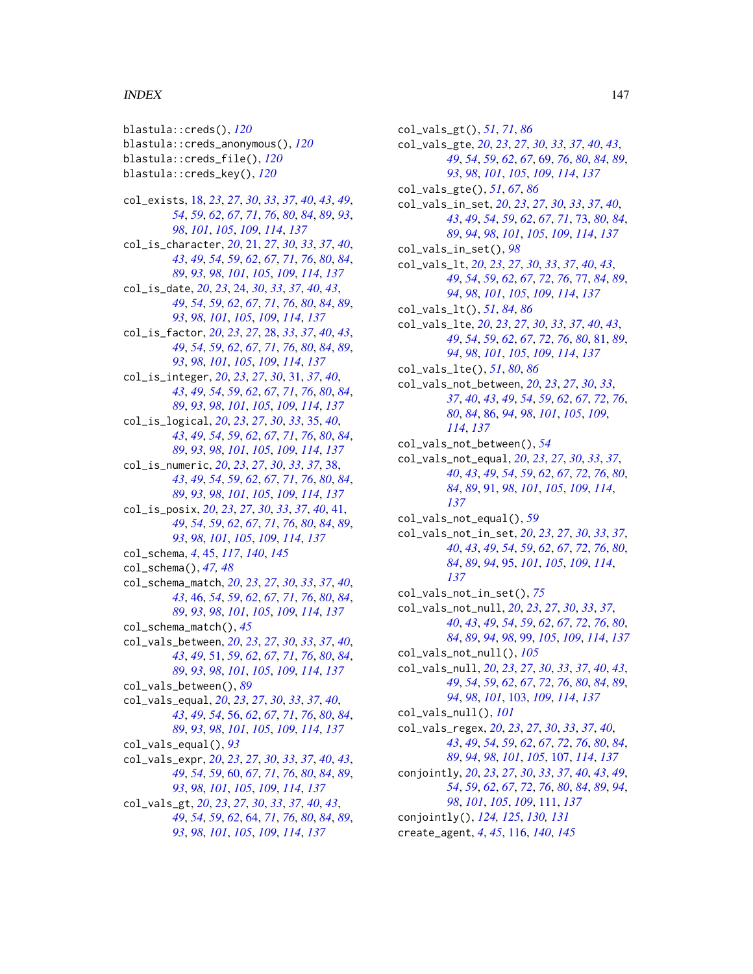#### INDEX 147

blastula::creds(), *[120](#page-119-0)* blastula::creds\_anonymous(), *[120](#page-119-0)* blastula::creds\_file(), *[120](#page-119-0)* blastula::creds\_key(), *[120](#page-119-0)* col\_exists, [18,](#page-17-0) *[23](#page-22-0)*, *[27](#page-26-0)*, *[30](#page-29-0)*, *[33](#page-32-0)*, *[37](#page-36-0)*, *[40](#page-39-0)*, *[43](#page-42-0)*, *[49](#page-48-0)*, *[54](#page-53-0)*, *[59](#page-58-0)*, *[62](#page-61-0)*, *[67](#page-66-0)*, *[71](#page-70-0)*, *[76](#page-75-0)*, *[80](#page-79-0)*, *[84](#page-83-0)*, *[89](#page-88-0)*, *[93](#page-92-0)*, *[98](#page-97-0)*, *[101](#page-100-0)*, *[105](#page-104-0)*, *[109](#page-108-0)*, *[114](#page-113-0)*, *[137](#page-136-0)* col\_is\_character, *[20](#page-19-0)*, [21,](#page-20-0) *[27](#page-26-0)*, *[30](#page-29-0)*, *[33](#page-32-0)*, *[37](#page-36-0)*, *[40](#page-39-0)*, *[43](#page-42-0)*, *[49](#page-48-0)*, *[54](#page-53-0)*, *[59](#page-58-0)*, *[62](#page-61-0)*, *[67](#page-66-0)*, *[71](#page-70-0)*, *[76](#page-75-0)*, *[80](#page-79-0)*, *[84](#page-83-0)*, *[89](#page-88-0)*, *[93](#page-92-0)*, *[98](#page-97-0)*, *[101](#page-100-0)*, *[105](#page-104-0)*, *[109](#page-108-0)*, *[114](#page-113-0)*, *[137](#page-136-0)* col\_is\_date, *[20](#page-19-0)*, *[23](#page-22-0)*, [24,](#page-23-0) *[30](#page-29-0)*, *[33](#page-32-0)*, *[37](#page-36-0)*, *[40](#page-39-0)*, *[43](#page-42-0)*, *[49](#page-48-0)*, *[54](#page-53-0)*, *[59](#page-58-0)*, *[62](#page-61-0)*, *[67](#page-66-0)*, *[71](#page-70-0)*, *[76](#page-75-0)*, *[80](#page-79-0)*, *[84](#page-83-0)*, *[89](#page-88-0)*, *[93](#page-92-0)*, *[98](#page-97-0)*, *[101](#page-100-0)*, *[105](#page-104-0)*, *[109](#page-108-0)*, *[114](#page-113-0)*, *[137](#page-136-0)* col\_is\_factor, *[20](#page-19-0)*, *[23](#page-22-0)*, *[27](#page-26-0)*, [28,](#page-27-0) *[33](#page-32-0)*, *[37](#page-36-0)*, *[40](#page-39-0)*, *[43](#page-42-0)*, *[49](#page-48-0)*, *[54](#page-53-0)*, *[59](#page-58-0)*, *[62](#page-61-0)*, *[67](#page-66-0)*, *[71](#page-70-0)*, *[76](#page-75-0)*, *[80](#page-79-0)*, *[84](#page-83-0)*, *[89](#page-88-0)*, *[93](#page-92-0)*, *[98](#page-97-0)*, *[101](#page-100-0)*, *[105](#page-104-0)*, *[109](#page-108-0)*, *[114](#page-113-0)*, *[137](#page-136-0)* col\_is\_integer, *[20](#page-19-0)*, *[23](#page-22-0)*, *[27](#page-26-0)*, *[30](#page-29-0)*, [31,](#page-30-0) *[37](#page-36-0)*, *[40](#page-39-0)*, *[43](#page-42-0)*, *[49](#page-48-0)*, *[54](#page-53-0)*, *[59](#page-58-0)*, *[62](#page-61-0)*, *[67](#page-66-0)*, *[71](#page-70-0)*, *[76](#page-75-0)*, *[80](#page-79-0)*, *[84](#page-83-0)*, *[89](#page-88-0)*, *[93](#page-92-0)*, *[98](#page-97-0)*, *[101](#page-100-0)*, *[105](#page-104-0)*, *[109](#page-108-0)*, *[114](#page-113-0)*, *[137](#page-136-0)* col\_is\_logical, *[20](#page-19-0)*, *[23](#page-22-0)*, *[27](#page-26-0)*, *[30](#page-29-0)*, *[33](#page-32-0)*, [35,](#page-34-0) *[40](#page-39-0)*, *[43](#page-42-0)*, *[49](#page-48-0)*, *[54](#page-53-0)*, *[59](#page-58-0)*, *[62](#page-61-0)*, *[67](#page-66-0)*, *[71](#page-70-0)*, *[76](#page-75-0)*, *[80](#page-79-0)*, *[84](#page-83-0)*, *[89](#page-88-0)*, *[93](#page-92-0)*, *[98](#page-97-0)*, *[101](#page-100-0)*, *[105](#page-104-0)*, *[109](#page-108-0)*, *[114](#page-113-0)*, *[137](#page-136-0)* col\_is\_numeric, *[20](#page-19-0)*, *[23](#page-22-0)*, *[27](#page-26-0)*, *[30](#page-29-0)*, *[33](#page-32-0)*, *[37](#page-36-0)*, [38,](#page-37-0) *[43](#page-42-0)*, *[49](#page-48-0)*, *[54](#page-53-0)*, *[59](#page-58-0)*, *[62](#page-61-0)*, *[67](#page-66-0)*, *[71](#page-70-0)*, *[76](#page-75-0)*, *[80](#page-79-0)*, *[84](#page-83-0)*, *[89](#page-88-0)*, *[93](#page-92-0)*, *[98](#page-97-0)*, *[101](#page-100-0)*, *[105](#page-104-0)*, *[109](#page-108-0)*, *[114](#page-113-0)*, *[137](#page-136-0)* col\_is\_posix, *[20](#page-19-0)*, *[23](#page-22-0)*, *[27](#page-26-0)*, *[30](#page-29-0)*, *[33](#page-32-0)*, *[37](#page-36-0)*, *[40](#page-39-0)*, [41,](#page-40-0) *[49](#page-48-0)*, *[54](#page-53-0)*, *[59](#page-58-0)*, *[62](#page-61-0)*, *[67](#page-66-0)*, *[71](#page-70-0)*, *[76](#page-75-0)*, *[80](#page-79-0)*, *[84](#page-83-0)*, *[89](#page-88-0)*, *[93](#page-92-0)*, *[98](#page-97-0)*, *[101](#page-100-0)*, *[105](#page-104-0)*, *[109](#page-108-0)*, *[114](#page-113-0)*, *[137](#page-136-0)* col\_schema, *[4](#page-3-0)*, [45,](#page-44-1) *[117](#page-116-0)*, *[140](#page-139-0)*, *[145](#page-144-0)* col\_schema(), *[47,](#page-46-0) [48](#page-47-0)* col\_schema\_match, *[20](#page-19-0)*, *[23](#page-22-0)*, *[27](#page-26-0)*, *[30](#page-29-0)*, *[33](#page-32-0)*, *[37](#page-36-0)*, *[40](#page-39-0)*, *[43](#page-42-0)*, [46,](#page-45-0) *[54](#page-53-0)*, *[59](#page-58-0)*, *[62](#page-61-0)*, *[67](#page-66-0)*, *[71](#page-70-0)*, *[76](#page-75-0)*, *[80](#page-79-0)*, *[84](#page-83-0)*, *[89](#page-88-0)*, *[93](#page-92-0)*, *[98](#page-97-0)*, *[101](#page-100-0)*, *[105](#page-104-0)*, *[109](#page-108-0)*, *[114](#page-113-0)*, *[137](#page-136-0)* col\_schema\_match(), *[45](#page-44-1)* col\_vals\_between, *[20](#page-19-0)*, *[23](#page-22-0)*, *[27](#page-26-0)*, *[30](#page-29-0)*, *[33](#page-32-0)*, *[37](#page-36-0)*, *[40](#page-39-0)*, *[43](#page-42-0)*, *[49](#page-48-0)*, [51,](#page-50-0) *[59](#page-58-0)*, *[62](#page-61-0)*, *[67](#page-66-0)*, *[71](#page-70-0)*, *[76](#page-75-0)*, *[80](#page-79-0)*, *[84](#page-83-0)*, *[89](#page-88-0)*, *[93](#page-92-0)*, *[98](#page-97-0)*, *[101](#page-100-0)*, *[105](#page-104-0)*, *[109](#page-108-0)*, *[114](#page-113-0)*, *[137](#page-136-0)* col\_vals\_between(), *[89](#page-88-0)* col\_vals\_equal, *[20](#page-19-0)*, *[23](#page-22-0)*, *[27](#page-26-0)*, *[30](#page-29-0)*, *[33](#page-32-0)*, *[37](#page-36-0)*, *[40](#page-39-0)*, *[43](#page-42-0)*, *[49](#page-48-0)*, *[54](#page-53-0)*, [56,](#page-55-0) *[62](#page-61-0)*, *[67](#page-66-0)*, *[71](#page-70-0)*, *[76](#page-75-0)*, *[80](#page-79-0)*, *[84](#page-83-0)*, *[89](#page-88-0)*, *[93](#page-92-0)*, *[98](#page-97-0)*, *[101](#page-100-0)*, *[105](#page-104-0)*, *[109](#page-108-0)*, *[114](#page-113-0)*, *[137](#page-136-0)* col\_vals\_equal(), *[93](#page-92-0)* col\_vals\_expr, *[20](#page-19-0)*, *[23](#page-22-0)*, *[27](#page-26-0)*, *[30](#page-29-0)*, *[33](#page-32-0)*, *[37](#page-36-0)*, *[40](#page-39-0)*, *[43](#page-42-0)*, *[49](#page-48-0)*, *[54](#page-53-0)*, *[59](#page-58-0)*, [60,](#page-59-0) *[67](#page-66-0)*, *[71](#page-70-0)*, *[76](#page-75-0)*, *[80](#page-79-0)*, *[84](#page-83-0)*, *[89](#page-88-0)*, *[93](#page-92-0)*, *[98](#page-97-0)*, *[101](#page-100-0)*, *[105](#page-104-0)*, *[109](#page-108-0)*, *[114](#page-113-0)*, *[137](#page-136-0)* col\_vals\_gt, *[20](#page-19-0)*, *[23](#page-22-0)*, *[27](#page-26-0)*, *[30](#page-29-0)*, *[33](#page-32-0)*, *[37](#page-36-0)*, *[40](#page-39-0)*, *[43](#page-42-0)*, *[49](#page-48-0)*, *[54](#page-53-0)*, *[59](#page-58-0)*, *[62](#page-61-0)*, [64,](#page-63-0) *[71](#page-70-0)*, *[76](#page-75-0)*, *[80](#page-79-0)*, *[84](#page-83-0)*, *[89](#page-88-0)*, *[93](#page-92-0)*, *[98](#page-97-0)*, *[101](#page-100-0)*, *[105](#page-104-0)*, *[109](#page-108-0)*, *[114](#page-113-0)*, *[137](#page-136-0)*

col\_vals\_gt(), *[51](#page-50-0)*, *[71](#page-70-0)*, *[86](#page-85-0)* col\_vals\_gte, *[20](#page-19-0)*, *[23](#page-22-0)*, *[27](#page-26-0)*, *[30](#page-29-0)*, *[33](#page-32-0)*, *[37](#page-36-0)*, *[40](#page-39-0)*, *[43](#page-42-0)*, *[49](#page-48-0)*, *[54](#page-53-0)*, *[59](#page-58-0)*, *[62](#page-61-0)*, *[67](#page-66-0)*, [69,](#page-68-0) *[76](#page-75-0)*, *[80](#page-79-0)*, *[84](#page-83-0)*, *[89](#page-88-0)*, *[93](#page-92-0)*, *[98](#page-97-0)*, *[101](#page-100-0)*, *[105](#page-104-0)*, *[109](#page-108-0)*, *[114](#page-113-0)*, *[137](#page-136-0)* col\_vals\_gte(), *[51](#page-50-0)*, *[67](#page-66-0)*, *[86](#page-85-0)* col\_vals\_in\_set, *[20](#page-19-0)*, *[23](#page-22-0)*, *[27](#page-26-0)*, *[30](#page-29-0)*, *[33](#page-32-0)*, *[37](#page-36-0)*, *[40](#page-39-0)*, *[43](#page-42-0)*, *[49](#page-48-0)*, *[54](#page-53-0)*, *[59](#page-58-0)*, *[62](#page-61-0)*, *[67](#page-66-0)*, *[71](#page-70-0)*, [73,](#page-72-0) *[80](#page-79-0)*, *[84](#page-83-0)*, *[89](#page-88-0)*, *[94](#page-93-0)*, *[98](#page-97-0)*, *[101](#page-100-0)*, *[105](#page-104-0)*, *[109](#page-108-0)*, *[114](#page-113-0)*, *[137](#page-136-0)* col\_vals\_in\_set(), *[98](#page-97-0)* col\_vals\_lt, *[20](#page-19-0)*, *[23](#page-22-0)*, *[27](#page-26-0)*, *[30](#page-29-0)*, *[33](#page-32-0)*, *[37](#page-36-0)*, *[40](#page-39-0)*, *[43](#page-42-0)*, *[49](#page-48-0)*, *[54](#page-53-0)*, *[59](#page-58-0)*, *[62](#page-61-0)*, *[67](#page-66-0)*, *[72](#page-71-0)*, *[76](#page-75-0)*, [77,](#page-76-0) *[84](#page-83-0)*, *[89](#page-88-0)*, *[94](#page-93-0)*, *[98](#page-97-0)*, *[101](#page-100-0)*, *[105](#page-104-0)*, *[109](#page-108-0)*, *[114](#page-113-0)*, *[137](#page-136-0)* col\_vals\_lt(), *[51](#page-50-0)*, *[84](#page-83-0)*, *[86](#page-85-0)* col\_vals\_lte, *[20](#page-19-0)*, *[23](#page-22-0)*, *[27](#page-26-0)*, *[30](#page-29-0)*, *[33](#page-32-0)*, *[37](#page-36-0)*, *[40](#page-39-0)*, *[43](#page-42-0)*, *[49](#page-48-0)*, *[54](#page-53-0)*, *[59](#page-58-0)*, *[62](#page-61-0)*, *[67](#page-66-0)*, *[72](#page-71-0)*, *[76](#page-75-0)*, *[80](#page-79-0)*, [81,](#page-80-0) *[89](#page-88-0)*, *[94](#page-93-0)*, *[98](#page-97-0)*, *[101](#page-100-0)*, *[105](#page-104-0)*, *[109](#page-108-0)*, *[114](#page-113-0)*, *[137](#page-136-0)* col\_vals\_lte(), *[51](#page-50-0)*, *[80](#page-79-0)*, *[86](#page-85-0)* col\_vals\_not\_between, *[20](#page-19-0)*, *[23](#page-22-0)*, *[27](#page-26-0)*, *[30](#page-29-0)*, *[33](#page-32-0)*, *[37](#page-36-0)*, *[40](#page-39-0)*, *[43](#page-42-0)*, *[49](#page-48-0)*, *[54](#page-53-0)*, *[59](#page-58-0)*, *[62](#page-61-0)*, *[67](#page-66-0)*, *[72](#page-71-0)*, *[76](#page-75-0)*, *[80](#page-79-0)*, *[84](#page-83-0)*, [86,](#page-85-0) *[94](#page-93-0)*, *[98](#page-97-0)*, *[101](#page-100-0)*, *[105](#page-104-0)*, *[109](#page-108-0)*, *[114](#page-113-0)*, *[137](#page-136-0)* col\_vals\_not\_between(), *[54](#page-53-0)* col\_vals\_not\_equal, *[20](#page-19-0)*, *[23](#page-22-0)*, *[27](#page-26-0)*, *[30](#page-29-0)*, *[33](#page-32-0)*, *[37](#page-36-0)*, *[40](#page-39-0)*, *[43](#page-42-0)*, *[49](#page-48-0)*, *[54](#page-53-0)*, *[59](#page-58-0)*, *[62](#page-61-0)*, *[67](#page-66-0)*, *[72](#page-71-0)*, *[76](#page-75-0)*, *[80](#page-79-0)*, *[84](#page-83-0)*, *[89](#page-88-0)*, [91,](#page-90-0) *[98](#page-97-0)*, *[101](#page-100-0)*, *[105](#page-104-0)*, *[109](#page-108-0)*, *[114](#page-113-0)*, *[137](#page-136-0)* col\_vals\_not\_equal(), *[59](#page-58-0)* col\_vals\_not\_in\_set, *[20](#page-19-0)*, *[23](#page-22-0)*, *[27](#page-26-0)*, *[30](#page-29-0)*, *[33](#page-32-0)*, *[37](#page-36-0)*, *[40](#page-39-0)*, *[43](#page-42-0)*, *[49](#page-48-0)*, *[54](#page-53-0)*, *[59](#page-58-0)*, *[62](#page-61-0)*, *[67](#page-66-0)*, *[72](#page-71-0)*, *[76](#page-75-0)*, *[80](#page-79-0)*, *[84](#page-83-0)*, *[89](#page-88-0)*, *[94](#page-93-0)*, [95,](#page-94-0) *[101](#page-100-0)*, *[105](#page-104-0)*, *[109](#page-108-0)*, *[114](#page-113-0)*, *[137](#page-136-0)* col\_vals\_not\_in\_set(), *[75](#page-74-0)* col\_vals\_not\_null, *[20](#page-19-0)*, *[23](#page-22-0)*, *[27](#page-26-0)*, *[30](#page-29-0)*, *[33](#page-32-0)*, *[37](#page-36-0)*, *[40](#page-39-0)*, *[43](#page-42-0)*, *[49](#page-48-0)*, *[54](#page-53-0)*, *[59](#page-58-0)*, *[62](#page-61-0)*, *[67](#page-66-0)*, *[72](#page-71-0)*, *[76](#page-75-0)*, *[80](#page-79-0)*, *[84](#page-83-0)*, *[89](#page-88-0)*, *[94](#page-93-0)*, *[98](#page-97-0)*, [99,](#page-98-0) *[105](#page-104-0)*, *[109](#page-108-0)*, *[114](#page-113-0)*, *[137](#page-136-0)* col\_vals\_not\_null(), *[105](#page-104-0)* col\_vals\_null, *[20](#page-19-0)*, *[23](#page-22-0)*, *[27](#page-26-0)*, *[30](#page-29-0)*, *[33](#page-32-0)*, *[37](#page-36-0)*, *[40](#page-39-0)*, *[43](#page-42-0)*, *[49](#page-48-0)*, *[54](#page-53-0)*, *[59](#page-58-0)*, *[62](#page-61-0)*, *[67](#page-66-0)*, *[72](#page-71-0)*, *[76](#page-75-0)*, *[80](#page-79-0)*, *[84](#page-83-0)*, *[89](#page-88-0)*, *[94](#page-93-0)*, *[98](#page-97-0)*, *[101](#page-100-0)*, [103,](#page-102-0) *[109](#page-108-0)*, *[114](#page-113-0)*, *[137](#page-136-0)* col\_vals\_null(), *[101](#page-100-0)* col\_vals\_regex, *[20](#page-19-0)*, *[23](#page-22-0)*, *[27](#page-26-0)*, *[30](#page-29-0)*, *[33](#page-32-0)*, *[37](#page-36-0)*, *[40](#page-39-0)*, *[43](#page-42-0)*, *[49](#page-48-0)*, *[54](#page-53-0)*, *[59](#page-58-0)*, *[62](#page-61-0)*, *[67](#page-66-0)*, *[72](#page-71-0)*, *[76](#page-75-0)*, *[80](#page-79-0)*, *[84](#page-83-0)*, *[89](#page-88-0)*, *[94](#page-93-0)*, *[98](#page-97-0)*, *[101](#page-100-0)*, *[105](#page-104-0)*, [107,](#page-106-0) *[114](#page-113-0)*, *[137](#page-136-0)* conjointly, *[20](#page-19-0)*, *[23](#page-22-0)*, *[27](#page-26-0)*, *[30](#page-29-0)*, *[33](#page-32-0)*, *[37](#page-36-0)*, *[40](#page-39-0)*, *[43](#page-42-0)*, *[49](#page-48-0)*, *[54](#page-53-0)*, *[59](#page-58-0)*, *[62](#page-61-0)*, *[67](#page-66-0)*, *[72](#page-71-0)*, *[76](#page-75-0)*, *[80](#page-79-0)*, *[84](#page-83-0)*, *[89](#page-88-0)*, *[94](#page-93-0)*, *[98](#page-97-0)*, *[101](#page-100-0)*, *[105](#page-104-0)*, *[109](#page-108-0)*, [111,](#page-110-0) *[137](#page-136-0)* conjointly(), *[124,](#page-123-0) [125](#page-124-0)*, *[130,](#page-129-0) [131](#page-130-0)* create\_agent, *[4](#page-3-0)*, *[45](#page-44-1)*, [116,](#page-115-1) *[140](#page-139-0)*, *[145](#page-144-0)*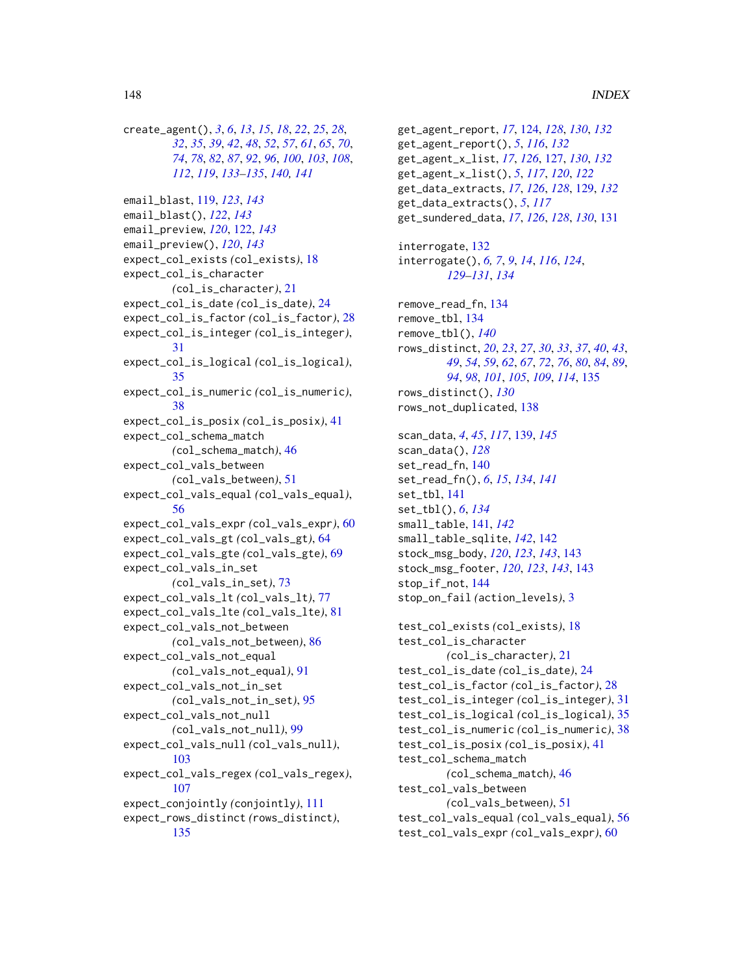create\_agent(), *[3](#page-2-1)*, *[6](#page-5-0)*, *[13](#page-12-0)*, *[15](#page-14-0)*, *[18](#page-17-0)*, *[22](#page-21-0)*, *[25](#page-24-0)*, *[28](#page-27-0)*, *[32](#page-31-0)*, *[35](#page-34-0)*, *[39](#page-38-0)*, *[42](#page-41-0)*, *[48](#page-47-0)*, *[52](#page-51-0)*, *[57](#page-56-0)*, *[61](#page-60-0)*, *[65](#page-64-0)*, *[70](#page-69-0)*, *[74](#page-73-0)*, *[78](#page-77-0)*, *[82](#page-81-0)*, *[87](#page-86-0)*, *[92](#page-91-0)*, *[96](#page-95-0)*, *[100](#page-99-0)*, *[103](#page-102-0)*, *[108](#page-107-0)*, *[112](#page-111-0)*, *[119](#page-118-0)*, *[133–](#page-132-0)[135](#page-134-0)*, *[140,](#page-139-0) [141](#page-140-0)* email\_blast, [119,](#page-118-0) *[123](#page-122-0)*, *[143](#page-142-0)* email\_blast(), *[122](#page-121-0)*, *[143](#page-142-0)* email\_preview, *[120](#page-119-0)*, [122,](#page-121-0) *[143](#page-142-0)* email\_preview(), *[120](#page-119-0)*, *[143](#page-142-0)* expect\_col\_exists *(*col\_exists*)*, [18](#page-17-0) expect\_col\_is\_character *(*col\_is\_character*)*, [21](#page-20-0) expect\_col\_is\_date *(*col\_is\_date*)*, [24](#page-23-0) expect\_col\_is\_factor *(*col\_is\_factor*)*, [28](#page-27-0) expect\_col\_is\_integer *(*col\_is\_integer*)*, [31](#page-30-0) expect\_col\_is\_logical *(*col\_is\_logical*)*, [35](#page-34-0) expect\_col\_is\_numeric *(*col\_is\_numeric*)*, [38](#page-37-0) expect\_col\_is\_posix *(*col\_is\_posix*)*, [41](#page-40-0) expect\_col\_schema\_match *(*col\_schema\_match*)*, [46](#page-45-0) expect\_col\_vals\_between *(*col\_vals\_between*)*, [51](#page-50-0) expect\_col\_vals\_equal *(*col\_vals\_equal*)*, [56](#page-55-0) expect\_col\_vals\_expr *(*col\_vals\_expr*)*, [60](#page-59-0) expect\_col\_vals\_gt *(*col\_vals\_gt*)*, [64](#page-63-0) expect\_col\_vals\_gte *(*col\_vals\_gte*)*, [69](#page-68-0) expect\_col\_vals\_in\_set *(*col\_vals\_in\_set*)*, [73](#page-72-0) expect\_col\_vals\_lt *(*col\_vals\_lt*)*, [77](#page-76-0) expect\_col\_vals\_lte *(*col\_vals\_lte*)*, [81](#page-80-0) expect\_col\_vals\_not\_between *(*col\_vals\_not\_between*)*, [86](#page-85-0) expect\_col\_vals\_not\_equal *(*col\_vals\_not\_equal*)*, [91](#page-90-0) expect\_col\_vals\_not\_in\_set *(*col\_vals\_not\_in\_set*)*, [95](#page-94-0) expect\_col\_vals\_not\_null *(*col\_vals\_not\_null*)*, [99](#page-98-0) expect\_col\_vals\_null *(*col\_vals\_null*)*, [103](#page-102-0) expect\_col\_vals\_regex *(*col\_vals\_regex*)*, [107](#page-106-0) expect\_conjointly *(*conjointly*)*, [111](#page-110-0) expect\_rows\_distinct *(*rows\_distinct*)*, [135](#page-134-0)

get\_agent\_report, *[17](#page-16-0)*, [124,](#page-123-0) *[128](#page-127-0)*, *[130](#page-129-0)*, *[132](#page-131-0)* get\_agent\_report(), *[5](#page-4-0)*, *[116](#page-115-1)*, *[132](#page-131-0)* get\_agent\_x\_list, *[17](#page-16-0)*, *[126](#page-125-0)*, [127,](#page-126-0) *[130](#page-129-0)*, *[132](#page-131-0)* get\_agent\_x\_list(), *[5](#page-4-0)*, *[117](#page-116-0)*, *[120](#page-119-0)*, *[122](#page-121-0)* get\_data\_extracts, *[17](#page-16-0)*, *[126](#page-125-0)*, *[128](#page-127-0)*, [129,](#page-128-0) *[132](#page-131-0)* get\_data\_extracts(), *[5](#page-4-0)*, *[117](#page-116-0)* get\_sundered\_data, *[17](#page-16-0)*, *[126](#page-125-0)*, *[128](#page-127-0)*, *[130](#page-129-0)*, [131](#page-130-0) interrogate, [132](#page-131-0) interrogate(), *[6,](#page-5-0) [7](#page-6-0)*, *[9](#page-8-0)*, *[14](#page-13-0)*, *[116](#page-115-1)*, *[124](#page-123-0)*, *[129](#page-128-0)[–131](#page-130-0)*, *[134](#page-133-0)* remove\_read\_fn, [134](#page-133-0) remove\_tbl, [134](#page-133-0) remove\_tbl(), *[140](#page-139-0)* rows\_distinct, *[20](#page-19-0)*, *[23](#page-22-0)*, *[27](#page-26-0)*, *[30](#page-29-0)*, *[33](#page-32-0)*, *[37](#page-36-0)*, *[40](#page-39-0)*, *[43](#page-42-0)*, *[49](#page-48-0)*, *[54](#page-53-0)*, *[59](#page-58-0)*, *[62](#page-61-0)*, *[67](#page-66-0)*, *[72](#page-71-0)*, *[76](#page-75-0)*, *[80](#page-79-0)*, *[84](#page-83-0)*, *[89](#page-88-0)*, *[94](#page-93-0)*, *[98](#page-97-0)*, *[101](#page-100-0)*, *[105](#page-104-0)*, *[109](#page-108-0)*, *[114](#page-113-0)*, [135](#page-134-0) rows\_distinct(), *[130](#page-129-0)* rows\_not\_duplicated, [138](#page-137-0) scan\_data, *[4](#page-3-0)*, *[45](#page-44-1)*, *[117](#page-116-0)*, [139,](#page-138-1) *[145](#page-144-0)* scan\_data(), *[128](#page-127-0)* set\_read\_fn, [140](#page-139-0) set\_read\_fn(), *[6](#page-5-0)*, *[15](#page-14-0)*, *[134](#page-133-0)*, *[141](#page-140-0)* set\_tbl, [141](#page-140-0) set\_tbl(), *[6](#page-5-0)*, *[134](#page-133-0)* small\_table, [141,](#page-140-0) *[142](#page-141-0)* small\_table\_sqlite, *[142](#page-141-0)*, [142](#page-141-0) stock\_msg\_body, *[120](#page-119-0)*, *[123](#page-122-0)*, *[143](#page-142-0)*, [143](#page-142-0) stock\_msg\_footer, *[120](#page-119-0)*, *[123](#page-122-0)*, *[143](#page-142-0)*, [143](#page-142-0) stop\_if\_not, [144](#page-143-0) stop\_on\_fail *(*action\_levels*)*, [3](#page-2-1) test\_col\_exists *(*col\_exists*)*, [18](#page-17-0) test\_col\_is\_character *(*col\_is\_character*)*, [21](#page-20-0) test\_col\_is\_date *(*col\_is\_date*)*, [24](#page-23-0) test\_col\_is\_factor *(*col\_is\_factor*)*, [28](#page-27-0) test\_col\_is\_integer *(*col\_is\_integer*)*, [31](#page-30-0) test\_col\_is\_logical *(*col\_is\_logical*)*, [35](#page-34-0) test\_col\_is\_numeric *(*col\_is\_numeric*)*, [38](#page-37-0) test\_col\_is\_posix *(*col\_is\_posix*)*, [41](#page-40-0) test\_col\_schema\_match *(*col\_schema\_match*)*, [46](#page-45-0) test\_col\_vals\_between *(*col\_vals\_between*)*, [51](#page-50-0) test\_col\_vals\_equal *(*col\_vals\_equal*)*, [56](#page-55-0) test\_col\_vals\_expr *(*col\_vals\_expr*)*, [60](#page-59-0)